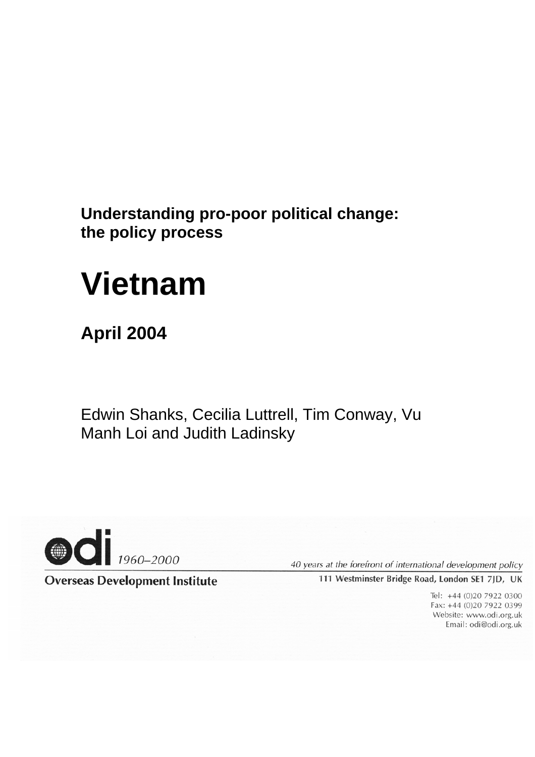**Understanding pro-poor political change: the policy process** 

# **Vietnam**

**April 2004** 

Edwin Shanks, Cecilia Luttrell, Tim Conway, Vu Manh Loi and Judith Ladinsky



**Overseas Development Institute** 

40 years at the forefront of international development policy

111 Westminster Bridge Road, London SE1 7JD, UK

Tel: +44 (0)20 7922 0300 Fax: +44 (0)20 7922 0399 Website: www.odi.org.uk Email: odi@odi.org.uk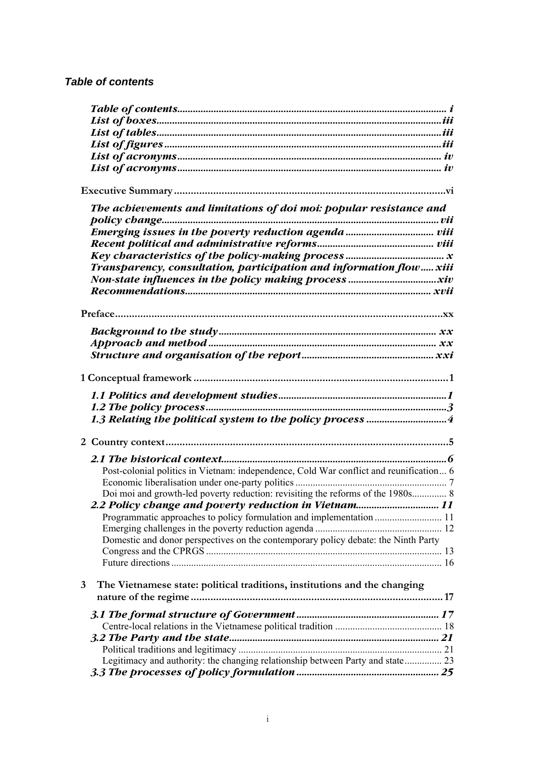### <span id="page-1-0"></span>*Table of contents*

|   | The achievements and limitations of doi moi: popular resistance and                    |  |
|---|----------------------------------------------------------------------------------------|--|
|   |                                                                                        |  |
|   |                                                                                        |  |
|   |                                                                                        |  |
|   | Transparency, consultation, participation and information flow xiii                    |  |
|   |                                                                                        |  |
|   |                                                                                        |  |
|   |                                                                                        |  |
|   |                                                                                        |  |
|   |                                                                                        |  |
|   |                                                                                        |  |
|   |                                                                                        |  |
|   |                                                                                        |  |
|   |                                                                                        |  |
|   |                                                                                        |  |
|   |                                                                                        |  |
|   |                                                                                        |  |
|   |                                                                                        |  |
|   | Post-colonial politics in Vietnam: independence, Cold War conflict and reunification 6 |  |
|   |                                                                                        |  |
|   | Doi moi and growth-led poverty reduction: revisiting the reforms of the 1980s 8        |  |
|   | 2.2 Policy change and poverty reduction in Vietnam 11                                  |  |
|   | Programmatic approaches to policy formulation and implementation  11                   |  |
|   | Domestic and donor perspectives on the contemporary policy debate: the Ninth Party     |  |
|   |                                                                                        |  |
|   |                                                                                        |  |
| 3 | The Vietnamese state: political traditions, institutions and the changing              |  |
|   |                                                                                        |  |
|   |                                                                                        |  |
|   |                                                                                        |  |
|   |                                                                                        |  |
|   |                                                                                        |  |
|   | Legitimacy and authority: the changing relationship between Party and state 23         |  |
|   |                                                                                        |  |
|   |                                                                                        |  |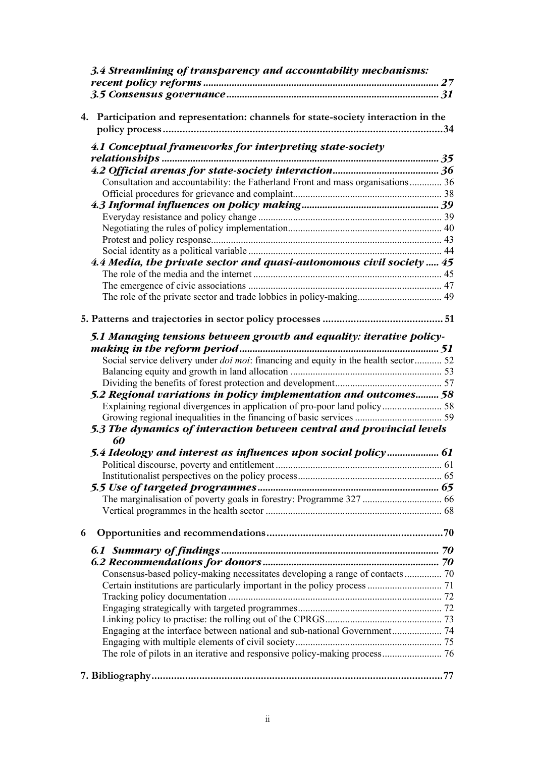|   | 3.4 Streamlining of transparency and accountability mechanisms:                             |  |
|---|---------------------------------------------------------------------------------------------|--|
|   |                                                                                             |  |
|   |                                                                                             |  |
|   | 4. Participation and representation: channels for state-society interaction in the          |  |
|   | 4.1 Conceptual frameworks for interpreting state-society                                    |  |
|   |                                                                                             |  |
|   |                                                                                             |  |
|   | Consultation and accountability: the Fatherland Front and mass organisations 36             |  |
|   |                                                                                             |  |
|   |                                                                                             |  |
|   |                                                                                             |  |
|   |                                                                                             |  |
|   |                                                                                             |  |
|   |                                                                                             |  |
|   | 4.4 Media, the private sector and quasi-autonomous civil society  45                        |  |
|   |                                                                                             |  |
|   | The role of the private sector and trade lobbies in policy-making 49                        |  |
|   |                                                                                             |  |
|   |                                                                                             |  |
|   | 5.1 Managing tensions between growth and equality: iterative policy-                        |  |
|   |                                                                                             |  |
|   | Social service delivery under <i>doi moi</i> : financing and equity in the health sector 52 |  |
|   |                                                                                             |  |
|   |                                                                                             |  |
|   | 5.2 Regional variations in policy implementation and outcomes 58                            |  |
|   |                                                                                             |  |
|   |                                                                                             |  |
|   | 5.3 The dynamics of interaction between central and provincial levels<br>60                 |  |
|   | 5.4 Ideology and interest as influences upon social policy 61                               |  |
|   | Political discourse, poverty and entitlement                                                |  |
|   |                                                                                             |  |
|   |                                                                                             |  |
|   |                                                                                             |  |
|   |                                                                                             |  |
|   |                                                                                             |  |
| 6 |                                                                                             |  |
|   |                                                                                             |  |
|   |                                                                                             |  |
|   |                                                                                             |  |
|   |                                                                                             |  |
|   |                                                                                             |  |
|   |                                                                                             |  |
|   | Engaging at the interface between national and sub-national Government 74                   |  |
|   |                                                                                             |  |
|   |                                                                                             |  |
|   |                                                                                             |  |
|   |                                                                                             |  |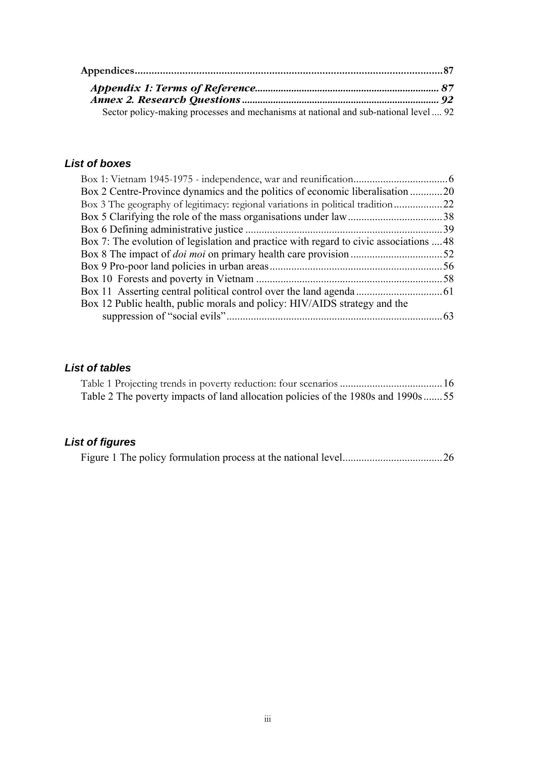<span id="page-3-0"></span>

| Sector policy-making processes and mechanisms at national and sub-national level  92 |  |
|--------------------------------------------------------------------------------------|--|

#### *List of boxes*

| Box 2 Centre-Province dynamics and the politics of economic liberalisation             | .20 |
|----------------------------------------------------------------------------------------|-----|
| Box 3 The geography of legitimacy: regional variations in political tradition          | .22 |
|                                                                                        |     |
|                                                                                        |     |
| Box 7: The evolution of legislation and practice with regard to civic associations  48 |     |
|                                                                                        |     |
|                                                                                        |     |
|                                                                                        |     |
|                                                                                        |     |
| Box 12 Public health, public morals and policy: HIV/AIDS strategy and the              |     |
|                                                                                        | .63 |

#### *List of tables*

| Table 2 The poverty impacts of land allocation policies of the 1980s and 1990s55 |  |  |  |  |
|----------------------------------------------------------------------------------|--|--|--|--|

## *List of figures*

[Figure 1 The policy formulation process at the national level.....................................26](#page-48-0)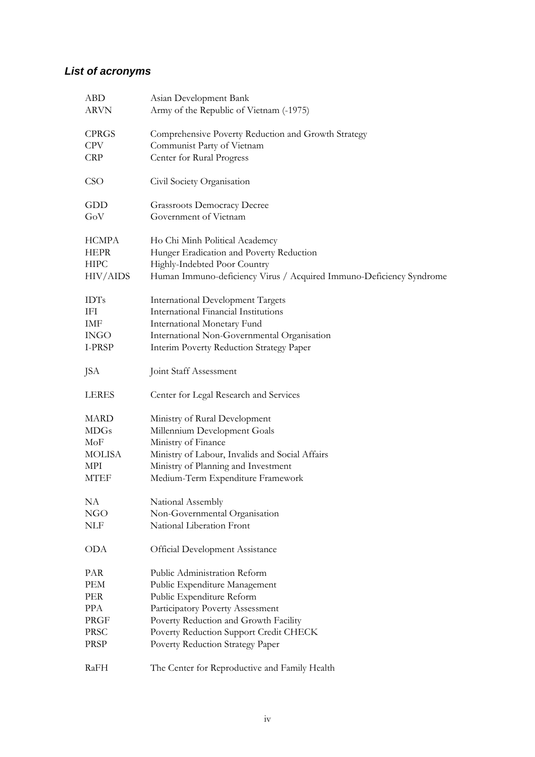## <span id="page-4-0"></span>*List of acronyms*

| ABD<br><b>ARVN</b>  | Asian Development Bank<br>Army of the Republic of Vietnam (-1975)   |
|---------------------|---------------------------------------------------------------------|
| <b>CPRGS</b><br>CPV | Comprehensive Poverty Reduction and Growth Strategy                 |
| <b>CRP</b>          | Communist Party of Vietnam<br>Center for Rural Progress             |
| CSO                 | Civil Society Organisation                                          |
| GDD                 | <b>Grassroots Democracy Decree</b>                                  |
| GoV                 | Government of Vietnam                                               |
| HCMPA               | Ho Chi Minh Political Academcy                                      |
| <b>HEPR</b>         | Hunger Eradication and Poverty Reduction                            |
| <b>HIPC</b>         | Highly-Indebted Poor Country                                        |
| <b>HIV/AIDS</b>     | Human Immuno-deficiency Virus / Acquired Immuno-Deficiency Syndrome |
| <b>IDTs</b>         | <b>International Development Targets</b>                            |
| IFI                 | International Financial Institutions                                |
| IMF                 | International Monetary Fund                                         |
| <b>INGO</b>         | International Non-Governmental Organisation                         |
| I-PRSP              | Interim Poverty Reduction Strategy Paper                            |
| JSA                 | Joint Staff Assessment                                              |
| <b>LERES</b>        | Center for Legal Research and Services                              |
| MARD                | Ministry of Rural Development                                       |
| <b>MDGs</b>         | Millennium Development Goals                                        |
| MoF                 | Ministry of Finance                                                 |
| <b>MOLISA</b>       | Ministry of Labour, Invalids and Social Affairs                     |
| MPI                 | Ministry of Planning and Investment                                 |
| <b>MTEF</b>         | Medium-Term Expenditure Framework                                   |
| NA                  | National Assembly                                                   |
| <b>NGO</b>          | Non-Governmental Organisation                                       |
| NLF                 | National Liberation Front                                           |
| ODA                 | <b>Official Development Assistance</b>                              |
| PAR                 | Public Administration Reform                                        |
| PEM                 | Public Expenditure Management                                       |
| PER                 | Public Expenditure Reform                                           |
| PPA                 | Participatory Poverty Assessment                                    |
| PRGF                | Poverty Reduction and Growth Facility                               |
| PRSC                | Poverty Reduction Support Credit CHECK                              |
| PRSP                | Poverty Reduction Strategy Paper                                    |
| RaFH                | The Center for Reproductive and Family Health                       |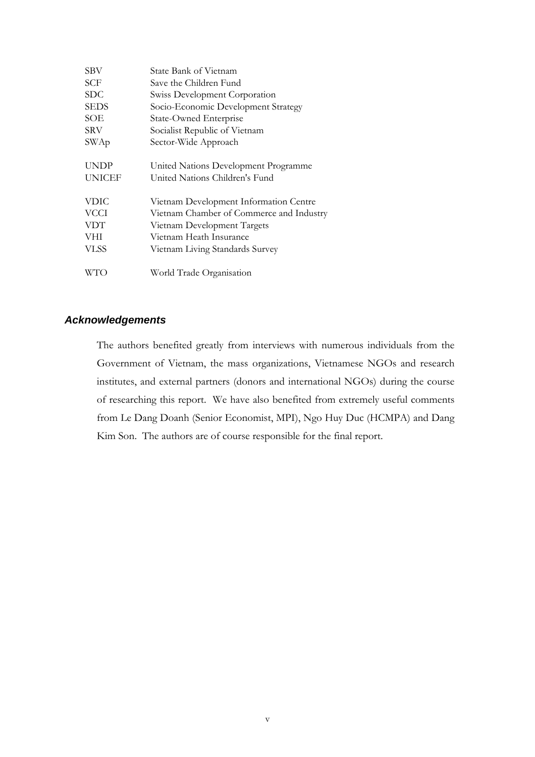| SBV           | State Bank of Vietnam                    |
|---------------|------------------------------------------|
| SCF           | Save the Children Fund                   |
| <b>SDC</b>    | Swiss Development Corporation            |
| <b>SEDS</b>   | Socio-Economic Development Strategy      |
| SOE           | State-Owned Enterprise                   |
| SRV           | Socialist Republic of Vietnam            |
| SWAp          | Sector-Wide Approach                     |
| <b>UNDP</b>   | United Nations Development Programme     |
| <b>UNICEF</b> | United Nations Children's Fund           |
| <b>VDIC</b>   | Vietnam Development Information Centre   |
| <b>VCCI</b>   | Vietnam Chamber of Commerce and Industry |
| <b>VDT</b>    | Vietnam Development Targets              |
| VHI.          | Vietnam Heath Insurance                  |
| <b>VLSS</b>   | Vietnam Living Standards Survey          |
| WTO           | World Trade Organisation                 |

#### *Acknowledgements*

The authors benefited greatly from interviews with numerous individuals from the Government of Vietnam, the mass organizations, Vietnamese NGOs and research institutes, and external partners (donors and international NGOs) during the course of researching this report. We have also benefited from extremely useful comments from Le Dang Doanh (Senior Economist, MPI), Ngo Huy Duc (HCMPA) and Dang Kim Son. The authors are of course responsible for the final report.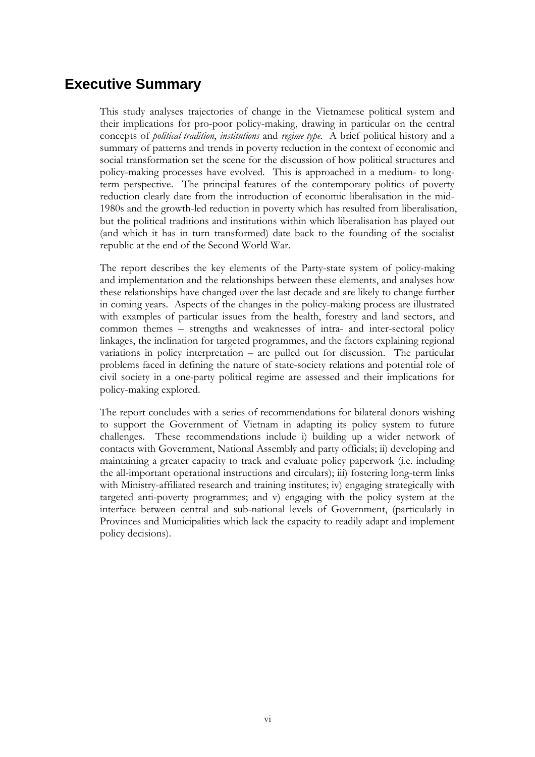# <span id="page-6-0"></span>**Executive Summary**

This study analyses trajectories of change in the Vietnamese political system and their implications for pro-poor policy-making, drawing in particular on the central concepts of *political tradition*, *institutions* and *regime type*. A brief political history and a summary of patterns and trends in poverty reduction in the context of economic and social transformation set the scene for the discussion of how political structures and policy-making processes have evolved. This is approached in a medium- to longterm perspective. The principal features of the contemporary politics of poverty reduction clearly date from the introduction of economic liberalisation in the mid-1980s and the growth-led reduction in poverty which has resulted from liberalisation, but the political traditions and institutions within which liberalisation has played out (and which it has in turn transformed) date back to the founding of the socialist republic at the end of the Second World War.

The report describes the key elements of the Party-state system of policy-making and implementation and the relationships between these elements, and analyses how these relationships have changed over the last decade and are likely to change further in coming years. Aspects of the changes in the policy-making process are illustrated with examples of particular issues from the health, forestry and land sectors, and common themes – strengths and weaknesses of intra- and inter-sectoral policy linkages, the inclination for targeted programmes, and the factors explaining regional variations in policy interpretation – are pulled out for discussion. The particular problems faced in defining the nature of state-society relations and potential role of civil society in a one-party political regime are assessed and their implications for policy-making explored.

The report concludes with a series of recommendations for bilateral donors wishing to support the Government of Vietnam in adapting its policy system to future challenges. These recommendations include i) building up a wider network of contacts with Government, National Assembly and party officials; ii) developing and maintaining a greater capacity to track and evaluate policy paperwork (i.e. including the all-important operational instructions and circulars); iii) fostering long-term links with Ministry-affiliated research and training institutes; iv) engaging strategically with targeted anti-poverty programmes; and v) engaging with the policy system at the interface between central and sub-national levels of Government, (particularly in Provinces and Municipalities which lack the capacity to readily adapt and implement policy decisions).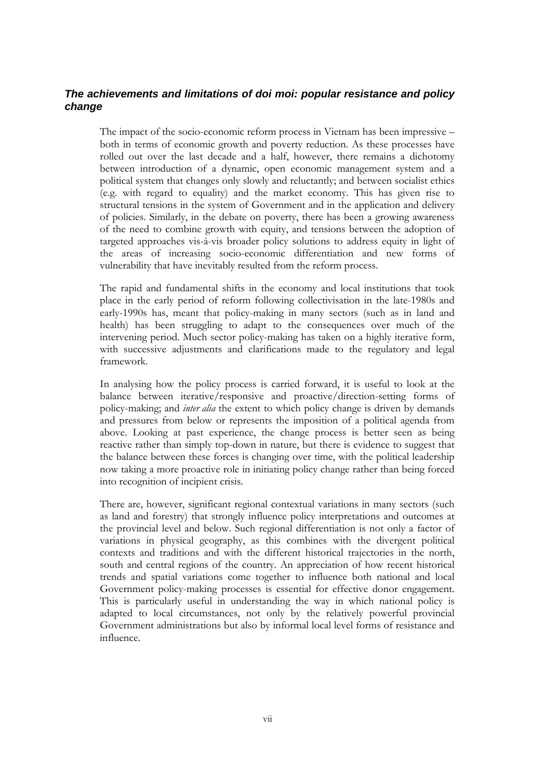#### <span id="page-7-0"></span>*The achievements and limitations of doi moi: popular resistance and policy change*

The impact of the socio-economic reform process in Vietnam has been impressive – both in terms of economic growth and poverty reduction. As these processes have rolled out over the last decade and a half, however, there remains a dichotomy between introduction of a dynamic, open economic management system and a political system that changes only slowly and reluctantly; and between socialist ethics (e.g. with regard to equality) and the market economy. This has given rise to structural tensions in the system of Government and in the application and delivery of policies. Similarly, in the debate on poverty, there has been a growing awareness of the need to combine growth with equity, and tensions between the adoption of targeted approaches vis-à-vis broader policy solutions to address equity in light of the areas of increasing socio-economic differentiation and new forms of vulnerability that have inevitably resulted from the reform process.

The rapid and fundamental shifts in the economy and local institutions that took place in the early period of reform following collectivisation in the late-1980s and early-1990s has, meant that policy-making in many sectors (such as in land and health) has been struggling to adapt to the consequences over much of the intervening period. Much sector policy-making has taken on a highly iterative form, with successive adjustments and clarifications made to the regulatory and legal framework.

In analysing how the policy process is carried forward, it is useful to look at the balance between iterative/responsive and proactive/direction-setting forms of policy-making; and *inter alia* the extent to which policy change is driven by demands and pressures from below or represents the imposition of a political agenda from above. Looking at past experience, the change process is better seen as being reactive rather than simply top-down in nature, but there is evidence to suggest that the balance between these forces is changing over time, with the political leadership now taking a more proactive role in initiating policy change rather than being forced into recognition of incipient crisis.

There are, however, significant regional contextual variations in many sectors (such as land and forestry) that strongly influence policy interpretations and outcomes at the provincial level and below. Such regional differentiation is not only a factor of variations in physical geography, as this combines with the divergent political contexts and traditions and with the different historical trajectories in the north, south and central regions of the country. An appreciation of how recent historical trends and spatial variations come together to influence both national and local Government policy-making processes is essential for effective donor engagement. This is particularly useful in understanding the way in which national policy is adapted to local circumstances, not only by the relatively powerful provincial Government administrations but also by informal local level forms of resistance and influence.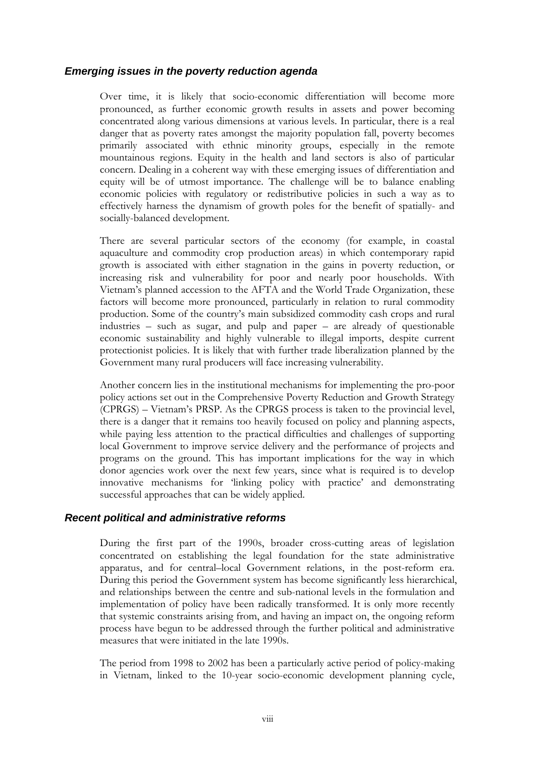#### <span id="page-8-0"></span>*Emerging issues in the poverty reduction agenda*

Over time, it is likely that socio-economic differentiation will become more pronounced, as further economic growth results in assets and power becoming concentrated along various dimensions at various levels. In particular, there is a real danger that as poverty rates amongst the majority population fall, poverty becomes primarily associated with ethnic minority groups, especially in the remote mountainous regions. Equity in the health and land sectors is also of particular concern. Dealing in a coherent way with these emerging issues of differentiation and equity will be of utmost importance. The challenge will be to balance enabling economic policies with regulatory or redistributive policies in such a way as to effectively harness the dynamism of growth poles for the benefit of spatially- and socially-balanced development.

There are several particular sectors of the economy (for example, in coastal aquaculture and commodity crop production areas) in which contemporary rapid growth is associated with either stagnation in the gains in poverty reduction, or increasing risk and vulnerability for poor and nearly poor households. With Vietnam's planned accession to the AFTA and the World Trade Organization, these factors will become more pronounced, particularly in relation to rural commodity production. Some of the country's main subsidized commodity cash crops and rural industries – such as sugar, and pulp and paper – are already of questionable economic sustainability and highly vulnerable to illegal imports, despite current protectionist policies. It is likely that with further trade liberalization planned by the Government many rural producers will face increasing vulnerability.

Another concern lies in the institutional mechanisms for implementing the pro-poor policy actions set out in the Comprehensive Poverty Reduction and Growth Strategy (CPRGS) – Vietnam's PRSP. As the CPRGS process is taken to the provincial level, there is a danger that it remains too heavily focused on policy and planning aspects, while paying less attention to the practical difficulties and challenges of supporting local Government to improve service delivery and the performance of projects and programs on the ground. This has important implications for the way in which donor agencies work over the next few years, since what is required is to develop innovative mechanisms for 'linking policy with practice' and demonstrating successful approaches that can be widely applied.

#### *Recent political and administrative reforms*

During the first part of the 1990s, broader cross-cutting areas of legislation concentrated on establishing the legal foundation for the state administrative apparatus, and for central–local Government relations, in the post-reform era. During this period the Government system has become significantly less hierarchical, and relationships between the centre and sub-national levels in the formulation and implementation of policy have been radically transformed. It is only more recently that systemic constraints arising from, and having an impact on, the ongoing reform process have begun to be addressed through the further political and administrative measures that were initiated in the late 1990s.

The period from 1998 to 2002 has been a particularly active period of policy-making in Vietnam, linked to the 10-year socio-economic development planning cycle,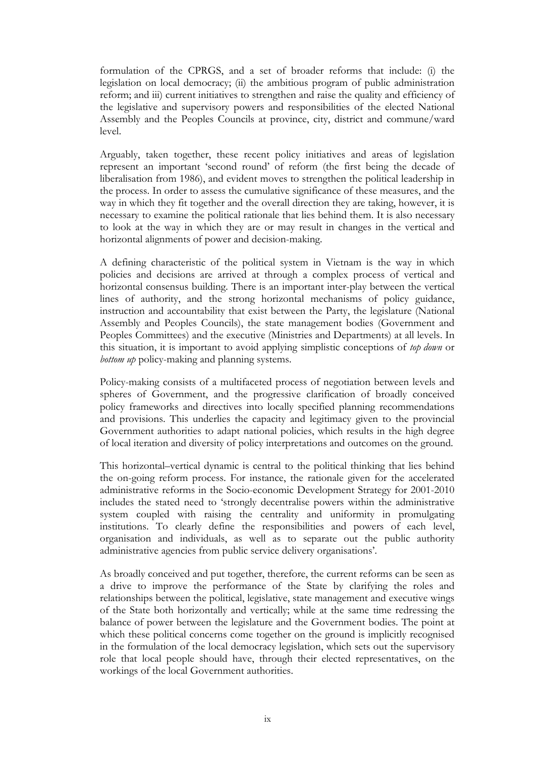formulation of the CPRGS, and a set of broader reforms that include: (i) the legislation on local democracy; (ii) the ambitious program of public administration reform; and iii) current initiatives to strengthen and raise the quality and efficiency of the legislative and supervisory powers and responsibilities of the elected National Assembly and the Peoples Councils at province, city, district and commune/ward level.

Arguably, taken together, these recent policy initiatives and areas of legislation represent an important 'second round' of reform (the first being the decade of liberalisation from 1986), and evident moves to strengthen the political leadership in the process. In order to assess the cumulative significance of these measures, and the way in which they fit together and the overall direction they are taking, however, it is necessary to examine the political rationale that lies behind them. It is also necessary to look at the way in which they are or may result in changes in the vertical and horizontal alignments of power and decision-making.

A defining characteristic of the political system in Vietnam is the way in which policies and decisions are arrived at through a complex process of vertical and horizontal consensus building. There is an important inter-play between the vertical lines of authority, and the strong horizontal mechanisms of policy guidance, instruction and accountability that exist between the Party, the legislature (National Assembly and Peoples Councils), the state management bodies (Government and Peoples Committees) and the executive (Ministries and Departments) at all levels. In this situation, it is important to avoid applying simplistic conceptions of *top down* or *bottom up* policy-making and planning systems.

Policy-making consists of a multifaceted process of negotiation between levels and spheres of Government, and the progressive clarification of broadly conceived policy frameworks and directives into locally specified planning recommendations and provisions. This underlies the capacity and legitimacy given to the provincial Government authorities to adapt national policies, which results in the high degree of local iteration and diversity of policy interpretations and outcomes on the ground.

This horizontal–vertical dynamic is central to the political thinking that lies behind the on-going reform process. For instance, the rationale given for the accelerated administrative reforms in the Socio-economic Development Strategy for 2001-2010 includes the stated need to 'strongly decentralise powers within the administrative system coupled with raising the centrality and uniformity in promulgating institutions. To clearly define the responsibilities and powers of each level, organisation and individuals, as well as to separate out the public authority administrative agencies from public service delivery organisations'.

As broadly conceived and put together, therefore, the current reforms can be seen as a drive to improve the performance of the State by clarifying the roles and relationships between the political, legislative, state management and executive wings of the State both horizontally and vertically; while at the same time redressing the balance of power between the legislature and the Government bodies. The point at which these political concerns come together on the ground is implicitly recognised in the formulation of the local democracy legislation, which sets out the supervisory role that local people should have, through their elected representatives, on the workings of the local Government authorities.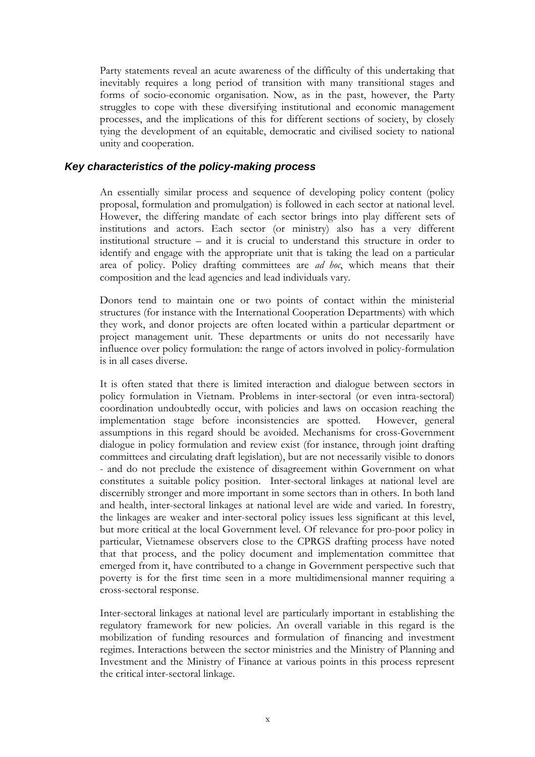<span id="page-10-0"></span>Party statements reveal an acute awareness of the difficulty of this undertaking that inevitably requires a long period of transition with many transitional stages and forms of socio-economic organisation. Now, as in the past, however, the Party struggles to cope with these diversifying institutional and economic management processes, and the implications of this for different sections of society, by closely tying the development of an equitable, democratic and civilised society to national unity and cooperation.

#### *Key characteristics of the policy-making process*

An essentially similar process and sequence of developing policy content (policy proposal, formulation and promulgation) is followed in each sector at national level. However, the differing mandate of each sector brings into play different sets of institutions and actors. Each sector (or ministry) also has a very different institutional structure – and it is crucial to understand this structure in order to identify and engage with the appropriate unit that is taking the lead on a particular area of policy. Policy drafting committees are *ad hoc*, which means that their composition and the lead agencies and lead individuals vary.

Donors tend to maintain one or two points of contact within the ministerial structures (for instance with the International Cooperation Departments) with which they work, and donor projects are often located within a particular department or project management unit. These departments or units do not necessarily have influence over policy formulation: the range of actors involved in policy-formulation is in all cases diverse.

It is often stated that there is limited interaction and dialogue between sectors in policy formulation in Vietnam. Problems in inter-sectoral (or even intra-sectoral) coordination undoubtedly occur, with policies and laws on occasion reaching the implementation stage before inconsistencies are spotted. However, general assumptions in this regard should be avoided. Mechanisms for cross-Government dialogue in policy formulation and review exist (for instance, through joint drafting committees and circulating draft legislation), but are not necessarily visible to donors - and do not preclude the existence of disagreement within Government on what constitutes a suitable policy position. Inter-sectoral linkages at national level are discernibly stronger and more important in some sectors than in others. In both land and health, inter-sectoral linkages at national level are wide and varied. In forestry, the linkages are weaker and inter-sectoral policy issues less significant at this level, but more critical at the local Government level. Of relevance for pro-poor policy in particular, Vietnamese observers close to the CPRGS drafting process have noted that that process, and the policy document and implementation committee that emerged from it, have contributed to a change in Government perspective such that poverty is for the first time seen in a more multidimensional manner requiring a cross-sectoral response.

Inter-sectoral linkages at national level are particularly important in establishing the regulatory framework for new policies. An overall variable in this regard is the mobilization of funding resources and formulation of financing and investment regimes. Interactions between the sector ministries and the Ministry of Planning and Investment and the Ministry of Finance at various points in this process represent the critical inter-sectoral linkage.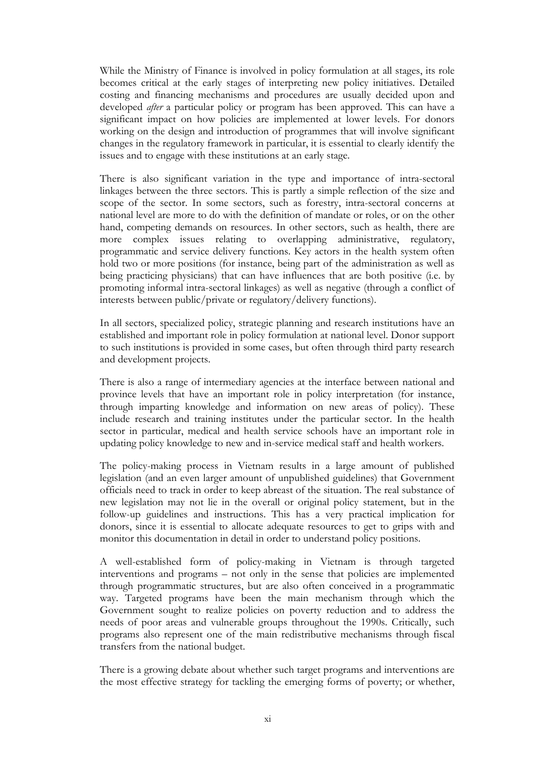While the Ministry of Finance is involved in policy formulation at all stages, its role becomes critical at the early stages of interpreting new policy initiatives. Detailed costing and financing mechanisms and procedures are usually decided upon and developed *after* a particular policy or program has been approved. This can have a significant impact on how policies are implemented at lower levels. For donors working on the design and introduction of programmes that will involve significant changes in the regulatory framework in particular, it is essential to clearly identify the issues and to engage with these institutions at an early stage.

There is also significant variation in the type and importance of intra-sectoral linkages between the three sectors. This is partly a simple reflection of the size and scope of the sector. In some sectors, such as forestry, intra-sectoral concerns at national level are more to do with the definition of mandate or roles, or on the other hand, competing demands on resources. In other sectors, such as health, there are more complex issues relating to overlapping administrative, regulatory, programmatic and service delivery functions. Key actors in the health system often hold two or more positions (for instance, being part of the administration as well as being practicing physicians) that can have influences that are both positive (i.e. by promoting informal intra-sectoral linkages) as well as negative (through a conflict of interests between public/private or regulatory/delivery functions).

In all sectors, specialized policy, strategic planning and research institutions have an established and important role in policy formulation at national level. Donor support to such institutions is provided in some cases, but often through third party research and development projects.

There is also a range of intermediary agencies at the interface between national and province levels that have an important role in policy interpretation (for instance, through imparting knowledge and information on new areas of policy). These include research and training institutes under the particular sector. In the health sector in particular, medical and health service schools have an important role in updating policy knowledge to new and in-service medical staff and health workers.

The policy-making process in Vietnam results in a large amount of published legislation (and an even larger amount of unpublished guidelines) that Government officials need to track in order to keep abreast of the situation. The real substance of new legislation may not lie in the overall or original policy statement, but in the follow-up guidelines and instructions. This has a very practical implication for donors, since it is essential to allocate adequate resources to get to grips with and monitor this documentation in detail in order to understand policy positions.

A well-established form of policy-making in Vietnam is through targeted interventions and programs – not only in the sense that policies are implemented through programmatic structures, but are also often conceived in a programmatic way. Targeted programs have been the main mechanism through which the Government sought to realize policies on poverty reduction and to address the needs of poor areas and vulnerable groups throughout the 1990s. Critically, such programs also represent one of the main redistributive mechanisms through fiscal transfers from the national budget.

There is a growing debate about whether such target programs and interventions are the most effective strategy for tackling the emerging forms of poverty; or whether,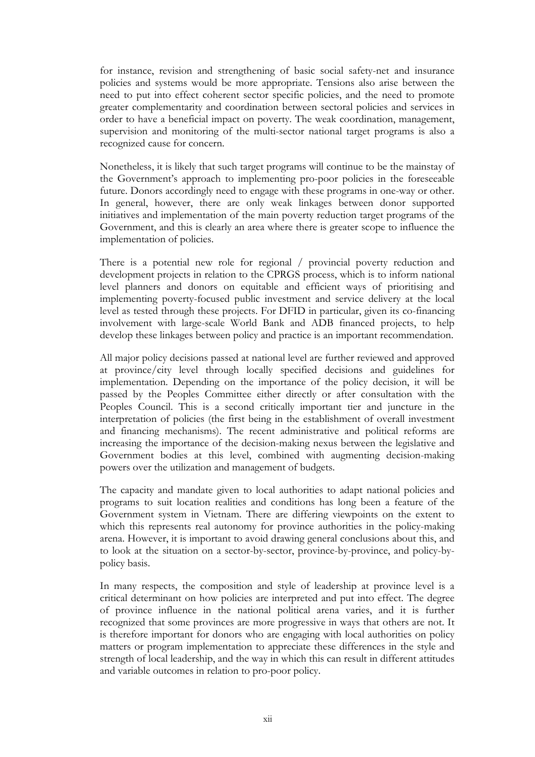for instance, revision and strengthening of basic social safety-net and insurance policies and systems would be more appropriate. Tensions also arise between the need to put into effect coherent sector specific policies, and the need to promote greater complementarity and coordination between sectoral policies and services in order to have a beneficial impact on poverty. The weak coordination, management, supervision and monitoring of the multi-sector national target programs is also a recognized cause for concern.

Nonetheless, it is likely that such target programs will continue to be the mainstay of the Government's approach to implementing pro-poor policies in the foreseeable future. Donors accordingly need to engage with these programs in one-way or other. In general, however, there are only weak linkages between donor supported initiatives and implementation of the main poverty reduction target programs of the Government, and this is clearly an area where there is greater scope to influence the implementation of policies.

There is a potential new role for regional / provincial poverty reduction and development projects in relation to the CPRGS process, which is to inform national level planners and donors on equitable and efficient ways of prioritising and implementing poverty-focused public investment and service delivery at the local level as tested through these projects. For DFID in particular, given its co-financing involvement with large-scale World Bank and ADB financed projects, to help develop these linkages between policy and practice is an important recommendation.

All major policy decisions passed at national level are further reviewed and approved at province/city level through locally specified decisions and guidelines for implementation. Depending on the importance of the policy decision, it will be passed by the Peoples Committee either directly or after consultation with the Peoples Council. This is a second critically important tier and juncture in the interpretation of policies (the first being in the establishment of overall investment and financing mechanisms). The recent administrative and political reforms are increasing the importance of the decision-making nexus between the legislative and Government bodies at this level, combined with augmenting decision-making powers over the utilization and management of budgets.

The capacity and mandate given to local authorities to adapt national policies and programs to suit location realities and conditions has long been a feature of the Government system in Vietnam. There are differing viewpoints on the extent to which this represents real autonomy for province authorities in the policy-making arena. However, it is important to avoid drawing general conclusions about this, and to look at the situation on a sector-by-sector, province-by-province, and policy-bypolicy basis.

In many respects, the composition and style of leadership at province level is a critical determinant on how policies are interpreted and put into effect. The degree of province influence in the national political arena varies, and it is further recognized that some provinces are more progressive in ways that others are not. It is therefore important for donors who are engaging with local authorities on policy matters or program implementation to appreciate these differences in the style and strength of local leadership, and the way in which this can result in different attitudes and variable outcomes in relation to pro-poor policy.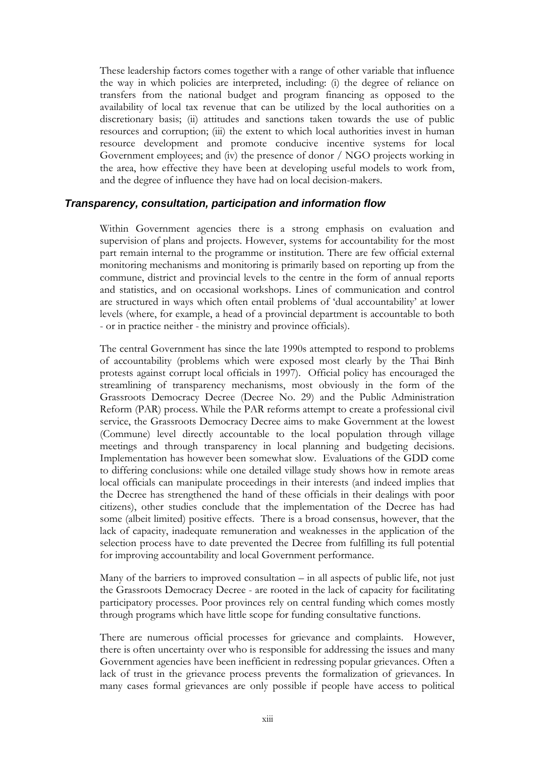<span id="page-13-0"></span>These leadership factors comes together with a range of other variable that influence the way in which policies are interpreted, including: (i) the degree of reliance on transfers from the national budget and program financing as opposed to the availability of local tax revenue that can be utilized by the local authorities on a discretionary basis; (ii) attitudes and sanctions taken towards the use of public resources and corruption; (iii) the extent to which local authorities invest in human resource development and promote conducive incentive systems for local Government employees; and (iv) the presence of donor / NGO projects working in the area, how effective they have been at developing useful models to work from, and the degree of influence they have had on local decision-makers.

#### *Transparency, consultation, participation and information flow*

Within Government agencies there is a strong emphasis on evaluation and supervision of plans and projects. However, systems for accountability for the most part remain internal to the programme or institution. There are few official external monitoring mechanisms and monitoring is primarily based on reporting up from the commune, district and provincial levels to the centre in the form of annual reports and statistics, and on occasional workshops. Lines of communication and control are structured in ways which often entail problems of 'dual accountability' at lower levels (where, for example, a head of a provincial department is accountable to both - or in practice neither - the ministry and province officials).

The central Government has since the late 1990s attempted to respond to problems of accountability (problems which were exposed most clearly by the Thai Binh protests against corrupt local officials in 1997). Official policy has encouraged the streamlining of transparency mechanisms, most obviously in the form of the Grassroots Democracy Decree (Decree No. 29) and the Public Administration Reform (PAR) process. While the PAR reforms attempt to create a professional civil service, the Grassroots Democracy Decree aims to make Government at the lowest (Commune) level directly accountable to the local population through village meetings and through transparency in local planning and budgeting decisions. Implementation has however been somewhat slow. Evaluations of the GDD come to differing conclusions: while one detailed village study shows how in remote areas local officials can manipulate proceedings in their interests (and indeed implies that the Decree has strengthened the hand of these officials in their dealings with poor citizens), other studies conclude that the implementation of the Decree has had some (albeit limited) positive effects. There is a broad consensus, however, that the lack of capacity, inadequate remuneration and weaknesses in the application of the selection process have to date prevented the Decree from fulfilling its full potential for improving accountability and local Government performance.

Many of the barriers to improved consultation  $-$  in all aspects of public life, not just the Grassroots Democracy Decree - are rooted in the lack of capacity for facilitating participatory processes. Poor provinces rely on central funding which comes mostly through programs which have little scope for funding consultative functions.

There are numerous official processes for grievance and complaints. However, there is often uncertainty over who is responsible for addressing the issues and many Government agencies have been inefficient in redressing popular grievances. Often a lack of trust in the grievance process prevents the formalization of grievances. In many cases formal grievances are only possible if people have access to political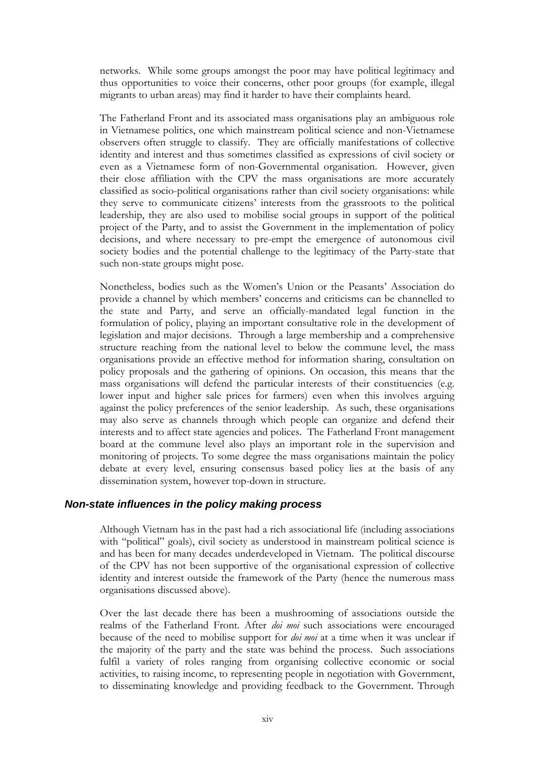<span id="page-14-0"></span>networks. While some groups amongst the poor may have political legitimacy and thus opportunities to voice their concerns, other poor groups (for example, illegal migrants to urban areas) may find it harder to have their complaints heard.

The Fatherland Front and its associated mass organisations play an ambiguous role in Vietnamese politics, one which mainstream political science and non-Vietnamese observers often struggle to classify. They are officially manifestations of collective identity and interest and thus sometimes classified as expressions of civil society or even as a Vietnamese form of non-Governmental organisation. However, given their close affiliation with the CPV the mass organisations are more accurately classified as socio-political organisations rather than civil society organisations: while they serve to communicate citizens' interests from the grassroots to the political leadership, they are also used to mobilise social groups in support of the political project of the Party, and to assist the Government in the implementation of policy decisions, and where necessary to pre-empt the emergence of autonomous civil society bodies and the potential challenge to the legitimacy of the Party-state that such non-state groups might pose.

Nonetheless, bodies such as the Women's Union or the Peasants' Association do provide a channel by which members' concerns and criticisms can be channelled to the state and Party, and serve an officially-mandated legal function in the formulation of policy, playing an important consultative role in the development of legislation and major decisions. Through a large membership and a comprehensive structure reaching from the national level to below the commune level, the mass organisations provide an effective method for information sharing, consultation on policy proposals and the gathering of opinions. On occasion, this means that the mass organisations will defend the particular interests of their constituencies (e.g. lower input and higher sale prices for farmers) even when this involves arguing against the policy preferences of the senior leadership. As such, these organisations may also serve as channels through which people can organize and defend their interests and to affect state agencies and polices. The Fatherland Front management board at the commune level also plays an important role in the supervision and monitoring of projects. To some degree the mass organisations maintain the policy debate at every level, ensuring consensus based policy lies at the basis of any dissemination system, however top-down in structure.

#### *Non-state influences in the policy making process*

Although Vietnam has in the past had a rich associational life (including associations with "political" goals), civil society as understood in mainstream political science is and has been for many decades underdeveloped in Vietnam. The political discourse of the CPV has not been supportive of the organisational expression of collective identity and interest outside the framework of the Party (hence the numerous mass organisations discussed above).

Over the last decade there has been a mushrooming of associations outside the realms of the Fatherland Front. After *doi moi* such associations were encouraged because of the need to mobilise support for *doi moi* at a time when it was unclear if the majority of the party and the state was behind the process. Such associations fulfil a variety of roles ranging from organising collective economic or social activities, to raising income, to representing people in negotiation with Government, to disseminating knowledge and providing feedback to the Government. Through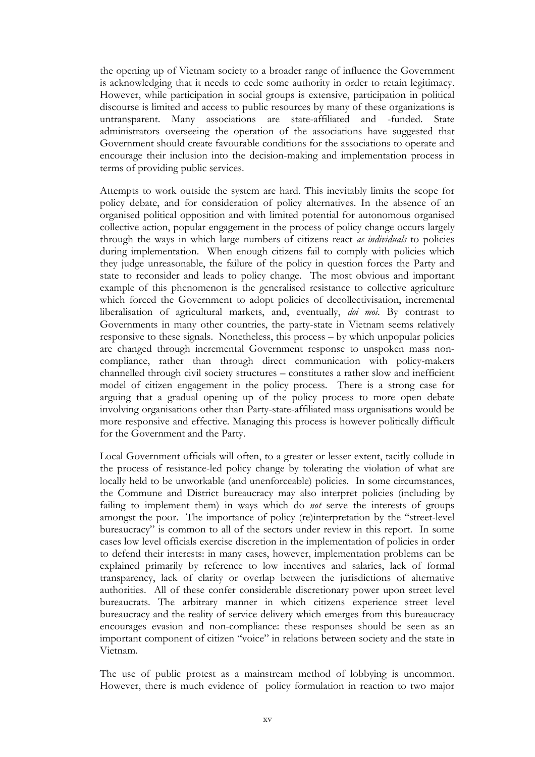the opening up of Vietnam society to a broader range of influence the Government is acknowledging that it needs to cede some authority in order to retain legitimacy. However, while participation in social groups is extensive, participation in political discourse is limited and access to public resources by many of these organizations is untransparent. Many associations are state-affiliated and -funded. State administrators overseeing the operation of the associations have suggested that Government should create favourable conditions for the associations to operate and encourage their inclusion into the decision-making and implementation process in terms of providing public services.

Attempts to work outside the system are hard. This inevitably limits the scope for policy debate, and for consideration of policy alternatives. In the absence of an organised political opposition and with limited potential for autonomous organised collective action, popular engagement in the process of policy change occurs largely through the ways in which large numbers of citizens react *as individuals* to policies during implementation. When enough citizens fail to comply with policies which they judge unreasonable, the failure of the policy in question forces the Party and state to reconsider and leads to policy change. The most obvious and important example of this phenomenon is the generalised resistance to collective agriculture which forced the Government to adopt policies of decollectivisation, incremental liberalisation of agricultural markets, and, eventually, *doi moi*. By contrast to Governments in many other countries, the party-state in Vietnam seems relatively responsive to these signals. Nonetheless, this process – by which unpopular policies are changed through incremental Government response to unspoken mass noncompliance, rather than through direct communication with policy-makers channelled through civil society structures – constitutes a rather slow and inefficient model of citizen engagement in the policy process. There is a strong case for arguing that a gradual opening up of the policy process to more open debate involving organisations other than Party-state-affiliated mass organisations would be more responsive and effective. Managing this process is however politically difficult for the Government and the Party.

Local Government officials will often, to a greater or lesser extent, tacitly collude in the process of resistance-led policy change by tolerating the violation of what are locally held to be unworkable (and unenforceable) policies. In some circumstances, the Commune and District bureaucracy may also interpret policies (including by failing to implement them) in ways which do *not* serve the interests of groups amongst the poor. The importance of policy (re)interpretation by the "street-level bureaucracy" is common to all of the sectors under review in this report. In some cases low level officials exercise discretion in the implementation of policies in order to defend their interests: in many cases, however, implementation problems can be explained primarily by reference to low incentives and salaries, lack of formal transparency, lack of clarity or overlap between the jurisdictions of alternative authorities. All of these confer considerable discretionary power upon street level bureaucrats. The arbitrary manner in which citizens experience street level bureaucracy and the reality of service delivery which emerges from this bureaucracy encourages evasion and non-compliance: these responses should be seen as an important component of citizen "voice" in relations between society and the state in Vietnam.

The use of public protest as a mainstream method of lobbying is uncommon. However, there is much evidence of policy formulation in reaction to two major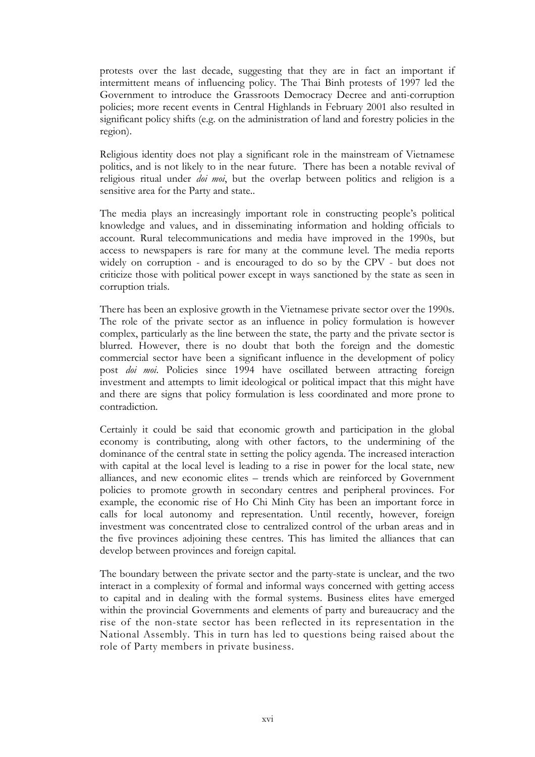protests over the last decade, suggesting that they are in fact an important if intermittent means of influencing policy. The Thai Binh protests of 1997 led the Government to introduce the Grassroots Democracy Decree and anti-corruption policies; more recent events in Central Highlands in February 2001 also resulted in significant policy shifts (e.g. on the administration of land and forestry policies in the region).

Religious identity does not play a significant role in the mainstream of Vietnamese politics, and is not likely to in the near future. There has been a notable revival of religious ritual under *doi moi*, but the overlap between politics and religion is a sensitive area for the Party and state..

The media plays an increasingly important role in constructing people's political knowledge and values, and in disseminating information and holding officials to account. Rural telecommunications and media have improved in the 1990s, but access to newspapers is rare for many at the commune level. The media reports widely on corruption - and is encouraged to do so by the CPV - but does not criticize those with political power except in ways sanctioned by the state as seen in corruption trials.

There has been an explosive growth in the Vietnamese private sector over the 1990s. The role of the private sector as an influence in policy formulation is however complex, particularly as the line between the state, the party and the private sector is blurred. However, there is no doubt that both the foreign and the domestic commercial sector have been a significant influence in the development of policy post *doi moi*. Policies since 1994 have oscillated between attracting foreign investment and attempts to limit ideological or political impact that this might have and there are signs that policy formulation is less coordinated and more prone to contradiction.

Certainly it could be said that economic growth and participation in the global economy is contributing, along with other factors, to the undermining of the dominance of the central state in setting the policy agenda. The increased interaction with capital at the local level is leading to a rise in power for the local state, new alliances, and new economic elites – trends which are reinforced by Government policies to promote growth in secondary centres and peripheral provinces. For example, the economic rise of Ho Chi Minh City has been an important force in calls for local autonomy and representation. Until recently, however, foreign investment was concentrated close to centralized control of the urban areas and in the five provinces adjoining these centres. This has limited the alliances that can develop between provinces and foreign capital.

The boundary between the private sector and the party-state is unclear, and the two interact in a complexity of formal and informal ways concerned with getting access to capital and in dealing with the formal systems. Business elites have emerged within the provincial Governments and elements of party and bureaucracy and the rise of the non-state sector has been reflected in its representation in the National Assembly. This in turn has led to questions being raised about the role of Party members in private business.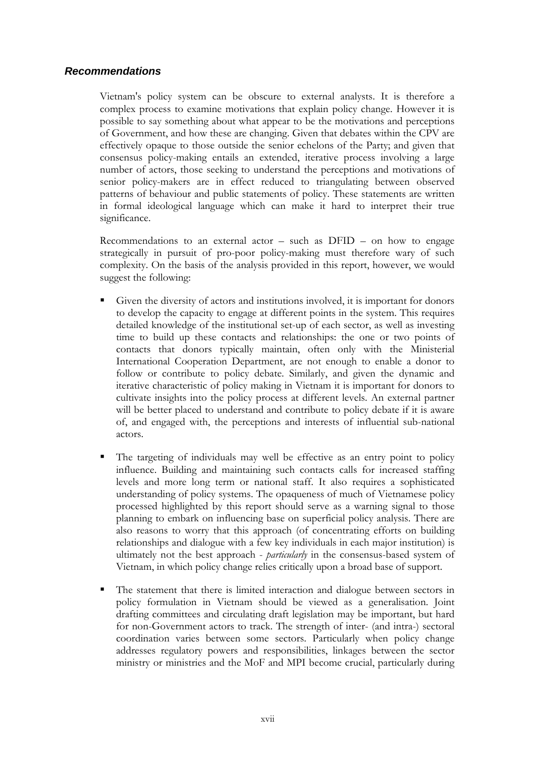#### <span id="page-17-0"></span>*Recommendations*

Vietnam's policy system can be obscure to external analysts. It is therefore a complex process to examine motivations that explain policy change. However it is possible to say something about what appear to be the motivations and perceptions of Government, and how these are changing. Given that debates within the CPV are effectively opaque to those outside the senior echelons of the Party; and given that consensus policy-making entails an extended, iterative process involving a large number of actors, those seeking to understand the perceptions and motivations of senior policy-makers are in effect reduced to triangulating between observed patterns of behaviour and public statements of policy. These statements are written in formal ideological language which can make it hard to interpret their true significance.

Recommendations to an external actor – such as  $DFID$  – on how to engage strategically in pursuit of pro-poor policy-making must therefore wary of such complexity. On the basis of the analysis provided in this report, however, we would suggest the following:

- Given the diversity of actors and institutions involved, it is important for donors to develop the capacity to engage at different points in the system. This requires detailed knowledge of the institutional set-up of each sector, as well as investing time to build up these contacts and relationships: the one or two points of contacts that donors typically maintain, often only with the Ministerial International Cooperation Department, are not enough to enable a donor to follow or contribute to policy debate. Similarly, and given the dynamic and iterative characteristic of policy making in Vietnam it is important for donors to cultivate insights into the policy process at different levels. An external partner will be better placed to understand and contribute to policy debate if it is aware of, and engaged with, the perceptions and interests of influential sub-national actors.
- The targeting of individuals may well be effective as an entry point to policy influence. Building and maintaining such contacts calls for increased staffing levels and more long term or national staff. It also requires a sophisticated understanding of policy systems. The opaqueness of much of Vietnamese policy processed highlighted by this report should serve as a warning signal to those planning to embark on influencing base on superficial policy analysis. There are also reasons to worry that this approach (of concentrating efforts on building relationships and dialogue with a few key individuals in each major institution) is ultimately not the best approach - *particularly* in the consensus-based system of Vietnam, in which policy change relies critically upon a broad base of support.
- The statement that there is limited interaction and dialogue between sectors in policy formulation in Vietnam should be viewed as a generalisation. Joint drafting committees and circulating draft legislation may be important, but hard for non-Government actors to track. The strength of inter- (and intra-) sectoral coordination varies between some sectors. Particularly when policy change addresses regulatory powers and responsibilities, linkages between the sector ministry or ministries and the MoF and MPI become crucial, particularly during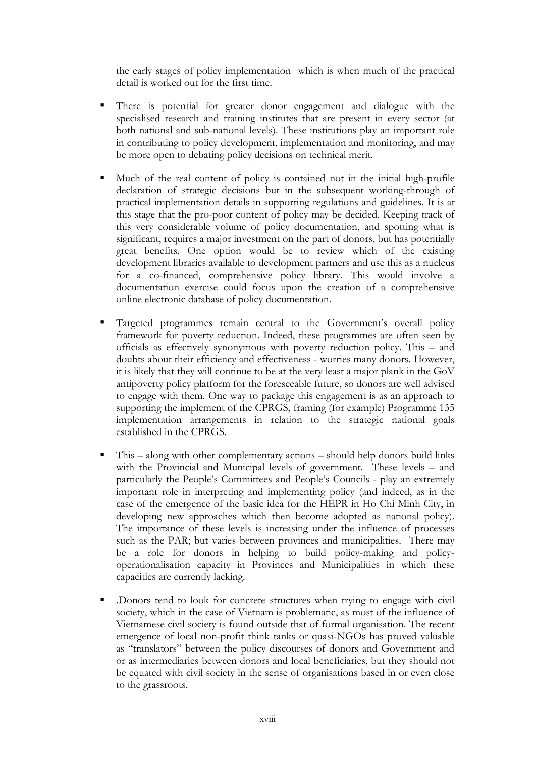the early stages of policy implementation which is when much of the practical detail is worked out for the first time.

- There is potential for greater donor engagement and dialogue with the specialised research and training institutes that are present in every sector (at both national and sub-national levels). These institutions play an important role in contributing to policy development, implementation and monitoring, and may be more open to debating policy decisions on technical merit.
- Much of the real content of policy is contained not in the initial high-profile declaration of strategic decisions but in the subsequent working-through of practical implementation details in supporting regulations and guidelines. It is at this stage that the pro-poor content of policy may be decided. Keeping track of this very considerable volume of policy documentation, and spotting what is significant, requires a major investment on the part of donors, but has potentially great benefits. One option would be to review which of the existing development libraries available to development partners and use this as a nucleus for a co-financed, comprehensive policy library. This would involve a documentation exercise could focus upon the creation of a comprehensive online electronic database of policy documentation.
- Targeted programmes remain central to the Government's overall policy framework for poverty reduction. Indeed, these programmes are often seen by officials as effectively synonymous with poverty reduction policy. This – and doubts about their efficiency and effectiveness - worries many donors. However, it is likely that they will continue to be at the very least a major plank in the GoV antipoverty policy platform for the foreseeable future, so donors are well advised to engage with them. One way to package this engagement is as an approach to supporting the implement of the CPRGS, framing (for example) Programme 135 implementation arrangements in relation to the strategic national goals established in the CPRGS.
- This along with other complementary actions should help donors build links with the Provincial and Municipal levels of government. These levels – and particularly the People's Committees and People's Councils - play an extremely important role in interpreting and implementing policy (and indeed, as in the case of the emergence of the basic idea for the HEPR in Ho Chi Minh City, in developing new approaches which then become adopted as national policy). The importance of these levels is increasing under the influence of processes such as the PAR; but varies between provinces and municipalities. There may be a role for donors in helping to build policy-making and policyoperationalisation capacity in Provinces and Municipalities in which these capacities are currently lacking.
- .Donors tend to look for concrete structures when trying to engage with civil society, which in the case of Vietnam is problematic, as most of the influence of Vietnamese civil society is found outside that of formal organisation. The recent emergence of local non-profit think tanks or quasi-NGOs has proved valuable as "translators" between the policy discourses of donors and Government and or as intermediaries between donors and local beneficiaries, but they should not be equated with civil society in the sense of organisations based in or even close to the grassroots.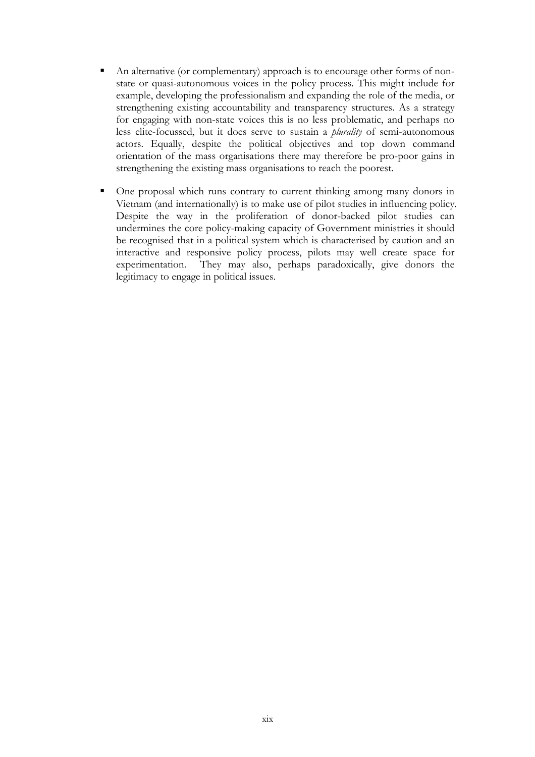- An alternative (or complementary) approach is to encourage other forms of nonstate or quasi-autonomous voices in the policy process. This might include for example, developing the professionalism and expanding the role of the media, or strengthening existing accountability and transparency structures. As a strategy for engaging with non-state voices this is no less problematic, and perhaps no less elite-focussed, but it does serve to sustain a *plurality* of semi-autonomous actors. Equally, despite the political objectives and top down command orientation of the mass organisations there may therefore be pro-poor gains in strengthening the existing mass organisations to reach the poorest.
- One proposal which runs contrary to current thinking among many donors in Vietnam (and internationally) is to make use of pilot studies in influencing policy. Despite the way in the proliferation of donor-backed pilot studies can undermines the core policy-making capacity of Government ministries it should be recognised that in a political system which is characterised by caution and an interactive and responsive policy process, pilots may well create space for experimentation. They may also, perhaps paradoxically, give donors the legitimacy to engage in political issues.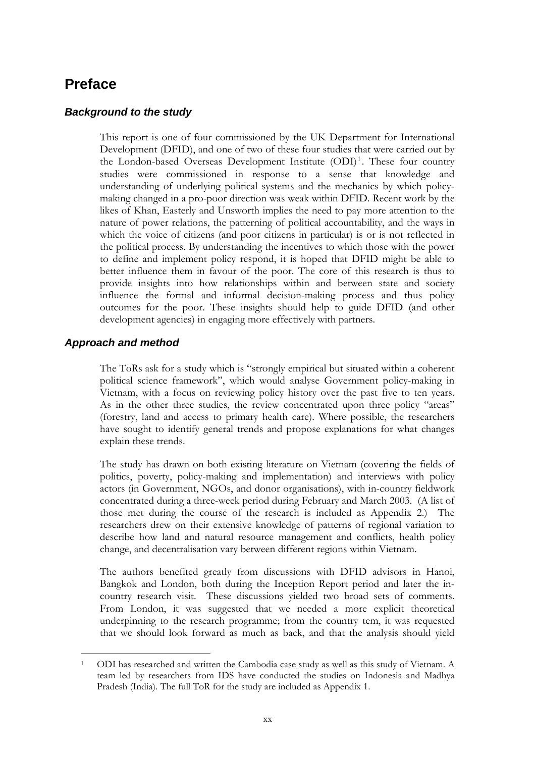## <span id="page-20-0"></span>**Preface**

#### *Background to the study*

This report is one of four commissioned by the UK Department for International Development (DFID), and one of two of these four studies that were carried out by the London-based Overseas Development Institute  $(DDI)^1$ . These four country studies were commissioned in response to a sense [th](#page-20-1)at knowledge and understanding of underlying political systems and the mechanics by which policymaking changed in a pro-poor direction was weak within DFID. Recent work by the likes of Khan, Easterly and Unsworth implies the need to pay more attention to the nature of power relations, the patterning of political accountability, and the ways in which the voice of citizens (and poor citizens in particular) is or is not reflected in the political process. By understanding the incentives to which those with the power to define and implement policy respond, it is hoped that DFID might be able to better influence them in favour of the poor. The core of this research is thus to provide insights into how relationships within and between state and society influence the formal and informal decision-making process and thus policy outcomes for the poor. These insights should help to guide DFID (and other development agencies) in engaging more effectively with partners.

#### *Approach and method*

 $\overline{a}$ 

The ToRs ask for a study which is "strongly empirical but situated within a coherent political science framework", which would analyse Government policy-making in Vietnam, with a focus on reviewing policy history over the past five to ten years. As in the other three studies, the review concentrated upon three policy "areas" (forestry, land and access to primary health care). Where possible, the researchers have sought to identify general trends and propose explanations for what changes explain these trends.

The study has drawn on both existing literature on Vietnam (covering the fields of politics, poverty, policy-making and implementation) and interviews with policy actors (in Government, NGOs, and donor organisations), with in-country fieldwork concentrated during a three-week period during February and March 2003. (A list of those met during the course of the research is included as Appendix 2.) The researchers drew on their extensive knowledge of patterns of regional variation to describe how land and natural resource management and conflicts, health policy change, and decentralisation vary between different regions within Vietnam.

The authors benefited greatly from discussions with DFID advisors in Hanoi, Bangkok and London, both during the Inception Report period and later the incountry research visit. These discussions yielded two broad sets of comments. From London, it was suggested that we needed a more explicit theoretical underpinning to the research programme; from the country tem, it was requested that we should look forward as much as back, and that the analysis should yield

<span id="page-20-1"></span><sup>1</sup> ODI has researched and written the Cambodia case study as well as this study of Vietnam. A team led by researchers from IDS have conducted the studies on Indonesia and Madhya Pradesh (India). The full ToR for the study are included as Appendix 1.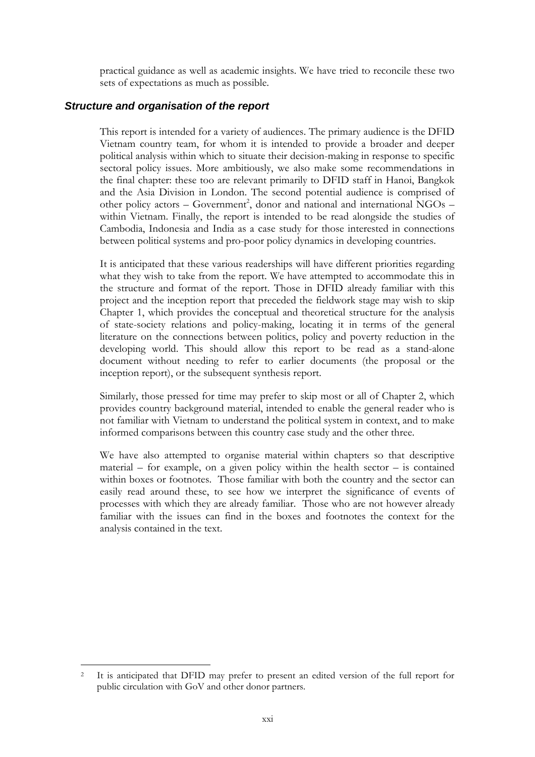<span id="page-21-0"></span>practical guidance as well as academic insights. We have tried to reconcile these two sets of expectations as much as possible.

#### *Structure and organisation of the report*

This report is intended for a variety of audiences. The primary audience is the DFID Vietnam country team, for whom it is intended to provide a broader and deeper political analysis within which to situate their decision-making in response to specific sectoral policy issues. More ambitiously, we also make some recommendations in the final chapter: these too are relevant primarily to DFID staff in Hanoi, Bangkok and the Asia Division in London. The second potential audience is comprised of other policy actors – Government<sup>2</sup>, donor and national and international NGOs – within Vietnam. Finally, the repor[t](#page-21-1) is intended to be read alongside the studies of Cambodia, Indonesia and India as a case study for those interested in connections between political systems and pro-poor policy dynamics in developing countries.

It is anticipated that these various readerships will have different priorities regarding what they wish to take from the report. We have attempted to accommodate this in the structure and format of the report. Those in DFID already familiar with this project and the inception report that preceded the fieldwork stage may wish to skip Chapter 1, which provides the conceptual and theoretical structure for the analysis of state-society relations and policy-making, locating it in terms of the general literature on the connections between politics, policy and poverty reduction in the developing world. This should allow this report to be read as a stand-alone document without needing to refer to earlier documents (the proposal or the inception report), or the subsequent synthesis report.

Similarly, those pressed for time may prefer to skip most or all of Chapter 2, which provides country background material, intended to enable the general reader who is not familiar with Vietnam to understand the political system in context, and to make informed comparisons between this country case study and the other three.

We have also attempted to organise material within chapters so that descriptive material – for example, on a given policy within the health sector – is contained within boxes or footnotes. Those familiar with both the country and the sector can easily read around these, to see how we interpret the significance of events of processes with which they are already familiar. Those who are not however already familiar with the issues can find in the boxes and footnotes the context for the analysis contained in the text.

<span id="page-21-1"></span> $\overline{a}$ <sup>2</sup> It is anticipated that DFID may prefer to present an edited version of the full report for public circulation with GoV and other donor partners.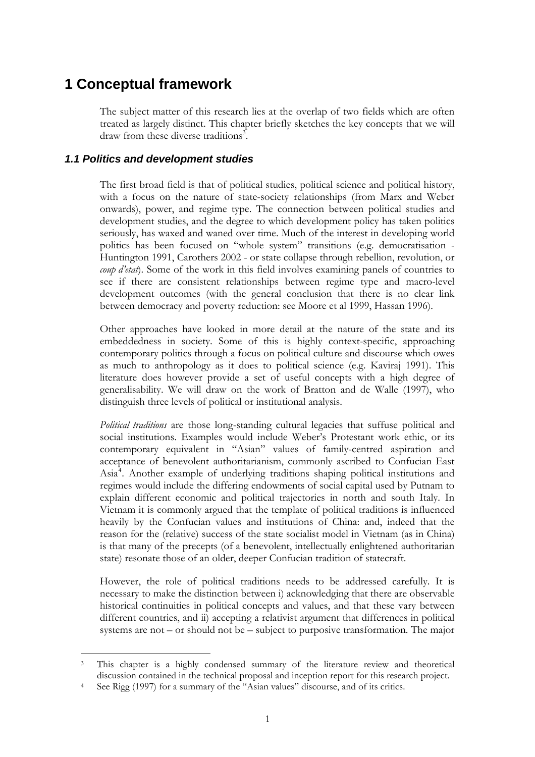# <span id="page-22-0"></span>**1 Conceptual framework**

The subject matter of this research lies at the overlap of two fields which are often treated as largely distinct. This chapter briefly sketches the key concepts that we will draw from these diverse traditions<sup>3</sup>.

#### *1.1 Politics and development studies*

The first broad field is that of political studies, political science and political history, with a focus on the nature of state-society relationships (from Marx and Weber onwards), power, and regime type. The connection between political studies and development studies, and the degree to which development policy has taken politics seriously, has waxed and waned over time. Much of the interest in developing world politics has been focused on "whole system" transitions (e.g. democratisation - Huntington 1991, Carothers 2002 - or state collapse through rebellion, revolution, or *coup d'etat*). Some of the work in this field involves examining panels of countries to see if there are consistent relationships between regime type and macro-level development outcomes (with the general conclusion that there is no clear link between democracy and poverty reduction: see Moore et al 1999, Hassan 1996).

Other approaches have looked in more detail at the nature of the state and its embeddedness in society. Some of this is highly context-specific, approaching contemporary politics through a focus on political culture and discourse which owes as much to anthropology as it does to political science (e.g. Kaviraj 1991). This literature does however provide a set of useful concepts with a high degree of generalisability. We will draw on the work of Bratton and de Walle (1997), who distinguish three levels of political or institutional analysis.

*Political traditions* are those long-standing cultural legacies that suffuse political and social institutions. Examples would include Weber's Protestant work ethic, or its contemporary equivalent in "Asian" values of family-centred aspiration and acceptance of benevolent authoritarianism, commonly ascribed to Confucian East Asia4 . Another example of underlying traditions shaping political institutions and regi[me](#page-22-2)s would include the differing endowments of social capital used by Putnam to explain different economic and political trajectories in north and south Italy. In Vietnam it is commonly argued that the template of political traditions is influenced heavily by the Confucian values and institutions of China: and, indeed that the reason for the (relative) success of the state socialist model in Vietnam (as in China) is that many of the precepts (of a benevolent, intellectually enlightened authoritarian state) resonate those of an older, deeper Confucian tradition of statecraft.

However, the role of political traditions needs to be addressed carefully. It is necessary to make the distinction between i) acknowledging that there are observable historical continuities in political concepts and values, and that these vary between different countries, and ii) accepting a relativist argument that differences in political systems are not – or should not be – subject to purposive transformation. The major

<span id="page-22-1"></span> $\overline{a}$ <sup>3</sup> This chapter is a highly condensed summary of the literature review and theoretical discussion contained in the technical proposal and inception report for this research project.

<span id="page-22-2"></span><sup>4</sup> See Rigg (1997) for a summary of the "Asian values" discourse, and of its critics.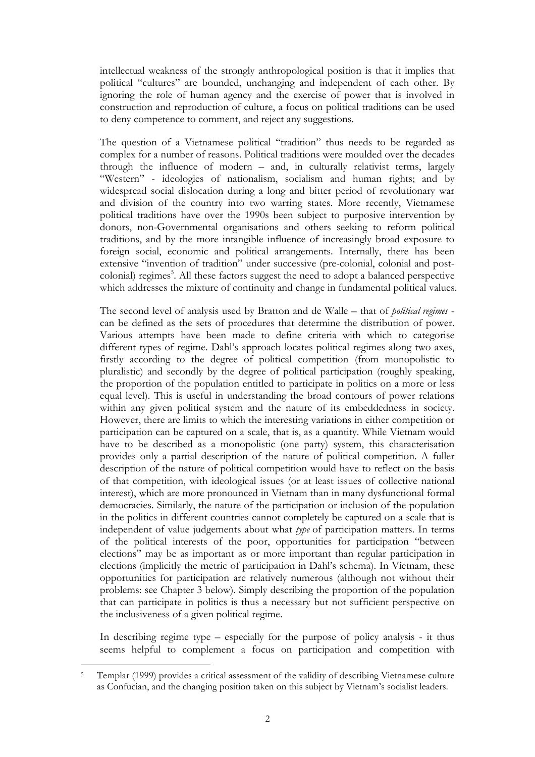intellectual weakness of the strongly anthropological position is that it implies that political "cultures" are bounded, unchanging and independent of each other. By ignoring the role of human agency and the exercise of power that is involved in construction and reproduction of culture, a focus on political traditions can be used to deny competence to comment, and reject any suggestions.

The question of a Vietnamese political "tradition" thus needs to be regarded as complex for a number of reasons. Political traditions were moulded over the decades through the influence of modern – and, in culturally relativist terms, largely "Western" - ideologies of nationalism, socialism and human rights; and by widespread social dislocation during a long and bitter period of revolutionary war and division of the country into two warring states. More recently, Vietnamese political traditions have over the 1990s been subject to purposive intervention by donors, non-Governmental organisations and others seeking to reform political traditions, and by the more intangible influence of increasingly broad exposure to foreign social, economic and political arrangements. Internally, there has been extensive "invention of tradition" under successive (pre-colonial, colonial and postcolonial) regimes<sup>5</sup>. All these factors suggest the need to adopt a balanced perspective which addresses [th](#page-23-0)e mixture of continuity and change in fundamental political values.

The second level of analysis used by Bratton and de Walle – that of *political regimes* can be defined as the sets of procedures that determine the distribution of power. Various attempts have been made to define criteria with which to categorise different types of regime. Dahl's approach locates political regimes along two axes, firstly according to the degree of political competition (from monopolistic to pluralistic) and secondly by the degree of political participation (roughly speaking, the proportion of the population entitled to participate in politics on a more or less equal level). This is useful in understanding the broad contours of power relations within any given political system and the nature of its embeddedness in society. However, there are limits to which the interesting variations in either competition or participation can be captured on a scale, that is, as a quantity. While Vietnam would have to be described as a monopolistic (one party) system, this characterisation provides only a partial description of the nature of political competition. A fuller description of the nature of political competition would have to reflect on the basis of that competition, with ideological issues (or at least issues of collective national interest), which are more pronounced in Vietnam than in many dysfunctional formal democracies. Similarly, the nature of the participation or inclusion of the population in the politics in different countries cannot completely be captured on a scale that is independent of value judgements about what *type* of participation matters. In terms of the political interests of the poor, opportunities for participation "between elections" may be as important as or more important than regular participation in elections (implicitly the metric of participation in Dahl's schema). In Vietnam, these opportunities for participation are relatively numerous (although not without their problems: see Chapter 3 below). Simply describing the proportion of the population that can participate in politics is thus a necessary but not sufficient perspective on the inclusiveness of a given political regime.

In describing regime type – especially for the purpose of policy analysis - it thus seems helpful to complement a focus on participation and competition with

 $\overline{a}$ 

<span id="page-23-0"></span><sup>5</sup> Templar (1999) provides a critical assessment of the validity of describing Vietnamese culture as Confucian, and the changing position taken on this subject by Vietnam's socialist leaders.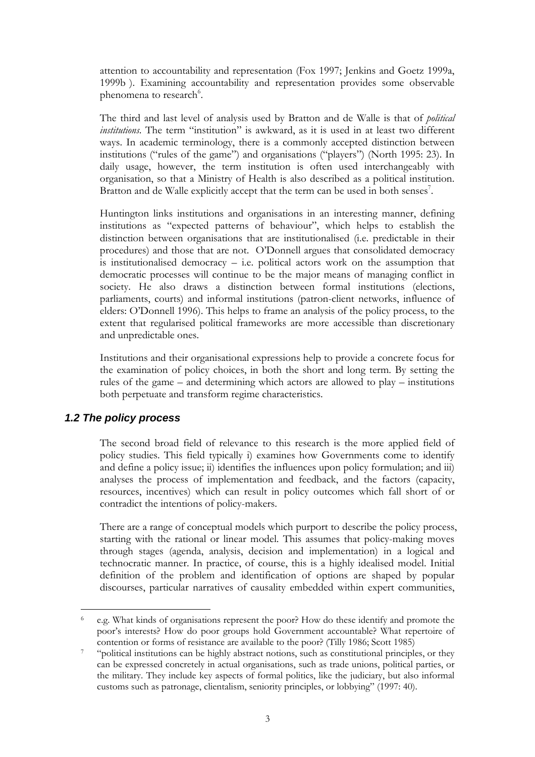<span id="page-24-0"></span>attention to accountability and representation (Fox 1997; Jenkins and Goetz 1999a, 1999b ). Examining accountability and representation provides some observable phenomena to research<sup>6</sup>.

The third and last level of analysis used by Bratton and de Walle is that of *political institutions*. The term "institution" is awkward, as it is used in at least two different ways. In academic terminology, there is a commonly accepted distinction between institutions ("rules of the game") and organisations ("players") (North 1995: 23). In daily usage, however, the term institution is often used interchangeably with organisation, so that a Ministry of Health is also described as a political institution. Bratton and de Walle explicitly accept that the term can be u[s](#page-24-2)ed in both senses<sup>7</sup>.

Huntington links institutions and organisations in an interesting manner, defining institutions as "expected patterns of behaviour", which helps to establish the distinction between organisations that are institutionalised (i.e. predictable in their procedures) and those that are not. O'Donnell argues that consolidated democracy is institutionalised democracy – i.e. political actors work on the assumption that democratic processes will continue to be the major means of managing conflict in society. He also draws a distinction between formal institutions (elections, parliaments, courts) and informal institutions (patron-client networks, influence of elders: O'Donnell 1996). This helps to frame an analysis of the policy process, to the extent that regularised political frameworks are more accessible than discretionary and unpredictable ones.

Institutions and their organisational expressions help to provide a concrete focus for the examination of policy choices, in both the short and long term. By setting the rules of the game – and determining which actors are allowed to play – institutions both perpetuate and transform regime characteristics.

#### *1.2 The policy process*

 $\overline{a}$ 

The second broad field of relevance to this research is the more applied field of policy studies. This field typically i) examines how Governments come to identify and define a policy issue; ii) identifies the influences upon policy formulation; and iii) analyses the process of implementation and feedback, and the factors (capacity, resources, incentives) which can result in policy outcomes which fall short of or contradict the intentions of policy-makers.

There are a range of conceptual models which purport to describe the policy process, starting with the rational or linear model. This assumes that policy-making moves through stages (agenda, analysis, decision and implementation) in a logical and technocratic manner. In practice, of course, this is a highly idealised model. Initial definition of the problem and identification of options are shaped by popular discourses, particular narratives of causality embedded within expert communities,

<span id="page-24-1"></span><sup>6</sup> e.g. What kinds of organisations represent the poor? How do these identify and promote the poor's interests? How do poor groups hold Government accountable? What repertoire of

<span id="page-24-2"></span>contention or forms of resistance are available to the poor? (Tilly 1986; Scott 1985)<br><sup>7</sup> "political institutions can be highly abstract notions, such as constitutional principles, or they can be expressed concretely in actual organisations, such as trade unions, political parties, or the military. They include key aspects of formal politics, like the judiciary, but also informal customs such as patronage, clientalism, seniority principles, or lobbying" (1997: 40).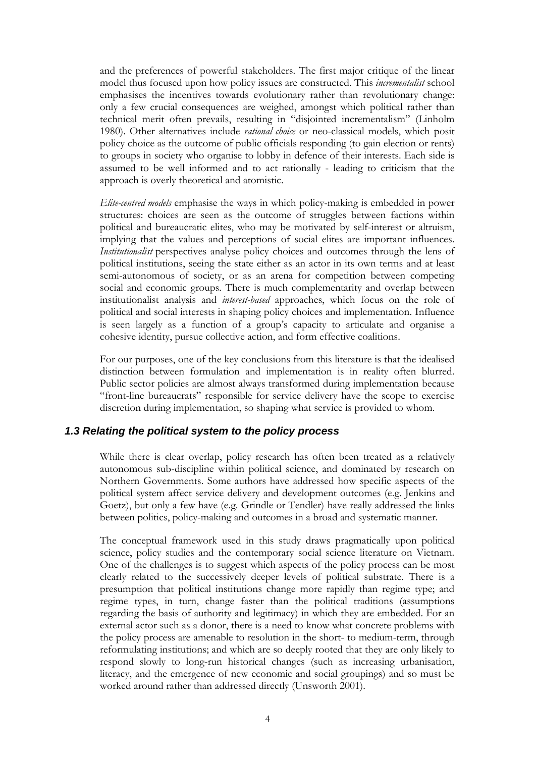<span id="page-25-0"></span>and the preferences of powerful stakeholders. The first major critique of the linear model thus focused upon how policy issues are constructed. This *incrementalist* school emphasises the incentives towards evolutionary rather than revolutionary change: only a few crucial consequences are weighed, amongst which political rather than technical merit often prevails, resulting in "disjointed incrementalism" (Linholm 1980). Other alternatives include *rational choice* or neo-classical models, which posit policy choice as the outcome of public officials responding (to gain election or rents) to groups in society who organise to lobby in defence of their interests. Each side is assumed to be well informed and to act rationally - leading to criticism that the approach is overly theoretical and atomistic.

*Elite-centred models* emphasise the ways in which policy-making is embedded in power structures: choices are seen as the outcome of struggles between factions within political and bureaucratic elites, who may be motivated by self-interest or altruism, implying that the values and perceptions of social elites are important influences. *Institutionalist* perspectives analyse policy choices and outcomes through the lens of political institutions, seeing the state either as an actor in its own terms and at least semi-autonomous of society, or as an arena for competition between competing social and economic groups. There is much complementarity and overlap between institutionalist analysis and *interest-based* approaches, which focus on the role of political and social interests in shaping policy choices and implementation. Influence is seen largely as a function of a group's capacity to articulate and organise a cohesive identity, pursue collective action, and form effective coalitions.

For our purposes, one of the key conclusions from this literature is that the idealised distinction between formulation and implementation is in reality often blurred. Public sector policies are almost always transformed during implementation because "front-line bureaucrats" responsible for service delivery have the scope to exercise discretion during implementation, so shaping what service is provided to whom.

#### *1.3 Relating the political system to the policy process*

While there is clear overlap, policy research has often been treated as a relatively autonomous sub-discipline within political science, and dominated by research on Northern Governments. Some authors have addressed how specific aspects of the political system affect service delivery and development outcomes (e.g. Jenkins and Goetz), but only a few have (e.g. Grindle or Tendler) have really addressed the links between politics, policy-making and outcomes in a broad and systematic manner.

The conceptual framework used in this study draws pragmatically upon political science, policy studies and the contemporary social science literature on Vietnam. One of the challenges is to suggest which aspects of the policy process can be most clearly related to the successively deeper levels of political substrate. There is a presumption that political institutions change more rapidly than regime type; and regime types, in turn, change faster than the political traditions (assumptions regarding the basis of authority and legitimacy) in which they are embedded. For an external actor such as a donor, there is a need to know what concrete problems with the policy process are amenable to resolution in the short- to medium-term, through reformulating institutions; and which are so deeply rooted that they are only likely to respond slowly to long-run historical changes (such as increasing urbanisation, literacy, and the emergence of new economic and social groupings) and so must be worked around rather than addressed directly (Unsworth 2001).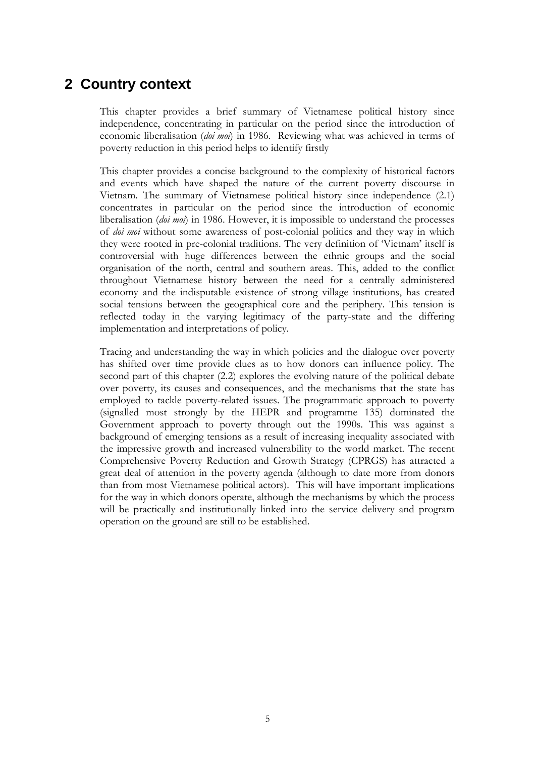## <span id="page-26-0"></span>**2 Country context**

This chapter provides a brief summary of Vietnamese political history since independence, concentrating in particular on the period since the introduction of economic liberalisation (*doi moi*) in 1986. Reviewing what was achieved in terms of poverty reduction in this period helps to identify firstly

This chapter provides a concise background to the complexity of historical factors and events which have shaped the nature of the current poverty discourse in Vietnam. The summary of Vietnamese political history since independence (2.1) concentrates in particular on the period since the introduction of economic liberalisation (*doi moi*) in 1986. However, it is impossible to understand the processes of *doi moi* without some awareness of post-colonial politics and they way in which they were rooted in pre-colonial traditions. The very definition of 'Vietnam' itself is controversial with huge differences between the ethnic groups and the social organisation of the north, central and southern areas. This, added to the conflict throughout Vietnamese history between the need for a centrally administered economy and the indisputable existence of strong village institutions, has created social tensions between the geographical core and the periphery. This tension is reflected today in the varying legitimacy of the party-state and the differing implementation and interpretations of policy.

Tracing and understanding the way in which policies and the dialogue over poverty has shifted over time provide clues as to how donors can influence policy. The second part of this chapter (2.2) explores the evolving nature of the political debate over poverty, its causes and consequences, and the mechanisms that the state has employed to tackle poverty-related issues. The programmatic approach to poverty (signalled most strongly by the HEPR and programme 135) dominated the Government approach to poverty through out the 1990s. This was against a background of emerging tensions as a result of increasing inequality associated with the impressive growth and increased vulnerability to the world market. The recent Comprehensive Poverty Reduction and Growth Strategy (CPRGS) has attracted a great deal of attention in the poverty agenda (although to date more from donors than from most Vietnamese political actors). This will have important implications for the way in which donors operate, although the mechanisms by which the process will be practically and institutionally linked into the service delivery and program operation on the ground are still to be established.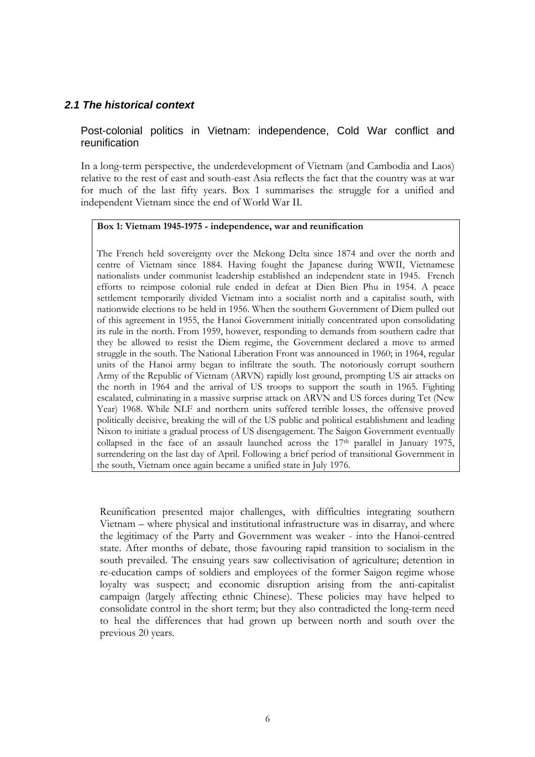#### <span id="page-27-0"></span>*2.1 The historical context*

Post-colonial politics in Vietnam: independence, Cold War conflict and reunification

In a long-term perspective, the underdevelopment of Vietnam (and Cambodia and Laos) relative to the rest of east and south-east Asia reflects the fact that the country was at war for much of the last fifty years. Box 1 summarises the struggle for a unified and independent Vietnam since the end of World War II.

#### **Box 1: Vietnam 1945-1975 - independence, war and reunification**

The French held sovereignty over the Mekong Delta since 1874 and over the north and centre of Vietnam since 1884. Having fought the Japanese during WWII, Vietnamese nationalists under communist leadership established an independent state in 1945. French efforts to reimpose colonial rule ended in defeat at Dien Bien Phu in 1954. A peace settlement temporarily divided Vietnam into a socialist north and a capitalist south, with nationwide elections to be held in 1956. When the southern Government of Diem pulled out of this agreement in 1955, the Hanoi Government initially concentrated upon consolidating its rule in the north. From 1959, however, responding to demands from southern cadre that they be allowed to resist the Diem regime, the Government declared a move to armed struggle in the south. The National Liberation Front was announced in 1960; in 1964, regular units of the Hanoi army began to infiltrate the south. The notoriously corrupt southern Army of the Republic of Vietnam (ARVN) rapidly lost ground, prompting US air attacks on the north in 1964 and the arrival of US troops to support the south in 1965. Fighting escalated, culminating in a massive surprise attack on ARVN and US forces during Tet (New Year) 1968. While NLF and northern units suffered terrible losses, the offensive proved politically decisive, breaking the will of the US public and political establishment and leading Nixon to initiate a gradual process of US disengagement. The Saigon Government eventually collapsed in the face of an assault launched across the  $17<sup>th</sup>$  parallel in January 1975, surrendering on the last day of April. Following a brief period of transitional Government in the south, Vietnam once again became a unified state in July 1976.

Reunification presented major challenges, with difficulties integrating southern Vietnam – where physical and institutional infrastructure was in disarray, and where the legitimacy of the Party and Government was weaker - into the Hanoi-centred state. After months of debate, those favouring rapid transition to socialism in the south prevailed. The ensuing years saw collectivisation of agriculture; detention in re-education camps of soldiers and employees of the former Saigon regime whose loyalty was suspect; and economic disruption arising from the anti-capitalist campaign (largely affecting ethnic Chinese). These policies may have helped to consolidate control in the short term; but they also contradicted the long-term need to heal the differences that had grown up between north and south over the previous 20 years.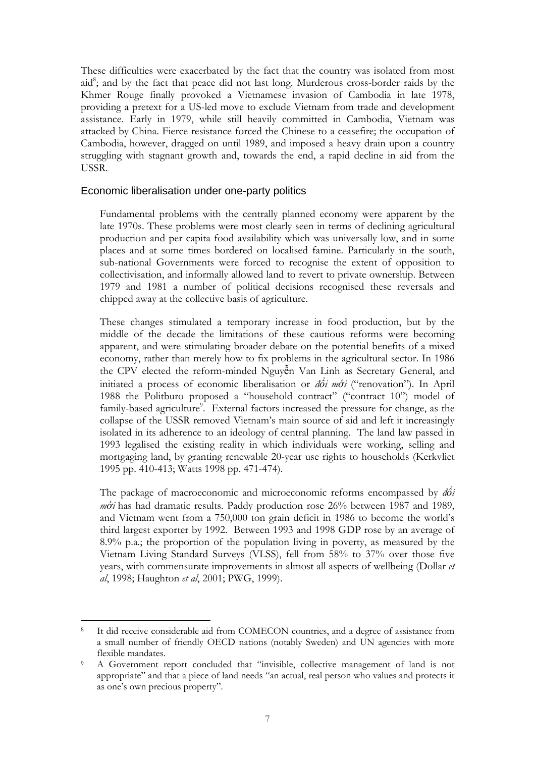<span id="page-28-0"></span>These difficulties were exacerbated by the fact that the country was isolated from most aid<sup>8</sup>; and by the fact that peace did not last long. Murderous cross-border raids by the K[hm](#page-28-1)er Rouge finally provoked a Vietnamese invasion of Cambodia in late 1978, providing a pretext for a US-led move to exclude Vietnam from trade and development assistance. Early in 1979, while still heavily committed in Cambodia, Vietnam was attacked by China. Fierce resistance forced the Chinese to a ceasefire; the occupation of Cambodia, however, dragged on until 1989, and imposed a heavy drain upon a country struggling with stagnant growth and, towards the end, a rapid decline in aid from the USSR.

#### Economic liberalisation under one-party politics

Fundamental problems with the centrally planned economy were apparent by the late 1970s. These problems were most clearly seen in terms of declining agricultural production and per capita food availability which was universally low, and in some places and at some times bordered on localised famine. Particularly in the south, sub-national Governments were forced to recognise the extent of opposition to collectivisation, and informally allowed land to revert to private ownership. Between 1979 and 1981 a number of political decisions recognised these reversals and chipped away at the collective basis of agriculture.

These changes stimulated a temporary increase in food production, but by the middle of the decade the limitations of these cautious reforms were becoming apparent, and were stimulating broader debate on the potential benefits of a mixed economy, rather than merely how to fix problems in the agricultural sector. In 1986 the CPV elected the reform-minded Nguyễn Van Linh as Secretary General, and initiated a process of economic liberalisation or *đổi mới* ("renovation"). In April 1988 the Politburo proposed a "household contract" ("contract 10") model of family-based agriculture<sup>9</sup>. External factors increased the pressure for change, as the collapse of the USSR r[em](#page-28-2)oved Vietnam's main source of aid and left it increasingly isolated in its adherence to an ideology of central planning. The land law passed in 1993 legalised the existing reality in which individuals were working, selling and mortgaging land, by granting renewable 20-year use rights to households (Kerkvliet 1995 pp. 410-413; Watts 1998 pp. 471-474).

The package of macroeconomic and microeconomic reforms encompassed by *đổi mới* has had dramatic results. Paddy production rose 26% between 1987 and 1989, and Vietnam went from a 750,000 ton grain deficit in 1986 to become the world's third largest exporter by 1992. Between 1993 and 1998 GDP rose by an average of 8.9% p.a.; the proportion of the population living in poverty, as measured by the Vietnam Living Standard Surveys (VLSS), fell from 58% to 37% over those five years, with commensurate improvements in almost all aspects of wellbeing (Dollar *et al*, 1998; Haughton *et al*, 2001; PWG, 1999).

 $\overline{a}$ 

<span id="page-28-1"></span><sup>&</sup>lt;sup>8</sup> It did receive considerable aid from COMECON countries, and a degree of assistance from a small number of friendly OECD nations (notably Sweden) and UN agencies with more flexible mandates.

<span id="page-28-2"></span><sup>9</sup> A Government report concluded that "invisible, collective management of land is not appropriate" and that a piece of land needs "an actual, real person who values and protects it as one's own precious property".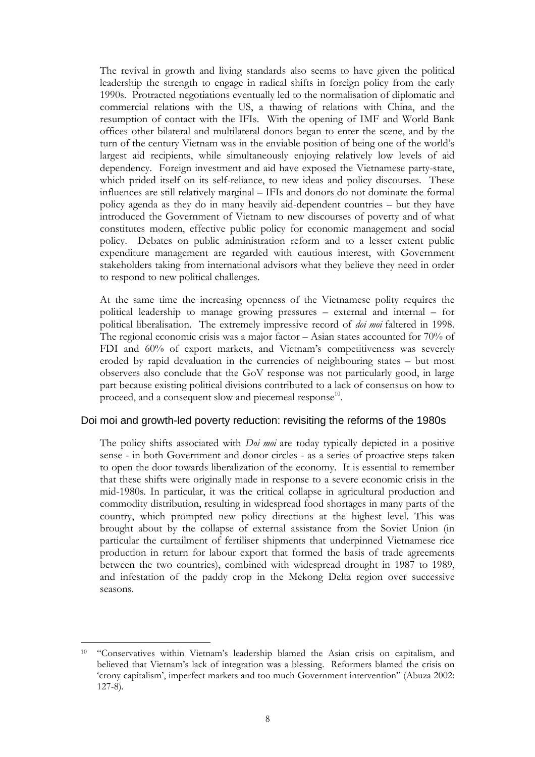<span id="page-29-0"></span>The revival in growth and living standards also seems to have given the political leadership the strength to engage in radical shifts in foreign policy from the early 1990s. Protracted negotiations eventually led to the normalisation of diplomatic and commercial relations with the US, a thawing of relations with China, and the resumption of contact with the IFIs. With the opening of IMF and World Bank offices other bilateral and multilateral donors began to enter the scene, and by the turn of the century Vietnam was in the enviable position of being one of the world's largest aid recipients, while simultaneously enjoying relatively low levels of aid dependency. Foreign investment and aid have exposed the Vietnamese party-state, which prided itself on its self-reliance, to new ideas and policy discourses. These influences are still relatively marginal – IFIs and donors do not dominate the formal policy agenda as they do in many heavily aid-dependent countries – but they have introduced the Government of Vietnam to new discourses of poverty and of what constitutes modern, effective public policy for economic management and social policy. Debates on public administration reform and to a lesser extent public expenditure management are regarded with cautious interest, with Government stakeholders taking from international advisors what they believe they need in order to respond to new political challenges.

At the same time the increasing openness of the Vietnamese polity requires the political leadership to manage growing pressures – external and internal – for political liberalisation. The extremely impressive record of *doi moi* faltered in 1998. The regional economic crisis was a major factor – Asian states accounted for 70% of FDI and 60% of export markets, and Vietnam's competitiveness was severely eroded by rapid devaluation in the currencies of neighbouring states – but most observers also conclude that the GoV response was not particularly good, in large part because existing political divisions contributed to a lack of consensus on how to proc[e](#page-29-1)ed, and a consequent slow and piecemeal response<sup>10</sup>[.](#page-29-1)

#### Doi moi and growth-led poverty reduction: revisiting the reforms of the 1980s

The policy shifts associated with *Doi moi* are today typically depicted in a positive sense - in both Government and donor circles - as a series of proactive steps taken to open the door towards liberalization of the economy. It is essential to remember that these shifts were originally made in response to a severe economic crisis in the mid-1980s. In particular, it was the critical collapse in agricultural production and commodity distribution, resulting in widespread food shortages in many parts of the country, which prompted new policy directions at the highest level. This was brought about by the collapse of external assistance from the Soviet Union (in particular the curtailment of fertiliser shipments that underpinned Vietnamese rice production in return for labour export that formed the basis of trade agreements between the two countries), combined with widespread drought in 1987 to 1989, and infestation of the paddy crop in the Mekong Delta region over successive seasons.

 $\overline{a}$ 

<span id="page-29-1"></span><sup>&</sup>lt;sup>10</sup> "Conservatives within Vietnam's leadership blamed the Asian crisis on capitalism, and believed that Vietnam's lack of integration was a blessing. Reformers blamed the crisis on 'crony capitalism', imperfect markets and too much Government intervention" (Abuza 2002: 127-8).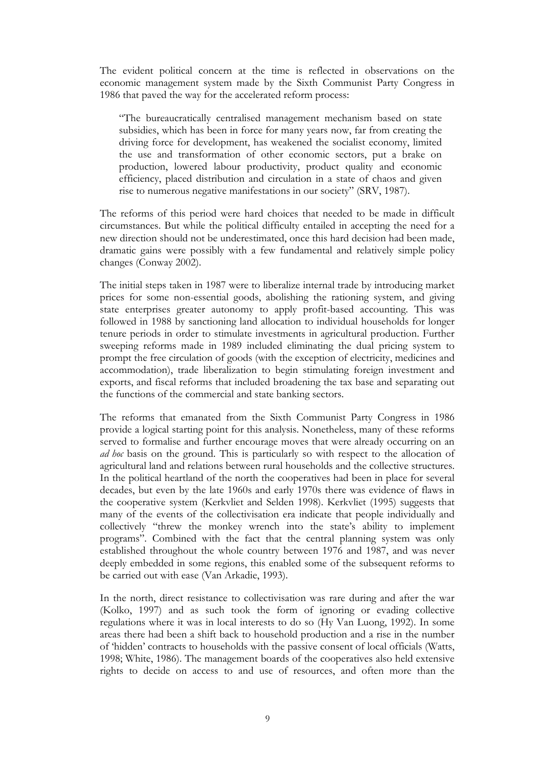The evident political concern at the time is reflected in observations on the economic management system made by the Sixth Communist Party Congress in 1986 that paved the way for the accelerated reform process:

"The bureaucratically centralised management mechanism based on state subsidies, which has been in force for many years now, far from creating the driving force for development, has weakened the socialist economy, limited the use and transformation of other economic sectors, put a brake on production, lowered labour productivity, product quality and economic efficiency, placed distribution and circulation in a state of chaos and given rise to numerous negative manifestations in our society" (SRV, 1987).

The reforms of this period were hard choices that needed to be made in difficult circumstances. But while the political difficulty entailed in accepting the need for a new direction should not be underestimated, once this hard decision had been made, dramatic gains were possibly with a few fundamental and relatively simple policy changes (Conway 2002).

The initial steps taken in 1987 were to liberalize internal trade by introducing market prices for some non-essential goods, abolishing the rationing system, and giving state enterprises greater autonomy to apply profit-based accounting. This was followed in 1988 by sanctioning land allocation to individual households for longer tenure periods in order to stimulate investments in agricultural production. Further sweeping reforms made in 1989 included eliminating the dual pricing system to prompt the free circulation of goods (with the exception of electricity, medicines and accommodation), trade liberalization to begin stimulating foreign investment and exports, and fiscal reforms that included broadening the tax base and separating out the functions of the commercial and state banking sectors.

The reforms that emanated from the Sixth Communist Party Congress in 1986 provide a logical starting point for this analysis. Nonetheless, many of these reforms served to formalise and further encourage moves that were already occurring on an *ad hoc* basis on the ground. This is particularly so with respect to the allocation of agricultural land and relations between rural households and the collective structures. In the political heartland of the north the cooperatives had been in place for several decades, but even by the late 1960s and early 1970s there was evidence of flaws in the cooperative system (Kerkvliet and Selden 1998). Kerkvliet (1995) suggests that many of the events of the collectivisation era indicate that people individually and collectively "threw the monkey wrench into the state's ability to implement programs". Combined with the fact that the central planning system was only established throughout the whole country between 1976 and 1987, and was never deeply embedded in some regions, this enabled some of the subsequent reforms to be carried out with ease (Van Arkadie, 1993).

In the north, direct resistance to collectivisation was rare during and after the war (Kolko, 1997) and as such took the form of ignoring or evading collective regulations where it was in local interests to do so (Hy Van Luong, 1992). In some areas there had been a shift back to household production and a rise in the number of 'hidden' contracts to households with the passive consent of local officials (Watts, 1998; White, 1986). The management boards of the cooperatives also held extensive rights to decide on access to and use of resources, and often more than the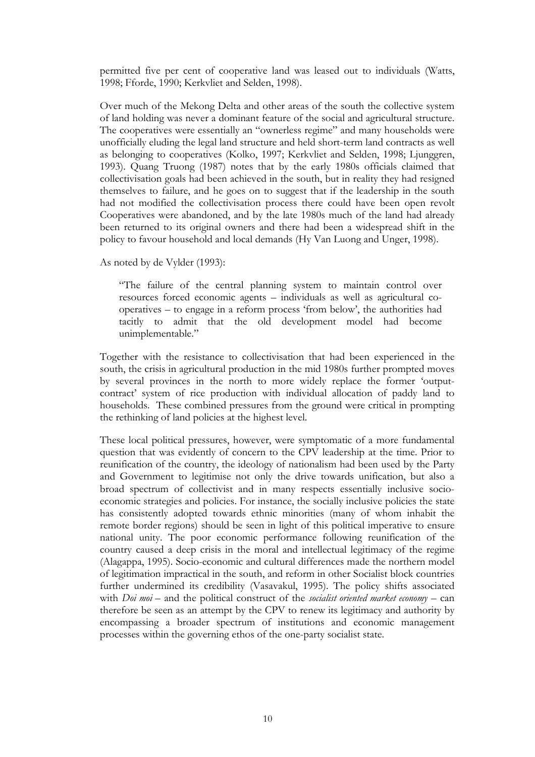permitted five per cent of cooperative land was leased out to individuals (Watts, 1998; Fforde, 1990; Kerkvliet and Selden, 1998).

Over much of the Mekong Delta and other areas of the south the collective system of land holding was never a dominant feature of the social and agricultural structure. The cooperatives were essentially an "ownerless regime" and many households were unofficially eluding the legal land structure and held short-term land contracts as well as belonging to cooperatives (Kolko, 1997; Kerkvliet and Selden, 1998; Ljunggren, 1993). Quang Truong (1987) notes that by the early 1980s officials claimed that collectivisation goals had been achieved in the south, but in reality they had resigned themselves to failure, and he goes on to suggest that if the leadership in the south had not modified the collectivisation process there could have been open revolt Cooperatives were abandoned, and by the late 1980s much of the land had already been returned to its original owners and there had been a widespread shift in the policy to favour household and local demands (Hy Van Luong and Unger, 1998).

As noted by de Vylder (1993):

"The failure of the central planning system to maintain control over resources forced economic agents – individuals as well as agricultural cooperatives – to engage in a reform process 'from below', the authorities had tacitly to admit that the old development model had become unimplementable."

Together with the resistance to collectivisation that had been experienced in the south, the crisis in agricultural production in the mid 1980s further prompted moves by several provinces in the north to more widely replace the former 'outputcontract' system of rice production with individual allocation of paddy land to households. These combined pressures from the ground were critical in prompting the rethinking of land policies at the highest level.

These local political pressures, however, were symptomatic of a more fundamental question that was evidently of concern to the CPV leadership at the time. Prior to reunification of the country, the ideology of nationalism had been used by the Party and Government to legitimise not only the drive towards unification, but also a broad spectrum of collectivist and in many respects essentially inclusive socioeconomic strategies and policies. For instance, the socially inclusive policies the state has consistently adopted towards ethnic minorities (many of whom inhabit the remote border regions) should be seen in light of this political imperative to ensure national unity. The poor economic performance following reunification of the country caused a deep crisis in the moral and intellectual legitimacy of the regime (Alagappa, 1995). Socio-economic and cultural differences made the northern model of legitimation impractical in the south, and reform in other Socialist block countries further undermined its credibility (Vasavakul, 1995). The policy shifts associated with *Doi moi* – and the political construct of the *socialist oriented market economy* – can therefore be seen as an attempt by the CPV to renew its legitimacy and authority by encompassing a broader spectrum of institutions and economic management processes within the governing ethos of the one-party socialist state.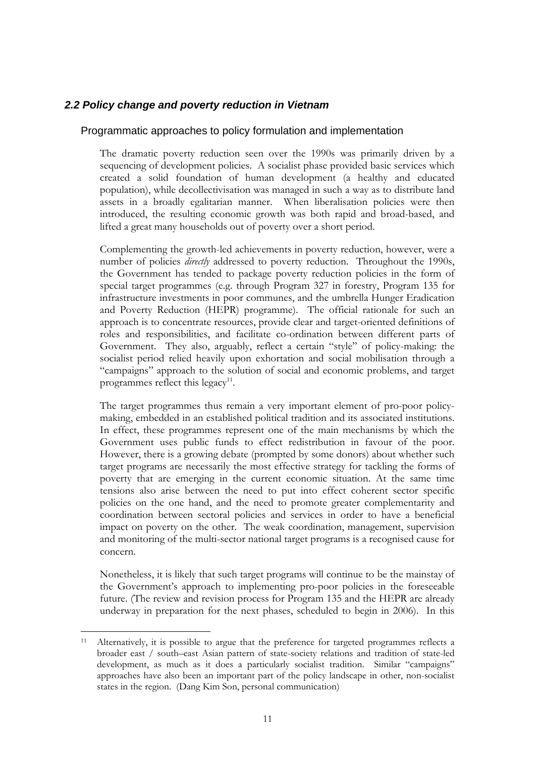#### <span id="page-32-0"></span>*2.2 Policy change and poverty reduction in Vietnam*

#### Programmatic approaches to policy formulation and implementation

The dramatic poverty reduction seen over the 1990s was primarily driven by a sequencing of development policies. A socialist phase provided basic services which created a solid foundation of human development (a healthy and educated population), while decollectivisation was managed in such a way as to distribute land assets in a broadly egalitarian manner. When liberalisation policies were then introduced, the resulting economic growth was both rapid and broad-based, and lifted a great many households out of poverty over a short period.

Complementing the growth-led achievements in poverty reduction, however, were a number of policies *directly* addressed to poverty reduction. Throughout the 1990s, the Government has tended to package poverty reduction policies in the form of special target programmes (e.g. through Program 327 in forestry, Program 135 for infrastructure investments in poor communes, and the umbrella Hunger Eradication and Poverty Reduction (HEPR) programme). The official rationale for such an approach is to concentrate resources, provide clear and target-oriented definitions of roles and responsibilities, and facilitate co-ordination between different parts of Government. They also, arguably, reflect a certain "style" of policy-making: the socialist period relied heavily upon exhortation and social mobilisation through a "campaigns" approach to the solution of social and economic problems, and target programmes reflect this legac[y](#page-32-1) $11$ .

The target programmes thus remain a very important element of pro-poor policymaking, embedded in an established political tradition and its associated institutions. In effect, these programmes represent one of the main mechanisms by which the Government uses public funds to effect redistribution in favour of the poor. However, there is a growing debate (prompted by some donors) about whether such target programs are necessarily the most effective strategy for tackling the forms of poverty that are emerging in the current economic situation. At the same time tensions also arise between the need to put into effect coherent sector specific policies on the one hand, and the need to promote greater complementarity and coordination between sectoral policies and services in order to have a beneficial impact on poverty on the other. The weak coordination, management, supervision and monitoring of the multi-sector national target programs is a recognised cause for concern.

Nonetheless, it is likely that such target programs will continue to be the mainstay of the Government's approach to implementing pro-poor policies in the foreseeable future. (The review and revision process for Program 135 and the HEPR are already underway in preparation for the next phases, scheduled to begin in 2006). In this

 $\overline{a}$ 

<span id="page-32-1"></span><sup>11</sup> Alternatively, it is possible to argue that the preference for targeted programmes reflects a broader east / south–east Asian pattern of state-society relations and tradition of state-led development, as much as it does a particularly socialist tradition. Similar "campaigns" approaches have also been an important part of the policy landscape in other, non-socialist states in the region. (Dang Kim Son, personal communication)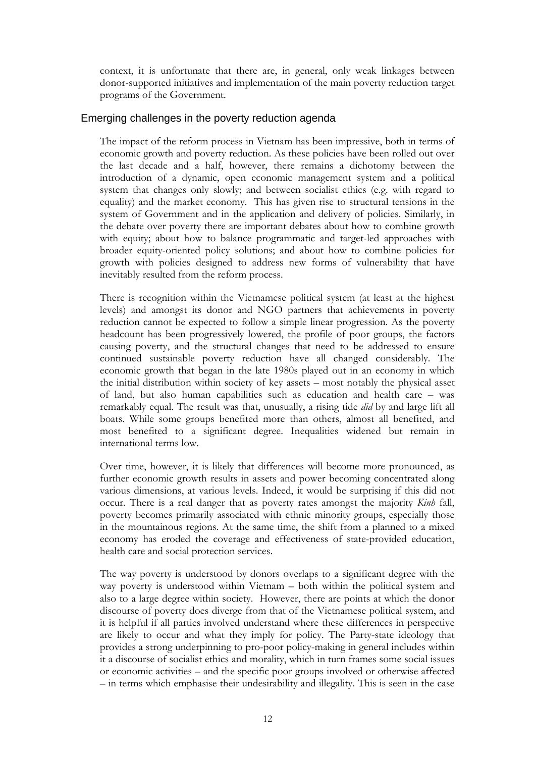<span id="page-33-0"></span>context, it is unfortunate that there are, in general, only weak linkages between donor-supported initiatives and implementation of the main poverty reduction target programs of the Government.

#### Emerging challenges in the poverty reduction agenda

The impact of the reform process in Vietnam has been impressive, both in terms of economic growth and poverty reduction. As these policies have been rolled out over the last decade and a half, however, there remains a dichotomy between the introduction of a dynamic, open economic management system and a political system that changes only slowly; and between socialist ethics (e.g. with regard to equality) and the market economy. This has given rise to structural tensions in the system of Government and in the application and delivery of policies. Similarly, in the debate over poverty there are important debates about how to combine growth with equity; about how to balance programmatic and target-led approaches with broader equity-oriented policy solutions; and about how to combine policies for growth with policies designed to address new forms of vulnerability that have inevitably resulted from the reform process.

There is recognition within the Vietnamese political system (at least at the highest levels) and amongst its donor and NGO partners that achievements in poverty reduction cannot be expected to follow a simple linear progression. As the poverty headcount has been progressively lowered, the profile of poor groups, the factors causing poverty, and the structural changes that need to be addressed to ensure continued sustainable poverty reduction have all changed considerably. The economic growth that began in the late 1980s played out in an economy in which the initial distribution within society of key assets – most notably the physical asset of land, but also human capabilities such as education and health care – was remarkably equal. The result was that, unusually, a rising tide *did* by and large lift all boats. While some groups benefited more than others, almost all benefited, and most benefited to a significant degree. Inequalities widened but remain in international terms low.

Over time, however, it is likely that differences will become more pronounced, as further economic growth results in assets and power becoming concentrated along various dimensions, at various levels. Indeed, it would be surprising if this did not occur. There is a real danger that as poverty rates amongst the majority *Kinh* fall, poverty becomes primarily associated with ethnic minority groups, especially those in the mountainous regions. At the same time, the shift from a planned to a mixed economy has eroded the coverage and effectiveness of state-provided education, health care and social protection services.

The way poverty is understood by donors overlaps to a significant degree with the way poverty is understood within Vietnam – both within the political system and also to a large degree within society. However, there are points at which the donor discourse of poverty does diverge from that of the Vietnamese political system, and it is helpful if all parties involved understand where these differences in perspective are likely to occur and what they imply for policy. The Party-state ideology that provides a strong underpinning to pro-poor policy-making in general includes within it a discourse of socialist ethics and morality, which in turn frames some social issues or economic activities – and the specific poor groups involved or otherwise affected – in terms which emphasise their undesirability and illegality. This is seen in the case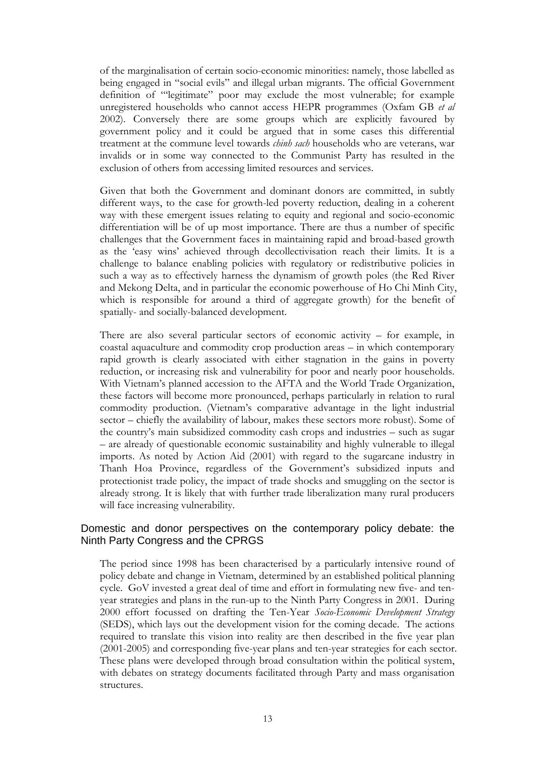<span id="page-34-0"></span>of the marginalisation of certain socio-economic minorities: namely, those labelled as being engaged in "social evils" and illegal urban migrants. The official Government definition of "'legitimate" poor may exclude the most vulnerable; for example unregistered households who cannot access HEPR programmes (Oxfam GB *et al* 2002). Conversely there are some groups which are explicitly favoured by government policy and it could be argued that in some cases this differential treatment at the commune level towards *chinh sach* households who are veterans, war invalids or in some way connected to the Communist Party has resulted in the exclusion of others from accessing limited resources and services.

Given that both the Government and dominant donors are committed, in subtly different ways, to the case for growth-led poverty reduction, dealing in a coherent way with these emergent issues relating to equity and regional and socio-economic differentiation will be of up most importance. There are thus a number of specific challenges that the Government faces in maintaining rapid and broad-based growth as the 'easy wins' achieved through decollectivisation reach their limits. It is a challenge to balance enabling policies with regulatory or redistributive policies in such a way as to effectively harness the dynamism of growth poles (the Red River and Mekong Delta, and in particular the economic powerhouse of Ho Chi Minh City, which is responsible for around a third of aggregate growth) for the benefit of spatially- and socially-balanced development.

There are also several particular sectors of economic activity – for example, in coastal aquaculture and commodity crop production areas – in which contemporary rapid growth is clearly associated with either stagnation in the gains in poverty reduction, or increasing risk and vulnerability for poor and nearly poor households. With Vietnam's planned accession to the AFTA and the World Trade Organization, these factors will become more pronounced, perhaps particularly in relation to rural commodity production. (Vietnam's comparative advantage in the light industrial sector – chiefly the availability of labour, makes these sectors more robust). Some of the country's main subsidized commodity cash crops and industries – such as sugar – are already of questionable economic sustainability and highly vulnerable to illegal imports. As noted by Action Aid (2001) with regard to the sugarcane industry in Thanh Hoa Province, regardless of the Government's subsidized inputs and protectionist trade policy, the impact of trade shocks and smuggling on the sector is already strong. It is likely that with further trade liberalization many rural producers will face increasing vulnerability.

#### Domestic and donor perspectives on the contemporary policy debate: the Ninth Party Congress and the CPRGS

The period since 1998 has been characterised by a particularly intensive round of policy debate and change in Vietnam, determined by an established political planning cycle. GoV invested a great deal of time and effort in formulating new five- and tenyear strategies and plans in the run-up to the Ninth Party Congress in 2001. During 2000 effort focussed on drafting the Ten-Year *Socio-Economic Development Strategy* (SEDS), which lays out the development vision for the coming decade. The actions required to translate this vision into reality are then described in the five year plan (2001-2005) and corresponding five-year plans and ten-year strategies for each sector. These plans were developed through broad consultation within the political system, with debates on strategy documents facilitated through Party and mass organisation structures.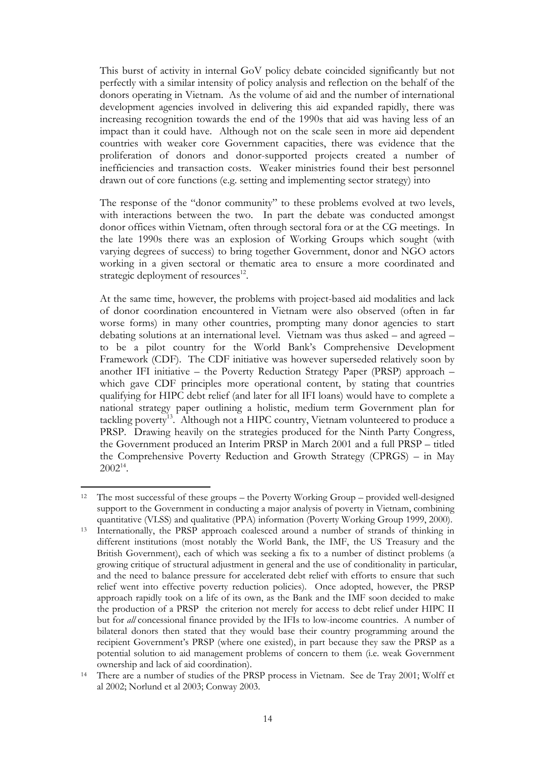This burst of activity in internal GoV policy debate coincided significantly but not perfectly with a similar intensity of policy analysis and reflection on the behalf of the donors operating in Vietnam. As the volume of aid and the number of international development agencies involved in delivering this aid expanded rapidly, there was increasing recognition towards the end of the 1990s that aid was having less of an impact than it could have. Although not on the scale seen in more aid dependent countries with weaker core Government capacities, there was evidence that the proliferation of donors and donor-supported projects created a number of inefficiencies and transaction costs. Weaker ministries found their best personnel drawn out of core functions (e.g. setting and implementing sector strategy) into

The response of the "donor community" to these problems evolved at two levels, with interactions between the two. In part the debate was conducted amongst donor offices within Vietnam, often through sectoral fora or at the CG meetings. In the late 1990s there was an explosion of Working Groups which sought (with varying degrees of success) to bring together Government, donor and NGO actors working in a given sectoral or thematic area to ensure a more coordinated and [s](#page-35-0)trategic deployment of  $resources<sup>12</sup>$ [.](#page-35-0)

At the same time, however, the problems with project-based aid modalities and lack of donor coordination encountered in Vietnam were also observed (often in far worse forms) in many other countries, prompting many donor agencies to start debating solutions at an international level. Vietnam was thus asked – and agreed – to be a pilot country for the World Bank's Comprehensive Development Framework (CDF). The CDF initiative was however superseded relatively soon by another IFI initiative – the Poverty Reduction Strategy Paper (PRSP) approach – which gave CDF principles more operational content, by stating that countries qualifying for HIPC debt relief (and later for all IFI loans) would have to complete a national strategy paper outlining a holistic, medium term Government plan for tackling poverty<sup>13</sup>. Although not a HIPC country, Vietnam volunteered to produce a PRSP. Drawin[g h](#page-35-1)eavily on the strategies produced for the Ninth Party Congress, the Government produced an Interim PRSP in March 2001 and a full PRSP – titled the Comprehensive Poverty Reduction and Growth Strategy (CPRGS) – in May  $2002^{14}$ .

 $\overline{a}$ 

<span id="page-35-0"></span><sup>12</sup> The most successful of these groups – the Poverty Working Group – provided well-designed support to the Government in conducting a major analysis of poverty in Vietnam, combining quantitative (VLSS) and qualitative (PPA) information (Poverty Working Group 1999, 2000).

<span id="page-35-1"></span><sup>13</sup> Internationally, the PRSP approach coalesced around a number of strands of thinking in different institutions (most notably the World Bank, the IMF, the US Treasury and the British Government), each of which was seeking a fix to a number of distinct problems (a growing critique of structural adjustment in general and the use of conditionality in particular, and the need to balance pressure for accelerated debt relief with efforts to ensure that such relief went into effective poverty reduction policies). Once adopted, however, the PRSP approach rapidly took on a life of its own, as the Bank and the IMF soon decided to make the production of a PRSP the criterion not merely for access to debt relief under HIPC II but for *all* concessional finance provided by the IFIs to low-income countries. A number of bilateral donors then stated that they would base their country programming around the recipient Government's PRSP (where one existed), in part because they saw the PRSP as a potential solution to aid management problems of concern to them (i.e. weak Government ownership and lack of aid coordination).

<span id="page-35-2"></span><sup>14</sup> There are a number of studies of the PRSP process in Vietnam. See de Tray 2001; Wolff et al 2002; Norlund et al 2003; Conway 2003.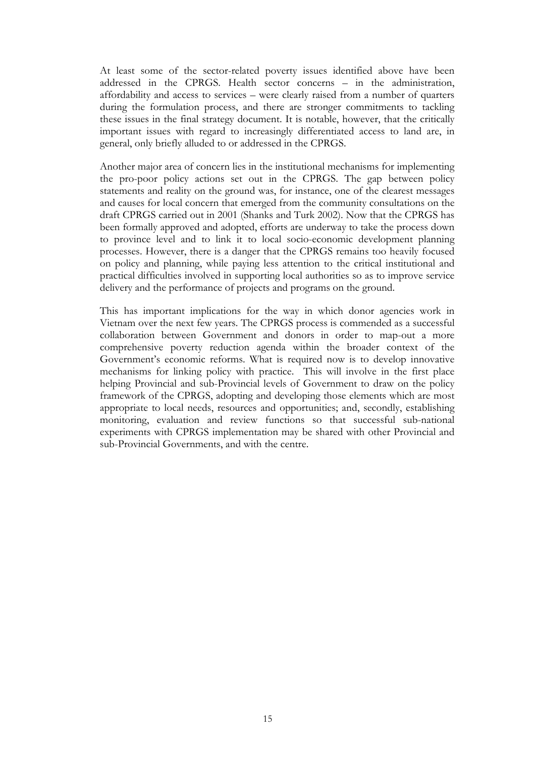At least some of the sector-related poverty issues identified above have been addressed in the CPRGS. Health sector concerns – in the administration, affordability and access to services – were clearly raised from a number of quarters during the formulation process, and there are stronger commitments to tackling these issues in the final strategy document. It is notable, however, that the critically important issues with regard to increasingly differentiated access to land are, in general, only briefly alluded to or addressed in the CPRGS.

Another major area of concern lies in the institutional mechanisms for implementing the pro-poor policy actions set out in the CPRGS. The gap between policy statements and reality on the ground was, for instance, one of the clearest messages and causes for local concern that emerged from the community consultations on the draft CPRGS carried out in 2001 (Shanks and Turk 2002). Now that the CPRGS has been formally approved and adopted, efforts are underway to take the process down to province level and to link it to local socio-economic development planning processes. However, there is a danger that the CPRGS remains too heavily focused on policy and planning, while paying less attention to the critical institutional and practical difficulties involved in supporting local authorities so as to improve service delivery and the performance of projects and programs on the ground.

This has important implications for the way in which donor agencies work in Vietnam over the next few years. The CPRGS process is commended as a successful collaboration between Government and donors in order to map-out a more comprehensive poverty reduction agenda within the broader context of the Government's economic reforms. What is required now is to develop innovative mechanisms for linking policy with practice. This will involve in the first place helping Provincial and sub-Provincial levels of Government to draw on the policy framework of the CPRGS, adopting and developing those elements which are most appropriate to local needs, resources and opportunities; and, secondly, establishing monitoring, evaluation and review functions so that successful sub-national experiments with CPRGS implementation may be shared with other Provincial and sub-Provincial Governments, and with the centre.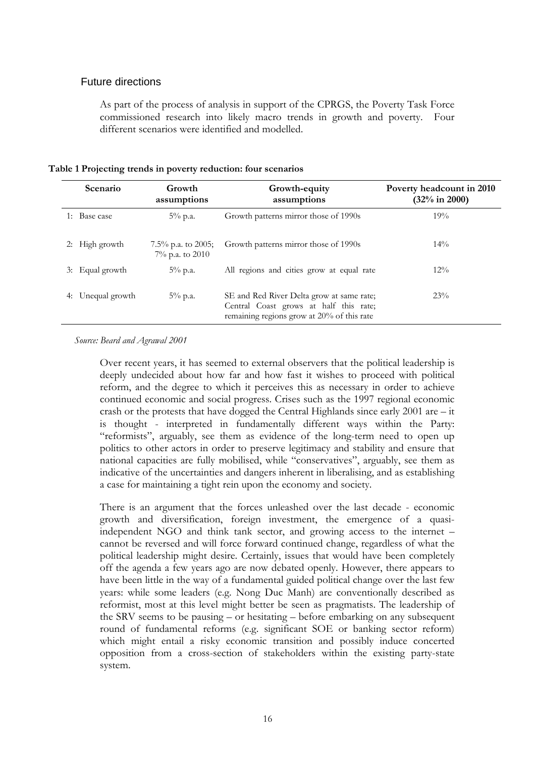## Future directions

As part of the process of analysis in support of the CPRGS, the Poverty Task Force commissioned research into likely macro trends in growth and poverty. Four different scenarios were identified and modelled.

| <b>Scenario</b>   | Growth<br>assumptions                 | Growth-equity<br>assumptions                                                                                                      | Poverty headcount in 2010<br>$(32\% \text{ in } 2000)$ |
|-------------------|---------------------------------------|-----------------------------------------------------------------------------------------------------------------------------------|--------------------------------------------------------|
| 1: Base case      | 5% p.a.                               | Growth patterns mirror those of 1990s                                                                                             | 19%                                                    |
| 2: High growth    | 7.5% p.a. to 2005;<br>7% p.a. to 2010 | Growth patterns mirror those of 1990s                                                                                             | $14\%$                                                 |
| 3: Equal growth   | $5\%$ p.a.                            | All regions and cities grow at equal rate                                                                                         | $12\%$                                                 |
| 4: Unequal growth | $5\%$ p.a.                            | SE and Red River Delta grow at same rate;<br>Central Coast grows at half this rate;<br>remaining regions grow at 20% of this rate | 23%                                                    |

|  |  |  | Table 1 Projecting trends in poverty reduction: four scenarios |  |
|--|--|--|----------------------------------------------------------------|--|
|  |  |  |                                                                |  |

*Source: Beard and Agrawal 2001* 

Over recent years, it has seemed to external observers that the political leadership is deeply undecided about how far and how fast it wishes to proceed with political reform, and the degree to which it perceives this as necessary in order to achieve continued economic and social progress. Crises such as the 1997 regional economic crash or the protests that have dogged the Central Highlands since early 2001 are – it is thought - interpreted in fundamentally different ways within the Party: "reformists", arguably, see them as evidence of the long-term need to open up politics to other actors in order to preserve legitimacy and stability and ensure that national capacities are fully mobilised, while "conservatives", arguably, see them as indicative of the uncertainties and dangers inherent in liberalising, and as establishing a case for maintaining a tight rein upon the economy and society.

There is an argument that the forces unleashed over the last decade - economic growth and diversification, foreign investment, the emergence of a quasiindependent NGO and think tank sector, and growing access to the internet – cannot be reversed and will force forward continued change, regardless of what the political leadership might desire. Certainly, issues that would have been completely off the agenda a few years ago are now debated openly. However, there appears to have been little in the way of a fundamental guided political change over the last few years: while some leaders (e.g. Nong Duc Manh) are conventionally described as reformist, most at this level might better be seen as pragmatists. The leadership of the SRV seems to be pausing – or hesitating – before embarking on any subsequent round of fundamental reforms (e.g. significant SOE or banking sector reform) which might entail a risky economic transition and possibly induce concerted opposition from a cross-section of stakeholders within the existing party-state system.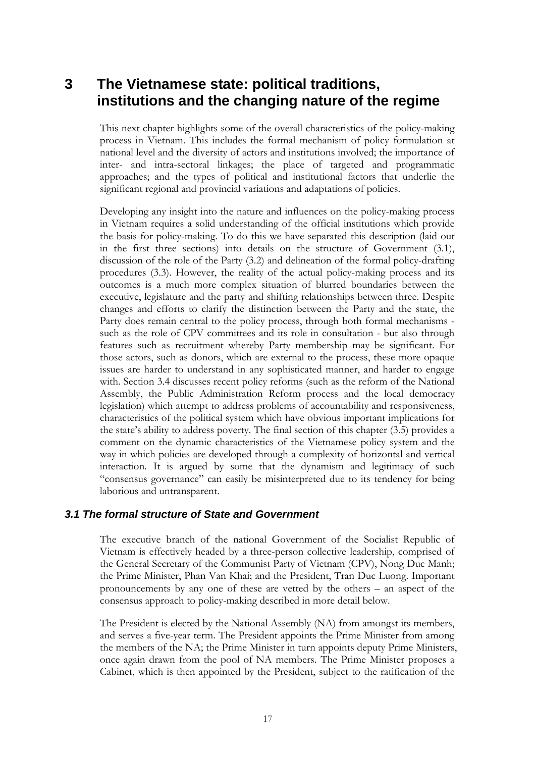# **3 The Vietnamese state: political traditions, institutions and the changing nature of the regime**

This next chapter highlights some of the overall characteristics of the policy-making process in Vietnam. This includes the formal mechanism of policy formulation at national level and the diversity of actors and institutions involved; the importance of inter- and intra-sectoral linkages; the place of targeted and programmatic approaches; and the types of political and institutional factors that underlie the significant regional and provincial variations and adaptations of policies.

Developing any insight into the nature and influences on the policy-making process in Vietnam requires a solid understanding of the official institutions which provide the basis for policy-making. To do this we have separated this description (laid out in the first three sections) into details on the structure of Government (3.1), discussion of the role of the Party (3.2) and delineation of the formal policy-drafting procedures (3.3). However, the reality of the actual policy-making process and its outcomes is a much more complex situation of blurred boundaries between the executive, legislature and the party and shifting relationships between three. Despite changes and efforts to clarify the distinction between the Party and the state, the Party does remain central to the policy process, through both formal mechanisms such as the role of CPV committees and its role in consultation - but also through features such as recruitment whereby Party membership may be significant. For those actors, such as donors, which are external to the process, these more opaque issues are harder to understand in any sophisticated manner, and harder to engage with. Section 3.4 discusses recent policy reforms (such as the reform of the National Assembly, the Public Administration Reform process and the local democracy legislation) which attempt to address problems of accountability and responsiveness, characteristics of the political system which have obvious important implications for the state's ability to address poverty. The final section of this chapter (3.5) provides a comment on the dynamic characteristics of the Vietnamese policy system and the way in which policies are developed through a complexity of horizontal and vertical interaction. It is argued by some that the dynamism and legitimacy of such "consensus governance" can easily be misinterpreted due to its tendency for being laborious and untransparent.

## *3.1 The formal structure of State and Government*

The executive branch of the national Government of the Socialist Republic of Vietnam is effectively headed by a three-person collective leadership, comprised of the General Secretary of the Communist Party of Vietnam (CPV), Nong Duc Manh; the Prime Minister, Phan Van Khai; and the President, Tran Duc Luong. Important pronouncements by any one of these are vetted by the others – an aspect of the consensus approach to policy-making described in more detail below.

The President is elected by the National Assembly (NA) from amongst its members, and serves a five-year term. The President appoints the Prime Minister from among the members of the NA; the Prime Minister in turn appoints deputy Prime Ministers, once again drawn from the pool of NA members. The Prime Minister proposes a Cabinet, which is then appointed by the President, subject to the ratification of the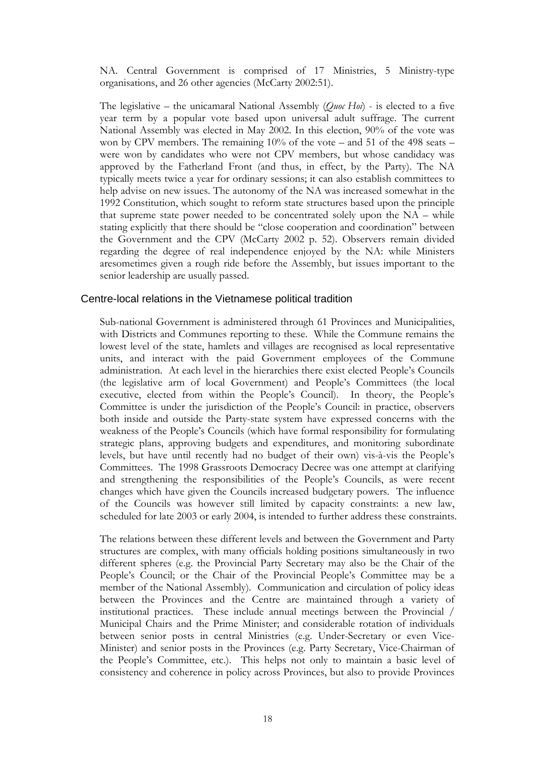NA. Central Government is comprised of 17 Ministries, 5 Ministry-type organisations, and 26 other agencies (McCarty 2002:51).

The legislative – the unicamaral National Assembly (*Quoc Hoi*) - is elected to a five year term by a popular vote based upon universal adult suffrage. The current National Assembly was elected in May 2002. In this election, 90% of the vote was won by CPV members. The remaining 10% of the vote – and 51 of the 498 seats – were won by candidates who were not CPV members, but whose candidacy was approved by the Fatherland Front (and thus, in effect, by the Party). The NA typically meets twice a year for ordinary sessions; it can also establish committees to help advise on new issues. The autonomy of the NA was increased somewhat in the 1992 Constitution, which sought to reform state structures based upon the principle that supreme state power needed to be concentrated solely upon the  $NA$  – while stating explicitly that there should be "close cooperation and coordination" between the Government and the CPV (McCarty 2002 p. 52). Observers remain divided regarding the degree of real independence enjoyed by the NA: while Ministers aresometimes given a rough ride before the Assembly, but issues important to the senior leadership are usually passed.

## Centre-local relations in the Vietnamese political tradition

Sub-national Government is administered through 61 Provinces and Municipalities, with Districts and Communes reporting to these. While the Commune remains the lowest level of the state, hamlets and villages are recognised as local representative units, and interact with the paid Government employees of the Commune administration. At each level in the hierarchies there exist elected People's Councils (the legislative arm of local Government) and People's Committees (the local executive, elected from within the People's Council). In theory, the People's Committee is under the jurisdiction of the People's Council: in practice, observers both inside and outside the Party-state system have expressed concerns with the weakness of the People's Councils (which have formal responsibility for formulating strategic plans, approving budgets and expenditures, and monitoring subordinate levels, but have until recently had no budget of their own) vis-à-vis the People's Committees. The 1998 Grassroots Democracy Decree was one attempt at clarifying and strengthening the responsibilities of the People's Councils, as were recent changes which have given the Councils increased budgetary powers. The influence of the Councils was however still limited by capacity constraints: a new law, scheduled for late 2003 or early 2004, is intended to further address these constraints.

The relations between these different levels and between the Government and Party structures are complex, with many officials holding positions simultaneously in two different spheres (e.g. the Provincial Party Secretary may also be the Chair of the People's Council; or the Chair of the Provincial People's Committee may be a member of the National Assembly). Communication and circulation of policy ideas between the Provinces and the Centre are maintained through a variety of institutional practices. These include annual meetings between the Provincial / Municipal Chairs and the Prime Minister; and considerable rotation of individuals between senior posts in central Ministries (e.g. Under-Secretary or even Vice-Minister) and senior posts in the Provinces (e.g. Party Secretary, Vice-Chairman of the People's Committee, etc.). This helps not only to maintain a basic level of consistency and coherence in policy across Provinces, but also to provide Provinces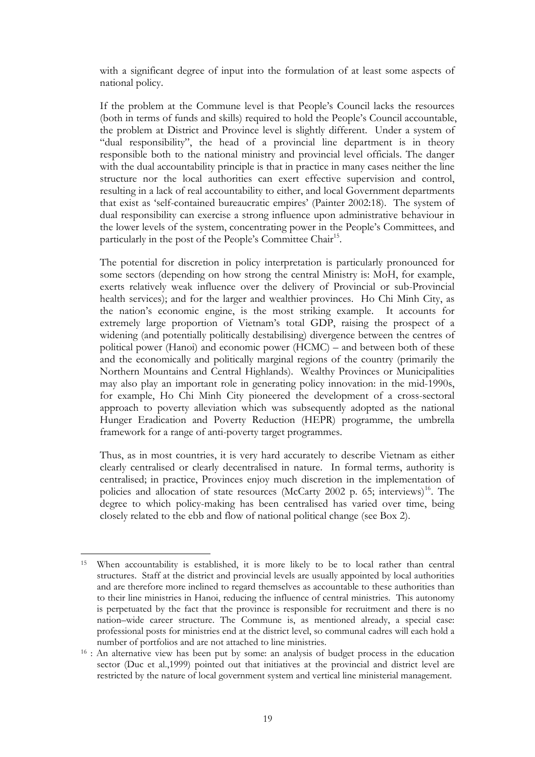with a significant degree of input into the formulation of at least some aspects of national policy.

If the problem at the Commune level is that People's Council lacks the resources (both in terms of funds and skills) required to hold the People's Council accountable, the problem at District and Province level is slightly different. Under a system of "dual responsibility", the head of a provincial line department is in theory responsible both to the national ministry and provincial level officials. The danger with the dual accountability principle is that in practice in many cases neither the line structure nor the local authorities can exert effective supervision and control, resulting in a lack of real accountability to either, and local Government departments that exist as 'self-contained bureaucratic empires' (Painter 2002:18). The system of dual responsibility can exercise a strong influence upon administrative behaviour in the lower levels of the system, concentrating power in the People's Committees, and particularly in the post of the People's Committee Chair<sup>15</sup>[.](#page-40-0)

The potential for discretion in policy interpretation is particularly pronounced for some sectors (depending on how strong the central Ministry is: MoH, for example, exerts relatively weak influence over the delivery of Provincial or sub-Provincial health services); and for the larger and wealthier provinces. Ho Chi Minh City, as the nation's economic engine, is the most striking example. It accounts for extremely large proportion of Vietnam's total GDP, raising the prospect of a widening (and potentially politically destabilising) divergence between the centres of political power (Hanoi) and economic power (HCMC) – and between both of these and the economically and politically marginal regions of the country (primarily the Northern Mountains and Central Highlands). Wealthy Provinces or Municipalities may also play an important role in generating policy innovation: in the mid-1990s, for example, Ho Chi Minh City pioneered the development of a cross-sectoral approach to poverty alleviation which was subsequently adopted as the national Hunger Eradication and Poverty Reduction (HEPR) programme, the umbrella framework for a range of anti-poverty target programmes.

Thus, as in most countries, it is very hard accurately to describe Vietnam as either clearly centralised or clearly decentralised in nature. In formal terms, authority is centralised; in practice, Provinces enjoy much discretion in the implementation of policies and allocation of state resources (McCarty 2002 p. 65; interviews)<sup>16</sup>. The degree to which policy-making has been centralised has varied over time[, b](#page-40-1)eing closely related to the ebb and flow of national political change (see Box 2).

<span id="page-40-0"></span><sup>15</sup> When accountability is established, it is more likely to be to local rather than central structures. Staff at the district and provincial levels are usually appointed by local authorities and are therefore more inclined to regard themselves as accountable to these authorities than to their line ministries in Hanoi, reducing the influence of central ministries. This autonomy is perpetuated by the fact that the province is responsible for recruitment and there is no nation–wide career structure. The Commune is, as mentioned already, a special case: professional posts for ministries end at the district level, so communal cadres will each hold a number of portfolios and are not attached to line ministries.

<span id="page-40-1"></span><sup>&</sup>lt;sup>16</sup> : An alternative view has been put by some: an analysis of budget process in the education sector (Duc et al.,1999) pointed out that initiatives at the provincial and district level are restricted by the nature of local government system and vertical line ministerial management.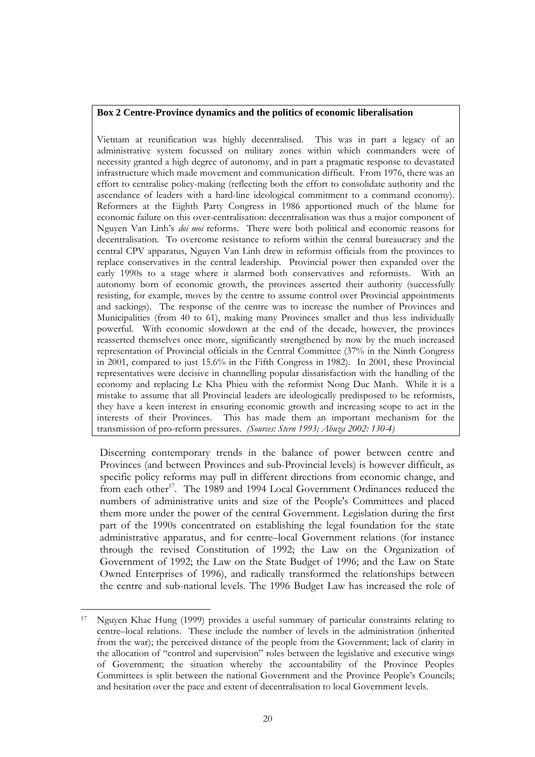#### **Box 2 Centre-Province dynamics and the politics of economic liberalisation**

Vietnam at reunification was highly decentralised. This was in part a legacy of an administrative system focussed on military zones within which commanders were of necessity granted a high degree of autonomy, and in part a pragmatic response to devastated infrastructure which made movement and communication difficult. From 1976, there was an effort to centralise policy-making (reflecting both the effort to consolidate authority and the ascendance of leaders with a hard-line ideological commitment to a command economy). Reformers at the Eighth Party Congress in 1986 apportioned much of the blame for economic failure on this over-centralisation: decentralisation was thus a major component of Nguyen Van Linh's *doi moi* reforms. There were both political and economic reasons for decentralisation. To overcome resistance to reform within the central bureaucracy and the central CPV apparatus, Nguyen Van Linh drew in reformist officials from the provinces to replace conservatives in the central leadership. Provincial power then expanded over the early 1990s to a stage where it alarmed both conservatives and reformists. With an autonomy born of economic growth, the provinces asserted their authority (successfully resisting, for example, moves by the centre to assume control over Provincial appointments and sackings). The response of the centre was to increase the number of Provinces and Municipalities (from 40 to 61), making many Provinces smaller and thus less individually powerful. With economic slowdown at the end of the decade, however, the provinces reasserted themselves once more, significantly strengthened by now by the much increased representation of Provincial officials in the Central Committee (37% in the Ninth Congress in 2001, compared to just 15.6% in the Fifth Congress in 1982). In 2001, these Provincial representatives were decisive in channelling popular dissatisfaction with the handling of the economy and replacing Le Kha Phieu with the reformist Nong Duc Manh. While it is a mistake to assume that all Provincial leaders are ideologically predisposed to be reformists, they have a keen interest in ensuring economic growth and increasing scope to act in the interests of their Provinces. This has made them an important mechanism for the transmission of pro-reform pressures. *(Sources: Stern 1993; Abuza 2002: 130-4)*

Discerning contemporary trends in the balance of power between centre and Provinces (and between Provinces and sub-Provincial levels) is however difficult, as specific policy reforms may pull in different directions from economic change, and from each other<sup>17</sup>. The 1989 and 1994 Local Government Ordinances reduced the numbers of ad[min](#page-41-0)istrative units and size of the People's Committees and placed them more under the power of the central Government. Legislation during the first part of the 1990s concentrated on establishing the legal foundation for the state administrative apparatus, and for centre–local Government relations (for instance through the revised Constitution of 1992; the Law on the Organization of Government of 1992; the Law on the State Budget of 1996; and the Law on State Owned Enterprises of 1996), and radically transformed the relationships between the centre and sub-national levels. The 1996 Budget Law has increased the role of

<span id="page-41-0"></span><sup>17</sup> Nguyen Khac Hung (1999) provides a useful summary of particular constraints relating to centre–local relations. These include the number of levels in the administration (inherited from the war); the perceived distance of the people from the Government; lack of clarity in the allocation of "control and supervision" roles between the legislative and executive wings of Government; the situation whereby the accountability of the Province Peoples Committees is split between the national Government and the Province People's Councils; and hesitation over the pace and extent of decentralisation to local Government levels.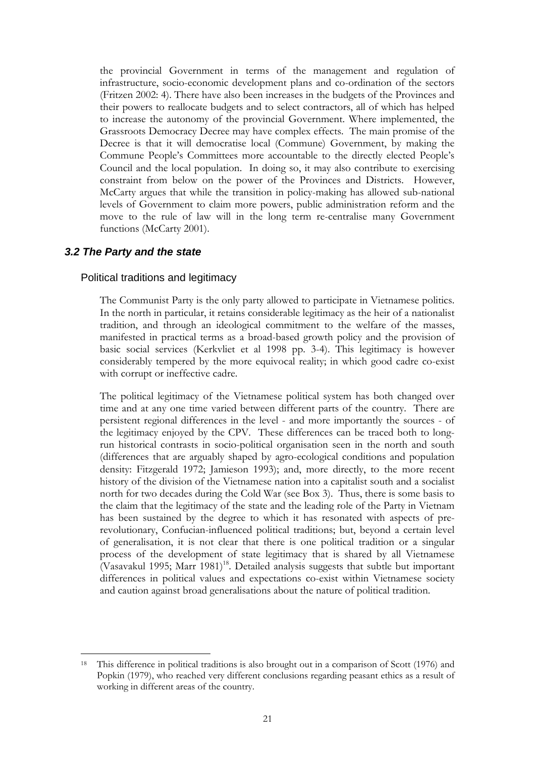the provincial Government in terms of the management and regulation of infrastructure, socio-economic development plans and co-ordination of the sectors (Fritzen 2002: 4). There have also been increases in the budgets of the Provinces and their powers to reallocate budgets and to select contractors, all of which has helped to increase the autonomy of the provincial Government. Where implemented, the Grassroots Democracy Decree may have complex effects. The main promise of the Decree is that it will democratise local (Commune) Government, by making the Commune People's Committees more accountable to the directly elected People's Council and the local population. In doing so, it may also contribute to exercising constraint from below on the power of the Provinces and Districts. However, McCarty argues that while the transition in policy-making has allowed sub-national levels of Government to claim more powers, public administration reform and the move to the rule of law will in the long term re-centralise many Government functions (McCarty 2001).

## *3.2 The Party and the state*

 $\overline{a}$ 

## Political traditions and legitimacy

The Communist Party is the only party allowed to participate in Vietnamese politics. In the north in particular, it retains considerable legitimacy as the heir of a nationalist tradition, and through an ideological commitment to the welfare of the masses, manifested in practical terms as a broad-based growth policy and the provision of basic social services (Kerkvliet et al 1998 pp. 3-4). This legitimacy is however considerably tempered by the more equivocal reality; in which good cadre co-exist with corrupt or ineffective cadre.

The political legitimacy of the Vietnamese political system has both changed over time and at any one time varied between different parts of the country. There are persistent regional differences in the level - and more importantly the sources - of the legitimacy enjoyed by the CPV. These differences can be traced both to longrun historical contrasts in socio-political organisation seen in the north and south (differences that are arguably shaped by agro-ecological conditions and population density: Fitzgerald 1972; Jamieson 1993); and, more directly, to the more recent history of the division of the Vietnamese nation into a capitalist south and a socialist north for two decades during the Cold War (see Box 3). Thus, there is some basis to the claim that the legitimacy of the state and the leading role of the Party in Vietnam has been sustained by the degree to which it has resonated with aspects of prerevolutionary, Confucian-influenced political traditions; but, beyond a certain level of generalisation, it is not clear that there is one political tradition or a singular process of the development of state legitimacy that is shared by all Vietnamese (Vasavakul 1995; Marr 1981)<sup>18</sup>. Detailed analysis suggests that subtle but important differences in political value[s a](#page-42-0)nd expectations co-exist within Vietnamese society and caution against broad generalisations about the nature of political tradition.

<span id="page-42-0"></span><sup>18</sup> This difference in political traditions is also brought out in a comparison of Scott (1976) and Popkin (1979), who reached very different conclusions regarding peasant ethics as a result of working in different areas of the country.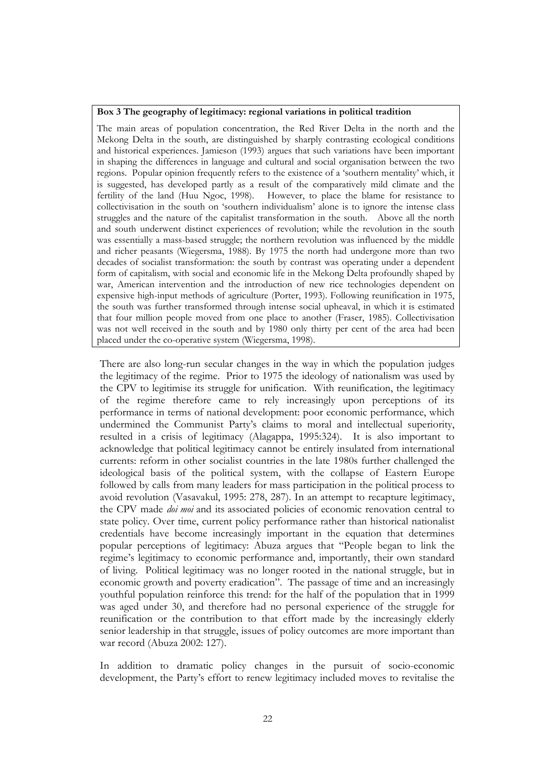#### **Box 3 The geography of legitimacy: regional variations in political tradition**

The main areas of population concentration, the Red River Delta in the north and the Mekong Delta in the south, are distinguished by sharply contrasting ecological conditions and historical experiences. Jamieson (1993) argues that such variations have been important in shaping the differences in language and cultural and social organisation between the two regions. Popular opinion frequently refers to the existence of a 'southern mentality' which, it is suggested, has developed partly as a result of the comparatively mild climate and the fertility of the land (Huu Ngoc, 1998). However, to place the blame for resistance to collectivisation in the south on 'southern individualism' alone is to ignore the intense class struggles and the nature of the capitalist transformation in the south. Above all the north and south underwent distinct experiences of revolution; while the revolution in the south was essentially a mass-based struggle; the northern revolution was influenced by the middle and richer peasants (Wiegersma, 1988). By 1975 the north had undergone more than two decades of socialist transformation: the south by contrast was operating under a dependent form of capitalism, with social and economic life in the Mekong Delta profoundly shaped by war, American intervention and the introduction of new rice technologies dependent on expensive high-input methods of agriculture (Porter, 1993). Following reunification in 1975, the south was further transformed through intense social upheaval, in which it is estimated that four million people moved from one place to another (Fraser, 1985). Collectivisation was not well received in the south and by 1980 only thirty per cent of the area had been placed under the co-operative system (Wiegersma, 1998).

There are also long-run secular changes in the way in which the population judges the legitimacy of the regime. Prior to 1975 the ideology of nationalism was used by the CPV to legitimise its struggle for unification. With reunification, the legitimacy of the regime therefore came to rely increasingly upon perceptions of its performance in terms of national development: poor economic performance, which undermined the Communist Party's claims to moral and intellectual superiority, resulted in a crisis of legitimacy (Alagappa, 1995:324). It is also important to acknowledge that political legitimacy cannot be entirely insulated from international currents: reform in other socialist countries in the late 1980s further challenged the ideological basis of the political system, with the collapse of Eastern Europe followed by calls from many leaders for mass participation in the political process to avoid revolution (Vasavakul, 1995: 278, 287). In an attempt to recapture legitimacy, the CPV made *doi moi* and its associated policies of economic renovation central to state policy. Over time, current policy performance rather than historical nationalist credentials have become increasingly important in the equation that determines popular perceptions of legitimacy: Abuza argues that "People began to link the regime's legitimacy to economic performance and, importantly, their own standard of living. Political legitimacy was no longer rooted in the national struggle, but in economic growth and poverty eradication". The passage of time and an increasingly youthful population reinforce this trend: for the half of the population that in 1999 was aged under 30, and therefore had no personal experience of the struggle for reunification or the contribution to that effort made by the increasingly elderly senior leadership in that struggle, issues of policy outcomes are more important than war record (Abuza 2002: 127).

In addition to dramatic policy changes in the pursuit of socio-economic development, the Party's effort to renew legitimacy included moves to revitalise the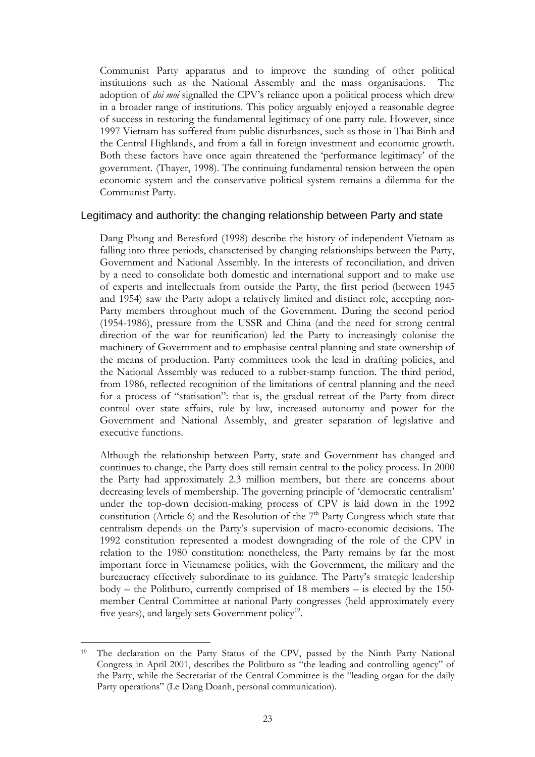Communist Party apparatus and to improve the standing of other political institutions such as the National Assembly and the mass organisations. The adoption of *doi moi* signalled the CPV's reliance upon a political process which drew in a broader range of institutions. This policy arguably enjoyed a reasonable degree of success in restoring the fundamental legitimacy of one party rule. However, since 1997 Vietnam has suffered from public disturbances, such as those in Thai Binh and the Central Highlands, and from a fall in foreign investment and economic growth. Both these factors have once again threatened the 'performance legitimacy' of the government. ([Thayer, 1998\)](http://www.vietgate.net/). The continuing fundamental tension between the open economic sys[tem](#page-114-0) and the conservative political system remains a dilemma for the Communist Party.

#### Legitimacy and authority: the changing relationship between Party and state

Dang Phong and Beresford (1998) describe the history of independent Vietnam as falling into three periods, characterised by changing relationships between the Party, Government and National Assembly. In the interests of reconciliation, and driven by a need to consolidate both domestic and international support and to make use of experts and intellectuals from outside the Party, the first period (between 1945 and 1954) saw the Party adopt a relatively limited and distinct role, accepting non-Party members throughout much of the Government. During the second period (1954-1986), pressure from the USSR and China (and the need for strong central direction of the war for reunification) led the Party to increasingly colonise the machinery of Government and to emphasise central planning and state ownership of the means of production. Party committees took the lead in drafting policies, and the National Assembly was reduced to a rubber-stamp function. The third period, from 1986, reflected recognition of the limitations of central planning and the need for a process of "statisation": that is, the gradual retreat of the Party from direct control over state affairs, rule by law, increased autonomy and power for the Government and National Assembly, and greater separation of legislative and executive functions.

Although the relationship between Party, state and Government has changed and continues to change, the Party does still remain central to the policy process. In 2000 the Party had approximately 2.3 million members, but there are concerns about decreasing levels of membership. The governing principle of 'democratic centralism' under the top-down decision-making process of CPV is laid down in the 1992 constitution (Article 6) and the Resolution of the  $7<sup>th</sup>$  Party Congress which state that centralism depends on the Party's supervision of macro-economic decisions. The 1992 constitution represented a modest downgrading of the role of the CPV in relation to the 1980 constitution: nonetheless, the Party remains by far the most important force in Vietnamese politics, with the Government, the military and the bureaucracy effectively subordinate to its guidance. The Party's strategic leadership body – the Politburo, currently comprised of 18 members – is elected by the 150 member Central Committee at national Party congresses (held approximately every five [y](#page-44-0)ears), and largely sets Government policy<sup>19</sup>[.](#page-44-0)

<span id="page-44-0"></span><sup>19</sup> The declaration on the Party Status of the CPV, passed by the Ninth Party National Congress in April 2001, describes the Politburo as "the leading and controlling agency" of the Party, while the Secretariat of the Central Committee is the "leading organ for the daily Party operations" (Le Dang Doanh, personal communication).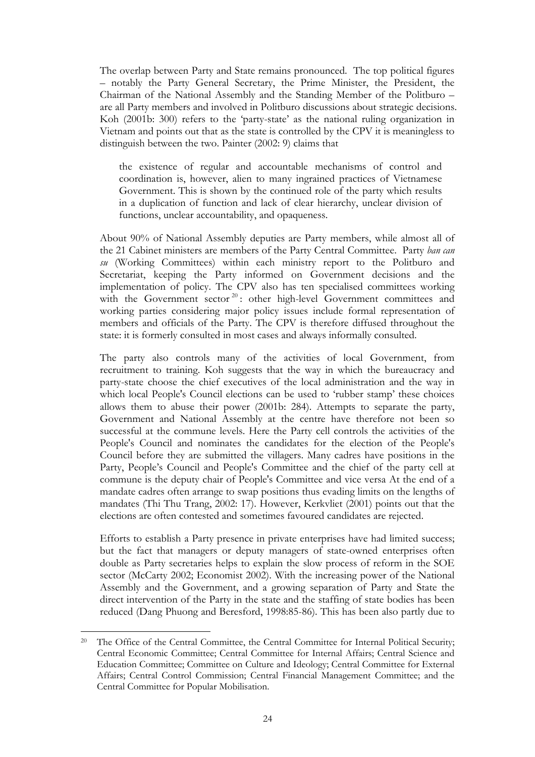The overlap between Party and State remains pronounced. The top political figures – notably the Party General Secretary, the Prime Minister, the President, the Chairman of the National Assembly and the Standing Member of the Politburo – are all Party members and involved in Politburo discussions about strategic decisions. Koh (2001b: 300) refers to the 'party-state' as the national ruling organization in Vietnam and points out that as the state is controlled by the CPV it is meaningless to distinguish between the two. Painter (2002: 9) claims that

the existence of regular and accountable mechanisms of control and coordination is, however, alien to many ingrained practices of Vietnamese Government. This is shown by the continued role of the party which results in a duplication of function and lack of clear hierarchy, unclear division of functions, unclear accountability, and opaqueness.

About 90% of National Assembly deputies are Party members, while almost all of the 21 Cabinet ministers are members of the Party Central Committee. Party *ban can su* (Working Committees) within each ministry report to the Politburo and Secretariat, keeping the Party informed on Government decisions and the implementation of policy. The CPV also has ten specialised committees working with the Government sector<sup>20</sup>: other high-level Government committees and working parties considering [majo](#page-45-0)r policy issues include formal representation of members and officials of the Party. The CPV is therefore diffused throughout the state: it is formerly consulted in most cases and always informally consulted.

The party also controls many of the activities of local Government, from recruitment to training. Koh suggests that the way in which the bureaucracy and party-state choose the chief executives of the local administration and the way in which local People's Council elections can be used to 'rubber stamp' these choices allows them to abuse their power (2001b: 284). Attempts to separate the party, Government and National Assembly at the centre have therefore not been so successful at the commune levels. Here the Party cell controls the activities of the People's Council and nominates the candidates for the election of the People's Council before they are submitted the villagers. Many cadres have positions in the Party, People's Council and People's Committee and the chief of the party cell at commune is the deputy chair of People's Committee and vice versa At the end of a mandate cadres often arrange to swap positions thus evading limits on the lengths of mandates (Thi Thu Trang, 2002: 17). However, Kerkvliet (2001) points out that the elections are often contested and sometimes favoured candidates are rejected.

Efforts to establish a Party presence in private enterprises have had limited success; but the fact that managers or deputy managers of state-owned enterprises often double as Party secretaries helps to explain the slow process of reform in the SOE sector (McCarty 2002; Economist 2002). With the increasing power of the National Assembly and the Government, and a growing separation of Party and State the direct intervention of the Party in the state and the staffing of state bodies has been reduced (Dang Phuong and Beresford, 1998:85-86). This has been also partly due to

<span id="page-45-0"></span><sup>&</sup>lt;sup>20</sup> The Office of the Central Committee, the Central Committee for Internal Political Security; Central Economic Committee; Central Committee for Internal Affairs; Central Science and Education Committee; Committee on Culture and Ideology; Central Committee for External Affairs; Central Control Commission; Central Financial Management Committee; and the Central Committee for Popular Mobilisation.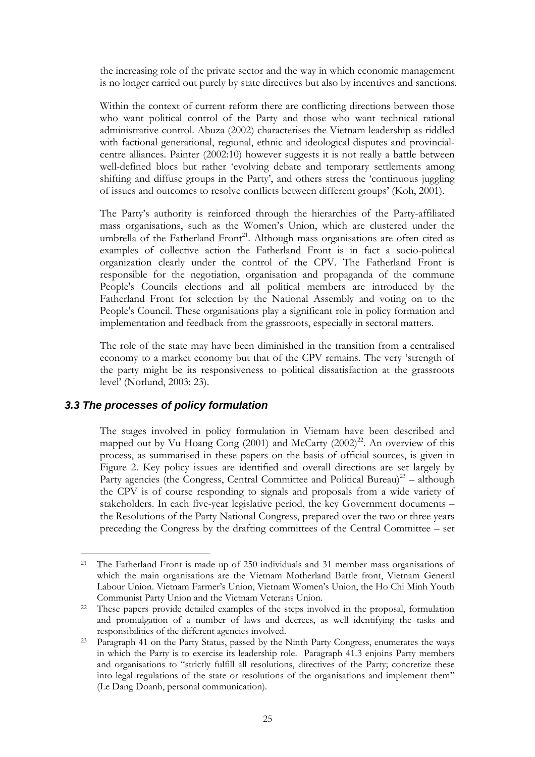the increasing role of the private sector and the way in which economic management is no longer carried out purely by state directives but also by incentives and sanctions.

Within the context of current reform there are conflicting directions between those who want political control of the Party and those who want technical rational administrative control. Abuza (2002) characterises the Vietnam leadership as riddled with factional generational, regional, ethnic and ideological disputes and provincialcentre alliances. Painter (2002:10) however suggests it is not really a battle between well-defined blocs but rather 'evolving debate and temporary settlements among shifting and diffuse groups in the Party', and others stress the 'continuous juggling of issues and outcomes to resolve conflicts between different groups' (Koh, 2001).

The Party's authority is reinforced through the hierarchies of the Party-affiliated mass organisations, such as the Women's Union, which are clustered under the umbrella of the Fatherland Front<sup>21</sup>. Although mass organisations are often cited as examples of collective action t[he](#page-46-0) Fatherland Front is in fact a socio-political organization clearly under the control of the CPV. The Fatherland Front is responsible for the negotiation, organisation and propaganda of the commune People's Councils elections and all political members are introduced by the Fatherland Front for selection by the National Assembly and voting on to the People's Council. These organisations play a significant role in policy formation and implementation and feedback from the grassroots, especially in sectoral matters.

The role of the state may have been diminished in the transition from a centralised economy to a market economy but that of the CPV remains. The very 'strength of the party might be its responsiveness to political dissatisfaction at the grassroots level' (Norlund, 2003: 23).

## *3.3 The processes of policy formulation*

 $\overline{a}$ 

The stages involved in policy formulation in Vietnam have been described and mapped out by Vu Hoang Cong (2001) and McCarty  $(2002)^{22}$ . An overview of this process, as summarised in these papers on the basis of offi[cia](#page-46-1)l sources, is given in Figure 2. Key policy issues are identified and overall directions are set largely by Party agencies (the Congress, Central Committee and Political Bureau) $^{23}$  – although the CPV is of course responding to signals and proposals from a wi[de](#page-46-2) variety of stakeholders. In each five-year legislative period, the key Government documents – the Resolutions of the Party National Congress, prepared over the two or three years preceding the Congress by the drafting committees of the Central Committee – set

<span id="page-46-0"></span><sup>21</sup> The Fatherland Front is made up of 250 individuals and 31 member mass organisations of which the main organisations are the Vietnam Motherland Battle front, Vietnam General Labour Union. Vietnam Farmer's Union, Vietnam Women's Union, the Ho Chi Minh Youth

<span id="page-46-1"></span>Communist Party Union and the Vietnam Veterans Union. 22 These papers provide detailed examples of the steps involved in the proposal, formulation and promulgation of a number of laws and decrees, as well identifying the tasks and responsibilities of the different agencies involved.

<span id="page-46-2"></span><sup>23</sup> Paragraph 41 on the Party Status, passed by the Ninth Party Congress, enumerates the ways in which the Party is to exercise its leadership role. Paragraph 41.3 enjoins Party members and organisations to "strictly fulfill all resolutions, directives of the Party; concretize these into legal regulations of the state or resolutions of the organisations and implement them" (Le Dang Doanh, personal communication).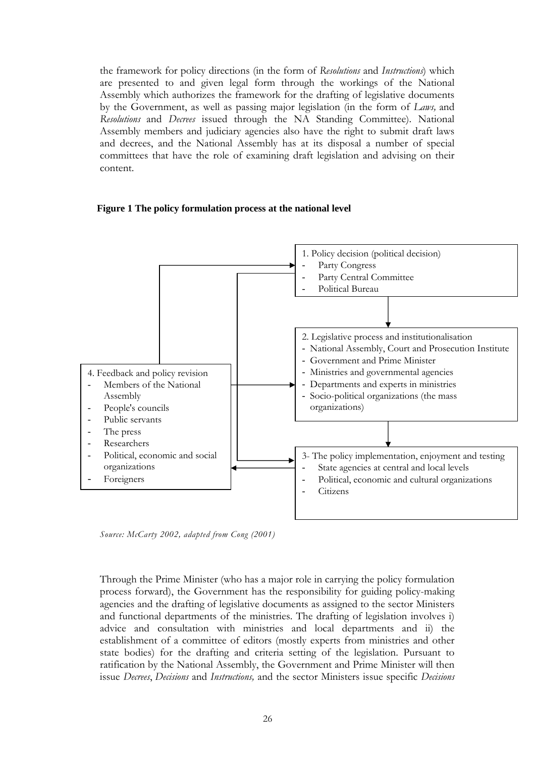the framework for policy directions (in the form of *Resolutions* and *Instructions*) which are presented to and given legal form through the workings of the National Assembly which authorizes the framework for the drafting of legislative documents by the Government, as well as passing major legislation (in the form of *Laws,* and *Resolutions* and *Decrees* issued through the NA Standing Committee). National Assembly members and judiciary agencies also have the right to submit draft laws and decrees, and the National Assembly has at its disposal a number of special committees that have the role of examining draft legislation and advising on their content.

#### **Figure 1 The policy formulation process at the national level**



*Source: McCarty 2002, adapted from Cong (2001)* 

Through the Prime Minister (who has a major role in carrying the policy formulation process forward), the Government has the responsibility for guiding policy-making agencies and the drafting of legislative documents as assigned to the sector Ministers and functional departments of the ministries. The drafting of legislation involves i) advice and consultation with ministries and local departments and ii) the establishment of a committee of editors (mostly experts from ministries and other state bodies) for the drafting and criteria setting of the legislation. Pursuant to ratification by the National Assembly, the Government and Prime Minister will then issue *Decrees*, *Decisions* and *Instructions,* and the sector Ministers issue specific *Decisions*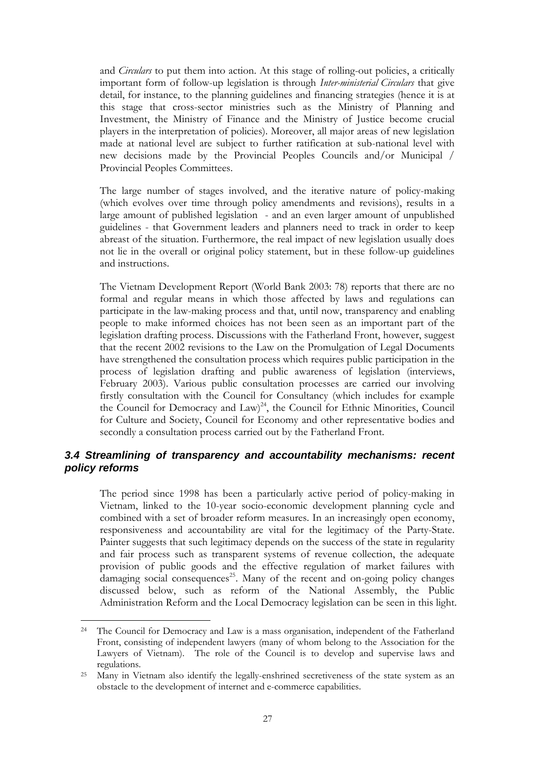and *Circulars* to put them into action. At this stage of rolling-out policies, a critically important form of follow-up legislation is through *Inter-ministerial Circulars* that give detail, for instance, to the planning guidelines and financing strategies (hence it is at this stage that cross-sector ministries such as the Ministry of Planning and Investment, the Ministry of Finance and the Ministry of Justice become crucial players in the interpretation of policies). Moreover, all major areas of new legislation made at national level are subject to further ratification at sub-national level with new decisions made by the Provincial Peoples Councils and/or Municipal / Provincial Peoples Committees.

The large number of stages involved, and the iterative nature of policy-making (which evolves over time through policy amendments and revisions), results in a large amount of published legislation - and an even larger amount of unpublished guidelines - that Government leaders and planners need to track in order to keep abreast of the situation. Furthermore, the real impact of new legislation usually does not lie in the overall or original policy statement, but in these follow-up guidelines and instructions.

The Vietnam Development Report (World Bank 2003: 78) reports that there are no formal and regular means in which those affected by laws and regulations can participate in the law-making process and that, until now, transparency and enabling people to make informed choices has not been seen as an important part of the legislation drafting process. Discussions with the Fatherland Front, however, suggest that the recent 2002 revisions to the Law on the Promulgation of Legal Documents have strengthened the consultation process which requires public participation in the process of legislation drafting and public awareness of legislation (interviews, February 2003). Various public consultation processes are carried our involving firstly consultation with the Council for Consultancy (which includes for example the Council for Democracy and Law)<sup>24</sup>, the Council for Ethnic Minorities, Council for Culture and Society, Council for [Ec](#page-48-0)onomy and other representative bodies and secondly a consultation process carried out by the Fatherland Front.

# *3.4 Streamlining of transparency and accountability mechanisms: recent policy reforms*

The period since 1998 has been a particularly active period of policy-making in Vietnam, linked to the 10-year socio-economic development planning cycle and combined with a set of broader reform measures. In an increasingly open economy, responsiveness and accountability are vital for the legitimacy of the Party-State. Painter suggests that such legitimacy depends on the success of the state in regularity and fair process such as transparent systems of revenue collection, the adequate provision of public goods and the effective regulation of market failures with damaging social consequences<sup>25</sup>. Many of the recent and on-going policy changes discussed below, such as [re](#page-48-1)form of the National Assembly, the Public Administration Reform and the Local Democracy legislation can be seen in this light.

<span id="page-48-0"></span><sup>24</sup> The Council for Democracy and Law is a mass organisation, independent of the Fatherland Front, consisting of independent lawyers (many of whom belong to the Association for the Lawyers of Vietnam). The role of the Council is to develop and supervise laws and regulations.

<span id="page-48-1"></span><sup>&</sup>lt;sup>25</sup> Many in Vietnam also identify the legally-enshrined secretiveness of the state system as an obstacle to the development of internet and e-commerce capabilities.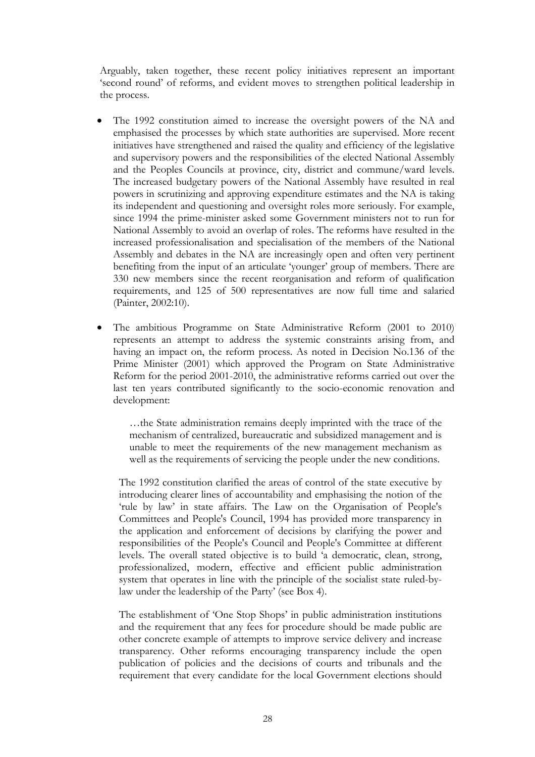Arguably, taken together, these recent policy initiatives represent an important 'second round' of reforms, and evident moves to strengthen political leadership in the process.

- The 1992 constitution aimed to increase the oversight powers of the NA and emphasised the processes by which state authorities are supervised. More recent initiatives have strengthened and raised the quality and efficiency of the legislative and supervisory powers and the responsibilities of the elected National Assembly and the Peoples Councils at province, city, district and commune/ward levels. The increased budgetary powers of the National Assembly have resulted in real powers in scrutinizing and approving expenditure estimates and the NA is taking its independent and questioning and oversight roles more seriously. For example, since 1994 the prime-minister asked some Government ministers not to run for National Assembly to avoid an overlap of roles. The reforms have resulted in the increased professionalisation and specialisation of the members of the National Assembly and debates in the NA are increasingly open and often very pertinent benefiting from the input of an articulate 'younger' group of members. There are 330 new members since the recent reorganisation and reform of qualification requirements, and 125 of 500 representatives are now full time and salaried (Painter, 2002:10).
- The ambitious Programme on State Administrative Reform (2001 to 2010) represents an attempt to address the systemic constraints arising from, and having an impact on, the reform process. As noted in Decision No.136 of the Prime Minister (2001) which approved the Program on State Administrative Reform for the period 2001-2010, the administrative reforms carried out over the last ten years contributed significantly to the socio-economic renovation and development:

…the State administration remains deeply imprinted with the trace of the mechanism of centralized, bureaucratic and subsidized management and is unable to meet the requirements of the new management mechanism as well as the requirements of servicing the people under the new conditions.

The 1992 constitution clarified the areas of control of the state executive by introducing clearer lines of accountability and emphasising the notion of the 'rule by law' in state affairs. The Law on the Organisation of People's Committees and People's Council, 1994 has provided more transparency in the application and enforcement of decisions by clarifying the power and responsibilities of the People's Council and People's Committee at different levels. The overall stated objective is to build 'a democratic, clean, strong, professionalized, modern, effective and efficient public administration system that operates in line with the principle of the socialist state ruled-bylaw under the leadership of the Party' (see Box 4).

The establishment of 'One Stop Shops' in public administration institutions and the requirement that any fees for procedure should be made public are other concrete example of attempts to improve service delivery and increase transparency. Other reforms encouraging transparency include the open publication of policies and the decisions of courts and tribunals and the requirement that every candidate for the local Government elections should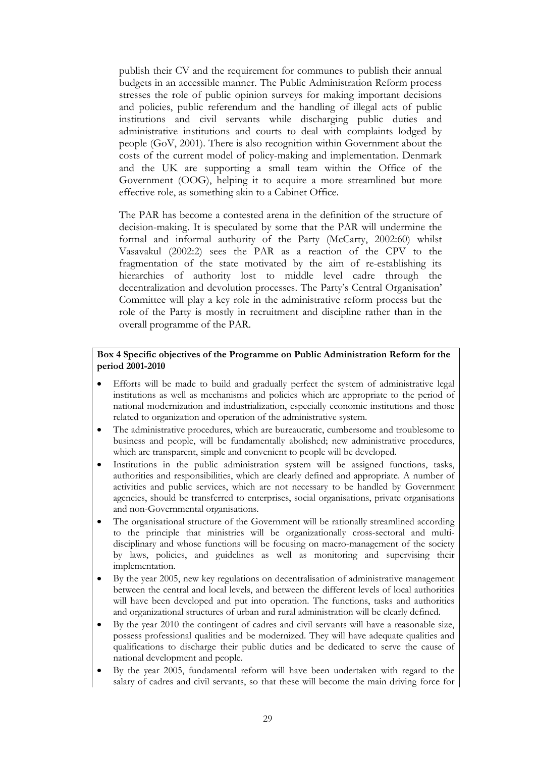publish their CV and the requirement for communes to publish their annual budgets in an accessible manner. The Public Administration Reform process stresses the role of public opinion surveys for making important decisions and policies, public referendum and the handling of illegal acts of public institutions and civil servants while discharging public duties and administrative institutions and courts to deal with complaints lodged by people (GoV, 2001). There is also recognition within Government about the costs of the current model of policy-making and implementation. Denmark and the UK are supporting a small team within the Office of the Government (OOG), helping it to acquire a more streamlined but more effective role, as something akin to a Cabinet Office.

The PAR has become a contested arena in the definition of the structure of decision-making. It is speculated by some that the PAR will undermine the formal and informal authority of the Party (McCarty, 2002:60) whilst Vasavakul (2002:2) sees the PAR as a reaction of the CPV to the fragmentation of the state motivated by the aim of re-establishing its hierarchies of authority lost to middle level cadre through the decentralization and devolution processes. The Party's Central Organisation' Committee will play a key role in the administrative reform process but the role of the Party is mostly in recruitment and discipline rather than in the overall programme of the PAR.

#### **Box 4 Specific objectives of the Programme on Public Administration Reform for the period 2001-2010**

- Efforts will be made to build and gradually perfect the system of administrative legal institutions as well as mechanisms and policies which are appropriate to the period of national modernization and industrialization, especially economic institutions and those related to organization and operation of the administrative system.
- The administrative procedures, which are bureaucratic, cumbersome and troublesome to business and people, will be fundamentally abolished; new administrative procedures, which are transparent, simple and convenient to people will be developed.
- Institutions in the public administration system will be assigned functions, tasks, authorities and responsibilities, which are clearly defined and appropriate. A number of activities and public services, which are not necessary to be handled by Government agencies, should be transferred to enterprises, social organisations, private organisations and non-Governmental organisations.
- The organisational structure of the Government will be rationally streamlined according to the principle that ministries will be organizationally cross-sectoral and multidisciplinary and whose functions will be focusing on macro-management of the society by laws, policies, and guidelines as well as monitoring and supervising their implementation.
- By the year 2005, new key regulations on decentralisation of administrative management between the central and local levels, and between the different levels of local authorities will have been developed and put into operation. The functions, tasks and authorities and organizational structures of urban and rural administration will be clearly defined.
- By the year 2010 the contingent of cadres and civil servants will have a reasonable size, possess professional qualities and be modernized. They will have adequate qualities and qualifications to discharge their public duties and be dedicated to serve the cause of national development and people.
- By the year 2005, fundamental reform will have been undertaken with regard to the salary of cadres and civil servants, so that these will become the main driving force for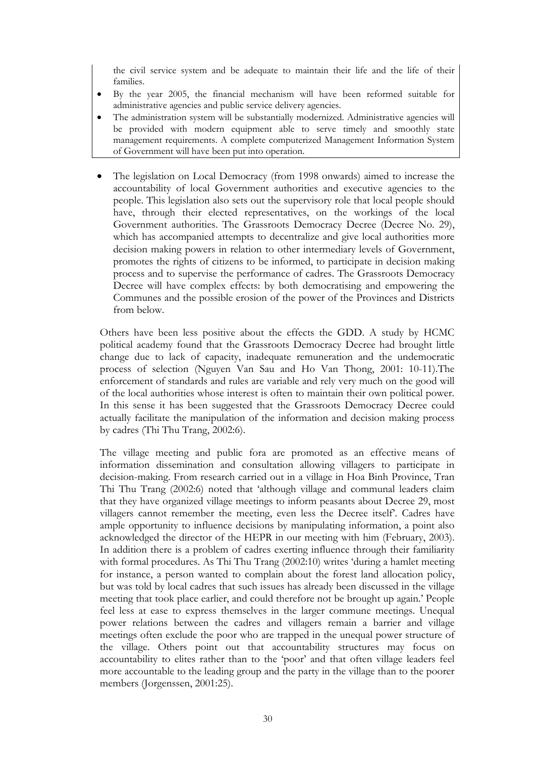the civil service system and be adequate to maintain their life and the life of their families.

- By the year 2005, the financial mechanism will have been reformed suitable for administrative agencies and public service delivery agencies.
- The administration system will be substantially modernized. Administrative agencies will be provided with modern equipment able to serve timely and smoothly state management requirements. A complete computerized Management Information System of Government will have been put into operation.
- The legislation on Local Democracy (from 1998 onwards) aimed to increase the accountability of local Government authorities and executive agencies to the people. This legislation also sets out the supervisory role that local people should have, through their elected representatives, on the workings of the local Government authorities. The Grassroots Democracy Decree (Decree No. 29), which has accompanied attempts to decentralize and give local authorities more decision making powers in relation to other intermediary levels of Government, promotes the rights of citizens to be informed, to participate in decision making process and to supervise the performance of cadres. The Grassroots Democracy Decree will have complex effects: by both democratising and empowering the Communes and the possible erosion of the power of the Provinces and Districts from below.

Others have been less positive about the effects the GDD. A study by HCMC political academy found that the Grassroots Democracy Decree had brought little change due to lack of capacity, inadequate remuneration and the undemocratic process of selection (Nguyen Van Sau and Ho Van Thong, 2001: 10-11).The enforcement of standards and rules are variable and rely very much on the good will of the local authorities whose interest is often to maintain their own political power. In this sense it has been suggested that the Grassroots Democracy Decree could actually facilitate the manipulation of the information and decision making process by cadres (Thi Thu Trang, 2002:6).

The village meeting and public fora are promoted as an effective means of information dissemination and consultation allowing villagers to participate in decision-making. From research carried out in a village in Hoa Binh Province, Tran Thi Thu Trang (2002:6) noted that 'although village and communal leaders claim that they have organized village meetings to inform peasants about Decree 29, most villagers cannot remember the meeting, even less the Decree itself'. Cadres have ample opportunity to influence decisions by manipulating information, a point also acknowledged the director of the HEPR in our meeting with him (February, 2003). In addition there is a problem of cadres exerting influence through their familiarity with formal procedures. As Thi Thu Trang (2002:10) writes 'during a hamlet meeting for instance, a person wanted to complain about the forest land allocation policy, but was told by local cadres that such issues has already been discussed in the village meeting that took place earlier, and could therefore not be brought up again.' People feel less at ease to express themselves in the larger commune meetings. Unequal power relations between the cadres and villagers remain a barrier and village meetings often exclude the poor who are trapped in the unequal power structure of the village. Others point out that accountability structures may focus on accountability to elites rather than to the 'poor' and that often village leaders feel more accountable to the leading group and the party in the village than to the poorer members (Jorgenssen, 2001:25).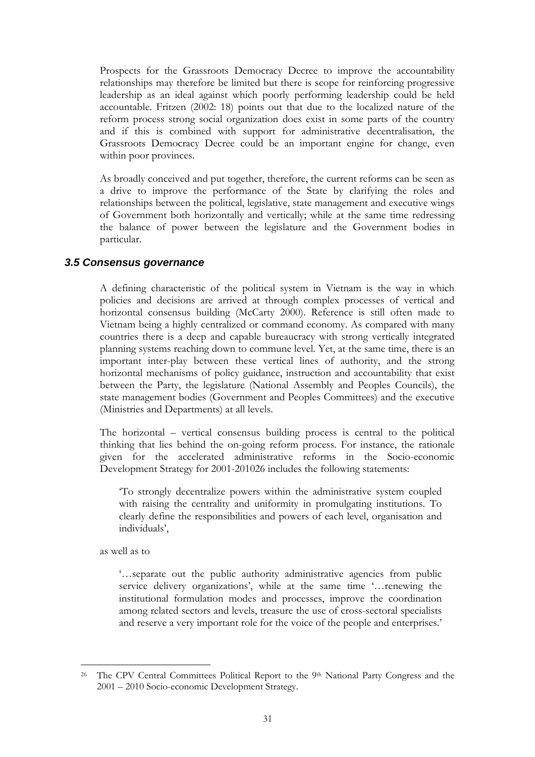Prospects for the Grassroots Democracy Decree to improve the accountability relationships may therefore be limited but there is scope for reinforcing progressive leadership as an ideal against which poorly performing leadership could be held accountable. Fritzen (2002: 18) points out that due to the localized nature of the reform process strong social organization does exist in some parts of the country and if this is combined with support for administrative decentralisation, the Grassroots Democracy Decree could be an important engine for change, even within poor provinces.

As broadly conceived and put together, therefore, the current reforms can be seen as a drive to improve the performance of the State by clarifying the roles and relationships between the political, legislative, state management and executive wings of Government both horizontally and vertically; while at the same time redressing the balance of power between the legislature and the Government bodies in particular.

## *3.5 Consensus governance*

A defining characteristic of the political system in Vietnam is the way in which policies and decisions are arrived at through complex processes of vertical and horizontal consensus building (McCarty 2000). Reference is still often made to Vietnam being a highly centralized or command economy. As compared with many countries there is a deep and capable bureaucracy with strong vertically integrated planning systems reaching down to commune level. Yet, at the same time, there is an important inter-play between these vertical lines of authority, and the strong horizontal mechanisms of policy guidance, instruction and accountability that exist between the Party, the legislature (National Assembly and Peoples Councils), the state management bodies (Government and Peoples Committees) and the executive (Ministries and Departments) at all levels.

The horizontal – vertical consensus building process is central to the political thinking that lies behind the on-going reform process. For instance, the rationale given for the accelerated administrative reforms in the Socio-economic Development Strategy for 2001-2010[26](#page-52-0) includes the following statements:

'To strongly decentralize powers within the administrative system coupled with raising the centrality and uniformity in promulgating institutions. To clearly define the responsibilities and powers of each level, organisation and individuals',

as well as to

 $\overline{a}$ 

'…separate out the public authority administrative agencies from public service delivery organizations', while at the same time '…renewing the institutional formulation modes and processes, improve the coordination among related sectors and levels, treasure the use of cross-sectoral specialists and reserve a very important role for the voice of the people and enterprises.'

<span id="page-52-0"></span><sup>&</sup>lt;sup>26</sup> The CPV Central Committees Political Report to the 9<sup>th</sup> National Party Congress and the 2001 – 2010 Socio-economic Development Strategy.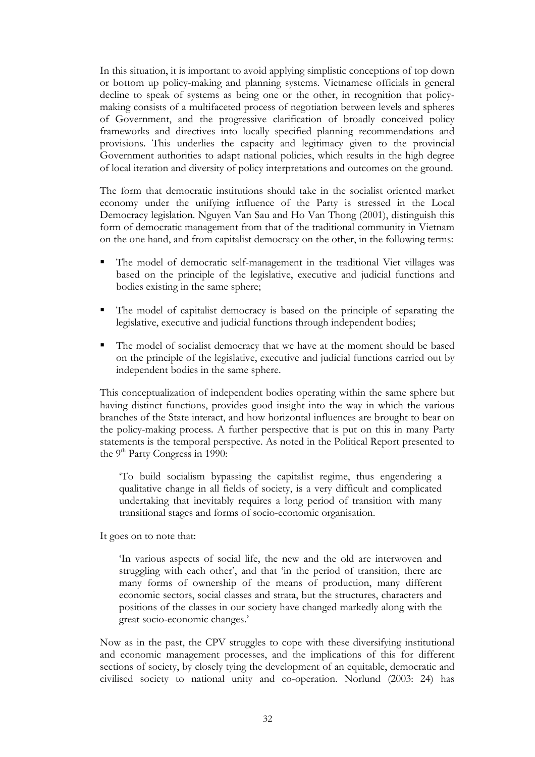In this situation, it is important to avoid applying simplistic conceptions of top down or bottom up policy-making and planning systems. Vietnamese officials in general decline to speak of systems as being one or the other, in recognition that policymaking consists of a multifaceted process of negotiation between levels and spheres of Government, and the progressive clarification of broadly conceived policy frameworks and directives into locally specified planning recommendations and provisions. This underlies the capacity and legitimacy given to the provincial Government authorities to adapt national policies, which results in the high degree of local iteration and diversity of policy interpretations and outcomes on the ground.

The form that democratic institutions should take in the socialist oriented market economy under the unifying influence of the Party is stressed in the Local Democracy legislation. Nguyen Van Sau and Ho Van Thong (2001), distinguish this form of democratic management from that of the traditional community in Vietnam on the one hand, and from capitalist democracy on the other, in the following terms:

- The model of democratic self-management in the traditional Viet villages was based on the principle of the legislative, executive and judicial functions and bodies existing in the same sphere;
- The model of capitalist democracy is based on the principle of separating the legislative, executive and judicial functions through independent bodies;
- The model of socialist democracy that we have at the moment should be based on the principle of the legislative, executive and judicial functions carried out by independent bodies in the same sphere.

This conceptualization of independent bodies operating within the same sphere but having distinct functions, provides good insight into the way in which the various branches of the State interact, and how horizontal influences are brought to bear on the policy-making process. A further perspective that is put on this in many Party statements is the temporal perspective. As noted in the Political Report presented to the  $9<sup>th</sup>$  Party Congress in 1990:

'To build socialism bypassing the capitalist regime, thus engendering a qualitative change in all fields of society, is a very difficult and complicated undertaking that inevitably requires a long period of transition with many transitional stages and forms of socio-economic organisation.

It goes on to note that:

'In various aspects of social life, the new and the old are interwoven and struggling with each other', and that 'in the period of transition, there are many forms of ownership of the means of production, many different economic sectors, social classes and strata, but the structures, characters and positions of the classes in our society have changed markedly along with the great socio-economic changes.'

Now as in the past, the CPV struggles to cope with these diversifying institutional and economic management processes, and the implications of this for different sections of society, by closely tying the development of an equitable, democratic and civilised society to national unity and co-operation. Norlund (2003: 24) has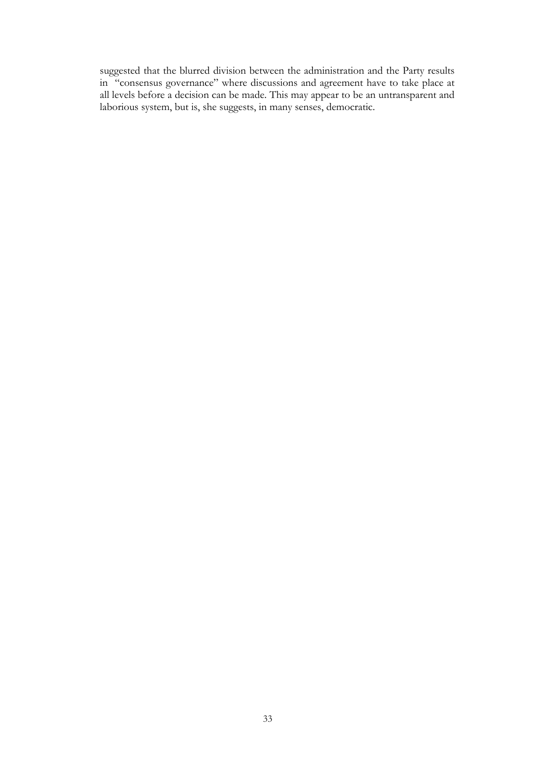suggested that the blurred division between the administration and the Party results in "consensus governance" where discussions and agreement have to take place at all levels before a decision can be made. This may appear to be an untransparent and laborious system, but is, she suggests, in many senses, democratic.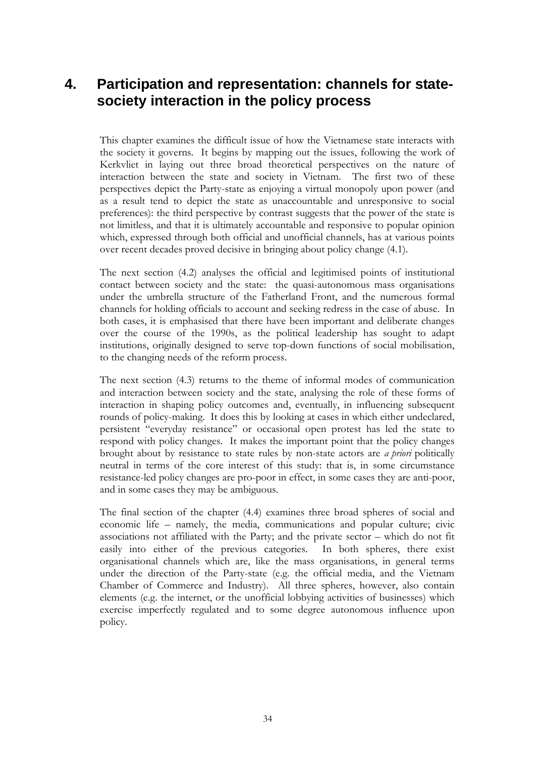# **4. Participation and representation: channels for statesociety interaction in the policy process**

This chapter examines the difficult issue of how the Vietnamese state interacts with the society it governs. It begins by mapping out the issues, following the work of Kerkvliet in laying out three broad theoretical perspectives on the nature of interaction between the state and society in Vietnam. The first two of these perspectives depict the Party-state as enjoying a virtual monopoly upon power (and as a result tend to depict the state as unaccountable and unresponsive to social preferences): the third perspective by contrast suggests that the power of the state is not limitless, and that it is ultimately accountable and responsive to popular opinion which, expressed through both official and unofficial channels, has at various points over recent decades proved decisive in bringing about policy change (4.1).

The next section (4.2) analyses the official and legitimised points of institutional contact between society and the state: the quasi-autonomous mass organisations under the umbrella structure of the Fatherland Front, and the numerous formal channels for holding officials to account and seeking redress in the case of abuse. In both cases, it is emphasised that there have been important and deliberate changes over the course of the 1990s, as the political leadership has sought to adapt institutions, originally designed to serve top-down functions of social mobilisation, to the changing needs of the reform process.

The next section (4.3) returns to the theme of informal modes of communication and interaction between society and the state, analysing the role of these forms of interaction in shaping policy outcomes and, eventually, in influencing subsequent rounds of policy-making. It does this by looking at cases in which either undeclared, persistent "everyday resistance" or occasional open protest has led the state to respond with policy changes. It makes the important point that the policy changes brought about by resistance to state rules by non-state actors are *a priori* politically neutral in terms of the core interest of this study: that is, in some circumstance resistance-led policy changes are pro-poor in effect, in some cases they are anti-poor, and in some cases they may be ambiguous.

The final section of the chapter (4.4) examines three broad spheres of social and economic life – namely, the media, communications and popular culture; civic associations not affiliated with the Party; and the private sector – which do not fit easily into either of the previous categories. In both spheres, there exist organisational channels which are, like the mass organisations, in general terms under the direction of the Party-state (e.g. the official media, and the Vietnam Chamber of Commerce and Industry). All three spheres, however, also contain elements (e.g. the internet, or the unofficial lobbying activities of businesses) which exercise imperfectly regulated and to some degree autonomous influence upon policy.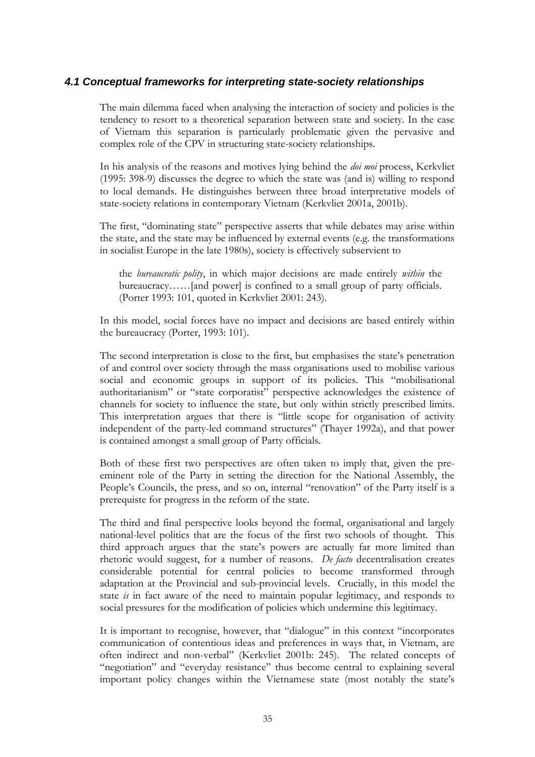# *4.1 Conceptual frameworks for interpreting state-society relationships*

The main dilemma faced when analysing the interaction of society and policies is the tendency to resort to a theoretical separation between state and society. In the case of Vietnam this separation is particularly problematic given the pervasive and complex role of the CPV in structuring state-society relationships.

In his analysis of the reasons and motives lying behind the *doi moi* process, Kerkvliet (1995: 398-9) discusses the degree to which the state was (and is) willing to respond to local demands. He distinguishes between three broad interpretative models of state-society relations in contemporary Vietnam (Kerkvliet 2001a, 2001b).

The first, "dominating state" perspective asserts that while debates may arise within the state, and the state may be influenced by external events (e.g. the transformations in socialist Europe in the late 1980s), society is effectively subservient to

the *bureaucratic polity*, in which major decisions are made entirely *within* the bureaucracy……[and power] is confined to a small group of party officials. (Porter 1993: 101, quoted in Kerkvliet 2001: 243).

In this model, social forces have no impact and decisions are based entirely within the bureaucracy (Porter, 1993: 101).

The second interpretation is close to the first, but emphasises the state's penetration of and control over society through the mass organisations used to mobilise various social and economic groups in support of its policies. This "mobilisational authoritarianism" or "state corporatist" perspective acknowledges the existence of channels for society to influence the state, but only within strictly prescribed limits. This interpretation argues that there is "little scope for organisation of activity independent of the party-led command structures" (Thayer 1992a), and that power is contained amongst a small group of Party officials.

Both of these first two perspectives are often taken to imply that, given the preeminent role of the Party in setting the direction for the National Assembly, the People's Councils, the press, and so on, internal "renovation" of the Party itself is a prerequiste for progress in the reform of the state.

The third and final perspective looks beyond the formal, organisational and largely national-level politics that are the focus of the first two schools of thought. This third approach argues that the state's powers are actually far more limited than rhetoric would suggest, for a number of reasons. *De facto* decentralisation creates considerable potential for central policies to become transformed through adaptation at the Provincial and sub-provincial levels. Crucially, in this model the state *is* in fact aware of the need to maintain popular legitimacy, and responds to social pressures for the modification of policies which undermine this legitimacy.

It is important to recognise, however, that "dialogue" in this context "incorporates communication of contentious ideas and preferences in ways that, in Vietnam, are often indirect and non-verbal" (Kerkvliet 2001b: 245). The related concepts of "negotiation" and "everyday resistance" thus become central to explaining several important policy changes within the Vietnamese state (most notably the state's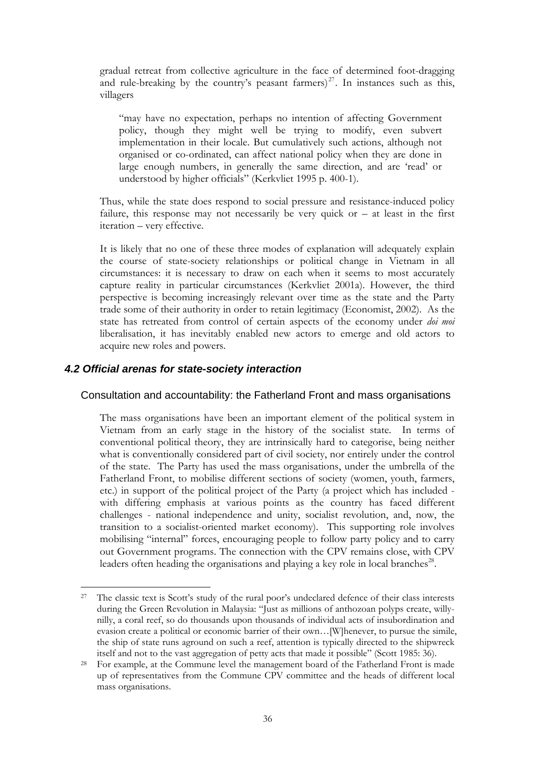gradual retreat from collective agriculture in the face of determined foot-dragging and rule-breaking by the country's peasant farmers)<sup>27</sup>. In instances such as this, villagers

"may have no expectation, perhaps no intention of affecting Government policy, though they might well be trying to modify, even subvert implementation in their locale. But cumulatively such actions, although not organised or co-ordinated, can affect national policy when they are done in large enough numbers, in generally the same direction, and are 'read' or understood by higher officials" (Kerkvliet 1995 p. 400-1).

Thus, while the state does respond to social pressure and resistance-induced policy failure, this response may not necessarily be very quick or  $-$  at least in the first iteration – very effective.

It is likely that no one of these three modes of explanation will adequately explain the course of state-society relationships or political change in Vietnam in all circumstances: it is necessary to draw on each when it seems to most accurately capture reality in particular circumstances (Kerkvliet 2001a). However, the third perspective is becoming increasingly relevant over time as the state and the Party trade some of their authority in order to retain legitimacy (Economist, 2002). As the state has retreated from control of certain aspects of the economy under *doi moi*  liberalisation, it has inevitably enabled new actors to emerge and old actors to acquire new roles and powers.

## *4.2 Official arenas for state-society interaction*

 $\overline{a}$ 

## Consultation and accountability: the Fatherland Front and mass organisations

The mass organisations have been an important element of the political system in Vietnam from an early stage in the history of the socialist state. In terms of conventional political theory, they are intrinsically hard to categorise, being neither what is conventionally considered part of civil society, nor entirely under the control of the state. The Party has used the mass organisations, under the umbrella of the Fatherland Front, to mobilise different sections of society (women, youth, farmers, etc.) in support of the political project of the Party (a project which has included with differing emphasis at various points as the country has faced different challenges - national independence and unity, socialist revolution, and, now, the transition to a socialist-oriented market economy). This supporting role involves mobilising "internal" forces, encouraging people to follow party policy and to carry out Government programs. The connection with the CPV remains close, with CPV leaders often heading the organisations and playing a key role in local branches<sup>28</sup>[.](#page-57-1)

<span id="page-57-0"></span><sup>&</sup>lt;sup>27</sup> The classic text is Scott's study of the rural poor's undeclared defence of their class interests during the Green Revolution in Malaysia: "Just as millions of anthozoan polyps create, willynilly, a coral reef, so do thousands upon thousands of individual acts of insubordination and evasion create a political or economic barrier of their own…[W]henever, to pursue the simile, the ship of state runs aground on such a reef, attention is typically directed to the shipwreck itself and not to the vast aggregation of petty acts that made it possible" (Scott 1985: 36).

<span id="page-57-1"></span><sup>28</sup> For example, at the Commune level the management board of the Fatherland Front is made up of representatives from the Commune CPV committee and the heads of different local mass organisations.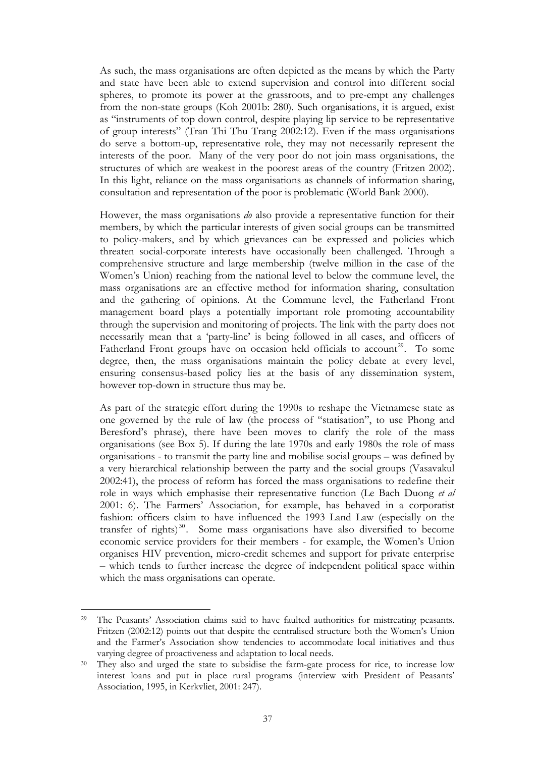As such, the mass organisations are often depicted as the means by which the Party and state have been able to extend supervision and control into different social spheres, to promote its power at the grassroots, and to pre-empt any challenges from the non-state groups (Koh 2001b: 280). Such organisations, it is argued, exist as "instruments of top down control, despite playing lip service to be representative of group interests" (Tran Thi Thu Trang 2002:12). Even if the mass organisations do serve a bottom-up, representative role, they may not necessarily represent the interests of the poor. Many of the very poor do not join mass organisations, the structures of which are weakest in the poorest areas of the country (Fritzen 2002). In this light, reliance on the mass organisations as channels of information sharing, consultation and representation of the poor is problematic (World Bank 2000).

However, the mass organisations *do* also provide a representative function for their members, by which the particular interests of given social groups can be transmitted to policy-makers, and by which grievances can be expressed and policies which threaten social-corporate interests have occasionally been challenged. Through a comprehensive structure and large membership (twelve million in the case of the Women's Union) reaching from the national level to below the commune level, the mass organisations are an effective method for information sharing, consultation and the gathering of opinions. At the Commune level, the Fatherland Front management board plays a potentially important role promoting accountability through the supervision and monitoring of projects. The link with the party does not necessarily mean that a 'party-line' is being followed in all cases, and officers of Fatherland Front groups have on occasion held officials to account<sup>29</sup>. To some degree, then, the mass organisations maintain the policy debate a[t e](#page-58-0)very level, ensuring consensus-based policy lies at the basis of any dissemination system, however top-down in structure thus may be.

As part of the strategic effort during the 1990s to reshape the Vietnamese state as one governed by the rule of law (the process of "statisation", to use Phong and Beresford's phrase), there have been moves to clarify the role of the mass organisations (see Box 5). If during the late 1970s and early 1980s the role of mass organisations - to transmit the party line and mobilise social groups – was defined by a very hierarchical relationship between the party and the social groups (Vasavakul 2002:41), the process of reform has forced the mass organisations to redefine their role in ways which emphasise their representative function (Le Bach Duong *et al* 2001: 6). The Farmers' Association, for example, has behaved in a corporatist fashion: officers claim to have influenced the 1993 Land Law (especially on the transfer of rights) <sup>30</sup> . Some mass organisations have also diversified to become economic service [pro](#page-58-1)viders for their members - for example, the Women's Union organises HIV prevention, micro-credit schemes and support for private enterprise – which tends to further increase the degree of independent political space within which the mass organisations can operate.

<span id="page-58-0"></span><sup>29</sup> The Peasants' Association claims said to have faulted authorities for mistreating peasants. Fritzen (2002:12) points out that despite the centralised structure both the Women's Union and the Farmer's Association show tendencies to accommodate local initiatives and thus varying degree of proactiveness and adaptation to local needs.

<span id="page-58-1"></span>They also and urged the state to subsidise the farm-gate process for rice, to increase low interest loans and put in place rural programs (interview with President of Peasants' Association, 1995, in Kerkvliet, 2001: 247).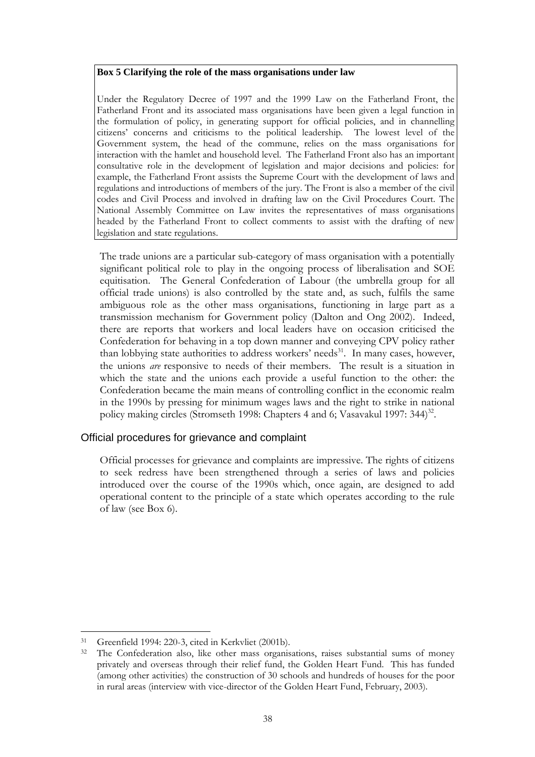#### **Box 5 Clarifying the role of the mass organisations under law**

Under the Regulatory Decree of 1997 and the 1999 Law on the Fatherland Front, the Fatherland Front and its associated mass organisations have been given a legal function in the formulation of policy, in generating support for official policies, and in channelling citizens' concerns and criticisms to the political leadership. The lowest level of the Government system, the head of the commune, relies on the mass organisations for interaction with the hamlet and household level. The Fatherland Front also has an important consultative role in the development of legislation and major decisions and policies: for example, the Fatherland Front assists the Supreme Court with the development of laws and regulations and introductions of members of the jury. The Front is also a member of the civil codes and Civil Process and involved in drafting law on the Civil Procedures Court. The National Assembly Committee on Law invites the representatives of mass organisations headed by the Fatherland Front to collect comments to assist with the drafting of new legislation and state regulations.

The trade unions are a particular sub-category of mass organisation with a potentially significant political role to play in the ongoing process of liberalisation and SOE equitisation. The General Confederation of Labour (the umbrella group for all official trade unions) is also controlled by the state and, as such, fulfils the same ambiguous role as the other mass organisations, functioning in large part as a transmission mechanism for Government policy (Dalton and Ong 2002). Indeed, there are reports that workers and local leaders have on occasion criticised the Confederation for behaving in a top down manner and conveying CPV policy rather than lobbying state authorities to address workers' needs<sup>31</sup>. In many cases, however, the unions *are* responsive to needs of their members. [Th](#page-59-0)e result is a situation in which the state and the unions each provide a useful function to the other: the Confederation became the main means of controlling conflict in the economic realm in the 1990s by pressing for minimum wages laws and the right to strike in national policy making circles (Stromseth 1998: Chapters 4 and 6; Vasavakul 1997:  $344$ [\)](#page-59-1)<sup>32</sup>[.](#page-59-1)

## Official procedures for grievance and complaint

Official processes for grievance and complaints are impressive. The rights of citizens to seek redress have been strengthened through a series of laws and policies introduced over the course of the 1990s which, once again, are designed to add operational content to the principle of a state which operates according to the rule of law (see Box 6).

<span id="page-59-0"></span> $\overline{a}$ 31 Greenfield 1994: 220-3, cited in Kerkvliet (2001b).

<span id="page-59-1"></span>The Confederation also, like other mass organisations, raises substantial sums of money privately and overseas through their relief fund, the Golden Heart Fund. This has funded (among other activities) the construction of 30 schools and hundreds of houses for the poor in rural areas (interview with vice-director of the Golden Heart Fund, February, 2003).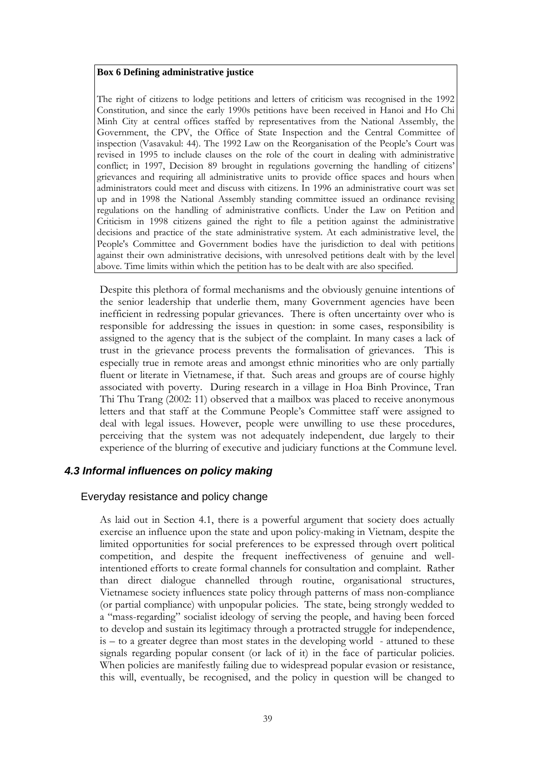#### **Box 6 Defining administrative justice**

The right of citizens to lodge petitions and letters of criticism was recognised in the 1992 Constitution, and since the early 1990s petitions have been received in Hanoi and Ho Chi Minh City at central offices staffed by representatives from the National Assembly, the Government, the CPV, the Office of State Inspection and the Central Committee of inspection (Vasavakul: 44). The 1992 Law on the Reorganisation of the People's Court was revised in 1995 to include clauses on the role of the court in dealing with administrative conflict; in 1997, Decision 89 brought in regulations governing the handling of citizens' grievances and requiring all administrative units to provide office spaces and hours when administrators could meet and discuss with citizens. In 1996 an administrative court was set up and in 1998 the National Assembly standing committee issued an ordinance revising regulations on the handling of administrative conflicts. Under the Law on Petition and Criticism in 1998 citizens gained the right to file a petition against the administrative decisions and practice of the state administrative system. At each administrative level, the People's Committee and Government bodies have the jurisdiction to deal with petitions against their own administrative decisions, with unresolved petitions dealt with by the level above. Time limits within which the petition has to be dealt with are also specified.

Despite this plethora of formal mechanisms and the obviously genuine intentions of the senior leadership that underlie them, many Government agencies have been inefficient in redressing popular grievances. There is often uncertainty over who is responsible for addressing the issues in question: in some cases, responsibility is assigned to the agency that is the subject of the complaint. In many cases a lack of trust in the grievance process prevents the formalisation of grievances. This is especially true in remote areas and amongst ethnic minorities who are only partially fluent or literate in Vietnamese, if that. Such areas and groups are of course highly associated with poverty. During research in a village in Hoa Binh Province, Tran Thi Thu Trang (2002: 11) observed that a mailbox was placed to receive anonymous letters and that staff at the Commune People's Committee staff were assigned to deal with legal issues. However, people were unwilling to use these procedures, perceiving that the system was not adequately independent, due largely to their experience of the blurring of executive and judiciary functions at the Commune level.

# *4.3 Informal influences on policy making*

## Everyday resistance and policy change

As laid out in Section 4.1, there is a powerful argument that society does actually exercise an influence upon the state and upon policy-making in Vietnam, despite the limited opportunities for social preferences to be expressed through overt political competition, and despite the frequent ineffectiveness of genuine and wellintentioned efforts to create formal channels for consultation and complaint. Rather than direct dialogue channelled through routine, organisational structures, Vietnamese society influences state policy through patterns of mass non-compliance (or partial compliance) with unpopular policies. The state, being strongly wedded to a "mass-regarding" socialist ideology of serving the people, and having been forced to develop and sustain its legitimacy through a protracted struggle for independence, is – to a greater degree than most states in the developing world - attuned to these signals regarding popular consent (or lack of it) in the face of particular policies. When policies are manifestly failing due to widespread popular evasion or resistance, this will, eventually, be recognised, and the policy in question will be changed to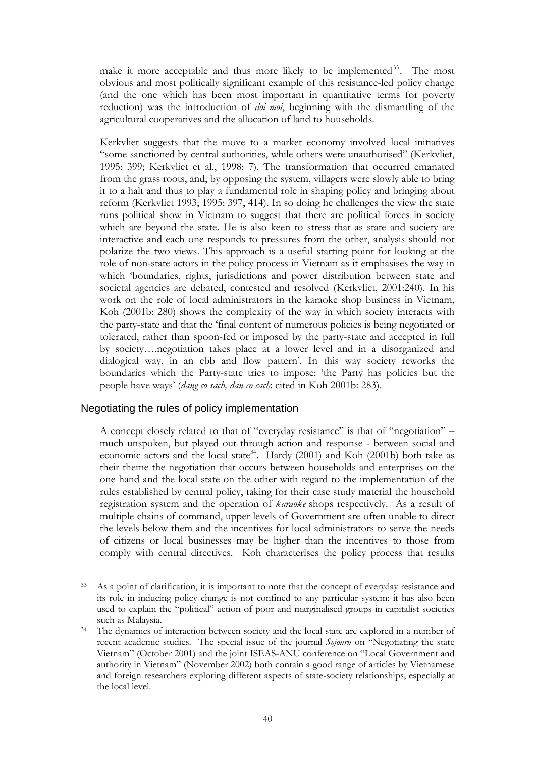make it more acceptable and thus more likely to be implemented $33$ . The most obvious and most politically significant example of this resistance-le[d p](#page-61-0)olicy change (and the one which has been most important in quantitative terms for poverty reduction) was the introduction of *doi moi*, beginning with the dismantling of the agricultural cooperatives and the allocation of land to households.

Kerkvliet suggests that the move to a market economy involved local initiatives "some sanctioned by central authorities, while others were unauthorised" (Kerkvliet, 1995: 399; Kerkvliet et al., 1998: 7). The transformation that occurred emanated from the grass roots, and, by opposing the system, villagers were slowly able to bring it to a halt and thus to play a fundamental role in shaping policy and bringing about reform (Kerkvliet 1993; 1995: 397, 414). In so doing he challenges the view the state runs political show in Vietnam to suggest that there are political forces in society which are beyond the state. He is also keen to stress that as state and society are interactive and each one responds to pressures from the other, analysis should not polarize the two views. This approach is a useful starting point for looking at the role of non-state actors in the policy process in Vietnam as it emphasises the way in which 'boundaries, rights, jurisdictions and power distribution between state and societal agencies are debated, contested and resolved (Kerkvliet, 2001:240). In his work on the role of local administrators in the karaoke shop business in Vietnam, Koh (2001b: 280) shows the complexity of the way in which society interacts with the party-state and that the 'final content of numerous policies is being negotiated or tolerated, rather than spoon-fed or imposed by the party-state and accepted in full by society….negotiation takes place at a lower level and in a disorganized and dialogical way, in an ebb and flow pattern'. In this way society reworks the boundaries which the Party-state tries to impose: 'the Party has policies but the people have ways' (*dang co sach, dan co cach*: cited in Koh 2001b: 283).

## Negotiating the rules of policy implementation

 $\overline{a}$ 

A concept closely related to that of "everyday resistance" is that of "negotiation" – much unspoken, but played out through action and response - between social and economic actors and the local state<sup>34</sup>. Hardy (2001) and Koh (2001b) both take as their theme the negotiation that oc[cur](#page-61-1)s between households and enterprises on the one hand and the local state on the other with regard to the implementation of the rules established by central policy, taking for their case study material the household registration system and the operation of *karaoke* shops respectively. As a result of multiple chains of command, upper levels of Government are often unable to direct the levels below them and the incentives for local administrators to serve the needs of citizens or local businesses may be higher than the incentives to those from comply with central directives. Koh characterises the policy process that results

<span id="page-61-0"></span><sup>33</sup> As a point of clarification, it is important to note that the concept of everyday resistance and its role in inducing policy change is not confined to any particular system: it has also been used to explain the "political" action of poor and marginalised groups in capitalist societies such as Malaysia.

<span id="page-61-1"></span><sup>&</sup>lt;sup>34</sup> The dynamics of interaction between society and the local state are explored in a number of recent academic studies. The special issue of the journal *Sojourn* on "Negotiating the state Vietnam" (October 2001) and the joint ISEAS-ANU conference on "Local Government and authority in Vietnam" (November 2002) both contain a good range of articles by Vietnamese and foreign researchers exploring different aspects of state-society relationships, especially at the local level.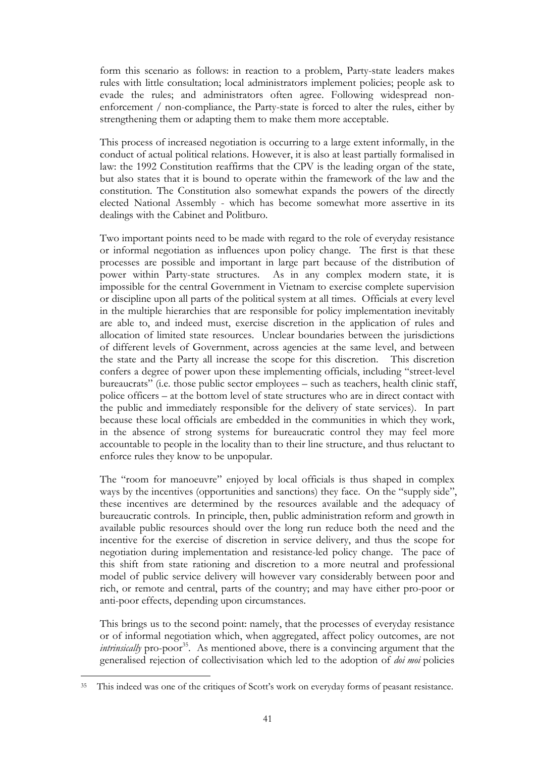form this scenario as follows: in reaction to a problem, Party-state leaders makes rules with little consultation; local administrators implement policies; people ask to evade the rules; and administrators often agree. Following widespread nonenforcement / non-compliance, the Party-state is forced to alter the rules, either by strengthening them or adapting them to make them more acceptable.

This process of increased negotiation is occurring to a large extent informally, in the conduct of actual political relations. However, it is also at least partially formalised in law: the 1992 Constitution reaffirms that the CPV is the leading organ of the state, but also states that it is bound to operate within the framework of the law and the constitution. The Constitution also somewhat expands the powers of the directly elected National Assembly - which has become somewhat more assertive in its dealings with the Cabinet and Politburo.

Two important points need to be made with regard to the role of everyday resistance or informal negotiation as influences upon policy change. The first is that these processes are possible and important in large part because of the distribution of power within Party-state structures. As in any complex modern state, it is impossible for the central Government in Vietnam to exercise complete supervision or discipline upon all parts of the political system at all times. Officials at every level in the multiple hierarchies that are responsible for policy implementation inevitably are able to, and indeed must, exercise discretion in the application of rules and allocation of limited state resources. Unclear boundaries between the jurisdictions of different levels of Government, across agencies at the same level, and between the state and the Party all increase the scope for this discretion. This discretion confers a degree of power upon these implementing officials, including "street-level bureaucrats" (i.e. those public sector employees – such as teachers, health clinic staff, police officers – at the bottom level of state structures who are in direct contact with the public and immediately responsible for the delivery of state services). In part because these local officials are embedded in the communities in which they work, in the absence of strong systems for bureaucratic control they may feel more accountable to people in the locality than to their line structure, and thus reluctant to enforce rules they know to be unpopular.

The "room for manoeuvre" enjoyed by local officials is thus shaped in complex ways by the incentives (opportunities and sanctions) they face. On the "supply side", these incentives are determined by the resources available and the adequacy of bureaucratic controls. In principle, then, public administration reform and growth in available public resources should over the long run reduce both the need and the incentive for the exercise of discretion in service delivery, and thus the scope for negotiation during implementation and resistance-led policy change. The pace of this shift from state rationing and discretion to a more neutral and professional model of public service delivery will however vary considerably between poor and rich, or remote and central, parts of the country; and may have either pro-poor or anti-poor effects, depending upon circumstances.

This brings us to the second point: namely, that the processes of everyday resistance or of informal negotiation which, when aggregated, affect policy outcomes, are not *intrinsically* pro-poor<sup>35</sup>. As mentioned above, there is a convincing argument that the generalised rejectio[n o](#page-62-0)f collectivisation which led to the adoption of *doi moi* policies

<span id="page-62-0"></span><sup>&</sup>lt;sup>35</sup> This indeed was one of the critiques of Scott's work on everyday forms of peasant resistance.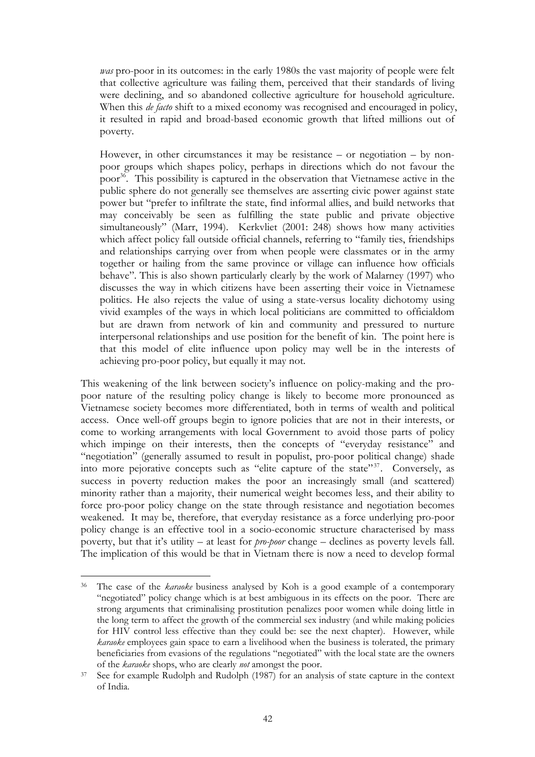*was* pro-poor in its outcomes: in the early 1980s the vast majority of people were felt that collective agriculture was failing them, perceived that their standards of living were declining, and so abandoned collective agriculture for household agriculture. When this *de facto* shift to a mixed economy was recognised and encouraged in policy, it resulted in rapid and broad-based economic growth that lifted millions out of poverty.

However, in other circumstances it may be resistance – or negotiation – by nonpoor groups which shapes policy, perhaps in directions which do not favour the poor<sup>36</sup>. This possibility is captured in the observation that Vietnamese active in the publ[ic](#page-63-0) sphere do not generally see themselves are asserting civic power against state power but "prefer to infiltrate the state, find informal allies, and build networks that may conceivably be seen as fulfilling the state public and private objective simultaneously" (Marr, 1994). Kerkvliet (2001: 248) shows how many activities which affect policy fall outside official channels, referring to "family ties, friendships and relationships carrying over from when people were classmates or in the army together or hailing from the same province or village can influence how officials behave". This is also shown particularly clearly by the work of Malarney (1997) who discusses the way in which citizens have been asserting their voice in Vietnamese politics. He also rejects the value of using a state-versus locality dichotomy using vivid examples of the ways in which local politicians are committed to officialdom but are drawn from network of kin and community and pressured to nurture interpersonal relationships and use position for the benefit of kin. The point here is that this model of elite influence upon policy may well be in the interests of achieving pro-poor policy, but equally it may not.

This weakening of the link between society's influence on policy-making and the propoor nature of the resulting policy change is likely to become more pronounced as Vietnamese society becomes more differentiated, both in terms of wealth and political access. Once well-off groups begin to ignore policies that are not in their interests, or come to working arrangements with local Government to avoid those parts of policy which impinge on their interests, then the concepts of "everyday resistance" and "negotiation" (generally assumed to result in populist, pro-poor political change) shade into more pejorative concepts such as "elite capture of the state"  $37$ . Conversely, as success in poverty reduction makes the poor an increasingly s[mall](#page-63-1) (and scattered) minority rather than a majority, their numerical weight becomes less, and their ability to force pro-poor policy change on the state through resistance and negotiation becomes weakened. It may be, therefore, that everyday resistance as a force underlying pro-poor policy change is an effective tool in a socio-economic structure characterised by mass poverty, but that it's utility – at least for *pro-poor* change – declines as poverty levels fall. The implication of this would be that in Vietnam there is now a need to develop formal

<span id="page-63-0"></span><sup>36</sup> The case of the *karaoke* business analysed by Koh is a good example of a contemporary "negotiated" policy change which is at best ambiguous in its effects on the poor. There are strong arguments that criminalising prostitution penalizes poor women while doing little in the long term to affect the growth of the commercial sex industry (and while making policies for HIV control less effective than they could be: see the next chapter). However, while *karaoke* employees gain space to earn a livelihood when the business is tolerated, the primary beneficiaries from evasions of the regulations "negotiated" with the local state are the owners of the *karaoke* shops, who are clearly *not* amongst the poor.

<span id="page-63-1"></span><sup>&</sup>lt;sup>37</sup> See for example Rudolph and Rudolph (1987) for an analysis of state capture in the context of India.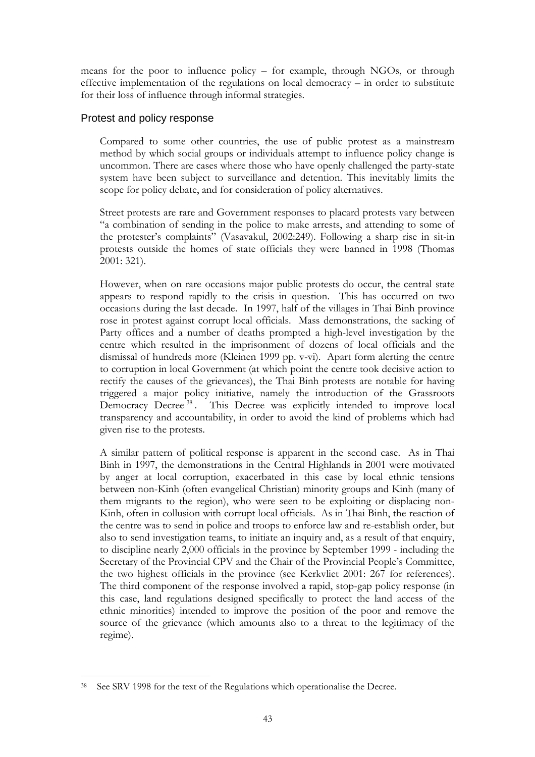means for the poor to influence policy – for example, through NGOs, or through effective implementation of the regulations on local democracy – in order to substitute for their loss of influence through informal strategies.

# Protest and policy response

Compared to some other countries, the use of public protest as a mainstream method by which social groups or individuals attempt to influence policy change is uncommon. There are cases where those who have openly challenged the party-state system have been subject to surveillance and detention. This inevitably limits the scope for policy debate, and for consideration of policy alternatives.

Street protests are rare and Government responses to placard protests vary between "a combination of sending in the police to make arrests, and attending to some of the protester's complaints" (Vasavakul, 2002:249). Following a sharp rise in sit-in protests outside the homes of state officials they were banned in 1998 (Thomas 2001: 321).

However, when on rare occasions major public protests do occur, the central state appears to respond rapidly to the crisis in question. This has occurred on two occasions during the last decade. In 1997, half of the villages in Thai Binh province rose in protest against corrupt local officials. Mass demonstrations, the sacking of Party offices and a number of deaths prompted a high-level investigation by the centre which resulted in the imprisonment of dozens of local officials and the dismissal of hundreds more (Kleinen 1999 pp. v-vi). Apart form alerting the centre to corruption in local Government (at which point the centre took decisive action to rectify the causes of the grievances), the Thai Binh protests are notable for having triggered a major policy initiative, namely the introduction of the Grassroots Democracy Decree<sup>38</sup>. This Decree was explicitly intended to improve local transparency and ac[cou](#page-64-0)ntability, in order to avoid the kind of problems which had given rise to the protests.

A similar pattern of political response is apparent in the second case. As in Thai Binh in 1997, the demonstrations in the Central Highlands in 2001 were motivated by anger at local corruption, exacerbated in this case by local ethnic tensions between non-Kinh (often evangelical Christian) minority groups and Kinh (many of them migrants to the region), who were seen to be exploiting or displacing non-Kinh, often in collusion with corrupt local officials. As in Thai Binh, the reaction of the centre was to send in police and troops to enforce law and re-establish order, but also to send investigation teams, to initiate an inquiry and, as a result of that enquiry, to discipline nearly 2,000 officials in the province by September 1999 - including the Secretary of the Provincial CPV and the Chair of the Provincial People's Committee, the two highest officials in the province (see Kerkvliet 2001: 267 for references). The third component of the response involved a rapid, stop-gap policy response (in this case, land regulations designed specifically to protect the land access of the ethnic minorities) intended to improve the position of the poor and remove the source of the grievance (which amounts also to a threat to the legitimacy of the regime).

<span id="page-64-0"></span>See SRV 1998 for the text of the Regulations which operationalise the Decree.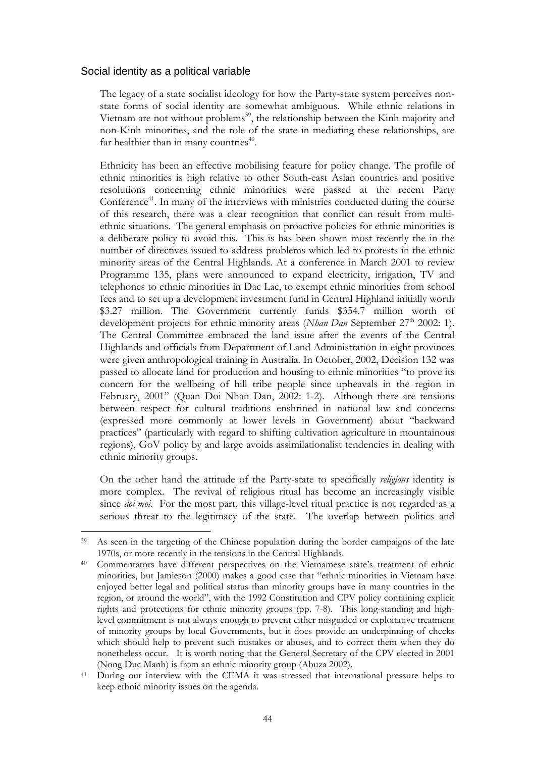## Social identity as a political variable

 $\overline{a}$ 

The legacy of a state socialist ideology for how the Party-state system perceives nonstate forms of social identity are somewhat ambiguous. While ethnic relations in Vietnam are not without problems<sup>39</sup>, the relationship between the Kinh majority and non-Kinh minorities, and the rol[e o](#page-65-0)f the state in mediating these relationships, are far healthier than in many countries $40$ .

Ethnicity has been an effective mobilising feature for policy change. The profile of ethnic minorities is high relative to other South-east Asian countries and positive resolutions concerning ethnic minorities were passed at the recent Party Conference $^{41}$ . In many of the interviews with ministries conducted during the course of this res[earc](#page-65-2)h, there was a clear recognition that conflict can result from multiethnic situations. The general emphasis on proactive policies for ethnic minorities is a deliberate policy to avoid this. This is has been shown most recently the in the number of directives issued to address problems which led to protests in the ethnic minority areas of the Central Highlands. At a conference in March 2001 to review Programme 135, plans were announced to expand electricity, irrigation, TV and telephones to ethnic minorities in Dac Lac, to exempt ethnic minorities from school fees and to set up a development investment fund in Central Highland initially worth \$3.27 million. The Government currently funds \$354.7 million worth of development projects for ethnic minority areas (*Nhan Dan* September 27<sup>th</sup> 2002: 1). The Central Committee embraced the land issue after the events of the Central Highlands and officials from Department of Land Administration in eight provinces were given anthropological training in Australia. In October, 2002, Decision 132 was passed to allocate land for production and housing to ethnic minorities "to prove its concern for the wellbeing of hill tribe people since upheavals in the region in February, 2001" (Quan Doi Nhan Dan, 2002: 1-2). Although there are tensions between respect for cultural traditions enshrined in national law and concerns (expressed more commonly at lower levels in Government) about "backward practices" (particularly with regard to shifting cultivation agriculture in mountainous regions), GoV policy by and large avoids assimilationalist tendencies in dealing with ethnic minority groups.

On the other hand the attitude of the Party-state to specifically *religious* identity is more complex. The revival of religious ritual has become an increasingly visible since *doi moi*. For the most part, this village-level ritual practice is not regarded as a serious threat to the legitimacy of the state. The overlap between politics and

<span id="page-65-0"></span><sup>39</sup> As seen in the targeting of the Chinese population during the border campaigns of the late 1970s, or more recently in the tensions in the Central Highlands.

<span id="page-65-1"></span><sup>40</sup> Commentators have different perspectives on the Vietnamese state's treatment of ethnic minorities, but Jamieson (2000) makes a good case that "ethnic minorities in Vietnam have enjoyed better legal and political status than minority groups have in many countries in the region, or around the world", with the 1992 Constitution and CPV policy containing explicit rights and protections for ethnic minority groups (pp. 7-8). This long-standing and highlevel commitment is not always enough to prevent either misguided or exploitative treatment of minority groups by local Governments, but it does provide an underpinning of checks which should help to prevent such mistakes or abuses, and to correct them when they do nonetheless occur. It is worth noting that the General Secretary of the CPV elected in 2001 (Nong Duc Manh) is from an ethnic minority group (Abuza 2002).

<span id="page-65-2"></span><sup>41</sup> During our interview with the CEMA it was stressed that international pressure helps to keep ethnic minority issues on the agenda.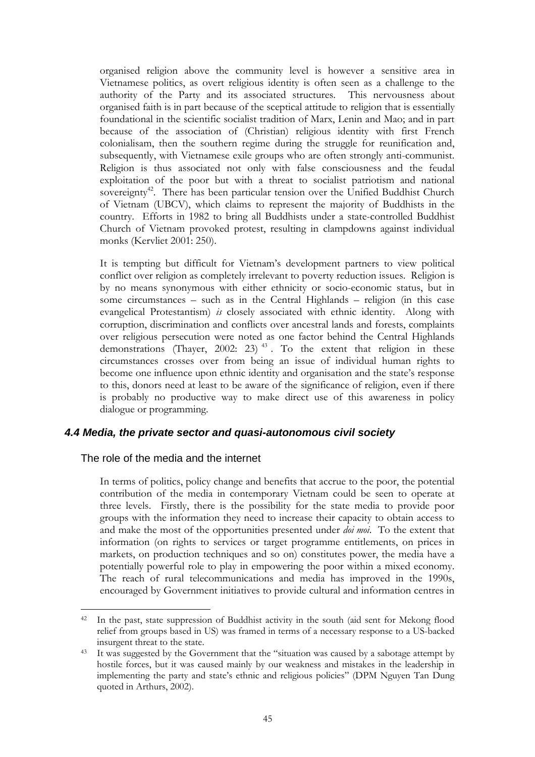organised religion above the community level is however a sensitive area in Vietnamese politics, as overt religious identity is often seen as a challenge to the authority of the Party and its associated structures. This nervousness about organised faith is in part because of the sceptical attitude to religion that is essentially foundational in the scientific socialist tradition of Marx, Lenin and Mao; and in part because of the association of (Christian) religious identity with first French colonialisam, then the southern regime during the struggle for reunification and, subsequently, with Vietnamese exile groups who are often strongly anti-communist. Religion is thus associated not only with false consciousness and the feudal exploitation of the poor but with a threat to socialist patriotism and national sovereignty<sup>42</sup>. There has been particular tension over the Unified Buddhist Church of Vietna[m \(](#page-66-0)UBCV), which claims to represent the majority of Buddhists in the country. Efforts in 1982 to bring all Buddhists under a state-controlled Buddhist Church of Vietnam provoked protest, resulting in clampdowns against individual monks (Kervliet 2001: 250).

It is tempting but difficult for Vietnam's development partners to view political conflict over religion as completely irrelevant to poverty reduction issues. Religion is by no means synonymous with either ethnicity or socio-economic status, but in some circumstances – such as in the Central Highlands – religion (in this case evangelical Protestantism) *is* closely associated with ethnic identity. Along with corruption, discrimination and conflicts over ancestral lands and forests, complaints over religious persecution were noted as one factor behind the Central Highlands demonstrations (Thayer, 2002: 23)<sup>43</sup>. To the extent that religion in these circumstances crosses over from be[ing](#page-66-1) an issue of individual human rights to become one influence upon ethnic identity and organisation and the state's response to this, donors need at least to be aware of the significance of religion, even if there is probably no productive way to make direct use of this awareness in policy dialogue or programming.

## *4.4 Media, the private sector and quasi-autonomous civil society*

## The role of the media and the internet

 $\overline{a}$ 

In terms of politics, policy change and benefits that accrue to the poor, the potential contribution of the media in contemporary Vietnam could be seen to operate at three levels. Firstly, there is the possibility for the state media to provide poor groups with the information they need to increase their capacity to obtain access to and make the most of the opportunities presented under *doi moi*. To the extent that information (on rights to services or target programme entitlements, on prices in markets, on production techniques and so on) constitutes power, the media have a potentially powerful role to play in empowering the poor within a mixed economy. The reach of rural telecommunications and media has improved in the 1990s, encouraged by Government initiatives to provide cultural and information centres in

<span id="page-66-0"></span><sup>42</sup> In the past, state suppression of Buddhist activity in the south (aid sent for Mekong flood relief from groups based in US) was framed in terms of a necessary response to a US-backed

<span id="page-66-1"></span>insurgent threat to the state.<br><sup>43</sup> It was suggested by the Government that the "situation was caused by a sabotage attempt by hostile forces, but it was caused mainly by our weakness and mistakes in the leadership in implementing the party and state's ethnic and religious policies" (DPM Nguyen Tan Dung quoted in Arthurs, 2002).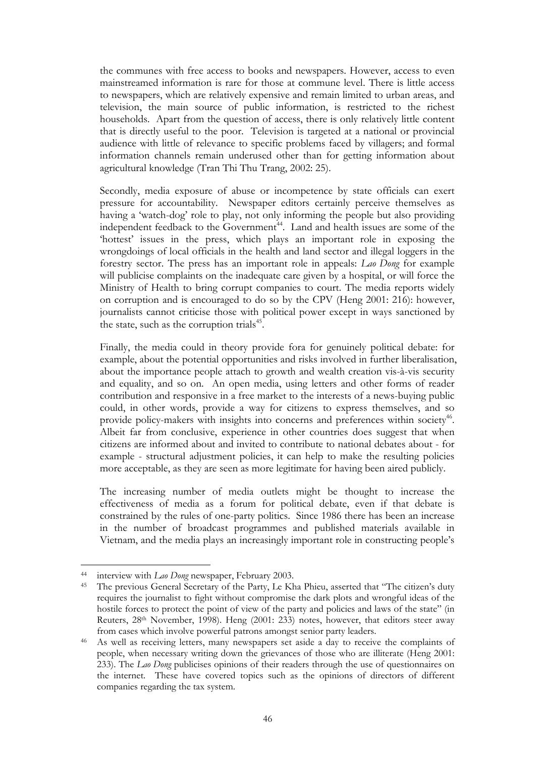the communes with free access to books and newspapers. However, access to even mainstreamed information is rare for those at commune level. There is little access to newspapers, which are relatively expensive and remain limited to urban areas, and television, the main source of public information, is restricted to the richest households. Apart from the question of access, there is only relatively little content that is directly useful to the poor. Television is targeted at a national or provincial audience with little of relevance to specific problems faced by villagers; and formal information channels remain underused other than for getting information about agricultural knowledge (Tran Thi Thu Trang, 2002: 25).

Secondly, media exposure of abuse or incompetence by state officials can exert pressure for accountability. Newspaper editors certainly perceive themselves as having a 'watch-dog' role to play, not only informing the people but also providing independent feedback to the Government<sup>44</sup>. Land and health issues are some of the 'hottest' issues in the press, which pl[ays](#page-67-0) an important role in exposing the wrongdoings of local officials in the health and land sector and illegal loggers in the forestry sector. The press has an important role in appeals: *Lao Dong* for example will publicise complaints on the inadequate care given by a hospital, or will force the Ministry of Health to bring corrupt companies to court. The media reports widely on corruption and is encouraged to do so by the CPV (Heng 2001: 216): however, journalists cannot criticise those with political power except in ways sanctioned by the [s](#page-67-1)tate, such as the corruption trials<sup>45</sup>[.](#page-67-1)

Finally, the media could in theory provide fora for genuinely political debate: for example, about the potential opportunities and risks involved in further liberalisation, about the importance people attach to growth and wealth creation vis-à-vis security and equality, and so on. An open media, using letters and other forms of reader contribution and responsive in a free market to the interests of a news-buying public could, in other words, provide a way for citizens to express themselves, and so provide policy-makers with insights into concerns and preferences within society<sup>46</sup>. Albeit far from conclusive, experience in other countries does suggest that wh[en](#page-67-2) citizens are informed about and invited to contribute to national debates about - for example - structural adjustment policies, it can help to make the resulting policies more acceptable, as they are seen as more legitimate for having been aired publicly.

The increasing number of media outlets might be thought to increase the effectiveness of media as a forum for political debate, even if that debate is constrained by the rules of one-party politics. Since 1986 there has been an increase in the number of broadcast programmes and published materials available in Vietnam, and the media plays an increasingly important role in constructing people's

<span id="page-67-0"></span><sup>44</sup> interview with *Lao Dong* newspaper, February 2003.

<span id="page-67-1"></span><sup>&</sup>lt;sup>45</sup> The previous General Secretary of the Party, Le Kha Phieu, asserted that "The citizen's duty requires the journalist to fight without compromise the dark plots and wrongful ideas of the hostile forces to protect the point of view of the party and policies and laws of the state" (in Reuters, 28th November, 1998). Heng (2001: 233) notes, however, that editors steer away from cases which involve powerful patrons amongst senior party leaders.

<span id="page-67-2"></span><sup>46</sup> As well as receiving letters, many newspapers set aside a day to receive the complaints of people, when necessary writing down the grievances of those who are illiterate (Heng 2001: 233). The *Lao Dong* publicises opinions of their readers through the use of questionnaires on the internet. These have covered topics such as the opinions of directors of different companies regarding the tax system.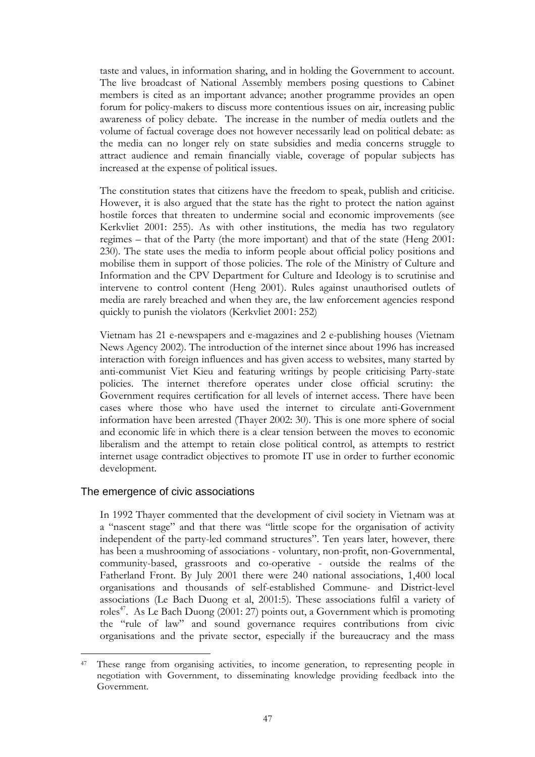taste and values, in information sharing, and in holding the Government to account. The live broadcast of National Assembly members posing questions to Cabinet members is cited as an important advance; another programme provides an open forum for policy-makers to discuss more contentious issues on air, increasing public awareness of policy debate. The increase in the number of media outlets and the volume of factual coverage does not however necessarily lead on political debate: as the media can no longer rely on state subsidies and media concerns struggle to attract audience and remain financially viable, coverage of popular subjects has increased at the expense of political issues.

The constitution states that citizens have the freedom to speak, publish and criticise. However, it is also argued that the state has the right to protect the nation against hostile forces that threaten to undermine social and economic improvements (see Kerkvliet 2001: 255). As with other institutions, the media has two regulatory regimes – that of the Party (the more important) and that of the state (Heng 2001: 230). The state uses the media to inform people about official policy positions and mobilise them in support of those policies. The role of the Ministry of Culture and Information and the CPV Department for Culture and Ideology is to scrutinise and intervene to control content (Heng 2001). Rules against unauthorised outlets of media are rarely breached and when they are, the law enforcement agencies respond quickly to punish the violators (Kerkvliet 2001: 252)

Vietnam has 21 e-newspapers and e-magazines and 2 e-publishing houses (Vietnam News Agency 2002). The introduction of the internet since about 1996 has increased interaction with foreign influences and has given access to websites, many started by anti-communist Viet Kieu and featuring writings by people criticising Party-state policies. The internet therefore operates under close official scrutiny: the Government requires certification for all levels of internet access. There have been cases where those who have used the internet to circulate anti-Government information have been arrested (Thayer 2002: 30). This is one more sphere of social and economic life in which there is a clear tension between the moves to economic liberalism and the attempt to retain close political control, as attempts to restrict internet usage contradict objectives to promote IT use in order to further economic development.

## The emergence of civic associations

 $\overline{a}$ 

In 1992 Thayer commented that the development of civil society in Vietnam was at a "nascent stage" and that there was "little scope for the organisation of activity independent of the party-led command structures". Ten years later, however, there has been a mushrooming of associations - voluntary, non-profit, non-Governmental, community-based, grassroots and co-operative - outside the realms of the Fatherland Front. By July 2001 there were 240 national associations, 1,400 local organisations and thousands of self-established Commune- and District-level associations (Le Bach Duong et al, 2001:5). These associations fulfil a variety of roles<sup>47</sup>. As Le Bach Duong (2001: 27) points out, a Government which is promoting the ["r](#page-68-0)ule of law" and sound governance requires contributions from civic organisations and the private sector, especially if the bureaucracy and the mass

<span id="page-68-0"></span><sup>&</sup>lt;sup>47</sup> These range from organising activities, to income generation, to representing people in negotiation with Government, to disseminating knowledge providing feedback into the Government.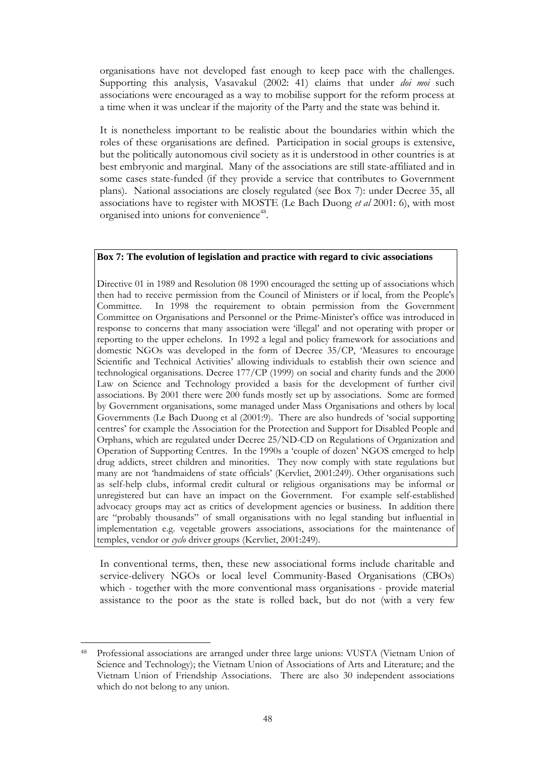organisations have not developed fast enough to keep pace with the challenges. Supporting this analysis, Vasavakul (2002: 41) claims that under *doi moi* such associations were encouraged as a way to mobilise support for the reform process at a time when it was unclear if the majority of the Party and the state was behind it.

It is nonetheless important to be realistic about the boundaries within which the roles of these organisations are defined. Participation in social groups is extensive, but the politically autonomous civil society as it is understood in other countries is at best embryonic and marginal. Many of the associations are still state-affiliated and in some cases state-funded (if they provide a service that contributes to Government plans). National associations are closely regulated (see Box 7): under Decree 35, all associations have to register with MOSTE (Le Bach Duong *et al* 2001: 6), with most organis[e](#page-69-0)d into unions for convenience<sup>48</sup>.

#### **Box 7: The evolution of legislation and practice with regard to civic associations**

Directive 01 in 1989 and Resolution 08 1990 encouraged the setting up of associations which then had to receive permission from the Council of Ministers or if local, from the People's Committee. In 1998 the requirement to obtain permission from the Government Committee on Organisations and Personnel or the Prime-Minister's office was introduced in response to concerns that many association were 'illegal' and not operating with proper or reporting to the upper echelons. In 1992 a legal and policy framework for associations and domestic NGOs was developed in the form of Decree 35/CP, 'Measures to encourage Scientific and Technical Activities' allowing individuals to establish their own science and technological organisations. Decree 177/CP (1999) on social and charity funds and the 2000 Law on Science and Technology provided a basis for the development of further civil associations. By 2001 there were 200 funds mostly set up by associations. Some are formed by Government organisations, some managed under Mass Organisations and others by local Governments (Le Bach Duong et al (2001:9). There are also hundreds of 'social supporting centres' for example the Association for the Protection and Support for Disabled People and Orphans, which are regulated under Decree 25/ND-CD on Regulations of Organization and Operation of Supporting Centres. In the 1990s a 'couple of dozen' NGOS emerged to help drug addicts, street children and minorities. They now comply with state regulations but many are not 'handmaidens of state officials' (Kervliet, 2001:249). Other organisations such as self-help clubs, informal credit cultural or religious organisations may be informal or unregistered but can have an impact on the Government. For example self-established advocacy groups may act as critics of development agencies or business. In addition there are "probably thousands" of small organisations with no legal standing but influential in implementation e.g. vegetable growers associations, associations for the maintenance of temples, vendor or *cyclo* driver groups (Kervliet, 2001:249).

In conventional terms, then, these new associational forms include charitable and service-delivery NGOs or local level Community-Based Organisations (CBOs) which - together with the more conventional mass organisations - provide material assistance to the poor as the state is rolled back, but do not (with a very few

<span id="page-69-0"></span><sup>48</sup> Professional associations are arranged under three large unions: VUSTA (Vietnam Union of Science and Technology); the Vietnam Union of Associations of Arts and Literature; and the Vietnam Union of Friendship Associations. There are also 30 independent associations which do not belong to any union.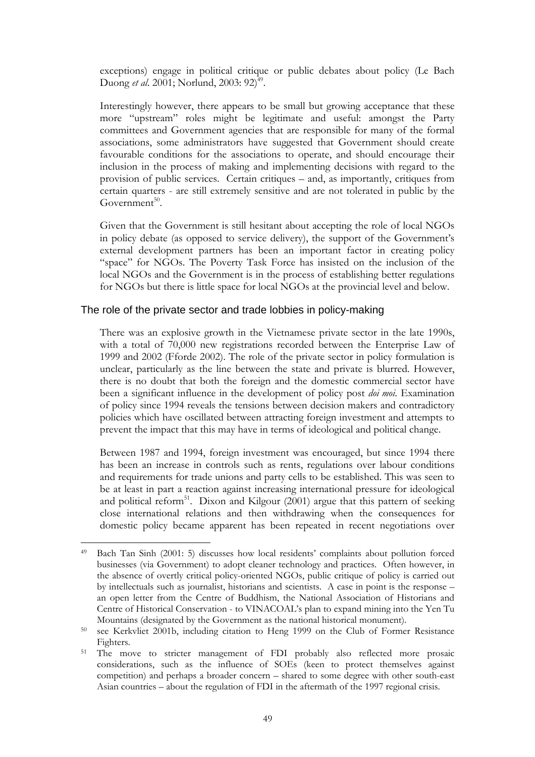exceptions) engage in political critique or public debates about policy (Le Bach Duong *et al.* 2001; Norlund, 2003: 92)<sup>49</sup>.

Interestingly however, there appears to be small but growing acceptance that these more "upstream" roles might be legitimate and useful: amongst the Party committees and Government agencies that are responsible for many of the formal associations, some administrators have suggested that Government should create favourable conditions for the associations to operate, and should encourage their inclusion in the process of making and implementing decisions with regard to the provision of public services. Certain critiques – and, as importantly, critiques from certain quarters - are still extremely sensitive and are not tolerated in public by the  $Goverment<sup>50</sup>$  $Goverment<sup>50</sup>$  $Goverment<sup>50</sup>$ [.](#page-70-1)

Given that the Government is still hesitant about accepting the role of local NGOs in policy debate (as opposed to service delivery), the support of the Government's external development partners has been an important factor in creating policy "space" for NGOs. The Poverty Task Force has insisted on the inclusion of the local NGOs and the Government is in the process of establishing better regulations for NGOs but there is little space for local NGOs at the provincial level and below.

## The role of the private sector and trade lobbies in policy-making

There was an explosive growth in the Vietnamese private sector in the late 1990s, with a total of 70,000 new registrations recorded between the Enterprise Law of 1999 and 2002 (Fforde 2002). The role of the private sector in policy formulation is unclear, particularly as the line between the state and private is blurred. However, there is no doubt that both the foreign and the domestic commercial sector have been a significant influence in the development of policy post *doi moi*. Examination of policy since 1994 reveals the tensions between decision makers and contradictory policies which have oscillated between attracting foreign investment and attempts to prevent the impact that this may have in terms of ideological and political change.

Between 1987 and 1994, foreign investment was encouraged, but since 1994 there has been an increase in controls such as rents, regulations over labour conditions and requirements for trade unions and party cells to be established. This was seen to be at least in part a reaction against increasing international pressure for ideological and political reform<sup>51</sup>. Dixon and Kilgour  $(2001)$  argue that this pattern of seeking close international [re](#page-70-2)lations and then withdrawing when the consequences for domestic policy became apparent has been repeated in recent negotiations over

<span id="page-70-0"></span><sup>49</sup> Bach Tan Sinh (2001: 5) discusses how local residents' complaints about pollution forced businesses (via Government) to adopt cleaner technology and practices. Often however, in the absence of overtly critical policy-oriented NGOs, public critique of policy is carried out by intellectuals such as journalist, historians and scientists. A case in point is the response – an open letter from the Centre of Buddhism, the National Association of Historians and Centre of Historical Conservation - to VINACOAL's plan to expand mining into the Yen Tu Mountains (designated by the Government as the national historical monument).

<span id="page-70-1"></span><sup>50</sup> see Kerkvliet 2001b, including citation to Heng 1999 on the Club of Former Resistance Fighters.

<span id="page-70-2"></span><sup>&</sup>lt;sup>51</sup> The move to stricter management of FDI probably also reflected more prosaic considerations, such as the influence of SOEs (keen to protect themselves against competition) and perhaps a broader concern – shared to some degree with other south-east Asian countries – about the regulation of FDI in the aftermath of the 1997 regional crisis.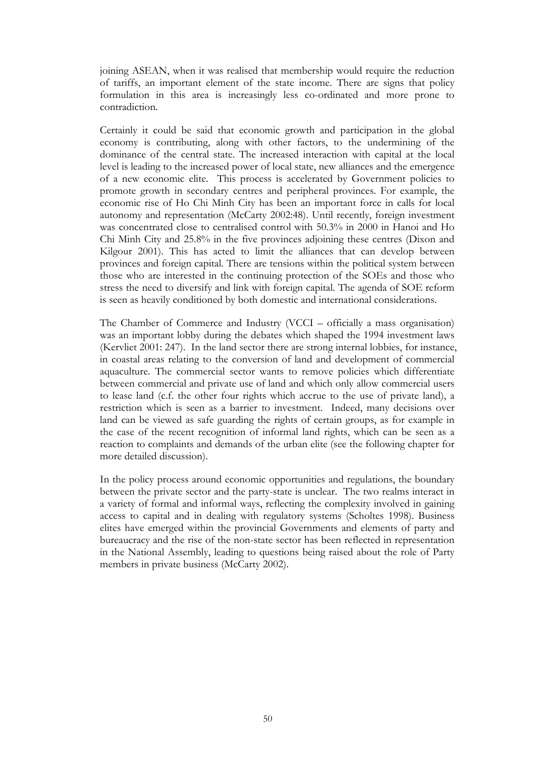joining ASEAN, when it was realised that membership would require the reduction of tariffs, an important element of the state income. There are signs that policy formulation in this area is increasingly less co-ordinated and more prone to contradiction.

Certainly it could be said that economic growth and participation in the global economy is contributing, along with other factors, to the undermining of the dominance of the central state. The increased interaction with capital at the local level is leading to the increased power of local state, new alliances and the emergence of a new economic elite. This process is accelerated by Government policies to promote growth in secondary centres and peripheral provinces. For example, the economic rise of Ho Chi Minh City has been an important force in calls for local autonomy and representation (McCarty 2002:48). Until recently, foreign investment was concentrated close to centralised control with 50.3% in 2000 in Hanoi and Ho Chi Minh City and 25.8% in the five provinces adjoining these centres (Dixon and Kilgour 2001). This has acted to limit the alliances that can develop between provinces and foreign capital. There are tensions within the political system between those who are interested in the continuing protection of the SOEs and those who stress the need to diversify and link with foreign capital. The agenda of SOE reform is seen as heavily conditioned by both domestic and international considerations.

The Chamber of Commerce and Industry (VCCI – officially a mass organisation) was an important lobby during the debates which shaped the 1994 investment laws (Kervliet 2001: 247). In the land sector there are strong internal lobbies, for instance, in coastal areas relating to the conversion of land and development of commercial aquaculture. The commercial sector wants to remove policies which differentiate between commercial and private use of land and which only allow commercial users to lease land (c.f. the other four rights which accrue to the use of private land), a restriction which is seen as a barrier to investment. Indeed, many decisions over land can be viewed as safe guarding the rights of certain groups, as for example in the case of the recent recognition of informal land rights, which can be seen as a reaction to complaints and demands of the urban elite (see the following chapter for more detailed discussion).

In the policy process around economic opportunities and regulations, the boundary between the private sector and the party-state is unclear. The two realms interact in a variety of formal and informal ways, reflecting the complexity involved in gaining access to capital and in dealing with regulatory systems (Scholtes 1998). Business elites have emerged within the provincial Governments and elements of party and bureaucracy and the rise of the non-state sector has been reflected in representation in the National Assembly, leading to questions being raised about the role of Party members in private business (McCarty 2002).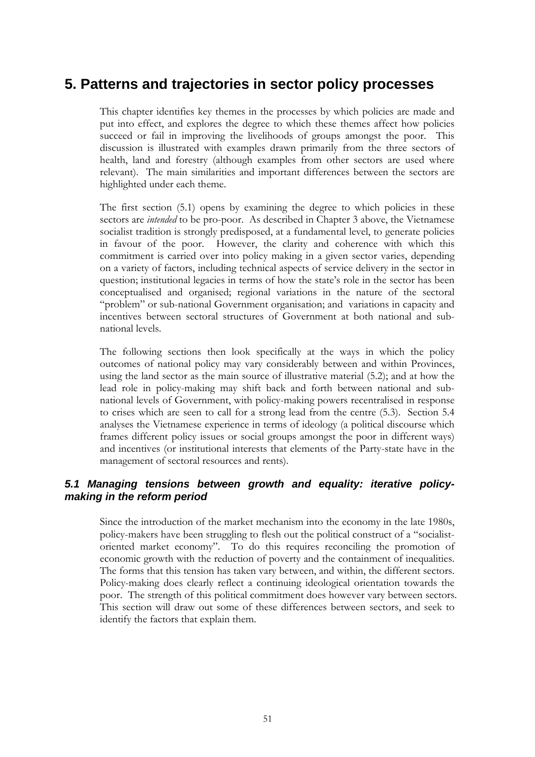# **5. Patterns and trajectories in sector policy processes**

This chapter identifies key themes in the processes by which policies are made and put into effect, and explores the degree to which these themes affect how policies succeed or fail in improving the livelihoods of groups amongst the poor. This discussion is illustrated with examples drawn primarily from the three sectors of health, land and forestry (although examples from other sectors are used where relevant). The main similarities and important differences between the sectors are highlighted under each theme.

The first section (5.1) opens by examining the degree to which policies in these sectors are *intended* to be pro-poor. As described in Chapter 3 above, the Vietnamese socialist tradition is strongly predisposed, at a fundamental level, to generate policies in favour of the poor. However, the clarity and coherence with which this commitment is carried over into policy making in a given sector varies, depending on a variety of factors, including technical aspects of service delivery in the sector in question; institutional legacies in terms of how the state's role in the sector has been conceptualised and organised; regional variations in the nature of the sectoral "problem" or sub-national Government organisation; and variations in capacity and incentives between sectoral structures of Government at both national and subnational levels.

The following sections then look specifically at the ways in which the policy outcomes of national policy may vary considerably between and within Provinces, using the land sector as the main source of illustrative material (5.2); and at how the lead role in policy-making may shift back and forth between national and subnational levels of Government, with policy-making powers recentralised in response to crises which are seen to call for a strong lead from the centre (5.3). Section 5.4 analyses the Vietnamese experience in terms of ideology (a political discourse which frames different policy issues or social groups amongst the poor in different ways) and incentives (or institutional interests that elements of the Party-state have in the management of sectoral resources and rents).

## *5.1 Managing tensions between growth and equality: iterative policymaking in the reform period*

Since the introduction of the market mechanism into the economy in the late 1980s, policy-makers have been struggling to flesh out the political construct of a "socialistoriented market economy". To do this requires reconciling the promotion of economic growth with the reduction of poverty and the containment of inequalities. The forms that this tension has taken vary between, and within, the different sectors. Policy-making does clearly reflect a continuing ideological orientation towards the poor. The strength of this political commitment does however vary between sectors. This section will draw out some of these differences between sectors, and seek to identify the factors that explain them.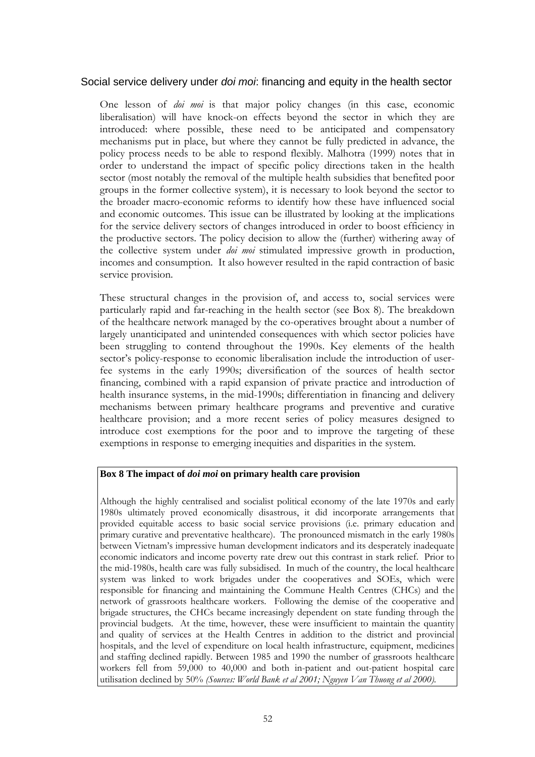## Social service delivery under *doi moi*: financing and equity in the health sector

One lesson of *doi moi* is that major policy changes (in this case, economic liberalisation) will have knock-on effects beyond the sector in which they are introduced: where possible, these need to be anticipated and compensatory mechanisms put in place, but where they cannot be fully predicted in advance, the policy process needs to be able to respond flexibly. Malhotra (1999) notes that in order to understand the impact of specific policy directions taken in the health sector (most notably the removal of the multiple health subsidies that benefited poor groups in the former collective system), it is necessary to look beyond the sector to the broader macro-economic reforms to identify how these have influenced social and economic outcomes. This issue can be illustrated by looking at the implications for the service delivery sectors of changes introduced in order to boost efficiency in the productive sectors. The policy decision to allow the (further) withering away of the collective system under *doi moi* stimulated impressive growth in production, incomes and consumption. It also however resulted in the rapid contraction of basic service provision.

These structural changes in the provision of, and access to, social services were particularly rapid and far-reaching in the health sector (see Box 8). The breakdown of the healthcare network managed by the co-operatives brought about a number of largely unanticipated and unintended consequences with which sector policies have been struggling to contend throughout the 1990s. Key elements of the health sector's policy-response to economic liberalisation include the introduction of userfee systems in the early 1990s; diversification of the sources of health sector financing, combined with a rapid expansion of private practice and introduction of health insurance systems, in the mid-1990s; differentiation in financing and delivery mechanisms between primary healthcare programs and preventive and curative healthcare provision; and a more recent series of policy measures designed to introduce cost exemptions for the poor and to improve the targeting of these exemptions in response to emerging inequities and disparities in the system.

#### **Box 8 The impact of** *doi moi* **on primary health care provision**

Although the highly centralised and socialist political economy of the late 1970s and early 1980s ultimately proved economically disastrous, it did incorporate arrangements that provided equitable access to basic social service provisions (i.e. primary education and primary curative and preventative healthcare). The pronounced mismatch in the early 1980s between Vietnam's impressive human development indicators and its desperately inadequate economic indicators and income poverty rate drew out this contrast in stark relief. Prior to the mid-1980s, health care was fully subsidised. In much of the country, the local healthcare system was linked to work brigades under the cooperatives and SOEs, which were responsible for financing and maintaining the Commune Health Centres (CHCs) and the network of grassroots healthcare workers. Following the demise of the cooperative and brigade structures, the CHCs became increasingly dependent on state funding through the provincial budgets. At the time, however, these were insufficient to maintain the quantity and quality of services at the Health Centres in addition to the district and provincial hospitals, and the level of expenditure on local health infrastructure, equipment, medicines and staffing declined rapidly. Between 1985 and 1990 the number of grassroots healthcare workers fell from 59,000 to 40,000 and both in-patient and out-patient hospital care utilisation declined by 50% *(Sources: World Bank et al 2001; Nguyen Van Thuong et al 2000).*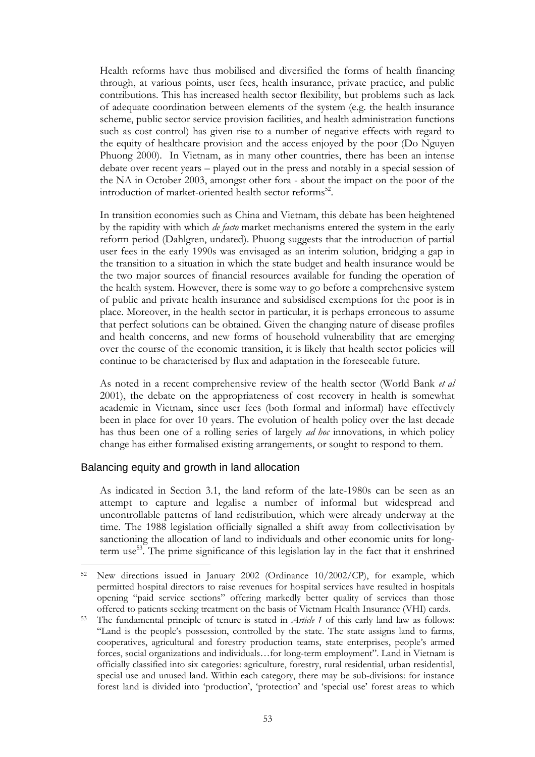Health reforms have thus mobilised and diversified the forms of health financing through, at various points, user fees, health insurance, private practice, and public contributions. This has increased health sector flexibility, but problems such as lack of adequate coordination between elements of the system (e.g. the health insurance scheme, public sector service provision facilities, and health administration functions such as cost control) has given rise to a number of negative effects with regard to the equity of healthcare provision and the access enjoyed by the poor (Do Nguyen Phuong 2000). In Vietnam, as in many other countries, there has been an intense debate over recent years – played out in the press and notably in a special session of the NA in October 2003, amongst other fora - about the impact on the poor of the introduction of market-oriented health [s](#page-74-0)ector reforms $52$ .

In transition economies such as China and Vietnam, this debate has been heightened by the rapidity with which *de facto* market mechanisms entered the system in the early reform period (Dahlgren, undated). Phuong suggests that the introduction of partial user fees in the early 1990s was envisaged as an interim solution, bridging a gap in the transition to a situation in which the state budget and health insurance would be the two major sources of financial resources available for funding the operation of the health system. However, there is some way to go before a comprehensive system of public and private health insurance and subsidised exemptions for the poor is in place. Moreover, in the health sector in particular, it is perhaps erroneous to assume that perfect solutions can be obtained. Given the changing nature of disease profiles and health concerns, and new forms of household vulnerability that are emerging over the course of the economic transition, it is likely that health sector policies will continue to be characterised by flux and adaptation in the foreseeable future.

As noted in a recent comprehensive review of the health sector (World Bank *et al*  2001), the debate on the appropriateness of cost recovery in health is somewhat academic in Vietnam, since user fees (both formal and informal) have effectively been in place for over 10 years. The evolution of health policy over the last decade has thus been one of a rolling series of largely *ad hoc* innovations, in which policy change has either formalised existing arrangements, or sought to respond to them.

#### Balancing equity and growth in land allocation

 $\overline{a}$ 

As indicated in Section 3.1, the land reform of the late-1980s can be seen as an attempt to capture and legalise a number of informal but widespread and uncontrollable patterns of land redistribution, which were already underway at the time. The 1988 legislation officially signalled a shift away from collectivisation by sanctioning the allocation of land to individuals and other economic units for long-term use<sup>53</sup>[.](#page-74-1) The prime significance of this legislation lay in the fact that it enshrined

<span id="page-74-0"></span><sup>52</sup> New directions issued in January 2002 (Ordinance 10/2002/CP), for example, which permitted hospital directors to raise revenues for hospital services have resulted in hospitals opening "paid service sections" offering markedly better quality of services than those offered to patients seeking treatment on the basis of Vietnam Health Insurance (VHI) cards.

<span id="page-74-1"></span><sup>53</sup> The fundamental principle of tenure is stated in *Article 1* of this early land law as follows: "Land is the people's possession, controlled by the state. The state assigns land to farms, cooperatives, agricultural and forestry production teams, state enterprises, people's armed forces, social organizations and individuals…for long-term employment". Land in Vietnam is officially classified into six categories: agriculture, forestry, rural residential, urban residential, special use and unused land. Within each category, there may be sub-divisions: for instance forest land is divided into 'production', 'protection' and 'special use' forest areas to which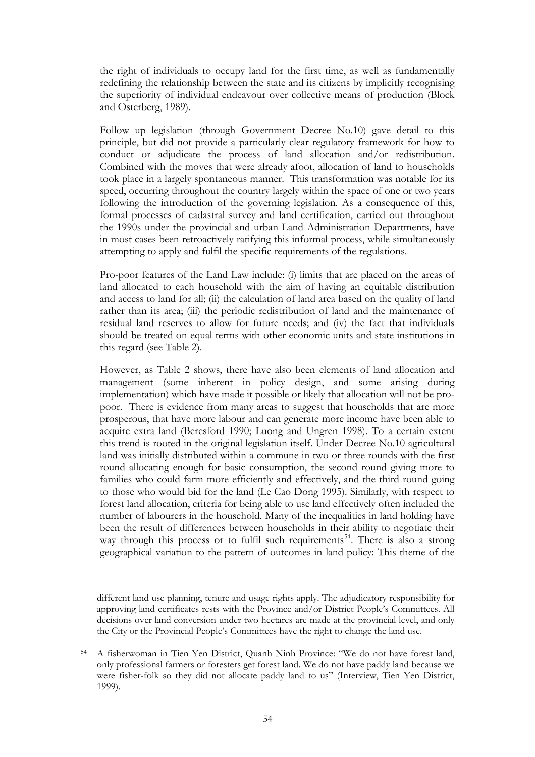the right of individuals to occupy land for the first time, as well as fundamentally redefining the relationship between the state and its citizens by implicitly recognising the superiority of individual endeavour over collective means of production (Block and Osterberg, 1989).

Follow up legislation (through Government Decree No.10) gave detail to this principle, but did not provide a particularly clear regulatory framework for how to conduct or adjudicate the process of land allocation and/or redistribution. Combined with the moves that were already afoot, allocation of land to households took place in a largely spontaneous manner. This transformation was notable for its speed, occurring throughout the country largely within the space of one or two years following the introduction of the governing legislation. As a consequence of this, formal processes of cadastral survey and land certification, carried out throughout the 1990s under the provincial and urban Land Administration Departments, have in most cases been retroactively ratifying this informal process, while simultaneously attempting to apply and fulfil the specific requirements of the regulations.

Pro-poor features of the Land Law include: (i) limits that are placed on the areas of land allocated to each household with the aim of having an equitable distribution and access to land for all; (ii) the calculation of land area based on the quality of land rather than its area; (iii) the periodic redistribution of land and the maintenance of residual land reserves to allow for future needs; and (iv) the fact that individuals should be treated on equal terms with other economic units and state institutions in this regard (see Table 2).

However, as Table 2 shows, there have also been elements of land allocation and management (some inherent in policy design, and some arising during implementation) which have made it possible or likely that allocation will not be propoor. There is evidence from many areas to suggest that households that are more prosperous, that have more labour and can generate more income have been able to acquire extra land (Beresford 1990; Luong and Ungren 1998). To a certain extent this trend is rooted in the original legislation itself. Under Decree No.10 agricultural land was initially distributed within a commune in two or three rounds with the first round allocating enough for basic consumption, the second round giving more to families who could farm more efficiently and effectively, and the third round going to those who would bid for the land (Le Cao Dong 1995). Similarly, with respect to forest land allocation, criteria for being able to use land effectively often included the number of labourers in the household. Many of the inequalities in land holding have been the result of differences between households in their ability to negotiate their way through this process or to fulfil such requirements<sup>54</sup>. There is also a strong geographical variation to the pattern of outcomes in land [po](#page-75-0)licy: This theme of the

1

different land use planning, tenure and usage rights apply. The adjudicatory responsibility for approving land certificates rests with the Province and/or District People's Committees. All decisions over land conversion under two hectares are made at the provincial level, and only the City or the Provincial People's Committees have the right to change the land use.

<span id="page-75-0"></span><sup>54</sup> A fisherwoman in Tien Yen District, Quanh Ninh Province: "We do not have forest land, only professional farmers or foresters get forest land. We do not have paddy land because we were fisher-folk so they did not allocate paddy land to us" (Interview, Tien Yen District, 1999).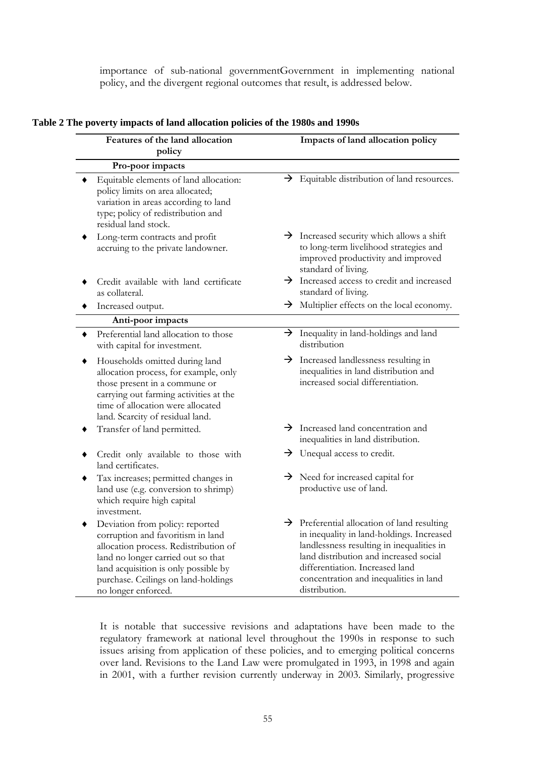importance of sub-national governmentGovernment in implementing national policy, and the divergent regional outcomes that result, is addressed below.

| Features of the land allocation<br>policy                                                                                                                                                                                                                 | Impacts of land allocation policy                                                                                                                                                                                                                                                         |
|-----------------------------------------------------------------------------------------------------------------------------------------------------------------------------------------------------------------------------------------------------------|-------------------------------------------------------------------------------------------------------------------------------------------------------------------------------------------------------------------------------------------------------------------------------------------|
| Pro-poor impacts                                                                                                                                                                                                                                          |                                                                                                                                                                                                                                                                                           |
| Equitable elements of land allocation:<br>policy limits on area allocated;<br>variation in areas according to land<br>type; policy of redistribution and<br>residual land stock.                                                                          | $\rightarrow$ Equitable distribution of land resources.                                                                                                                                                                                                                                   |
| Long-term contracts and profit<br>accruing to the private landowner.                                                                                                                                                                                      | $\rightarrow$ Increased security which allows a shift<br>to long-term livelihood strategies and<br>improved productivity and improved<br>standard of living.                                                                                                                              |
| Credit available with land certificate<br>as collateral.                                                                                                                                                                                                  | $\rightarrow$ Increased access to credit and increased<br>standard of living.                                                                                                                                                                                                             |
| Increased output.                                                                                                                                                                                                                                         | $\rightarrow$ Multiplier effects on the local economy.                                                                                                                                                                                                                                    |
| Anti-poor impacts                                                                                                                                                                                                                                         |                                                                                                                                                                                                                                                                                           |
| Preferential land allocation to those<br>with capital for investment.                                                                                                                                                                                     | $\rightarrow$ Inequality in land-holdings and land<br>distribution                                                                                                                                                                                                                        |
| Households omitted during land<br>allocation process, for example, only<br>those present in a commune or<br>carrying out farming activities at the<br>time of allocation were allocated<br>land. Scarcity of residual land.                               | $\rightarrow$ Increased landlessness resulting in<br>inequalities in land distribution and<br>increased social differentiation.                                                                                                                                                           |
| Transfer of land permitted.                                                                                                                                                                                                                               | $\rightarrow$ Increased land concentration and<br>inequalities in land distribution.                                                                                                                                                                                                      |
| Credit only available to those with<br>land certificates.                                                                                                                                                                                                 | $\rightarrow$ Unequal access to credit.                                                                                                                                                                                                                                                   |
| Tax increases; permitted changes in<br>land use (e.g. conversion to shrimp)<br>which require high capital<br>investment.                                                                                                                                  | $\rightarrow$ Need for increased capital for<br>productive use of land.                                                                                                                                                                                                                   |
| Deviation from policy: reported<br>corruption and favoritism in land<br>allocation process. Redistribution of<br>land no longer carried out so that<br>land acquisition is only possible by<br>purchase. Ceilings on land-holdings<br>no longer enforced. | $\rightarrow$ Preferential allocation of land resulting<br>in inequality in land-holdings. Increased<br>landlessness resulting in inequalities in<br>land distribution and increased social<br>differentiation. Increased land<br>concentration and inequalities in land<br>distribution. |

#### **Table 2 The poverty impacts of land allocation policies of the 1980s and 1990s**

It is notable that successive revisions and adaptations have been made to the regulatory framework at national level throughout the 1990s in response to such issues arising from application of these policies, and to emerging political concerns over land. Revisions to the Land Law were promulgated in 1993, in 1998 and again in 2001, with a further revision currently underway in 2003. Similarly, progressive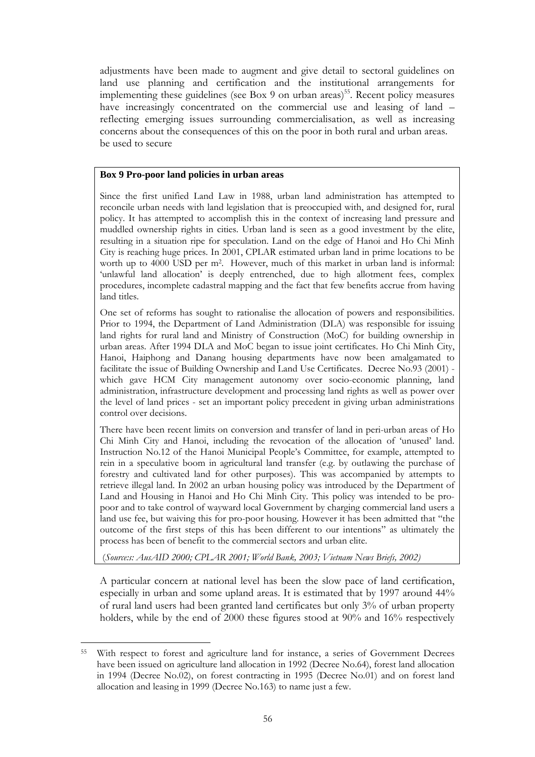adjustments have been made to augment and give detail to sectoral guidelines on land use planning and certification and the institutional arrangements for implementing these guidelines (see Box 9 on urban areas)<sup>55</sup>. Recent policy measures have increasingly concentrated on the commercial us[e](#page-77-0) and leasing of land – reflecting emerging issues surrounding commercialisation, as well as increasing concerns about the consequences of this on the poor in both rural and urban areas. be used to secure

#### **Box 9 Pro-poor land policies in urban areas**

Since the first unified Land Law in 1988, urban land administration has attempted to reconcile urban needs with land legislation that is preoccupied with, and designed for, rural policy. It has attempted to accomplish this in the context of increasing land pressure and muddled ownership rights in cities. Urban land is seen as a good investment by the elite, resulting in a situation ripe for speculation. Land on the edge of Hanoi and Ho Chi Minh City is reaching huge prices. In 2001, CPLAR estimated urban land in prime locations to be worth up to 4000 USD per m<sup>2</sup>. However, much of this market in urban land is informal: 'unlawful land allocation' is deeply entrenched, due to high allotment fees, complex procedures, incomplete cadastral mapping and the fact that few benefits accrue from having land titles.

One set of reforms has sought to rationalise the allocation of powers and responsibilities. Prior to 1994, the Department of Land Administration (DLA) was responsible for issuing land rights for rural land and Ministry of Construction (MoC) for building ownership in urban areas. After 1994 DLA and MoC began to issue joint certificates. Ho Chi Minh City, Hanoi, Haiphong and Danang housing departments have now been amalgamated to facilitate the issue of Building Ownership and Land Use Certificates. Decree No.93 (2001) which gave HCM City management autonomy over socio-economic planning, land administration, infrastructure development and processing land rights as well as power over the level of land prices - set an important policy precedent in giving urban administrations control over decisions.

There have been recent limits on conversion and transfer of land in peri-urban areas of Ho Chi Minh City and Hanoi, including the revocation of the allocation of 'unused' land. Instruction No.12 of the Hanoi Municipal People's Committee, for example, attempted to rein in a speculative boom in agricultural land transfer (e.g. by outlawing the purchase of forestry and cultivated land for other purposes). This was accompanied by attempts to retrieve illegal land. In 2002 an urban housing policy was introduced by the Department of Land and Housing in Hanoi and Ho Chi Minh City. This policy was intended to be propoor and to take control of wayward local Government by charging commercial land users a land use fee, but waiving this for pro-poor housing. However it has been admitted that "the outcome of the first steps of this has been different to our intentions" as ultimately the process has been of benefit to the commercial sectors and urban elite.

(*Source:s: AusAID 2000; CPLAR 2001; World Bank, 2003; Vietnam News Briefs, 2002)*

A particular concern at national level has been the slow pace of land certification, especially in urban and some upland areas. It is estimated that by 1997 around 44% of rural land users had been granted land certificates but only 3% of urban property holders, while by the end of 2000 these figures stood at 90% and 16% respectively

 $\overline{a}$ 

<span id="page-77-0"></span><sup>55</sup> With respect to forest and agriculture land for instance, a series of Government Decrees have been issued on agriculture land allocation in 1992 (Decree No.64), forest land allocation in 1994 (Decree No.02), on forest contracting in 1995 (Decree No.01) and on forest land allocation and leasing in 1999 (Decree No.163) to name just a few.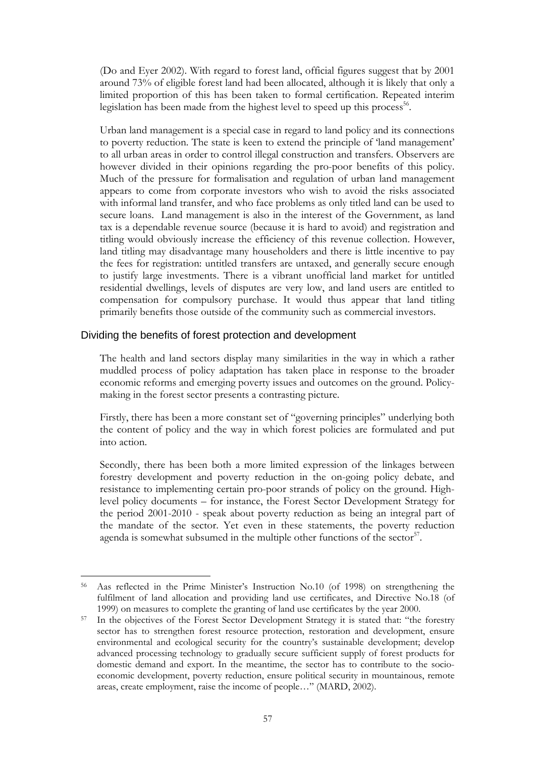(Do and Eyer 2002). With regard to forest land, official figures suggest that by 2001 around 73% of eligible forest land had been allocated, although it is likely that only a limited proportion of this has been taken to formal certification. Repeated interim legi[s](#page-78-0)lation has been made from the highest level to speed up this process<sup>56</sup>.

Urban land management is a special case in regard to land policy and its connections to poverty reduction. The state is keen to extend the principle of 'land management' to all urban areas in order to control illegal construction and transfers. Observers are however divided in their opinions regarding the pro-poor benefits of this policy. Much of the pressure for formalisation and regulation of urban land management appears to come from corporate investors who wish to avoid the risks associated with informal land transfer, and who face problems as only titled land can be used to secure loans. Land management is also in the interest of the Government, as land tax is a dependable revenue source (because it is hard to avoid) and registration and titling would obviously increase the efficiency of this revenue collection. However, land titling may disadvantage many householders and there is little incentive to pay the fees for registration: untitled transfers are untaxed, and generally secure enough to justify large investments. There is a vibrant unofficial land market for untitled residential dwellings, levels of disputes are very low, and land users are entitled to compensation for compulsory purchase. It would thus appear that land titling primarily benefits those outside of the community such as commercial investors.

### Dividing the benefits of forest protection and development

 $\overline{a}$ 

The health and land sectors display many similarities in the way in which a rather muddled process of policy adaptation has taken place in response to the broader economic reforms and emerging poverty issues and outcomes on the ground. Policymaking in the forest sector presents a contrasting picture.

Firstly, there has been a more constant set of "governing principles" underlying both the content of policy and the way in which forest policies are formulated and put into action.

Secondly, there has been both a more limited expression of the linkages between forestry development and poverty reduction in the on-going policy debate, and resistance to implementing certain pro-poor strands of policy on the ground. Highlevel policy documents – for instance, the Forest Sector Development Strategy for the period 2001-2010 - speak about poverty reduction as being an integral part of the mandate of the sector. Yet even in these statements, the poverty reduction agenda is somewhat subsumed in the multiple other functions of the sector<sup>57</sup>.

<span id="page-78-0"></span><sup>56</sup> Aas reflected in the Prime Minister's Instruction No.10 (of 1998) on strengthening the fulfilment of land allocation and providing land use certificates, and Directive No.18 (of 1999) on measures to complete the granting of land use certificates by the year 2000. 57 In the objectives of the Forest Sector Development Strategy it is stated that: "the forestry

<span id="page-78-1"></span>sector has to strengthen forest resource protection, restoration and development, ensure environmental and ecological security for the country's sustainable development; develop advanced processing technology to gradually secure sufficient supply of forest products for domestic demand and export. In the meantime, the sector has to contribute to the socioeconomic development, poverty reduction, ensure political security in mountainous, remote areas, create employment, raise the income of people…" (MARD, 2002).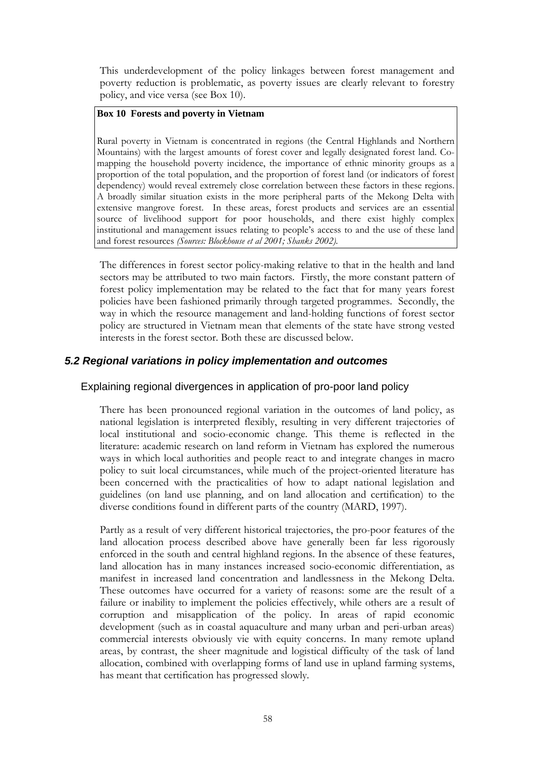This underdevelopment of the policy linkages between forest management and poverty reduction is problematic, as poverty issues are clearly relevant to forestry policy, and vice versa (see Box 10).

#### **Box 10 Forests and poverty in Vietnam**

Rural poverty in Vietnam is concentrated in regions (the Central Highlands and Northern Mountains) with the largest amounts of forest cover and legally designated forest land. Comapping the household poverty incidence, the importance of ethnic minority groups as a proportion of the total population, and the proportion of forest land (or indicators of forest dependency) would reveal extremely close correlation between these factors in these regions. A broadly similar situation exists in the more peripheral parts of the Mekong Delta with extensive mangrove forest. In these areas, forest products and services are an essential source of livelihood support for poor households, and there exist highly complex institutional and management issues relating to people's access to and the use of these land and forest resources *(Sources: Blockhouse et al 2001; Shanks 2002).* 

The differences in forest sector policy-making relative to that in the health and land sectors may be attributed to two main factors. Firstly, the more constant pattern of forest policy implementation may be related to the fact that for many years forest policies have been fashioned primarily through targeted programmes. Secondly, the way in which the resource management and land-holding functions of forest sector policy are structured in Vietnam mean that elements of the state have strong vested interests in the forest sector. Both these are discussed below.

# *5.2 Regional variations in policy implementation and outcomes*

### Explaining regional divergences in application of pro-poor land policy

There has been pronounced regional variation in the outcomes of land policy, as national legislation is interpreted flexibly, resulting in very different trajectories of local institutional and socio-economic change. This theme is reflected in the literature: academic research on land reform in Vietnam has explored the numerous ways in which local authorities and people react to and integrate changes in macro policy to suit local circumstances, while much of the project-oriented literature has been concerned with the practicalities of how to adapt national legislation and guidelines (on land use planning, and on land allocation and certification) to the diverse conditions found in different parts of the country (MARD, 1997).

Partly as a result of very different historical trajectories, the pro-poor features of the land allocation process described above have generally been far less rigorously enforced in the south and central highland regions. In the absence of these features, land allocation has in many instances increased socio-economic differentiation, as manifest in increased land concentration and landlessness in the Mekong Delta. These outcomes have occurred for a variety of reasons: some are the result of a failure or inability to implement the policies effectively, while others are a result of corruption and misapplication of the policy. In areas of rapid economic development (such as in coastal aquaculture and many urban and peri-urban areas) commercial interests obviously vie with equity concerns. In many remote upland areas, by contrast, the sheer magnitude and logistical difficulty of the task of land allocation, combined with overlapping forms of land use in upland farming systems, has meant that certification has progressed slowly.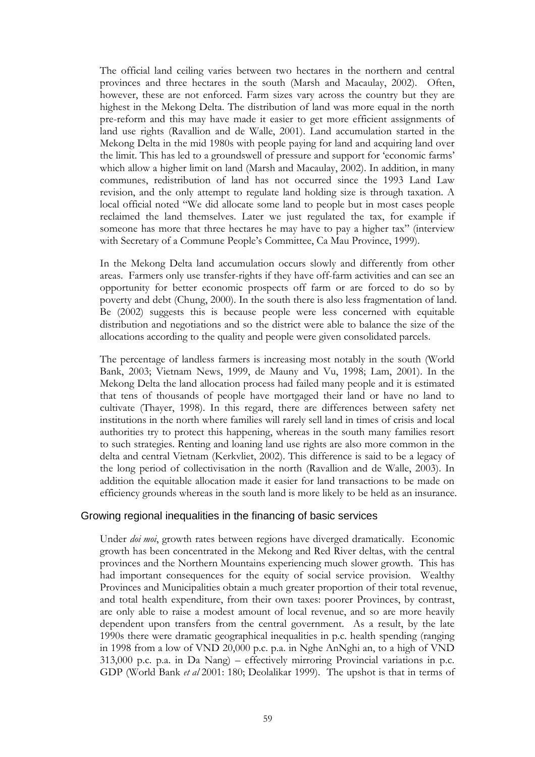The official land ceiling varies between two hectares in the northern and central provinces and three hectares in the south (Marsh and Macaulay, 2002). Often, however, these are not enforced. Farm sizes vary across the country but they are highest in the Mekong Delta. The distribution of land was more equal in the north pre-reform and this may have made it easier to get more efficient assignments of land use rights (Ravallion and de Walle, 2001). Land accumulation started in the Mekong Delta in the mid 1980s with people paying for land and acquiring land over the limit. This has led to a groundswell of pressure and support for 'economic farms' which allow a higher limit on land (Marsh and Macaulay, 2002). In addition, in many communes, redistribution of land has not occurred since the 1993 Land Law revision, and the only attempt to regulate land holding size is through taxation. A local official noted "We did allocate some land to people but in most cases people reclaimed the land themselves. Later we just regulated the tax, for example if someone has more that three hectares he may have to pay a higher tax" (interview with Secretary of a Commune People's Committee, Ca Mau Province, 1999).

In the Mekong Delta land accumulation occurs slowly and differently from other areas. Farmers only use transfer-rights if they have off-farm activities and can see an opportunity for better economic prospects off farm or are forced to do so by poverty and debt (Chung, 2000). In the south there is also less fragmentation of land. Be (2002) suggests this is because people were less concerned with equitable distribution and negotiations and so the district were able to balance the size of the allocations according to the quality and people were given consolidated parcels.

The percentage of landless farmers is increasing most notably in the south (World Bank, 2003; Vietnam News, 1999, de Mauny and Vu, 1998; Lam, 2001). In the Mekong Delta the land allocation process had failed many people and it is estimated that tens of thousands of people have mortgaged their land or have no land to cultivate (Thayer, 1998). In this regard, there are differences between safety net institutions in the north where families will rarely sell land in times of crisis and local authorities try to protect this happening, whereas in the south many families resort to such strategies. Renting and loaning land use rights are also more common in the delta and central Vietnam (Kerkvliet, 2002). This difference is said to be a legacy of the long period of collectivisation in the north (Ravallion and de Walle, 2003). In addition the equitable allocation made it easier for land transactions to be made on efficiency grounds whereas in the south land is more likely to be held as an insurance.

#### Growing regional inequalities in the financing of basic services

Under *doi moi*, growth rates between regions have diverged dramatically. Economic growth has been concentrated in the Mekong and Red River deltas, with the central provinces and the Northern Mountains experiencing much slower growth. This has had important consequences for the equity of social service provision. Wealthy Provinces and Municipalities obtain a much greater proportion of their total revenue, and total health expenditure, from their own taxes: poorer Provinces, by contrast, are only able to raise a modest amount of local revenue, and so are more heavily dependent upon transfers from the central government. As a result, by the late 1990s there were dramatic geographical inequalities in p.c. health spending (ranging in 1998 from a low of VND 20,000 p.c. p.a. in Nghe AnNghi an, to a high of VND 313,000 p.c. p.a. in Da Nang) – effectively mirroring Provincial variations in p.c. GDP (World Bank *et al* 2001: 180; Deolalikar 1999). The upshot is that in terms of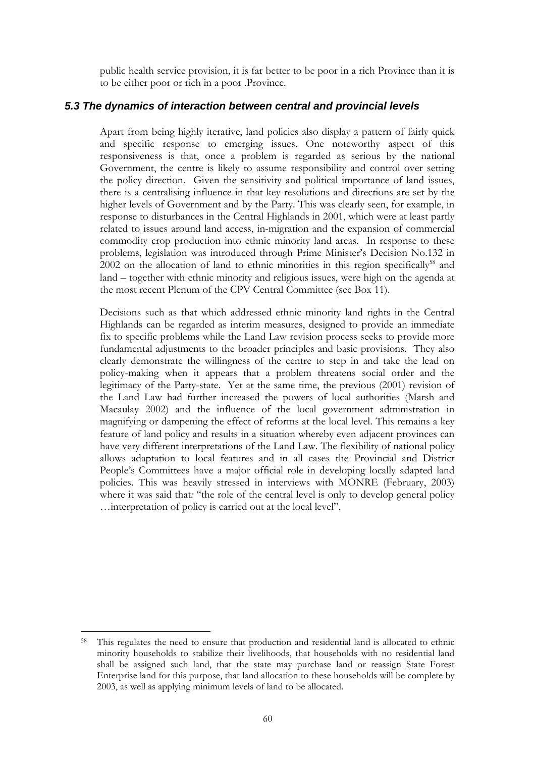public health service provision, it is far better to be poor in a rich Province than it is to be either poor or rich in a poor .Province.

## *5.3 The dynamics of interaction between central and provincial levels*

Apart from being highly iterative, land policies also display a pattern of fairly quick and specific response to emerging issues. One noteworthy aspect of this responsiveness is that, once a problem is regarded as serious by the national Government, the centre is likely to assume responsibility and control over setting the policy direction. Given the sensitivity and political importance of land issues, there is a centralising influence in that key resolutions and directions are set by the higher levels of Government and by the Party. This was clearly seen, for example, in response to disturbances in the Central Highlands in 2001, which were at least partly related to issues around land access, in-migration and the expansion of commercial commodity crop production into ethnic minority land areas. In response to these problems, legislation was introduced through Prime Minister's Decision No.132 in  $2002$  on the allocation of land to ethnic minorities in this region specifically<sup>58</sup> and land – together with ethnic minority and religious issues, were high on the age[nd](#page-81-0)a at the most recent Plenum of the CPV Central Committee (see Box 11).

Decisions such as that which addressed ethnic minority land rights in the Central Highlands can be regarded as interim measures, designed to provide an immediate fix to specific problems while the Land Law revision process seeks to provide more fundamental adjustments to the broader principles and basic provisions. They also clearly demonstrate the willingness of the centre to step in and take the lead on policy-making when it appears that a problem threatens social order and the legitimacy of the Party-state. Yet at the same time, the previous (2001) revision of the Land Law had further increased the powers of local authorities (Marsh and Macaulay 2002) and the influence of the local government administration in magnifying or dampening the effect of reforms at the local level. This remains a key feature of land policy and results in a situation whereby even adjacent provinces can have very different interpretations of the Land Law. The flexibility of national policy allows adaptation to local features and in all cases the Provincial and District People's Committees have a major official role in developing locally adapted land policies. This was heavily stressed in interviews with MONRE (February, 2003) where it was said that: "the role of the central level is only to develop general policy …interpretation of policy is carried out at the local level".

 $\overline{a}$ 

<span id="page-81-0"></span><sup>58</sup> This regulates the need to ensure that production and residential land is allocated to ethnic minority households to stabilize their livelihoods, that households with no residential land shall be assigned such land, that the state may purchase land or reassign State Forest Enterprise land for this purpose, that land allocation to these households will be complete by 2003, as well as applying minimum levels of land to be allocated.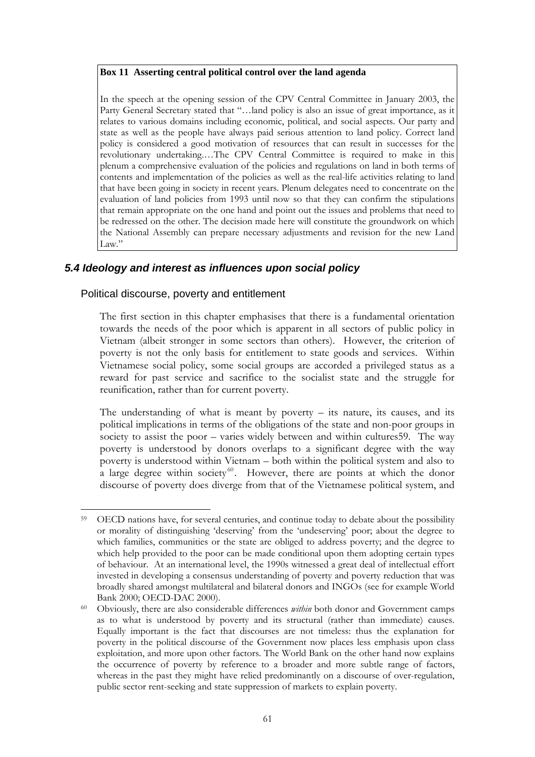#### **Box 11 Asserting central political control over the land agenda**

In the speech at the opening session of the CPV Central Committee in January 2003, the Party General Secretary stated that "…land policy is also an issue of great importance, as it relates to various domains including economic, political, and social aspects. Our party and state as well as the people have always paid serious attention to land policy. Correct land policy is considered a good motivation of resources that can result in successes for the revolutionary undertaking.…The CPV Central Committee is required to make in this plenum a comprehensive evaluation of the policies and regulations on land in both terms of contents and implementation of the policies as well as the real-life activities relating to land that have been going in society in recent years. Plenum delegates need to concentrate on the evaluation of land policies from 1993 until now so that they can confirm the stipulations that remain appropriate on the one hand and point out the issues and problems that need to be redressed on the other. The decision made here will constitute the groundwork on which the National Assembly can prepare necessary adjustments and revision for the new Land Law."

# *5.4 Ideology and interest as influences upon social policy*

## Political discourse, poverty and entitlement

The first section in this chapter emphasises that there is a fundamental orientation towards the needs of the poor which is apparent in all sectors of public policy in Vietnam (albeit stronger in some sectors than others). However, the criterion of poverty is not the only basis for entitlement to state goods and services. Within Vietnamese social policy, some social groups are accorded a privileged status as a reward for past service and sacrifice to the socialist state and the struggle for reunification, rather than for current poverty.

The understanding of what is meant by poverty – its nature, its causes, and its political implications in terms of the obligations of the state and non-poor groups in society to assist the poor – varies widely between and within cultures59. The way poverty is understood by donors overlaps to a significant degree [with](#page-82-0) the way poverty is understood within Vietnam – both within the political system and also to a large degree within society<sup>60</sup>. However, there are points at which the donor discourse of poverty does div[erg](#page-82-1)e from that of the Vietnamese political system, and

<span id="page-82-0"></span> $\overline{a}$ <sup>59</sup> OECD nations have, for several centuries, and continue today to debate about the possibility or morality of distinguishing 'deserving' from the 'undeserving' poor; about the degree to which families, communities or the state are obliged to address poverty; and the degree to which help provided to the poor can be made conditional upon them adopting certain types of behaviour. At an international level, the 1990s witnessed a great deal of intellectual effort invested in developing a consensus understanding of poverty and poverty reduction that was broadly shared amongst multilateral and bilateral donors and INGOs (see for example World Bank 2000; OECD-DAC 2000).

<span id="page-82-1"></span><sup>60</sup> Obviously, there are also considerable differences *within* both donor and Government camps as to what is understood by poverty and its structural (rather than immediate) causes. Equally important is the fact that discourses are not timeless: thus the explanation for poverty in the political discourse of the Government now places less emphasis upon class exploitation, and more upon other factors. The World Bank on the other hand now explains the occurrence of poverty by reference to a broader and more subtle range of factors, whereas in the past they might have relied predominantly on a discourse of over-regulation, public sector rent-seeking and state suppression of markets to explain poverty.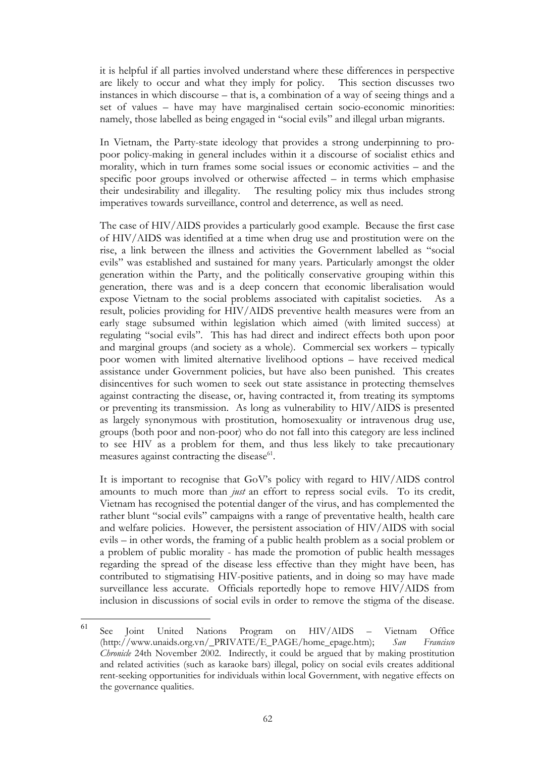it is helpful if all parties involved understand where these differences in perspective are likely to occur and what they imply for policy. This section discusses two instances in which discourse – that is, a combination of a way of seeing things and a set of values – have may have marginalised certain socio-economic minorities: namely, those labelled as being engaged in "social evils" and illegal urban migrants.

In Vietnam, the Party-state ideology that provides a strong underpinning to propoor policy-making in general includes within it a discourse of socialist ethics and morality, which in turn frames some social issues or economic activities – and the specific poor groups involved or otherwise affected – in terms which emphasise their undesirability and illegality. The resulting policy mix thus includes strong imperatives towards surveillance, control and deterrence, as well as need.

The case of HIV/AIDS provides a particularly good example. Because the first case of HIV/AIDS was identified at a time when drug use and prostitution were on the rise, a link between the illness and activities the Government labelled as "social evils" was established and sustained for many years. Particularly amongst the older generation within the Party, and the politically conservative grouping within this generation, there was and is a deep concern that economic liberalisation would expose Vietnam to the social problems associated with capitalist societies. As a result, policies providing for HIV/AIDS preventive health measures were from an early stage subsumed within legislation which aimed (with limited success) at regulating "social evils". This has had direct and indirect effects both upon poor and marginal groups (and society as a whole). Commercial sex workers – typically poor women with limited alternative livelihood options – have received medical assistance under Government policies, but have also been punished. This creates disincentives for such women to seek out state assistance in protecting themselves against contracting the disease, or, having contracted it, from treating its symptoms or preventing its transmission. As long as vulnerability to HIV/AIDS is presented as largely synonymous with prostitution, homosexuality or intravenous drug use, groups (both poor and non-poor) who do not fall into this category are less inclined to see HIV as a problem for them, and thus less likely to take precautionary m[e](#page-83-0)asures against contracting the disease<sup>61</sup>[.](#page-83-0)

It is important to recognise that GoV's policy with regard to HIV/AIDS control amounts to much more than *just* an effort to repress social evils. To its credit, Vietnam has recognised the potential danger of the virus, and has complemented the rather blunt "social evils" campaigns with a range of preventative health, health care and welfare policies. However, the persistent association of HIV/AIDS with social evils – in other words, the framing of a public health problem as a social problem or a problem of public morality - has made the promotion of public health messages regarding the spread of the disease less effective than they might have been, has contributed to stigmatising HIV-positive patients, and in doing so may have made surveillance less accurate. Officials reportedly hope to remove HIV/AIDS from inclusion in discussions of social evils in order to remove the stigma of the disease.

<span id="page-83-0"></span><sup>61</sup> <sup>61</sup> See Joint United Nations Program on HIV/AIDS – Vietnam Office (http://www.unaids.org.vn/\_PRIVATE/E\_PAGE/home\_epage.htm); *San Francisco Chronicle* 24th November 2002. Indirectly, it could be argued that by making prostitution and related activities (such as karaoke bars) illegal, policy on social evils creates additional rent-seeking opportunities for individuals within local Government, with negative effects on the governance qualities.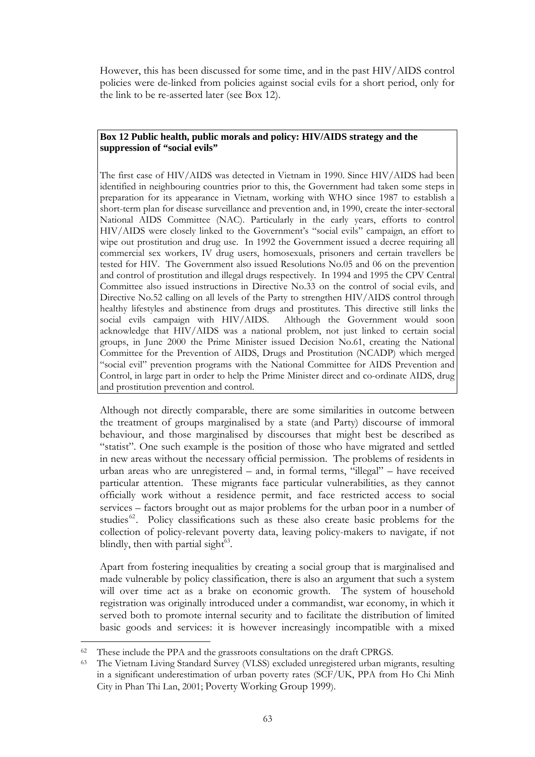However, this has been discussed for some time, and in the past HIV/AIDS control policies were de-linked from policies against social evils for a short period, only for the link to be re-asserted later (see Box 12).

#### **Box 12 Public health, public morals and policy: HIV/AIDS strategy and the suppression of "social evils"**

The first case of HIV/AIDS was detected in Vietnam in 1990. Since HIV/AIDS had been identified in neighbouring countries prior to this, the Government had taken some steps in preparation for its appearance in Vietnam, working with WHO since 1987 to establish a short-term plan for disease surveillance and prevention and, in 1990, create the inter-sectoral National AIDS Committee (NAC). Particularly in the early years, efforts to control HIV/AIDS were closely linked to the Government's "social evils" campaign, an effort to wipe out prostitution and drug use. In 1992 the Government issued a decree requiring all commercial sex workers, IV drug users, homosexuals, prisoners and certain travellers be tested for HIV. The Government also issued Resolutions No.05 and 06 on the prevention and control of prostitution and illegal drugs respectively. In 1994 and 1995 the CPV Central Committee also issued instructions in Directive No.33 on the control of social evils, and Directive No.52 calling on all levels of the Party to strengthen HIV/AIDS control through healthy lifestyles and abstinence from drugs and prostitutes. This directive still links the social evils campaign with HIV/AIDS. Although the Government would soon acknowledge that HIV/AIDS was a national problem, not just linked to certain social groups, in June 2000 the Prime Minister issued Decision No.61, creating the National Committee for the Prevention of AIDS, Drugs and Prostitution (NCADP) which merged "social evil" prevention programs with the National Committee for AIDS Prevention and Control, in large part in order to help the Prime Minister direct and co-ordinate AIDS, drug and prostitution prevention and control.

Although not directly comparable, there are some similarities in outcome between the treatment of groups marginalised by a state (and Party) discourse of immoral behaviour, and those marginalised by discourses that might best be described as "statist". One such example is the position of those who have migrated and settled in new areas without the necessary official permission. The problems of residents in urban areas who are unregistered – and, in formal terms, "illegal" – have received particular attention. These migrants face particular vulnerabilities, as they cannot officially work without a residence permit, and face restricted access to social services – factors brought out as major problems for the urban poor in a number of studies<sup>62</sup>. Policy classifications such as these also create basic problems for the collecti[on](#page-84-0) of policy-relevant poverty data, leaving policy-makers to navigate, if not blindly, then with partial sight $^{63}$ .

Apart from fostering inequalities by creating a social group that is marginalised and made vulnerable by policy classification, there is also an argument that such a system will over time act as a brake on economic growth. The system of household registration was originally introduced under a commandist, war economy, in which it served both to promote internal security and to facilitate the distribution of limited basic goods and services: it is however increasingly incompatible with a mixed

 $\overline{a}$ 

<span id="page-84-0"></span><sup>62</sup> These include the PPA and the grassroots consultations on the draft CPRGS.

<span id="page-84-1"></span><sup>63</sup> The Vietnam Living Standard Survey (VLSS) excluded unregistered urban migrants, resulting in a significant underestimation of urban poverty rates (SCF/UK, PPA from Ho Chi Minh City in Phan Thi Lan, 2001; Poverty Working Group 1999).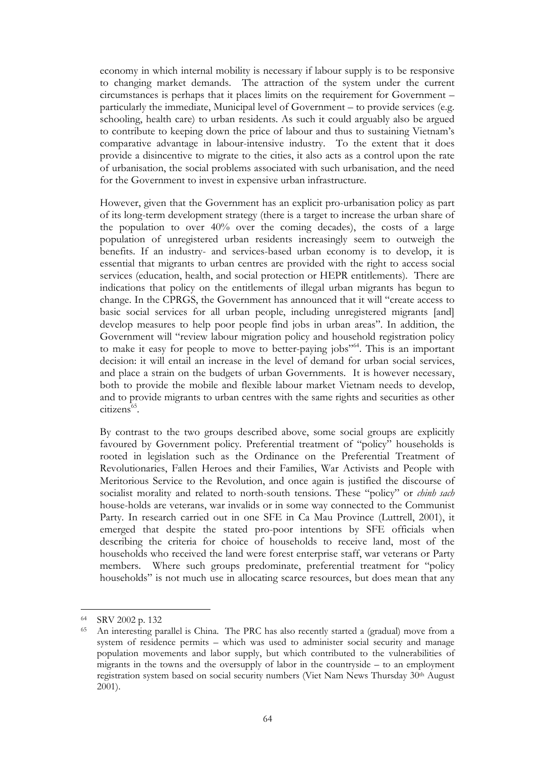economy in which internal mobility is necessary if labour supply is to be responsive to changing market demands. The attraction of the system under the current circumstances is perhaps that it places limits on the requirement for Government – particularly the immediate, Municipal level of Government – to provide services (e.g. schooling, health care) to urban residents. As such it could arguably also be argued to contribute to keeping down the price of labour and thus to sustaining Vietnam's comparative advantage in labour-intensive industry. To the extent that it does provide a disincentive to migrate to the cities, it also acts as a control upon the rate of urbanisation, the social problems associated with such urbanisation, and the need for the Government to invest in expensive urban infrastructure.

However, given that the Government has an explicit pro-urbanisation policy as part of its long-term development strategy (there is a target to increase the urban share of the population to over 40% over the coming decades), the costs of a large population of unregistered urban residents increasingly seem to outweigh the benefits. If an industry- and services-based urban economy is to develop, it is essential that migrants to urban centres are provided with the right to access social services (education, health, and social protection or HEPR entitlements). There are indications that policy on the entitlements of illegal urban migrants has begun to change. In the CPRGS, the Government has announced that it will "create access to basic social services for all urban people, including unregistered migrants [and] develop measures to help poor people find jobs in urban areas". In addition, the Government will "review labour migration policy and household registration policy to make it easy for people to move to better-paying jobs"64. This is an important decision: it will entail an increase in the level of demand f[or](#page-85-0) urban social services, and place a strain on the budgets of urban Governments. It is however necessary, both to provide the mobile and flexible labour market Vietnam needs to develop, and to provide migrants to urban centres with the same rights and securities as other citizens<sup>65</sup>.

By contrast to the two groups described above, some social groups are explicitly favoured by Government policy. Preferential treatment of "policy" households is rooted in legislation such as the Ordinance on the Preferential Treatment of Revolutionaries, Fallen Heroes and their Families, War Activists and People with Meritorious Service to the Revolution, and once again is justified the discourse of socialist morality and related to north-south tensions. These "policy" or *chinh sach*  house-holds are veterans, war invalids or in some way connected to the Communist Party. In research carried out in one SFE in Ca Mau Province (Luttrell, 2001), it emerged that despite the stated pro-poor intentions by SFE officials when describing the criteria for choice of households to receive land, most of the households who received the land were forest enterprise staff, war veterans or Party members. Where such groups predominate, preferential treatment for "policy households" is not much use in allocating scarce resources, but does mean that any

 $\overline{a}$ 

<span id="page-85-0"></span><sup>64</sup> SRV 2002 p. 132

<span id="page-85-1"></span><sup>65</sup> An interesting parallel is China. The PRC has also recently started a (gradual) move from a system of residence permits – which was used to administer social security and manage population movements and labor supply, but which contributed to the vulnerabilities of migrants in the towns and the oversupply of labor in the countryside – to an employment registration system based on social security numbers (Viet Nam News Thursday 30th August 2001).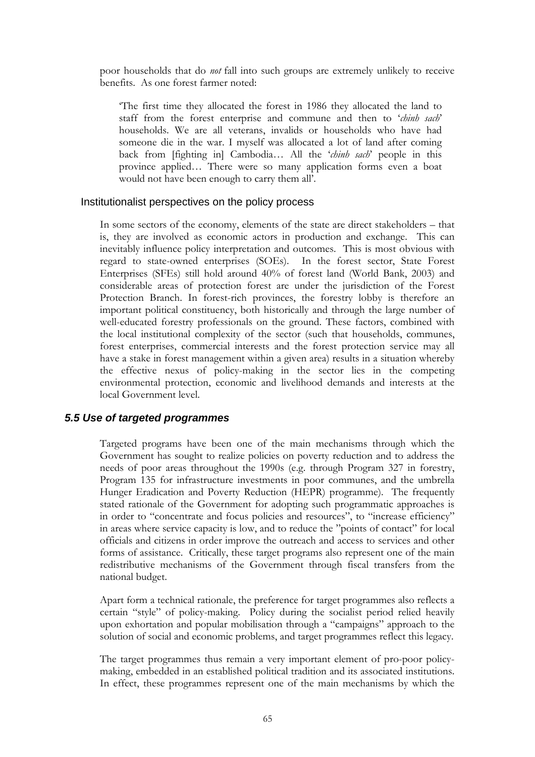poor households that do *not* fall into such groups are extremely unlikely to receive benefits. As one forest farmer noted:

'The first time they allocated the forest in 1986 they allocated the land to staff from the forest enterprise and commune and then to '*chinh sach*' households. We are all veterans, invalids or households who have had someone die in the war. I myself was allocated a lot of land after coming back from [fighting in] Cambodia… All the '*chinh sach*' people in this province applied… There were so many application forms even a boat would not have been enough to carry them all'.

### Institutionalist perspectives on the policy process

In some sectors of the economy, elements of the state are direct stakeholders – that is, they are involved as economic actors in production and exchange. This can inevitably influence policy interpretation and outcomes. This is most obvious with regard to state-owned enterprises (SOEs). In the forest sector, State Forest Enterprises (SFEs) still hold around 40% of forest land (World Bank, 2003) and considerable areas of protection forest are under the jurisdiction of the Forest Protection Branch. In forest-rich provinces, the forestry lobby is therefore an important political constituency, both historically and through the large number of well-educated forestry professionals on the ground. These factors, combined with the local institutional complexity of the sector (such that households, communes, forest enterprises, commercial interests and the forest protection service may all have a stake in forest management within a given area) results in a situation whereby the effective nexus of policy-making in the sector lies in the competing environmental protection, economic and livelihood demands and interests at the local Government level.

### *5.5 Use of targeted programmes*

Targeted programs have been one of the main mechanisms through which the Government has sought to realize policies on poverty reduction and to address the needs of poor areas throughout the 1990s (e.g. through Program 327 in forestry, Program 135 for infrastructure investments in poor communes, and the umbrella Hunger Eradication and Poverty Reduction (HEPR) programme). The frequently stated rationale of the Government for adopting such programmatic approaches is in order to "concentrate and focus policies and resources", to "increase efficiency" in areas where service capacity is low, and to reduce the "points of contact" for local officials and citizens in order improve the outreach and access to services and other forms of assistance. Critically, these target programs also represent one of the main redistributive mechanisms of the Government through fiscal transfers from the national budget.

Apart form a technical rationale, the preference for target programmes also reflects a certain "style" of policy-making. Policy during the socialist period relied heavily upon exhortation and popular mobilisation through a "campaigns" approach to the solution of social and economic problems, and target programmes reflect this legacy.

The target programmes thus remain a very important element of pro-poor policymaking, embedded in an established political tradition and its associated institutions. In effect, these programmes represent one of the main mechanisms by which the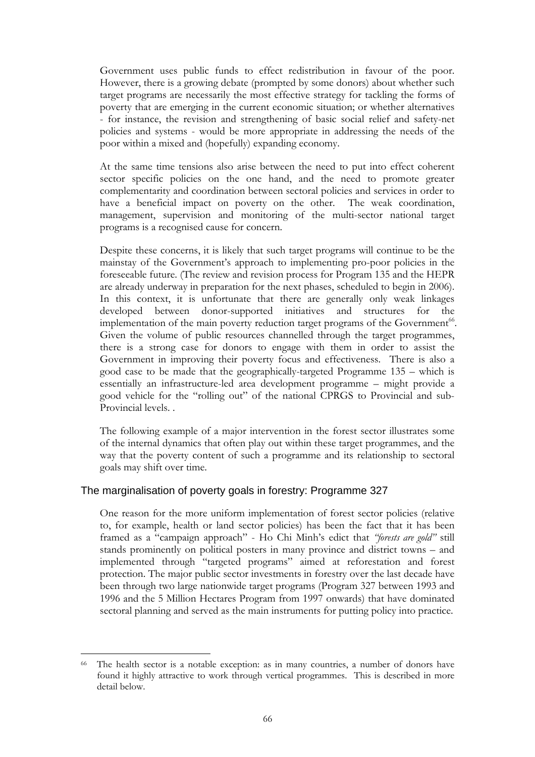Government uses public funds to effect redistribution in favour of the poor. However, there is a growing debate (prompted by some donors) about whether such target programs are necessarily the most effective strategy for tackling the forms of poverty that are emerging in the current economic situation; or whether alternatives - for instance, the revision and strengthening of basic social relief and safety-net policies and systems - would be more appropriate in addressing the needs of the poor within a mixed and (hopefully) expanding economy.

At the same time tensions also arise between the need to put into effect coherent sector specific policies on the one hand, and the need to promote greater complementarity and coordination between sectoral policies and services in order to have a beneficial impact on poverty on the other. The weak coordination, management, supervision and monitoring of the multi-sector national target programs is a recognised cause for concern.

Despite these concerns, it is likely that such target programs will continue to be the mainstay of the Government's approach to implementing pro-poor policies in the foreseeable future. (The review and revision process for Program 135 and the HEPR are already underway in preparation for the next phases, scheduled to begin in 2006). In this context, it is unfortunate that there are generally only weak linkages developed between donor-supported initiatives and structures for the implementation of the main poverty reduction target programs of the Government<sup>66</sup>. Given the volume of public resources channelled through the target programme[s,](#page-87-0)  there is a strong case for donors to engage with them in order to assist the Government in improving their poverty focus and effectiveness. There is also a good case to be made that the geographically-targeted Programme 135 – which is essentially an infrastructure-led area development programme – might provide a good vehicle for the "rolling out" of the national CPRGS to Provincial and sub-Provincial levels. .

The following example of a major intervention in the forest sector illustrates some of the internal dynamics that often play out within these target programmes, and the way that the poverty content of such a programme and its relationship to sectoral goals may shift over time.

### The marginalisation of poverty goals in forestry: Programme 327

One reason for the more uniform implementation of forest sector policies (relative to, for example, health or land sector policies) has been the fact that it has been framed as a "campaign approach" - Ho Chi Minh's edict that *"forests are gold"* still stands prominently on political posters in many province and district towns – and implemented through "targeted programs" aimed at reforestation and forest protection. The major public sector investments in forestry over the last decade have been through two large nationwide target programs (Program 327 between 1993 and 1996 and the 5 Million Hectares Program from 1997 onwards) that have dominated sectoral planning and served as the main instruments for putting policy into practice.

<span id="page-87-0"></span> $\overline{a}$ <sup>66</sup> The health sector is a notable exception: as in many countries, a number of donors have found it highly attractive to work through vertical programmes. This is described in more detail below.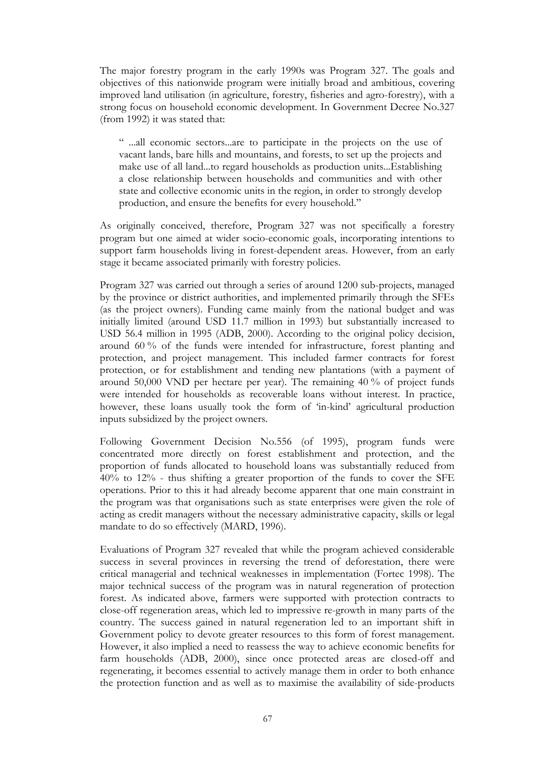The major forestry program in the early 1990s was Program 327. The goals and objectives of this nationwide program were initially broad and ambitious, covering improved land utilisation (in agriculture, forestry, fisheries and agro-forestry), with a strong focus on household economic development. In Government Decree No.327 (from 1992) it was stated that:

" ...all economic sectors...are to participate in the projects on the use of vacant lands, bare hills and mountains, and forests, to set up the projects and make use of all land...to regard households as production units...Establishing a close relationship between households and communities and with other state and collective economic units in the region, in order to strongly develop production, and ensure the benefits for every household."

As originally conceived, therefore, Program 327 was not specifically a forestry program but one aimed at wider socio-economic goals, incorporating intentions to support farm households living in forest-dependent areas. However, from an early stage it became associated primarily with forestry policies.

Program 327 was carried out through a series of around 1200 sub-projects, managed by the province or district authorities, and implemented primarily through the SFEs (as the project owners). Funding came mainly from the national budget and was initially limited (around USD 11.7 million in 1993) but substantially increased to USD 56.4 million in 1995 (ADB, 2000). According to the original policy decision, around 60 % of the funds were intended for infrastructure, forest planting and protection, and project management. This included farmer contracts for forest protection, or for establishment and tending new plantations (with a payment of around 50,000 VND per hectare per year). The remaining 40 % of project funds were intended for households as recoverable loans without interest. In practice, however, these loans usually took the form of 'in-kind' agricultural production inputs subsidized by the project owners.

Following Government Decision No.556 (of 1995), program funds were concentrated more directly on forest establishment and protection, and the proportion of funds allocated to household loans was substantially reduced from 40% to 12% - thus shifting a greater proportion of the funds to cover the SFE operations. Prior to this it had already become apparent that one main constraint in the program was that organisations such as state enterprises were given the role of acting as credit managers without the necessary administrative capacity, skills or legal mandate to do so effectively (MARD, 1996).

Evaluations of Program 327 revealed that while the program achieved considerable success in several provinces in reversing the trend of deforestation, there were critical managerial and technical weaknesses in implementation (Fortec 1998). The major technical success of the program was in natural regeneration of protection forest. As indicated above, farmers were supported with protection contracts to close-off regeneration areas, which led to impressive re-growth in many parts of the country. The success gained in natural regeneration led to an important shift in Government policy to devote greater resources to this form of forest management. However, it also implied a need to reassess the way to achieve economic benefits for farm households (ADB, 2000), since once protected areas are closed-off and regenerating, it becomes essential to actively manage them in order to both enhance the protection function and as well as to maximise the availability of side-products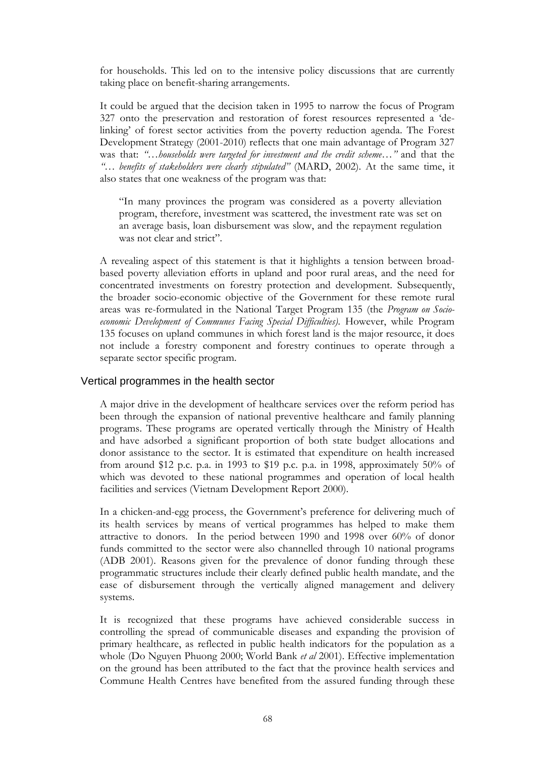for households. This led on to the intensive policy discussions that are currently taking place on benefit-sharing arrangements.

It could be argued that the decision taken in 1995 to narrow the focus of Program 327 onto the preservation and restoration of forest resources represented a 'delinking' of forest sector activities from the poverty reduction agenda. The Forest Development Strategy (2001-2010) reflects that one main advantage of Program 327 was that: *"…households were targeted for investment and the credit scheme…"* and that the *"… benefits of stakeholders were clearly stipulated"* (MARD, 2002). At the same time, it also states that one weakness of the program was that:

"In many provinces the program was considered as a poverty alleviation program, therefore, investment was scattered, the investment rate was set on an average basis, loan disbursement was slow, and the repayment regulation was not clear and strict".

A revealing aspect of this statement is that it highlights a tension between broadbased poverty alleviation efforts in upland and poor rural areas, and the need for concentrated investments on forestry protection and development. Subsequently, the broader socio-economic objective of the Government for these remote rural areas was re-formulated in the National Target Program 135 (the *Program on Socioeconomic Development of Communes Facing Special Difficulties)*. However, while Program 135 focuses on upland communes in which forest land is the major resource, it does not include a forestry component and forestry continues to operate through a separate sector specific program.

#### Vertical programmes in the health sector

A major drive in the development of healthcare services over the reform period has been through the expansion of national preventive healthcare and family planning programs. These programs are operated vertically through the Ministry of Health and have adsorbed a significant proportion of both state budget allocations and donor assistance to the sector. It is estimated that expenditure on health increased from around \$12 p.c. p.a. in 1993 to \$19 p.c. p.a. in 1998, approximately 50% of which was devoted to these national programmes and operation of local health facilities and services (Vietnam Development Report 2000).

In a chicken-and-egg process, the Government's preference for delivering much of its health services by means of vertical programmes has helped to make them attractive to donors. In the period between 1990 and 1998 over 60% of donor funds committed to the sector were also channelled through 10 national programs (ADB 2001). Reasons given for the prevalence of donor funding through these programmatic structures include their clearly defined public health mandate, and the ease of disbursement through the vertically aligned management and delivery systems.

It is recognized that these programs have achieved considerable success in controlling the spread of communicable diseases and expanding the provision of primary healthcare, as reflected in public health indicators for the population as a whole (Do Nguyen Phuong 2000; World Bank *et al* 2001). Effective implementation on the ground has been attributed to the fact that the province health services and Commune Health Centres have benefited from the assured funding through these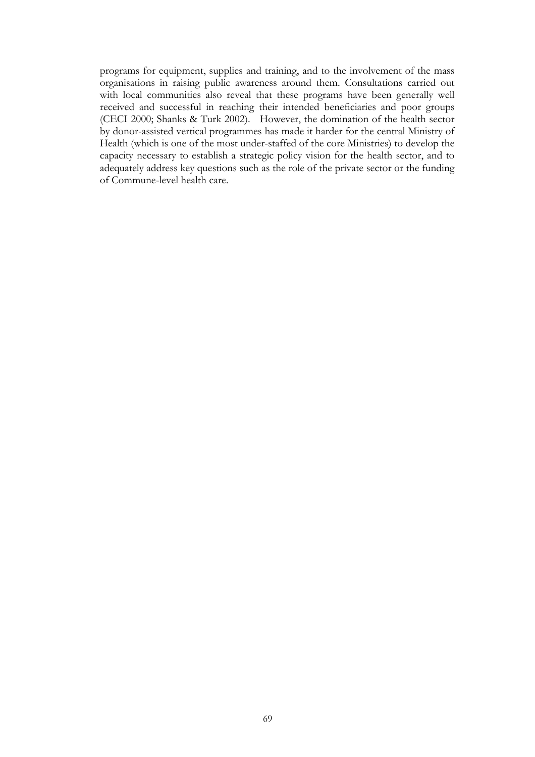programs for equipment, supplies and training, and to the involvement of the mass organisations in raising public awareness around them. Consultations carried out with local communities also reveal that these programs have been generally well received and successful in reaching their intended beneficiaries and poor groups (CECI 2000; Shanks & Turk 2002). However, the domination of the health sector by donor-assisted vertical programmes has made it harder for the central Ministry of Health (which is one of the most under-staffed of the core Ministries) to develop the capacity necessary to establish a strategic policy vision for the health sector, and to adequately address key questions such as the role of the private sector or the funding of Commune-level health care.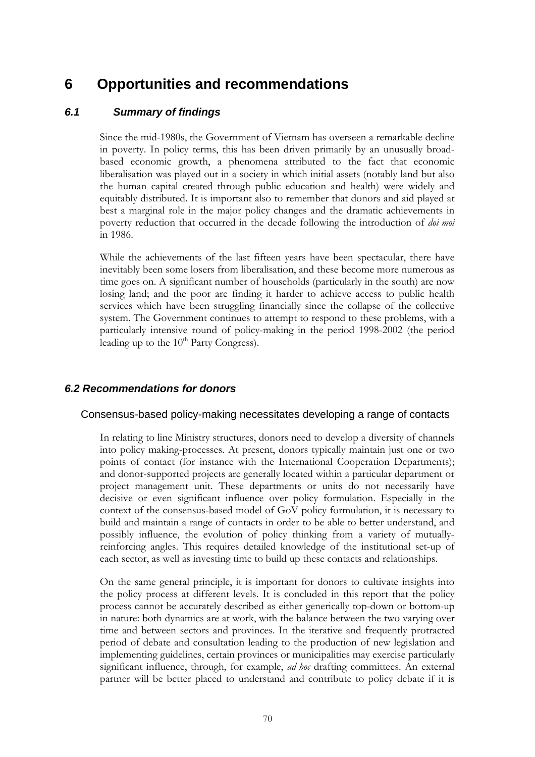# **6 Opportunities and recommendations**

# *6.1 Summary of findings*

Since the mid-1980s, the Government of Vietnam has overseen a remarkable decline in poverty. In policy terms, this has been driven primarily by an unusually broadbased economic growth, a phenomena attributed to the fact that economic liberalisation was played out in a society in which initial assets (notably land but also the human capital created through public education and health) were widely and equitably distributed. It is important also to remember that donors and aid played at best a marginal role in the major policy changes and the dramatic achievements in poverty reduction that occurred in the decade following the introduction of *doi moi* in 1986.

While the achievements of the last fifteen years have been spectacular, there have inevitably been some losers from liberalisation, and these become more numerous as time goes on. A significant number of households (particularly in the south) are now losing land; and the poor are finding it harder to achieve access to public health services which have been struggling financially since the collapse of the collective system. The Government continues to attempt to respond to these problems, with a particularly intensive round of policy-making in the period 1998-2002 (the period leading up to the  $10^{th}$  Party Congress).

# *6.2 Recommendations for donors*

### Consensus-based policy-making necessitates developing a range of contacts

In relating to line Ministry structures, donors need to develop a diversity of channels into policy making-processes. At present, donors typically maintain just one or two points of contact (for instance with the International Cooperation Departments); and donor-supported projects are generally located within a particular department or project management unit. These departments or units do not necessarily have decisive or even significant influence over policy formulation. Especially in the context of the consensus-based model of GoV policy formulation, it is necessary to build and maintain a range of contacts in order to be able to better understand, and possibly influence, the evolution of policy thinking from a variety of mutuallyreinforcing angles. This requires detailed knowledge of the institutional set-up of each sector, as well as investing time to build up these contacts and relationships.

On the same general principle, it is important for donors to cultivate insights into the policy process at different levels. It is concluded in this report that the policy process cannot be accurately described as either generically top-down or bottom-up in nature: both dynamics are at work, with the balance between the two varying over time and between sectors and provinces. In the iterative and frequently protracted period of debate and consultation leading to the production of new legislation and implementing guidelines, certain provinces or municipalities may exercise particularly significant influence, through, for example, *ad hoc* drafting committees. An external partner will be better placed to understand and contribute to policy debate if it is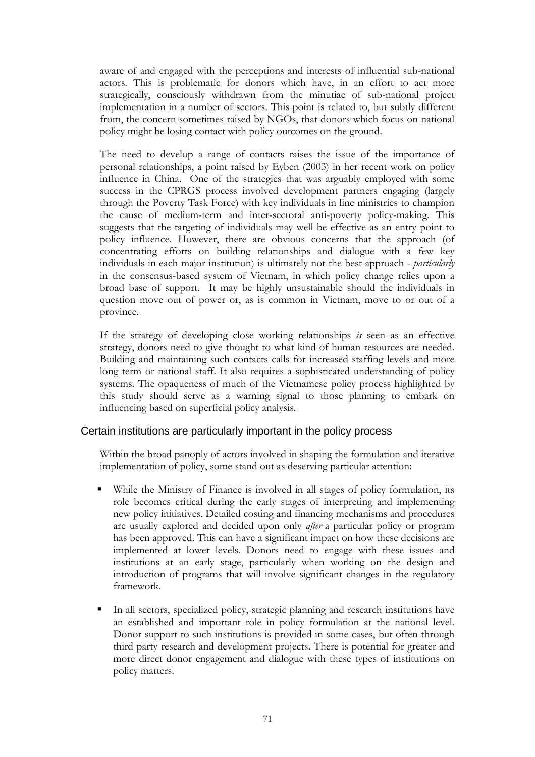aware of and engaged with the perceptions and interests of influential sub-national actors. This is problematic for donors which have, in an effort to act more strategically, consciously withdrawn from the minutiae of sub-national project implementation in a number of sectors. This point is related to, but subtly different from, the concern sometimes raised by NGOs, that donors which focus on national policy might be losing contact with policy outcomes on the ground.

The need to develop a range of contacts raises the issue of the importance of personal relationships, a point raised by Eyben (2003) in her recent work on policy influence in China. One of the strategies that was arguably employed with some success in the CPRGS process involved development partners engaging (largely through the Poverty Task Force) with key individuals in line ministries to champion the cause of medium-term and inter-sectoral anti-poverty policy-making. This suggests that the targeting of individuals may well be effective as an entry point to policy influence. However, there are obvious concerns that the approach (of concentrating efforts on building relationships and dialogue with a few key individuals in each major institution) is ultimately not the best approach - *particularly* in the consensus-based system of Vietnam, in which policy change relies upon a broad base of support. It may be highly unsustainable should the individuals in question move out of power or, as is common in Vietnam, move to or out of a province.

If the strategy of developing close working relationships *is* seen as an effective strategy, donors need to give thought to what kind of human resources are needed. Building and maintaining such contacts calls for increased staffing levels and more long term or national staff. It also requires a sophisticated understanding of policy systems. The opaqueness of much of the Vietnamese policy process highlighted by this study should serve as a warning signal to those planning to embark on influencing based on superficial policy analysis.

# Certain institutions are particularly important in the policy process

Within the broad panoply of actors involved in shaping the formulation and iterative implementation of policy, some stand out as deserving particular attention:

- While the Ministry of Finance is involved in all stages of policy formulation, its role becomes critical during the early stages of interpreting and implementing new policy initiatives. Detailed costing and financing mechanisms and procedures are usually explored and decided upon only *after* a particular policy or program has been approved. This can have a significant impact on how these decisions are implemented at lower levels. Donors need to engage with these issues and institutions at an early stage, particularly when working on the design and introduction of programs that will involve significant changes in the regulatory framework.
- In all sectors, specialized policy, strategic planning and research institutions have an established and important role in policy formulation at the national level. Donor support to such institutions is provided in some cases, but often through third party research and development projects. There is potential for greater and more direct donor engagement and dialogue with these types of institutions on policy matters.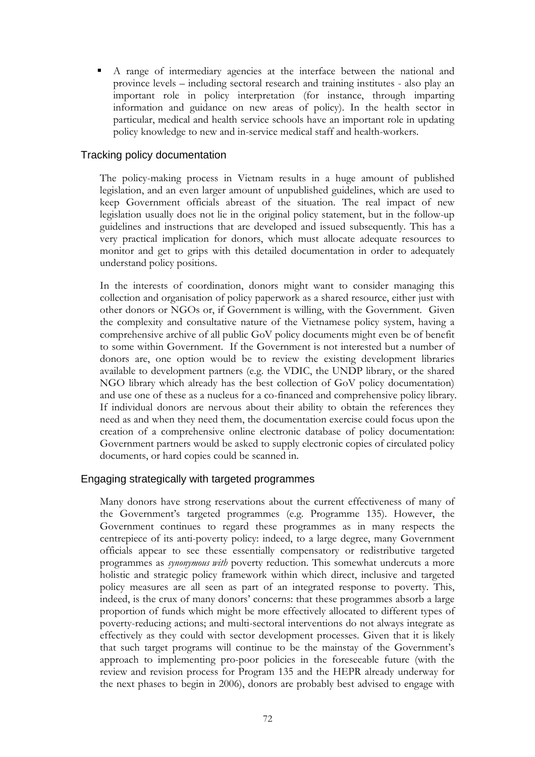A range of intermediary agencies at the interface between the national and province levels – including sectoral research and training institutes - also play an important role in policy interpretation (for instance, through imparting information and guidance on new areas of policy). In the health sector in particular, medical and health service schools have an important role in updating policy knowledge to new and in-service medical staff and health-workers.

## Tracking policy documentation

The policy-making process in Vietnam results in a huge amount of published legislation, and an even larger amount of unpublished guidelines, which are used to keep Government officials abreast of the situation. The real impact of new legislation usually does not lie in the original policy statement, but in the follow-up guidelines and instructions that are developed and issued subsequently. This has a very practical implication for donors, which must allocate adequate resources to monitor and get to grips with this detailed documentation in order to adequately understand policy positions.

In the interests of coordination, donors might want to consider managing this collection and organisation of policy paperwork as a shared resource, either just with other donors or NGOs or, if Government is willing, with the Government. Given the complexity and consultative nature of the Vietnamese policy system, having a comprehensive archive of all public GoV policy documents might even be of benefit to some within Government. If the Government is not interested but a number of donors are, one option would be to review the existing development libraries available to development partners (e.g. the VDIC, the UNDP library, or the shared NGO library which already has the best collection of GoV policy documentation) and use one of these as a nucleus for a co-financed and comprehensive policy library. If individual donors are nervous about their ability to obtain the references they need as and when they need them, the documentation exercise could focus upon the creation of a comprehensive online electronic database of policy documentation: Government partners would be asked to supply electronic copies of circulated policy documents, or hard copies could be scanned in.

### Engaging strategically with targeted programmes

Many donors have strong reservations about the current effectiveness of many of the Government's targeted programmes (e.g. Programme 135). However, the Government continues to regard these programmes as in many respects the centrepiece of its anti-poverty policy: indeed, to a large degree, many Government officials appear to see these essentially compensatory or redistributive targeted programmes as *synonymous with* poverty reduction. This somewhat undercuts a more holistic and strategic policy framework within which direct, inclusive and targeted policy measures are all seen as part of an integrated response to poverty. This, indeed, is the crux of many donors' concerns: that these programmes absorb a large proportion of funds which might be more effectively allocated to different types of poverty-reducing actions; and multi-sectoral interventions do not always integrate as effectively as they could with sector development processes. Given that it is likely that such target programs will continue to be the mainstay of the Government's approach to implementing pro-poor policies in the foreseeable future (with the review and revision process for Program 135 and the HEPR already underway for the next phases to begin in 2006), donors are probably best advised to engage with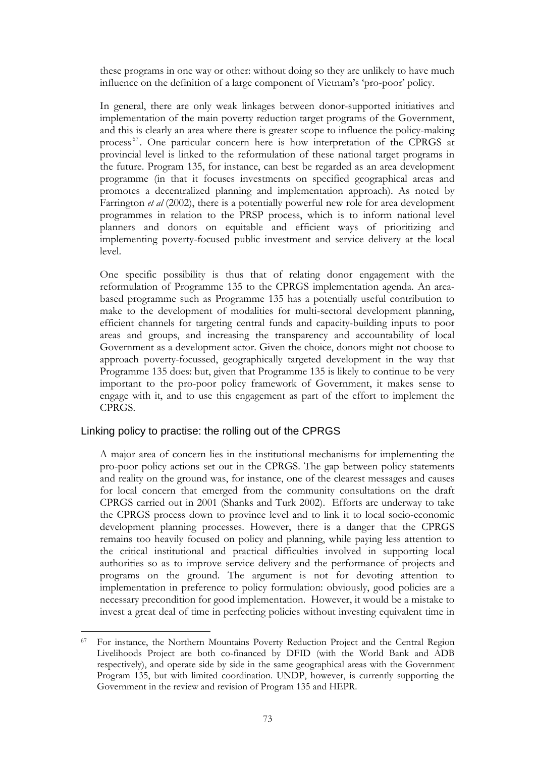these programs in one way or other: without doing so they are unlikely to have much influence on the definition of a large component of Vietnam's 'pro-poor' policy.

In general, there are only weak linkages between donor-supported initiatives and implementation of the main poverty reduction target programs of the Government, and this is clearly an area where there is greater scope to influence the policy-making process<sup>67</sup>. One particular concern here is how interpretation of the CPRGS at provinc[ial](#page-94-0) level is linked to the reformulation of these national target programs in the future. Program 135, for instance, can best be regarded as an area development programme (in that it focuses investments on specified geographical areas and promotes a decentralized planning and implementation approach). As noted by Farrington *et al* (2002), there is a potentially powerful new role for area development programmes in relation to the PRSP process, which is to inform national level planners and donors on equitable and efficient ways of prioritizing and implementing poverty-focused public investment and service delivery at the local level.

One specific possibility is thus that of relating donor engagement with the reformulation of Programme 135 to the CPRGS implementation agenda. An areabased programme such as Programme 135 has a potentially useful contribution to make to the development of modalities for multi-sectoral development planning, efficient channels for targeting central funds and capacity-building inputs to poor areas and groups, and increasing the transparency and accountability of local Government as a development actor. Given the choice, donors might not choose to approach poverty-focussed, geographically targeted development in the way that Programme 135 does: but, given that Programme 135 is likely to continue to be very important to the pro-poor policy framework of Government, it makes sense to engage with it, and to use this engagement as part of the effort to implement the CPRGS.

# Linking policy to practise: the rolling out of the CPRGS

 $\overline{a}$ 

A major area of concern lies in the institutional mechanisms for implementing the pro-poor policy actions set out in the CPRGS. The gap between policy statements and reality on the ground was, for instance, one of the clearest messages and causes for local concern that emerged from the community consultations on the draft CPRGS carried out in 2001 (Shanks and Turk 2002). Efforts are underway to take the CPRGS process down to province level and to link it to local socio-economic development planning processes. However, there is a danger that the CPRGS remains too heavily focused on policy and planning, while paying less attention to the critical institutional and practical difficulties involved in supporting local authorities so as to improve service delivery and the performance of projects and programs on the ground. The argument is not for devoting attention to implementation in preference to policy formulation: obviously, good policies are a necessary precondition for good implementation. However, it would be a mistake to invest a great deal of time in perfecting policies without investing equivalent time in

<span id="page-94-0"></span><sup>67</sup> For instance, the Northern Mountains Poverty Reduction Project and the Central Region Livelihoods Project are both co-financed by DFID (with the World Bank and ADB respectively), and operate side by side in the same geographical areas with the Government Program 135, but with limited coordination. UNDP, however, is currently supporting the Government in the review and revision of Program 135 and HEPR.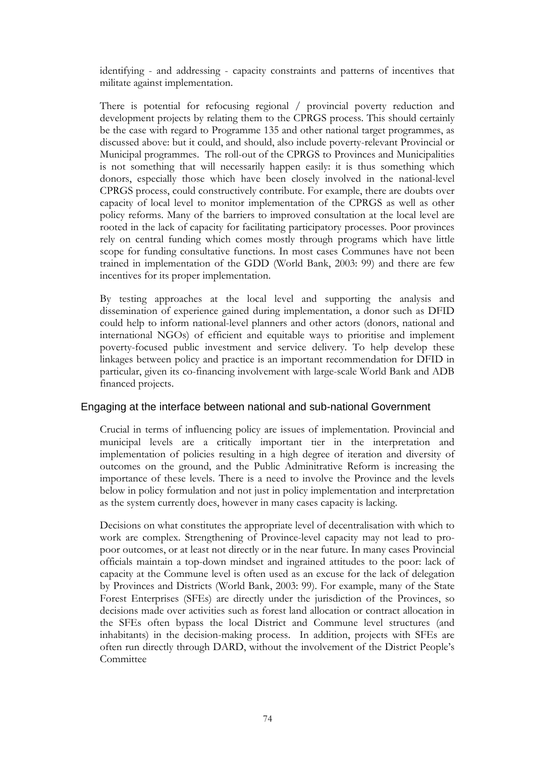identifying - and addressing - capacity constraints and patterns of incentives that militate against implementation.

There is potential for refocusing regional / provincial poverty reduction and development projects by relating them to the CPRGS process. This should certainly be the case with regard to Programme 135 and other national target programmes, as discussed above: but it could, and should, also include poverty-relevant Provincial or Municipal programmes. The roll-out of the CPRGS to Provinces and Municipalities is not something that will necessarily happen easily: it is thus something which donors, especially those which have been closely involved in the national-level CPRGS process, could constructively contribute. For example, there are doubts over capacity of local level to monitor implementation of the CPRGS as well as other policy reforms. Many of the barriers to improved consultation at the local level are rooted in the lack of capacity for facilitating participatory processes. Poor provinces rely on central funding which comes mostly through programs which have little scope for funding consultative functions. In most cases Communes have not been trained in implementation of the GDD (World Bank, 2003: 99) and there are few incentives for its proper implementation.

By testing approaches at the local level and supporting the analysis and dissemination of experience gained during implementation, a donor such as DFID could help to inform national-level planners and other actors (donors, national and international NGOs) of efficient and equitable ways to prioritise and implement poverty-focused public investment and service delivery. To help develop these linkages between policy and practice is an important recommendation for DFID in particular, given its co-financing involvement with large-scale World Bank and ADB financed projects.

### Engaging at the interface between national and sub-national Government

Crucial in terms of influencing policy are issues of implementation. Provincial and municipal levels are a critically important tier in the interpretation and implementation of policies resulting in a high degree of iteration and diversity of outcomes on the ground, and the Public Adminitrative Reform is increasing the importance of these levels. There is a need to involve the Province and the levels below in policy formulation and not just in policy implementation and interpretation as the system currently does, however in many cases capacity is lacking.

Decisions on what constitutes the appropriate level of decentralisation with which to work are complex. Strengthening of Province-level capacity may not lead to propoor outcomes, or at least not directly or in the near future. In many cases Provincial officials maintain a top-down mindset and ingrained attitudes to the poor: lack of capacity at the Commune level is often used as an excuse for the lack of delegation by Provinces and Districts (World Bank, 2003: 99). For example, many of the State Forest Enterprises (SFEs) are directly under the jurisdiction of the Provinces, so decisions made over activities such as forest land allocation or contract allocation in the SFEs often bypass the local District and Commune level structures (and inhabitants) in the decision-making process. In addition, projects with SFEs are often run directly through DARD, without the involvement of the District People's Committee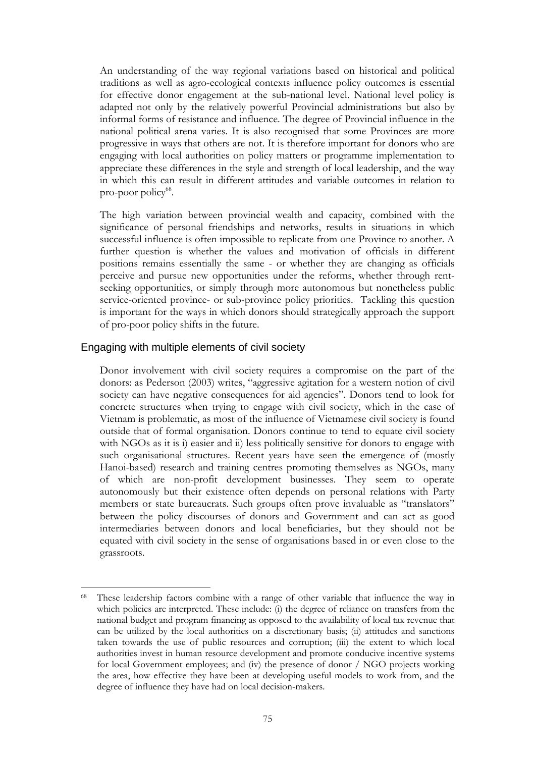An understanding of the way regional variations based on historical and political traditions as well as agro-ecological contexts influence policy outcomes is essential for effective donor engagement at the sub-national level. National level policy is adapted not only by the relatively powerful Provincial administrations but also by informal forms of resistance and influence. The degree of Provincial influence in the national political arena varies. It is also recognised that some Provinces are more progressive in ways that others are not. It is therefore important for donors who are engaging with local authorities on policy matters or programme implementation to appreciate these differences in the style and strength of local leadership, and the way in which this can result in different attitudes and variable outcomes in relation to pro-poor policy $68$ .

The high variation between provincial wealth and capacity, combined with the significance of personal friendships and networks, results in situations in which successful influence is often impossible to replicate from one Province to another. A further question is whether the values and motivation of officials in different positions remains essentially the same - or whether they are changing as officials perceive and pursue new opportunities under the reforms, whether through rentseeking opportunities, or simply through more autonomous but nonetheless public service-oriented province- or sub-province policy priorities. Tackling this question is important for the ways in which donors should strategically approach the support of pro-poor policy shifts in the future.

#### Engaging with multiple elements of civil society

 $\overline{a}$ 

Donor involvement with civil society requires a compromise on the part of the donors: as Pederson (2003) writes, "aggressive agitation for a western notion of civil society can have negative consequences for aid agencies". Donors tend to look for concrete structures when trying to engage with civil society, which in the case of Vietnam is problematic, as most of the influence of Vietnamese civil society is found outside that of formal organisation. Donors continue to tend to equate civil society with NGOs as it is i) easier and ii) less politically sensitive for donors to engage with such organisational structures. Recent years have seen the emergence of (mostly Hanoi-based) research and training centres promoting themselves as NGOs, many of which are non-profit development businesses. They seem to operate autonomously but their existence often depends on personal relations with Party members or state bureaucrats. Such groups often prove invaluable as "translators" between the policy discourses of donors and Government and can act as good intermediaries between donors and local beneficiaries, but they should not be equated with civil society in the sense of organisations based in or even close to the grassroots.

<span id="page-96-0"></span><sup>&</sup>lt;sup>68</sup> These leadership factors combine with a range of other variable that influence the way in which policies are interpreted. These include: (i) the degree of reliance on transfers from the national budget and program financing as opposed to the availability of local tax revenue that can be utilized by the local authorities on a discretionary basis; (ii) attitudes and sanctions taken towards the use of public resources and corruption; (iii) the extent to which local authorities invest in human resource development and promote conducive incentive systems for local Government employees; and (iv) the presence of donor / NGO projects working the area, how effective they have been at developing useful models to work from, and the degree of influence they have had on local decision-makers.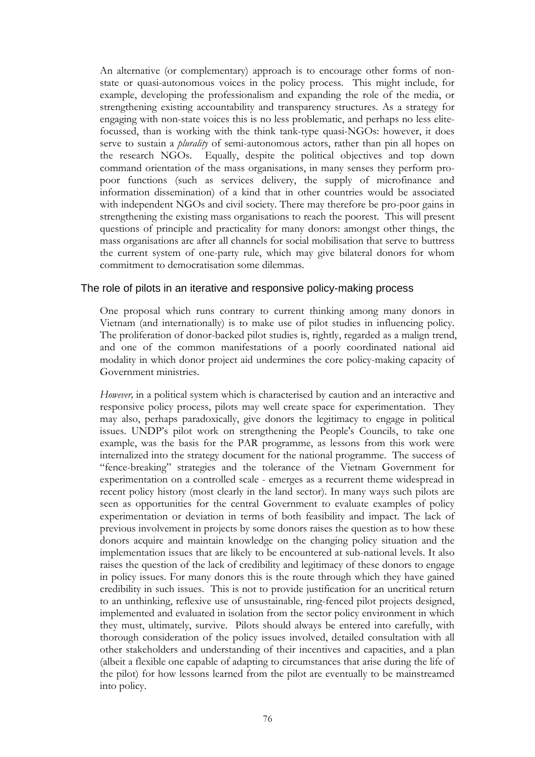An alternative (or complementary) approach is to encourage other forms of nonstate or quasi-autonomous voices in the policy process. This might include, for example, developing the professionalism and expanding the role of the media, or strengthening existing accountability and transparency structures. As a strategy for engaging with non-state voices this is no less problematic, and perhaps no less elitefocussed, than is working with the think tank-type quasi-NGOs: however, it does serve to sustain a *plurality* of semi-autonomous actors, rather than pin all hopes on the research NGOs. Equally, despite the political objectives and top down command orientation of the mass organisations, in many senses they perform propoor functions (such as services delivery, the supply of microfinance and information dissemination) of a kind that in other countries would be associated with independent NGOs and civil society. There may therefore be pro-poor gains in strengthening the existing mass organisations to reach the poorest. This will present questions of principle and practicality for many donors: amongst other things, the mass organisations are after all channels for social mobilisation that serve to buttress the current system of one-party rule, which may give bilateral donors for whom commitment to democratisation some dilemmas.

#### The role of pilots in an iterative and responsive policy-making process

One proposal which runs contrary to current thinking among many donors in Vietnam (and internationally) is to make use of pilot studies in influencing policy. The proliferation of donor-backed pilot studies is, rightly, regarded as a malign trend, and one of the common manifestations of a poorly coordinated national aid modality in which donor project aid undermines the core policy-making capacity of Government ministries.

*However*, in a political system which is characterised by caution and an interactive and responsive policy process, pilots may well create space for experimentation. They may also, perhaps paradoxically, give donors the legitimacy to engage in political issues. UNDP's pilot work on strengthening the People's Councils, to take one example, was the basis for the PAR programme, as lessons from this work were internalized into the strategy document for the national programme. The success of "fence-breaking" strategies and the tolerance of the Vietnam Government for experimentation on a controlled scale - emerges as a recurrent theme widespread in recent policy history (most clearly in the land sector). In many ways such pilots are seen as opportunities for the central Government to evaluate examples of policy experimentation or deviation in terms of both feasibility and impact. The lack of previous involvement in projects by some donors raises the question as to how these donors acquire and maintain knowledge on the changing policy situation and the implementation issues that are likely to be encountered at sub-national levels. It also raises the question of the lack of credibility and legitimacy of these donors to engage in policy issues. For many donors this is the route through which they have gained credibility in such issues. This is not to provide justification for an uncritical return to an unthinking, reflexive use of unsustainable, ring-fenced pilot projects designed, implemented and evaluated in isolation from the sector policy environment in which they must, ultimately, survive. Pilots should always be entered into carefully, with thorough consideration of the policy issues involved, detailed consultation with all other stakeholders and understanding of their incentives and capacities, and a plan (albeit a flexible one capable of adapting to circumstances that arise during the life of the pilot) for how lessons learned from the pilot are eventually to be mainstreamed into policy.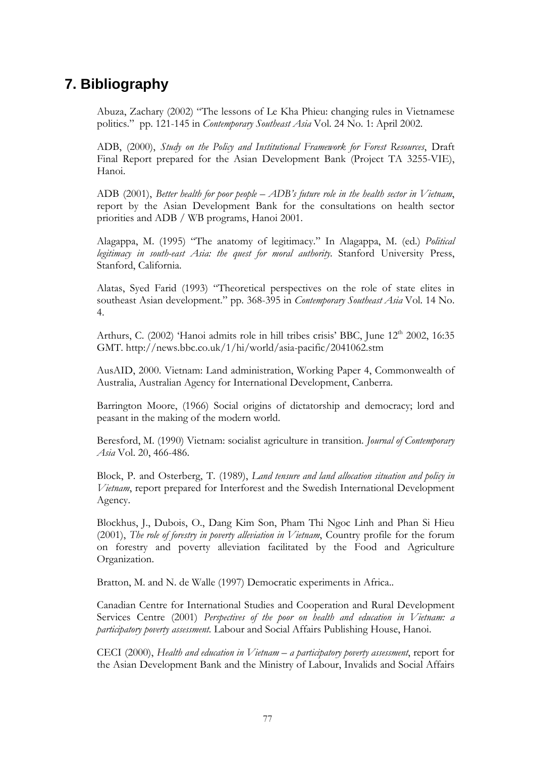# **7. Bibliography**

Abuza, Zachary (2002) "The lessons of Le Kha Phieu: changing rules in Vietnamese politics." pp. 121-145 in *Contemporary Southeast Asia* Vol. 24 No. 1: April 2002.

ADB, (2000), *Study on the Policy and Institutional Framework for Forest Resources*, Draft Final Report prepared for the Asian Development Bank (Project TA 3255-VIE), Hanoi.

ADB (2001), *Better health for poor people – ADB's future role in the health sector in Vietnam*, report by the Asian Development Bank for the consultations on health sector priorities and ADB / WB programs, Hanoi 2001.

Alagappa, M. (1995) "The anatomy of legitimacy." In Alagappa, M. (ed.) *Political legitimacy in south-east Asia: the quest for moral authority.* Stanford University Press, Stanford, California.

Alatas, Syed Farid (1993) "Theoretical perspectives on the role of state elites in southeast Asian development." pp. 368-395 in *Contemporary Southeast Asia* Vol. 14 No. 4.

Arthurs, C. (2002) 'Hanoi admits role in hill tribes crisis' BBC, June  $12<sup>th</sup>$  2002, 16:35 GMT. http://news.bbc.co.uk/1/hi/world/asia-pacific/2041062.stm

AusAID, 2000. Vietnam: Land administration, Working Paper 4, Commonwealth of Australia, Australian Agency for International Development, Canberra.

Barrington Moore, (1966) Social origins of dictatorship and democracy; lord and peasant in the making of the modern world.

Beresford, M. (1990) Vietnam: socialist agriculture in transition. *Journal of Contemporary Asia* Vol. 20, 466-486.

Block, P. and Osterberg, T. (1989), *Land tensure and land allocation situation and policy in Vietnam*, report prepared for Interforest and the Swedish International Development Agency.

Blockhus, J., Dubois, O., Dang Kim Son, Pham Thi Ngoc Linh and Phan Si Hieu (2001), *The role of forestry in poverty alleviation in Vietnam*, Country profile for the forum on forestry and poverty alleviation facilitated by the Food and Agriculture Organization.

Bratton, M. and N. de Walle (1997) Democratic experiments in Africa..

Canadian Centre for International Studies and Cooperation and Rural Development Services Centre (2001) *Perspectives of the poor on health and education in Vietnam: a participatory poverty assessment.* Labour and Social Affairs Publishing House, Hanoi.

CECI (2000), *Health and education in Vietnam – a participatory poverty assessment*, report for the Asian Development Bank and the Ministry of Labour, Invalids and Social Affairs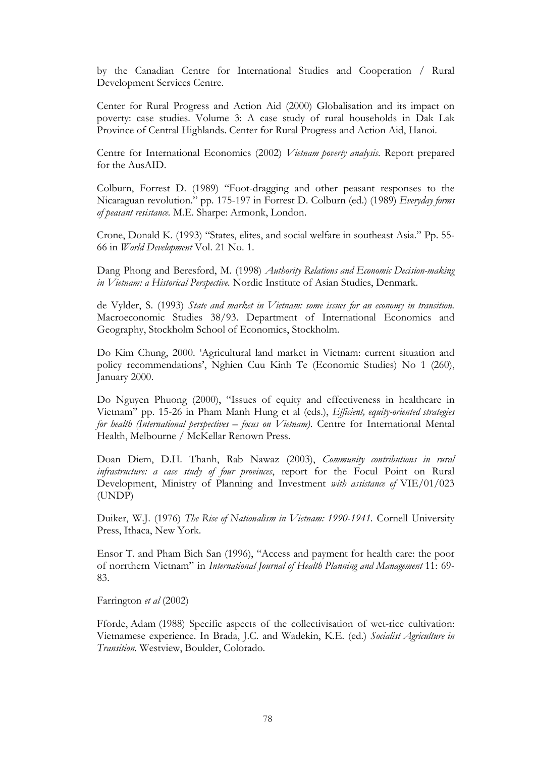by the Canadian Centre for International Studies and Cooperation / Rural Development Services Centre.

Center for Rural Progress and Action Aid (2000) Globalisation and its impact on poverty: case studies. Volume 3: A case study of rural households in Dak Lak Province of Central Highlands. Center for Rural Progress and Action Aid, Hanoi.

Centre for International Economics (2002) *Vietnam poverty analysis*. Report prepared for the AusAID.

Colburn, Forrest D. (1989) "Foot-dragging and other peasant responses to the Nicaraguan revolution." pp. 175-197 in Forrest D. Colburn (ed.) (1989) *Everyday forms of peasant resistance.* M.E. Sharpe: Armonk, London.

Crone, Donald K. (1993) "States, elites, and social welfare in southeast Asia." Pp. 55- 66 in *World Development* Vol. 21 No. 1.

Dang Phong and Beresford, M. (1998) *Authority Relations and Economic Decision-making in Vietnam: a Historical Perspective.* Nordic Institute of Asian Studies, Denmark.

de Vylder, S. (1993) *State and market in Vietnam: some issues for an economy in transition.*  Macroeconomic Studies 38/93. Department of International Economics and Geography, Stockholm School of Economics, Stockholm.

Do Kim Chung, 2000. 'Agricultural land market in Vietnam: current situation and policy recommendations', Nghien Cuu Kinh Te (Economic Studies) No 1 (260), January 2000.

Do Nguyen Phuong (2000), "Issues of equity and effectiveness in healthcare in Vietnam" pp. 15-26 in Pham Manh Hung et al (eds.), *Efficient, equity-oriented strategies for health (International perspectives – focus on Vietnam)*. Centre for International Mental Health, Melbourne / McKellar Renown Press.

Doan Diem, D.H. Thanh, Rab Nawaz (2003), *Community contributions in rural infrastructure: a case study of four provinces*, report for the Focul Point on Rural Development, Ministry of Planning and Investment *with assistance of* VIE/01/023 (UNDP)

Duiker, W.J. (1976) *The Rise of Nationalism in Vietnam: 1990-1941.* Cornell University Press, Ithaca, New York.

Ensor T. and Pham Bich San (1996), "Access and payment for health care: the poor of norrthern Vietnam" in *International Journal of Health Planning and Management* 11: 69- 83.

Farrington *et al* (2002)

Fforde, Adam (1988) Specific aspects of the collectivisation of wet-rice cultivation: Vietnamese experience. In Brada, J.C. and Wadekin, K.E. (ed.) *Socialist Agriculture in Transition.* Westview, Boulder, Colorado.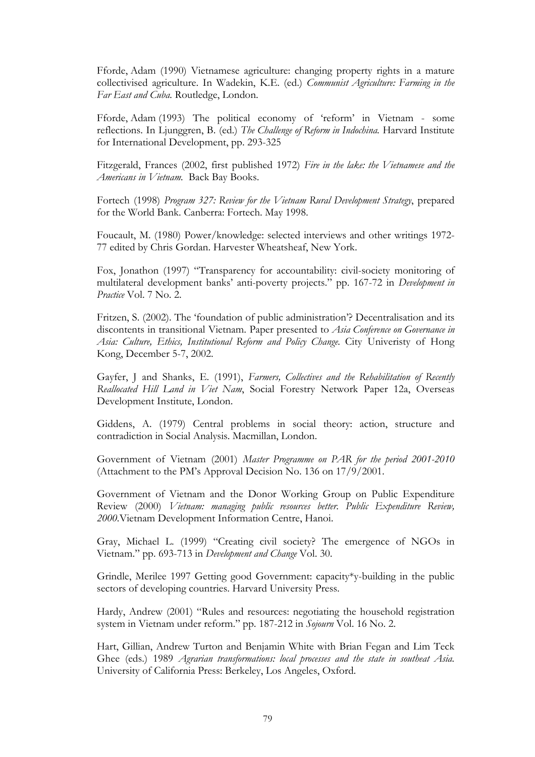Fforde, Adam (1990) Vietnamese agriculture: changing property rights in a mature collectivised agriculture. In Wadekin, K.E. (ed.) *Communist Agriculture: Farming in the Far East and Cuba.* Routledge, London.

Fforde, Adam (1993) The political economy of 'reform' in Vietnam - some reflections. In Ljunggren, B. (ed.) *The Challenge of Reform in Indochina.* Harvard Institute for International Development, pp. 293-325

Fitzgerald, Frances (2002, first published 1972) *Fire in the lake: the Vietnamese and the Americans in Vietnam.* Back Bay Books.

Fortech (1998) *Program 327: Review for the Vietnam Rural Development Strategy*, prepared for the World Bank. Canberra: Fortech. May 1998.

Foucault, M. (1980) Power/knowledge: selected interviews and other writings 1972- 77 edited by Chris Gordan. Harvester Wheatsheaf, New York.

Fox, Jonathon (1997) "Transparency for accountability: civil-society monitoring of multilateral development banks' anti-poverty projects." pp. 167-72 in *Development in Practice* Vol. 7 No. 2.

Fritzen, S. (2002). The 'foundation of public administration'? Decentralisation and its discontents in transitional Vietnam. Paper presented to *Asia Conference on Governance in Asia: Culture, Ethics, Institutional Reform and Policy Change.* City Univeristy of Hong Kong, December 5-7, 2002.

Gayfer, J and Shanks, E. (1991), *Farmers, Collectives and the Rehabilitation of Recently Reallocated Hill Land in Viet Nam*, Social Forestry Network Paper 12a, Overseas Development Institute, London.

Giddens, A. (1979) Central problems in social theory: action, structure and contradiction in Social Analysis. Macmillan, London.

Government of Vietnam (2001) *Master Programme on PAR for the period 2001-2010* (Attachment to the PM's Approval Decision No. 136 on 17/9/2001.

Government of Vietnam and the Donor Working Group on Public Expenditure Review (2000) *Vietnam: managing public resources better. Public Expenditure Review, 2000.*Vietnam Development Information Centre, Hanoi.

Gray, Michael L. (1999) "Creating civil society? The emergence of NGOs in Vietnam." pp. 693-713 in *Development and Change* Vol. 30.

Grindle, Merilee 1997 Getting good Government: capacity\*y-building in the public sectors of developing countries. Harvard University Press.

Hardy, Andrew (2001) "Rules and resources: negotiating the household registration system in Vietnam under reform." pp. 187-212 in *Sojourn* Vol. 16 No. 2.

Hart, Gillian, Andrew Turton and Benjamin White with Brian Fegan and Lim Teck Ghee (eds.) 1989 *Agrarian transformations: local processes and the state in southeat Asia.*  University of California Press: Berkeley, Los Angeles, Oxford.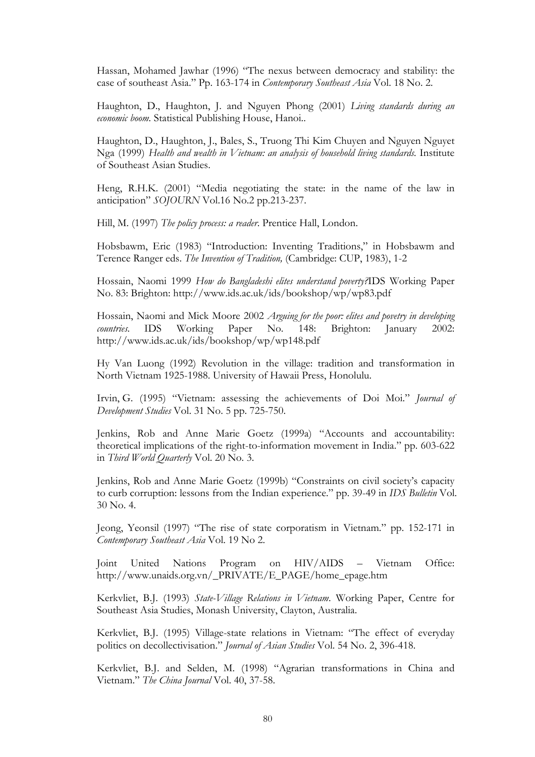Hassan, Mohamed Jawhar (1996) "The nexus between democracy and stability: the case of southeast Asia." Pp. 163-174 in *Contemporary Southeast Asia* Vol. 18 No. 2.

Haughton, D., Haughton, J. and Nguyen Phong (2001) *Living standards during an economic boom.* Statistical Publishing House, Hanoi..

Haughton, D., Haughton, J., Bales, S., Truong Thi Kim Chuyen and Nguyen Nguyet Nga (1999) *Health and wealth in Vietnam: an analysis of household living standards.* Institute of Southeast Asian Studies.

Heng, R.H.K. (2001) "Media negotiating the state: in the name of the law in anticipation" *SOJOURN* Vol.16 No.2 pp.213-237.

Hill, M. (1997) *The policy process: a reader*. Prentice Hall, London.

Hobsbawm, Eric (1983) "Introduction: Inventing Traditions," in Hobsbawm and Terence Ranger eds. *The Invention of Tradition,* (Cambridge: CUP, 1983), 1-2

Hossain, Naomi 1999 *How do Bangladeshi elites understand poverty?*IDS Working Paper No. 83: Brighton: http://www.ids.ac.uk/ids/bookshop/wp/wp83.pdf

Hossain, Naomi and Mick Moore 2002 *Arguing for the poor: elites and povetry in developing countries.* IDS Working Paper No. 148: Brighton: January 2002: http://www.ids.ac.uk/ids/bookshop/wp/wp148.pdf

Hy Van Luong (1992) Revolution in the village: tradition and transformation in North Vietnam 1925-1988. University of Hawaii Press, Honolulu.

Irvin, G. (1995) "Vietnam: assessing the achievements of Doi Moi." *Journal of Development Studies* Vol. 31 No. 5 pp. 725-750.

Jenkins, Rob and Anne Marie Goetz (1999a) "Accounts and accountability: theoretical implications of the right-to-information movement in India." pp. 603-622 in *Third World Quarterly* Vol. 20 No. 3.

Jenkins, Rob and Anne Marie Goetz (1999b) "Constraints on civil society's capacity to curb corruption: lessons from the Indian experience." pp. 39-49 in *IDS Bulletin* Vol. 30 No. 4.

Jeong, Yeonsil (1997) "The rise of state corporatism in Vietnam." pp. 152-171 in *Contemporary Southeast Asia* Vol. 19 No 2.

Joint United Nations Program on HIV/AIDS – Vietnam Office: http://www.unaids.org.vn/\_PRIVATE/E\_PAGE/home\_epage.htm

Kerkvliet, B.J. (1993) *State-Village Relations in Vietnam*. Working Paper, Centre for Southeast Asia Studies, Monash University, Clayton, Australia.

Kerkvliet, B.J. (1995) Village-state relations in Vietnam: "The effect of everyday politics on decollectivisation." *Journal of Asian Studies* Vol. 54 No. 2, 396-418.

Kerkvliet, B.J. and Selden, M. (1998) "Agrarian transformations in China and Vietnam." *The China Journal* Vol. 40, 37-58.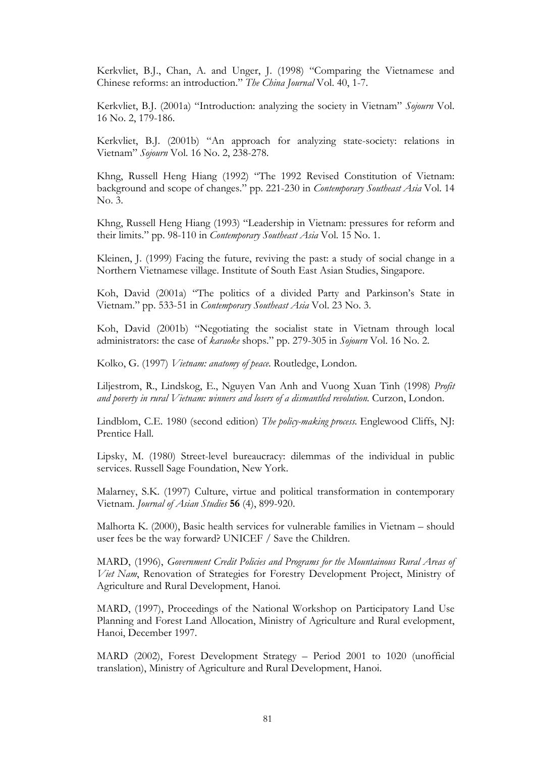Kerkvliet, B.J., Chan, A. and Unger, J. (1998) "Comparing the Vietnamese and Chinese reforms: an introduction." *The China Journal* Vol. 40, 1-7.

Kerkvliet, B.J. (2001a) "Introduction: analyzing the society in Vietnam" *Sojourn* Vol. 16 No. 2, 179-186.

Kerkvliet, B.J. (2001b) "An approach for analyzing state-society: relations in Vietnam" *Sojourn* Vol. 16 No. 2, 238-278.

Khng, Russell Heng Hiang (1992) "The 1992 Revised Constitution of Vietnam: background and scope of changes." pp. 221-230 in *Contemporary Southeast Asia* Vol. 14 No. 3.

Khng, Russell Heng Hiang (1993) "Leadership in Vietnam: pressures for reform and their limits." pp. 98-110 in *Contemporary Southeast Asia* Vol. 15 No. 1.

Kleinen, J. (1999) Facing the future, reviving the past: a study of social change in a Northern Vietnamese village. Institute of South East Asian Studies, Singapore.

Koh, David (2001a) "The politics of a divided Party and Parkinson's State in Vietnam." pp. 533-51 in *Contemporary Southeast Asia* Vol. 23 No. 3.

Koh, David (2001b) "Negotiating the socialist state in Vietnam through local administrators: the case of *karaoke* shops." pp. 279-305 in *Sojourn* Vol. 16 No. 2.

Kolko, G. (1997) *Vietnam: anatomy of peace*. Routledge, London.

Liljestrom, R., Lindskog, E., Nguyen Van Anh and Vuong Xuan Tinh (1998) *Profit* and poverty in rural Vietnam: winners and losers of a dismantled revolution. Curzon, London.

Lindblom, C.E. 1980 (second edition) *The policy-making process.* Englewood Cliffs, NJ: Prentice Hall.

Lipsky, M. (1980) Street-level bureaucracy: dilemmas of the individual in public services. Russell Sage Foundation, New York.

Malarney, S.K. (1997) Culture, virtue and political transformation in contemporary Vietnam. *Journal of Asian Studies* **56** (4), 899-920.

Malhorta K. (2000), Basic health services for vulnerable families in Vietnam – should user fees be the way forward? UNICEF / Save the Children.

MARD, (1996), *Government Credit Policies and Programs for the Mountainous Rural Areas of Viet Nam*, Renovation of Strategies for Forestry Development Project, Ministry of Agriculture and Rural Development, Hanoi.

MARD, (1997), Proceedings of the National Workshop on Participatory Land Use Planning and Forest Land Allocation, Ministry of Agriculture and Rural evelopment, Hanoi, December 1997.

MARD (2002), Forest Development Strategy – Period 2001 to 1020 (unofficial translation), Ministry of Agriculture and Rural Development, Hanoi.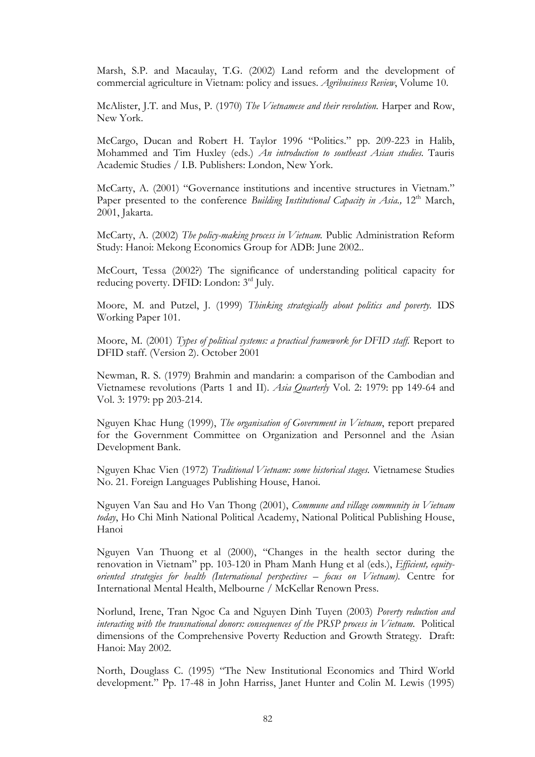Marsh, S.P. and Macaulay, T.G. (2002) Land reform and the development of commercial agriculture in Vietnam: policy and issues. *Agribusiness Review*, Volume 10.

McAlister, J.T. and Mus, P. (1970) *The Vietnamese and their revolution.* Harper and Row, New York.

McCargo, Ducan and Robert H. Taylor 1996 "Politics." pp. 209-223 in Halib, Mohammed and Tim Huxley (eds.) *An introduction to southeast Asian studies.* Tauris Academic Studies / I.B. Publishers: London, New York.

McCarty, A. (2001) "Governance institutions and incentive structures in Vietnam." Paper presented to the conference *Building Institutional Capacity in Asia.*, 12<sup>th</sup> March, 2001, Jakarta.

McCarty, A. (2002) *The policy-making process in Vietnam.* Public Administration Reform Study: Hanoi: Mekong Economics Group for ADB: June 2002..

McCourt, Tessa (2002?) The significance of understanding political capacity for reducing poverty. DFID: London: 3<sup>rd</sup> July.

Moore, M. and Putzel, J. (1999) *Thinking strategically about politics and poverty.* IDS Working Paper 101.

Moore, M. (2001) *Types of political systems: a practical framework for DFID staff.* Report to DFID staff. (Version 2). October 2001

Newman, R. S. (1979) Brahmin and mandarin: a comparison of the Cambodian and Vietnamese revolutions (Parts 1 and II). *Asia Quarterly* Vol. 2: 1979: pp 149-64 and Vol. 3: 1979: pp 203-214.

Nguyen Khac Hung (1999), *The organisation of Government in Vietnam*, report prepared for the Government Committee on Organization and Personnel and the Asian Development Bank.

Nguyen Khac Vien (1972) *Traditional Vietnam: some historical stages.* Vietnamese Studies No. 21. Foreign Languages Publishing House, Hanoi.

Nguyen Van Sau and Ho Van Thong (2001), *Commune and village community in Vietnam today*, Ho Chi Minh National Political Academy, National Political Publishing House, Hanoi

Nguyen Van Thuong et al (2000), "Changes in the health sector during the renovation in Vietnam" pp. 103-120 in Pham Manh Hung et al (eds.), *Efficient, equityoriented strategies for health (International perspectives – focus on Vietnam)*. Centre for International Mental Health, Melbourne / McKellar Renown Press.

Norlund, Irene, Tran Ngoc Ca and Nguyen Dinh Tuyen (2003) *Poverty reduction and interacting with the transnational donors: consequences of the PRSP process in Vietnam.* Political dimensions of the Comprehensive Poverty Reduction and Growth Strategy. Draft: Hanoi: May 2002.

North, Douglass C. (1995) "The New Institutional Economics and Third World development." Pp. 17-48 in John Harriss, Janet Hunter and Colin M. Lewis (1995)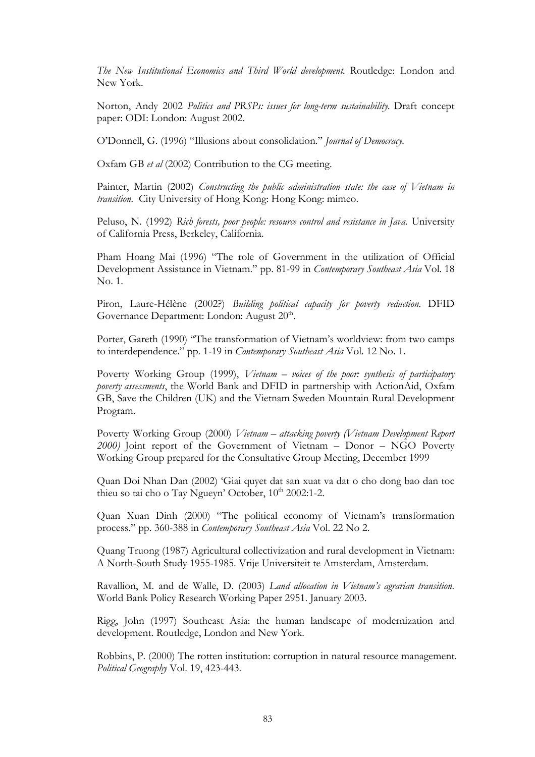*The New Institutional Economics and Third World development.* Routledge: London and New York.

Norton, Andy 2002 *Politics and PRSPs: issues for long-term sustainability.* Draft concept paper: ODI: London: August 2002.

O'Donnell, G. (1996) "Illusions about consolidation." *Journal of Democracy.*

Oxfam GB *et al* (2002) Contribution to the CG meeting.

Painter, Martin (2002) *Constructing the public administration state: the case of Vietnam in transition.* City University of Hong Kong: Hong Kong: mimeo.

Peluso, N. (1992) *Rich forests, poor people: resource control and resistance in Java.* University of California Press, Berkeley, California.

Pham Hoang Mai (1996) "The role of Government in the utilization of Official Development Assistance in Vietnam." pp. 81-99 in *Contemporary Southeast Asia* Vol. 18 No. 1.

Piron, Laure-Hélène (2002?) *Building political capacity for poverty reduction.* DFID Governance Department: London: August 20<sup>th</sup>.

Porter, Gareth (1990) "The transformation of Vietnam's worldview: from two camps to interdependence." pp. 1-19 in *Contemporary Southeast Asia* Vol. 12 No. 1.

Poverty Working Group (1999), *Vietnam – voices of the poor: synthesis of participatory poverty assessments*, the World Bank and DFID in partnership with ActionAid, Oxfam GB, Save the Children (UK) and the Vietnam Sweden Mountain Rural Development Program.

Poverty Working Group (2000) *Vietnam – attacking poverty (Vietnam Development Report 2000)* Joint report of the Government of Vietnam – Donor – NGO Poverty Working Group prepared for the Consultative Group Meeting, December 1999

Quan Doi Nhan Dan (2002) 'Giai quyet dat san xuat va dat o cho dong bao dan toc thieu so tai cho o Tay Ngueyn' October,  $10^{th}$  2002:1-2.

Quan Xuan Dinh (2000) "The political economy of Vietnam's transformation process." pp. 360-388 in *Contemporary Southeast Asia* Vol. 22 No 2.

Quang Truong (1987) Agricultural collectivization and rural development in Vietnam: A North-South Study 1955-1985. Vrije Universiteit te Amsterdam, Amsterdam.

Ravallion, M. and de Walle, D. (2003) *Land allocation in Vietnam's agrarian transition.*  World Bank Policy Research Working Paper 2951. January 2003.

Rigg, John (1997) Southeast Asia: the human landscape of modernization and development. Routledge, London and New York.

Robbins, P. (2000) The rotten institution: corruption in natural resource management. *Political Geography* Vol. 19, 423-443.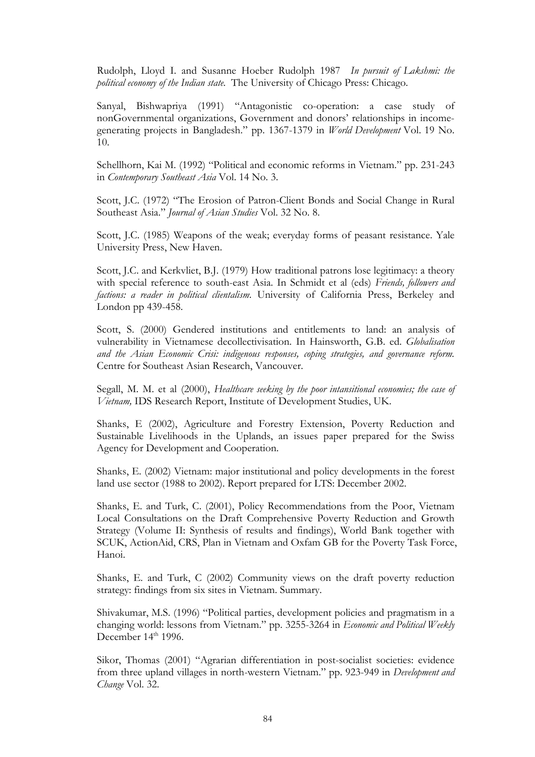Rudolph, Lloyd I. and Susanne Hoeber Rudolph 1987 *In pursuit of Lakshmi: the political economy of the Indian state.* The University of Chicago Press: Chicago.

Sanyal, Bishwapriya (1991) "Antagonistic co-operation: a case study of nonGovernmental organizations, Government and donors' relationships in incomegenerating projects in Bangladesh." pp. 1367-1379 in *World Development* Vol. 19 No. 10.

Schellhorn, Kai M. (1992) "Political and economic reforms in Vietnam." pp. 231-243 in *Contemporary Southeast Asia* Vol. 14 No. 3.

Scott, J.C. (1972) "The Erosion of Patron-Client Bonds and Social Change in Rural Southeast Asia." *Journal of Asian Studies* Vol. 32 No. 8.

Scott, J.C. (1985) Weapons of the weak; everyday forms of peasant resistance. Yale University Press, New Haven.

Scott, J.C. and Kerkvliet, B.J. (1979) How traditional patrons lose legitimacy: a theory with special reference to south-east Asia. In Schmidt et al (eds) *Friends, followers and factions: a reader in political clientalism*. University of California Press, Berkeley and London pp 439-458.

Scott, S. (2000) Gendered institutions and entitlements to land: an analysis of vulnerability in Vietnamese decollectivisation. In Hainsworth, G.B. ed. *Globalisation and the Asian Economic Crisi: indigenous responses, coping strategies, and governance reform.* Centre for Southeast Asian Research, Vancouver.

Segall, M. M. et al (2000), *Healthcare seeking by the poor intansitional economies; the case of Vietnam,* IDS Research Report, Institute of Development Studies, UK.

Shanks, E (2002), Agriculture and Forestry Extension, Poverty Reduction and Sustainable Livelihoods in the Uplands, an issues paper prepared for the Swiss Agency for Development and Cooperation.

Shanks, E. (2002) Vietnam: major institutional and policy developments in the forest land use sector (1988 to 2002). Report prepared for LTS: December 2002.

Shanks, E. and Turk, C. (2001), Policy Recommendations from the Poor, Vietnam Local Consultations on the Draft Comprehensive Poverty Reduction and Growth Strategy (Volume II: Synthesis of results and findings), World Bank together with SCUK, ActionAid, CRS, Plan in Vietnam and Oxfam GB for the Poverty Task Force, Hanoi.

Shanks, E. and Turk, C (2002) Community views on the draft poverty reduction strategy: findings from six sites in Vietnam. Summary.

Shivakumar, M.S. (1996) "Political parties, development policies and pragmatism in a changing world: lessons from Vietnam." pp. 3255-3264 in *Economic and Political Weekly* December  $14<sup>th</sup>$  1996.

Sikor, Thomas (2001) "Agrarian differentiation in post-socialist societies: evidence from three upland villages in north-western Vietnam." pp. 923-949 in *Development and Change* Vol. 32.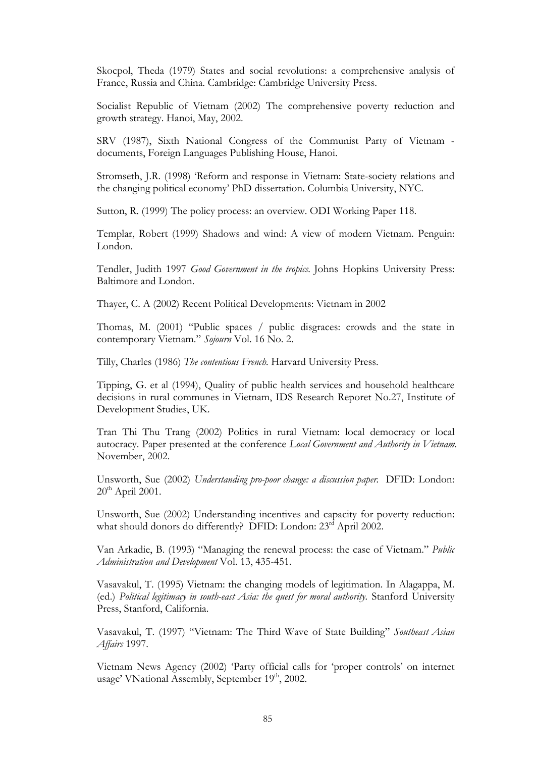Skocpol, Theda (1979) States and social revolutions: a comprehensive analysis of France, Russia and China. Cambridge: Cambridge University Press.

Socialist Republic of Vietnam (2002) The comprehensive poverty reduction and growth strategy. Hanoi, May, 2002.

SRV (1987), Sixth National Congress of the Communist Party of Vietnam documents, Foreign Languages Publishing House, Hanoi.

Stromseth, J.R. (1998) 'Reform and response in Vietnam: State-society relations and the changing political economy' PhD dissertation. Columbia University, NYC.

Sutton, R. (1999) The policy process: an overview. ODI Working Paper 118.

Templar, Robert (1999) Shadows and wind: A view of modern Vietnam. Penguin: London.

Tendler, Judith 1997 *Good Government in the tropics.* Johns Hopkins University Press: Baltimore and London.

Thayer, C. A (2002) Recent Political Developments: Vietnam in 2002

Thomas, M. (2001) "Public spaces / public disgraces: crowds and the state in contemporary Vietnam." *Sojourn* Vol. 16 No. 2.

Tilly, Charles (1986) *The contentious French.* Harvard University Press.

Tipping, G. et al (1994), Quality of public health services and household healthcare decisions in rural communes in Vietnam, IDS Research Reporet No.27, Institute of Development Studies, UK.

Tran Thi Thu Trang (2002) Politics in rural Vietnam: local democracy or local autocracy. Paper presented at the conference *Local Government and Authority in Vietnam*. November, 2002.

Unsworth, Sue (2002) *Understanding pro-poor change: a discussion paper.* DFID: London:  $20<sup>th</sup>$  April 2001.

Unsworth, Sue (2002) Understanding incentives and capacity for poverty reduction: what should donors do differently? DFID: London: 23<sup>rd</sup> April 2002.

Van Arkadie, B. (1993) "Managing the renewal process: the case of Vietnam." *Public Administration and Development* Vol. 13, 435-451.

Vasavakul, T. (1995) Vietnam: the changing models of legitimation. In Alagappa, M. (ed.) *Political legitimacy in south-east Asia: the quest for moral authority.* Stanford University Press, Stanford, California.

Vasavakul, T. (1997) "Vietnam: The Third Wave of State Building" *Southeast Asian Affairs* 1997.

Vietnam News Agency (2002) 'Party official calls for 'proper controls' on internet usage' VNational Assembly, September 19th, 2002.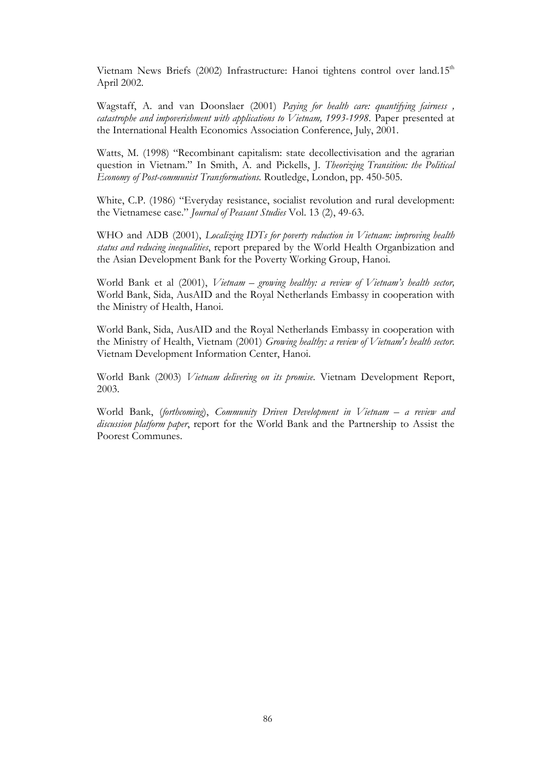Vietnam News Briefs (2002) Infrastructure: Hanoi tightens control over land.15<sup>th</sup> April 2002.

Wagstaff, A. and van Doonslaer (2001) *Paying for health care: quantifying fairness , catastrophe and impoverishment with applications to Vietnam, 1993-1998*. Paper presented at the International Health Economics Association Conference, July, 2001.

Watts, M. (1998) "Recombinant capitalism: state decollectivisation and the agrarian question in Vietnam." In Smith, A. and Pickells, J. *Theorizing Transition: the Political Economy of Post-communist Transformations.* Routledge, London, pp. 450-505.

White, C.P. (1986) "Everyday resistance, socialist revolution and rural development: the Vietnamese case." *Journal of Peasant Studies* Vol. 13 (2), 49-63.

WHO and ADB (2001), *Localizing IDTs for poverty reduction in Vietnam: improving health status and reducing inequalities*, report prepared by the World Health Organbization and the Asian Development Bank for the Poverty Working Group, Hanoi.

World Bank et al (2001), *Vietnam – growing healthy: a review of Vietnam's health sector,*  World Bank, Sida, AusAID and the Royal Netherlands Embassy in cooperation with the Ministry of Health, Hanoi.

World Bank, Sida, AusAID and the Royal Netherlands Embassy in cooperation with the Ministry of Health, Vietnam (2001) *Growing healthy: a review of Vietnam's health sector.* Vietnam Development Information Center, Hanoi.

World Bank (2003) *Vietnam delivering on its promise*. Vietnam Development Report, 2003.

World Bank, (*forthcoming*), *Community Driven Development in Vietnam – a review and discussion platform paper*, report for the World Bank and the Partnership to Assist the Poorest Communes.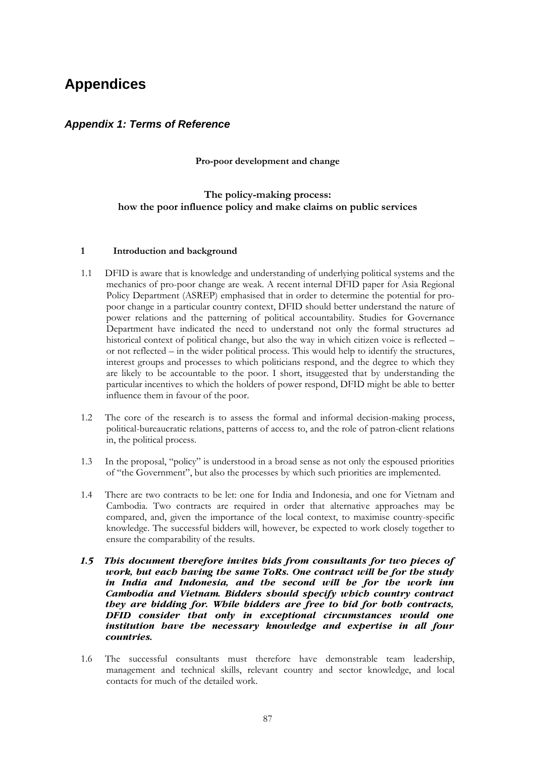# **Appendices**

# *Appendix 1: Terms of Reference*

## **Pro-poor development and change**

# **The policy-making process: how the poor influence policy and make claims on public services**

## **1 Introduction and background**

- 1.1 DFID is aware that is knowledge and understanding of underlying political systems and the mechanics of pro-poor change are weak. A recent internal DFID paper for Asia Regional Policy Department (ASREP) emphasised that in order to determine the potential for propoor change in a particular country context, DFID should better understand the nature of power relations and the patterning of political accountability. Studies for Governance Department have indicated the need to understand not only the formal structures ad historical context of political change, but also the way in which citizen voice is reflected – or not reflected – in the wider political process. This would help to identify the structures, interest groups and processes to which politicians respond, and the degree to which they are likely to be accountable to the poor. I short, itsuggested that by understanding the particular incentives to which the holders of power respond, DFID might be able to better influence them in favour of the poor.
- 1.2 The core of the research is to assess the formal and informal decision-making process, political-bureaucratic relations, patterns of access to, and the role of patron-client relations in, the political process.
- 1.3 In the proposal, "policy" is understood in a broad sense as not only the espoused priorities of "the Government", but also the processes by which such priorities are implemented.
- 1.4 There are two contracts to be let: one for India and Indonesia, and one for Vietnam and Cambodia. Two contracts are required in order that alternative approaches may be compared, and, given the importance of the local context, to maximise country-specific knowledge. The successful bidders will, however, be expected to work closely together to ensure the comparability of the results.
- *1.5 This document therefore invites bids from consultants for two pieces of work, but each having the same ToRs. One contract will be for the study in India and Indonesia, and the second will be for the work inn Cambodia and Vietnam. Bidders should specify which country contract they are bidding for. While bidders are free to bid for both contracts, DFID consider that only in exceptional circumstances would one institution have the necessary knowledge and expertise in all four countries.*
- 1.6 The successful consultants must therefore have demonstrable team leadership, management and technical skills, relevant country and sector knowledge, and local contacts for much of the detailed work.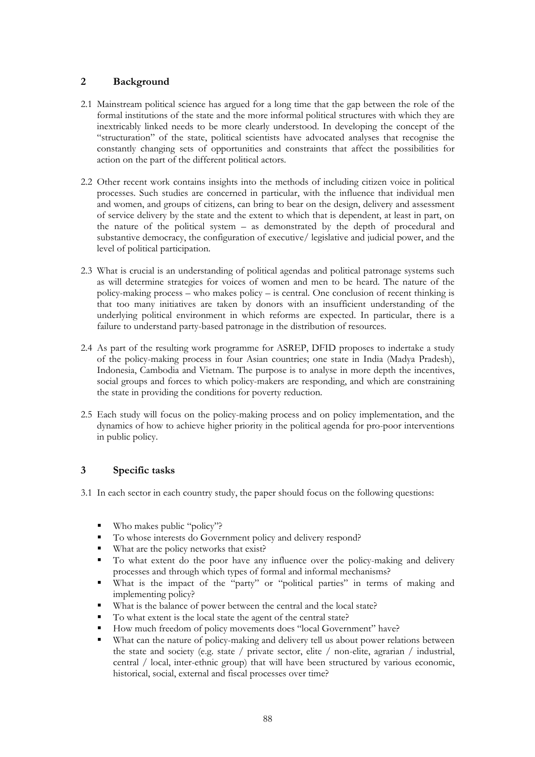# **2 Background**

- 2.1 Mainstream political science has argued for a long time that the gap between the role of the formal institutions of the state and the more informal political structures with which they are inextricably linked needs to be more clearly understood. In developing the concept of the "structuration" of the state, political scientists have advocated analyses that recognise the constantly changing sets of opportunities and constraints that affect the possibilities for action on the part of the different political actors.
- 2.2 Other recent work contains insights into the methods of including citizen voice in political processes. Such studies are concerned in particular, with the influence that individual men and women, and groups of citizens, can bring to bear on the design, delivery and assessment of service delivery by the state and the extent to which that is dependent, at least in part, on the nature of the political system – as demonstrated by the depth of procedural and substantive democracy, the configuration of executive/ legislative and judicial power, and the level of political participation.
- 2.3 What is crucial is an understanding of political agendas and political patronage systems such as will determine strategies for voices of women and men to be heard. The nature of the policy-making process – who makes policy – is central. One conclusion of recent thinking is that too many initiatives are taken by donors with an insufficient understanding of the underlying political environment in which reforms are expected. In particular, there is a failure to understand party-based patronage in the distribution of resources.
- 2.4 As part of the resulting work programme for ASREP, DFID proposes to indertake a study of the policy-making process in four Asian countries; one state in India (Madya Pradesh), Indonesia, Cambodia and Vietnam. The purpose is to analyse in more depth the incentives, social groups and forces to which policy-makers are responding, and which are constraining the state in providing the conditions for poverty reduction.
- 2.5 Each study will focus on the policy-making process and on policy implementation, and the dynamics of how to achieve higher priority in the political agenda for pro-poor interventions in public policy.

## **3 Specific tasks**

3.1 In each sector in each country study, the paper should focus on the following questions:

- Who makes public "policy"?
- To whose interests do Government policy and delivery respond?
- What are the policy networks that exist?
- To what extent do the poor have any influence over the policy-making and delivery processes and through which types of formal and informal mechanisms?
- What is the impact of the "party" or "political parties" in terms of making and implementing policy?
- What is the balance of power between the central and the local state?
- To what extent is the local state the agent of the central state?
- How much freedom of policy movements does "local Government" have?
- What can the nature of policy-making and delivery tell us about power relations between the state and society (e.g. state / private sector, elite / non-elite, agrarian / industrial, central / local, inter-ethnic group) that will have been structured by various economic, historical, social, external and fiscal processes over time?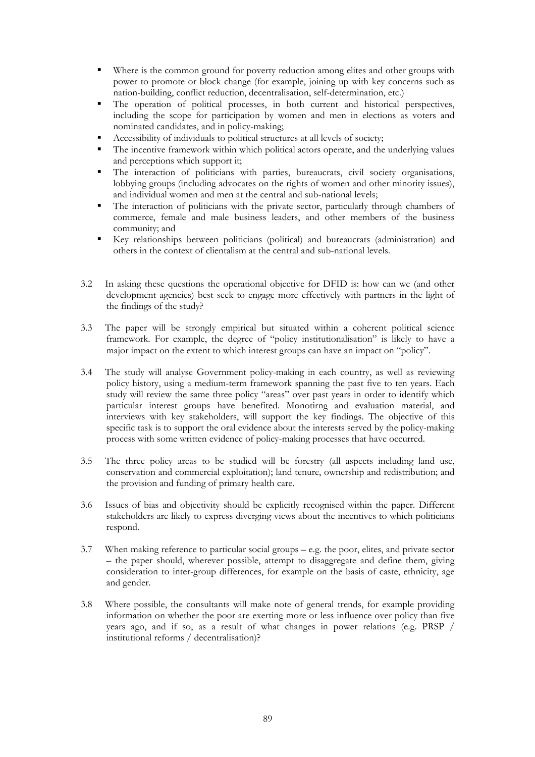- Where is the common ground for poverty reduction among elites and other groups with power to promote or block change (for example, joining up with key concerns such as nation-building, conflict reduction, decentralisation, self-determination, etc.)
- The operation of political processes, in both current and historical perspectives, including the scope for participation by women and men in elections as voters and nominated candidates, and in policy-making;
- Accessibility of individuals to political structures at all levels of society;
- The incentive framework within which political actors operate, and the underlying values and perceptions which support it;
- The interaction of politicians with parties, bureaucrats, civil society organisations, lobbying groups (including advocates on the rights of women and other minority issues), and individual women and men at the central and sub-national levels;
- The interaction of politicians with the private sector, particularly through chambers of commerce, female and male business leaders, and other members of the business community; and
- Key relationships between politicians (political) and bureaucrats (administration) and others in the context of clientalism at the central and sub-national levels.
- 3.2 In asking these questions the operational objective for DFID is: how can we (and other development agencies) best seek to engage more effectively with partners in the light of the findings of the study?
- 3.3 The paper will be strongly empirical but situated within a coherent political science framework. For example, the degree of "policy institutionalisation" is likely to have a major impact on the extent to which interest groups can have an impact on "policy".
- 3.4 The study will analyse Government policy-making in each country, as well as reviewing policy history, using a medium-term framework spanning the past five to ten years. Each study will review the same three policy "areas" over past years in order to identify which particular interest groups have benefited. Monotirng and evaluation material, and interviews with key stakeholders, will support the key findings. The objective of this specific task is to support the oral evidence about the interests served by the policy-making process with some written evidence of policy-making processes that have occurred.
- 3.5 The three policy areas to be studied will be forestry (all aspects including land use, conservation and commercial exploitation); land tenure, ownership and redistribution; and the provision and funding of primary health care.
- 3.6 Issues of bias and objectivity should be explicitly recognised within the paper. Different stakeholders are likely to express diverging views about the incentives to which politicians respond.
- 3.7 When making reference to particular social groups e.g. the poor, elites, and private sector – the paper should, wherever possible, attempt to disaggregate and define them, giving consideration to inter-group differences, for example on the basis of caste, ethnicity, age and gender.
- 3.8 Where possible, the consultants will make note of general trends, for example providing information on whether the poor are exerting more or less influence over policy than five years ago, and if so, as a result of what changes in power relations (e.g. PRSP / institutional reforms / decentralisation)?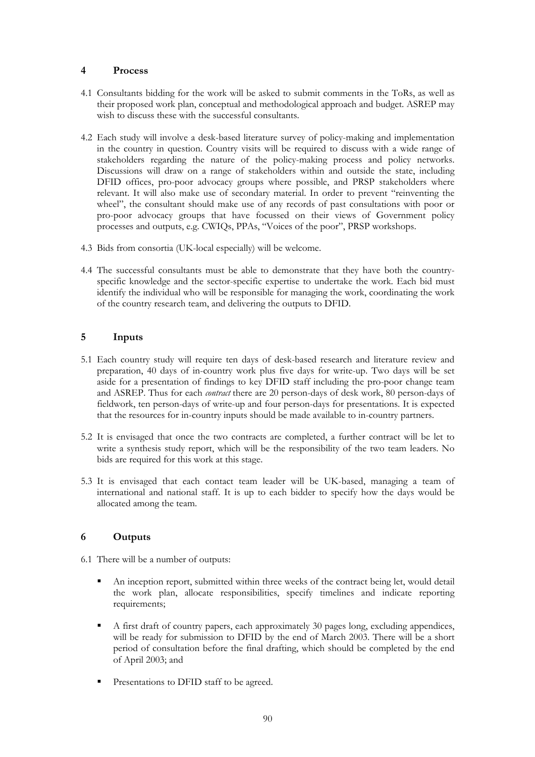## **4 Process**

- 4.1 Consultants bidding for the work will be asked to submit comments in the ToRs, as well as their proposed work plan, conceptual and methodological approach and budget. ASREP may wish to discuss these with the successful consultants.
- 4.2 Each study will involve a desk-based literature survey of policy-making and implementation in the country in question. Country visits will be required to discuss with a wide range of stakeholders regarding the nature of the policy-making process and policy networks. Discussions will draw on a range of stakeholders within and outside the state, including DFID offices, pro-poor advocacy groups where possible, and PRSP stakeholders where relevant. It will also make use of secondary material. In order to prevent "reinventing the wheel", the consultant should make use of any records of past consultations with poor or pro-poor advocacy groups that have focussed on their views of Government policy processes and outputs, e.g. CWIQs, PPAs, "Voices of the poor", PRSP workshops.
- 4.3 Bids from consortia (UK-local especially) will be welcome.
- 4.4 The successful consultants must be able to demonstrate that they have both the countryspecific knowledge and the sector-specific expertise to undertake the work. Each bid must identify the individual who will be responsible for managing the work, coordinating the work of the country research team, and delivering the outputs to DFID.

## **5 Inputs**

- 5.1 Each country study will require ten days of desk-based research and literature review and preparation, 40 days of in-country work plus five days for write-up. Two days will be set aside for a presentation of findings to key DFID staff including the pro-poor change team and ASREP. Thus for each *contract* there are 20 person-days of desk work, 80 person-days of fieldwork, ten person-days of write-up and four person-days for presentations. It is expected that the resources for in-country inputs should be made available to in-country partners.
- 5.2 It is envisaged that once the two contracts are completed, a further contract will be let to write a synthesis study report, which will be the responsibility of the two team leaders. No bids are required for this work at this stage.
- 5.3 It is envisaged that each contact team leader will be UK-based, managing a team of international and national staff. It is up to each bidder to specify how the days would be allocated among the team.

## **6 Outputs**

- 6.1 There will be a number of outputs:
	- An inception report, submitted within three weeks of the contract being let, would detail the work plan, allocate responsibilities, specify timelines and indicate reporting requirements;
	- A first draft of country papers, each approximately 30 pages long, excluding appendices, will be ready for submission to DFID by the end of March 2003. There will be a short period of consultation before the final drafting, which should be completed by the end of April 2003; and
	- Presentations to DFID staff to be agreed.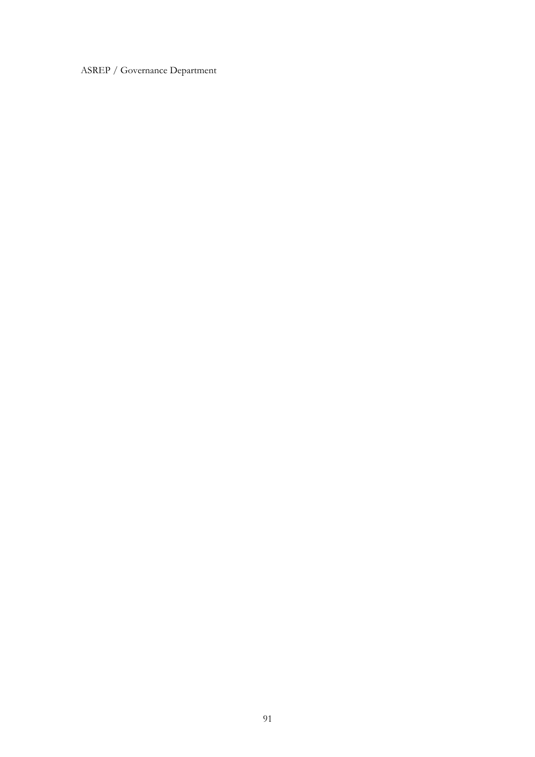ASREP / Governance Department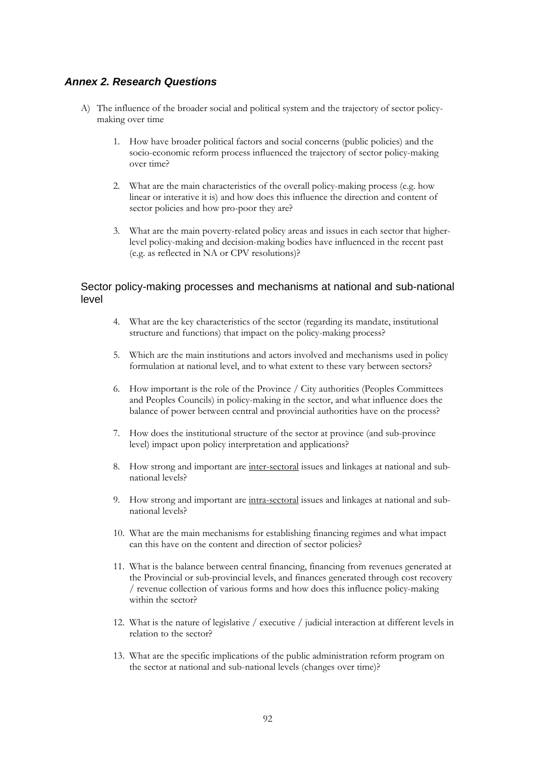# *Annex 2. Research Questions*

- A) The influence of the broader social and political system and the trajectory of sector policymaking over time
	- 1. How have broader political factors and social concerns (public policies) and the socio-economic reform process influenced the trajectory of sector policy-making over time?
	- 2. What are the main characteristics of the overall policy-making process (e.g. how linear or interative it is) and how does this influence the direction and content of sector policies and how pro-poor they are?
	- 3. What are the main poverty-related policy areas and issues in each sector that higherlevel policy-making and decision-making bodies have influenced in the recent past (e.g. as reflected in NA or CPV resolutions)?

## Sector policy-making processes and mechanisms at national and sub-national level

- 4. What are the key characteristics of the sector (regarding its mandate, institutional structure and functions) that impact on the policy-making process?
- 5. Which are the main institutions and actors involved and mechanisms used in policy formulation at national level, and to what extent to these vary between sectors?
- 6. How important is the role of the Province / City authorities (Peoples Committees and Peoples Councils) in policy-making in the sector, and what influence does the balance of power between central and provincial authorities have on the process?
- 7. How does the institutional structure of the sector at province (and sub-province level) impact upon policy interpretation and applications?
- 8. How strong and important are inter-sectoral issues and linkages at national and subnational levels?
- 9. How strong and important are intra-sectoral issues and linkages at national and subnational levels?
- 10. What are the main mechanisms for establishing financing regimes and what impact can this have on the content and direction of sector policies?
- 11. What is the balance between central financing, financing from revenues generated at the Provincial or sub-provincial levels, and finances generated through cost recovery / revenue collection of various forms and how does this influence policy-making within the sector?
- 12. What is the nature of legislative / executive / judicial interaction at different levels in relation to the sector?
- 13. What are the specific implications of the public administration reform program on the sector at national and sub-national levels (changes over time)?